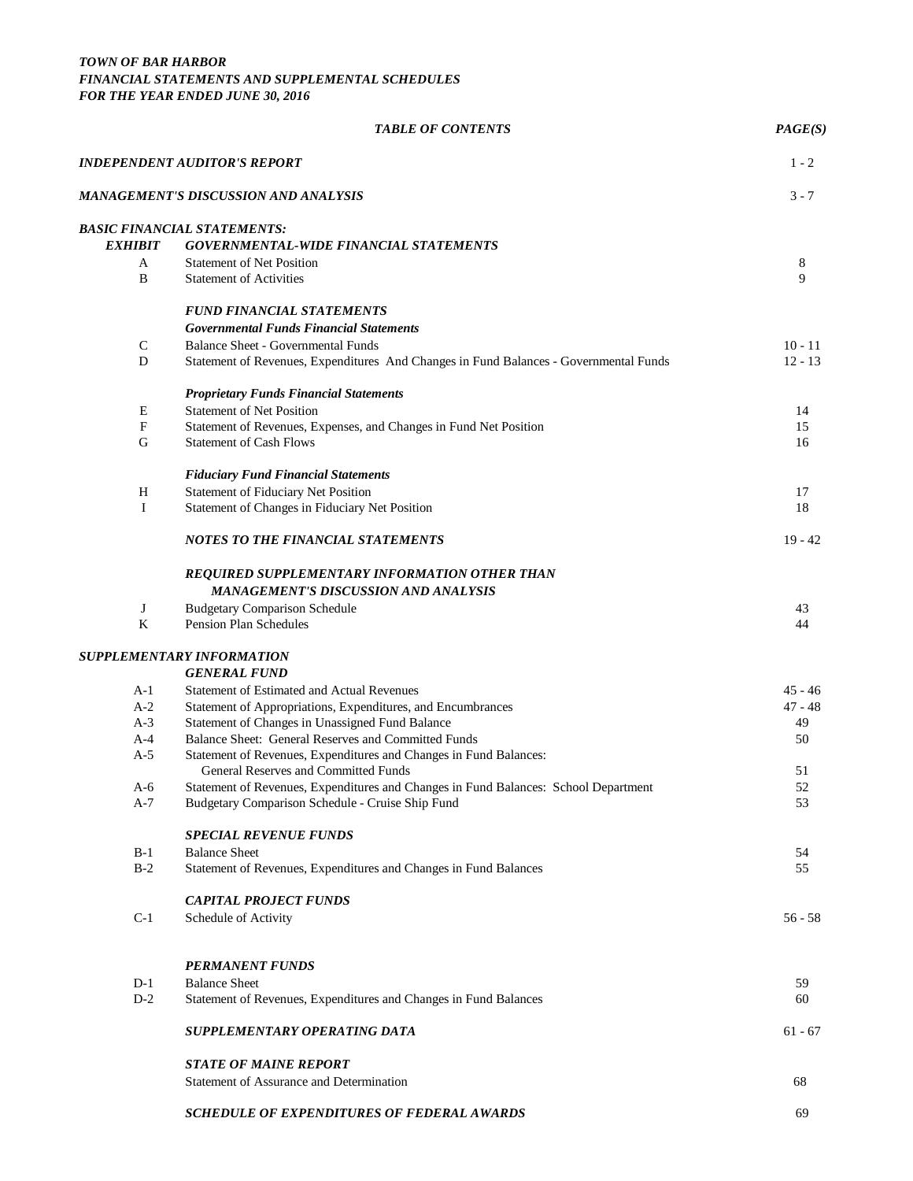|                           | <b>TABLE OF CONTENTS</b>                                                                                                                | PAGE(S)   |
|---------------------------|-----------------------------------------------------------------------------------------------------------------------------------------|-----------|
|                           | INDEPENDENT AUDITOR'S REPORT                                                                                                            | $1 - 2$   |
|                           | MANAGEMENT'S DISCUSSION AND ANALYSIS                                                                                                    | $3 - 7$   |
|                           | <b>BASIC FINANCIAL STATEMENTS:</b>                                                                                                      |           |
| <b>EXHIBIT</b>            | <b>GOVERNMENTAL-WIDE FINANCIAL STATEMENTS</b>                                                                                           |           |
| A                         | <b>Statement of Net Position</b>                                                                                                        | 8         |
| B                         | <b>Statement of Activities</b>                                                                                                          | 9         |
|                           | <b>FUND FINANCIAL STATEMENTS</b>                                                                                                        |           |
|                           | <b>Governmental Funds Financial Statements</b>                                                                                          |           |
| $\mathsf{C}$              | <b>Balance Sheet - Governmental Funds</b>                                                                                               | $10 - 11$ |
| D                         | Statement of Revenues, Expenditures And Changes in Fund Balances - Governmental Funds                                                   | $12 - 13$ |
|                           | <b>Proprietary Funds Financial Statements</b>                                                                                           |           |
| E                         | <b>Statement of Net Position</b>                                                                                                        | 14        |
| $\boldsymbol{\mathrm{F}}$ | Statement of Revenues, Expenses, and Changes in Fund Net Position                                                                       | 15        |
| G                         | <b>Statement of Cash Flows</b>                                                                                                          | 16        |
|                           | <b>Fiduciary Fund Financial Statements</b>                                                                                              |           |
| $H_{\rm}$                 | <b>Statement of Fiduciary Net Position</b>                                                                                              | 17        |
| I                         | Statement of Changes in Fiduciary Net Position                                                                                          | 18        |
|                           | <b>NOTES TO THE FINANCIAL STATEMENTS</b>                                                                                                | $19 - 42$ |
|                           | <b>REQUIRED SUPPLEMENTARY INFORMATION OTHER THAN</b><br><b>MANAGEMENT'S DISCUSSION AND ANALYSIS</b>                                     |           |
| J                         | <b>Budgetary Comparison Schedule</b>                                                                                                    | 43        |
| $\bf K$                   | <b>Pension Plan Schedules</b>                                                                                                           | 44        |
|                           | SUPPLEMENTARY INFORMATION                                                                                                               |           |
|                           | <b>GENERAL FUND</b>                                                                                                                     |           |
| A-1                       | Statement of Estimated and Actual Revenues                                                                                              | 45 - 46   |
| $A-2$                     | Statement of Appropriations, Expenditures, and Encumbrances                                                                             | $47 - 48$ |
| $A-3$                     | Statement of Changes in Unassigned Fund Balance                                                                                         | 49        |
| A-4                       | Balance Sheet: General Reserves and Committed Funds                                                                                     | 50        |
| $A-5$                     | Statement of Revenues, Expenditures and Changes in Fund Balances:                                                                       |           |
|                           | General Reserves and Committed Funds                                                                                                    | 51        |
| A-6<br>A-7                | Statement of Revenues, Expenditures and Changes in Fund Balances: School Department<br>Budgetary Comparison Schedule - Cruise Ship Fund | 52<br>53  |
|                           | <b>SPECIAL REVENUE FUNDS</b>                                                                                                            |           |
| $B-1$                     | <b>Balance Sheet</b>                                                                                                                    | 54        |
| $B-2$                     | Statement of Revenues, Expenditures and Changes in Fund Balances                                                                        | 55        |
|                           | <b>CAPITAL PROJECT FUNDS</b>                                                                                                            |           |
| $C-1$                     |                                                                                                                                         | $56 - 58$ |
|                           | Schedule of Activity                                                                                                                    |           |
|                           | <b>PERMANENT FUNDS</b>                                                                                                                  |           |
| $D-1$                     | <b>Balance Sheet</b>                                                                                                                    | 59        |
| $D-2$                     | Statement of Revenues, Expenditures and Changes in Fund Balances                                                                        | 60        |
|                           | <b>SUPPLEMENTARY OPERATING DATA</b>                                                                                                     | $61 - 67$ |
|                           | <b>STATE OF MAINE REPORT</b>                                                                                                            |           |
|                           | Statement of Assurance and Determination                                                                                                | 68        |
|                           | SCHEDULE OF EXPENDITURES OF FEDERAL AWARDS                                                                                              | 69        |
|                           |                                                                                                                                         |           |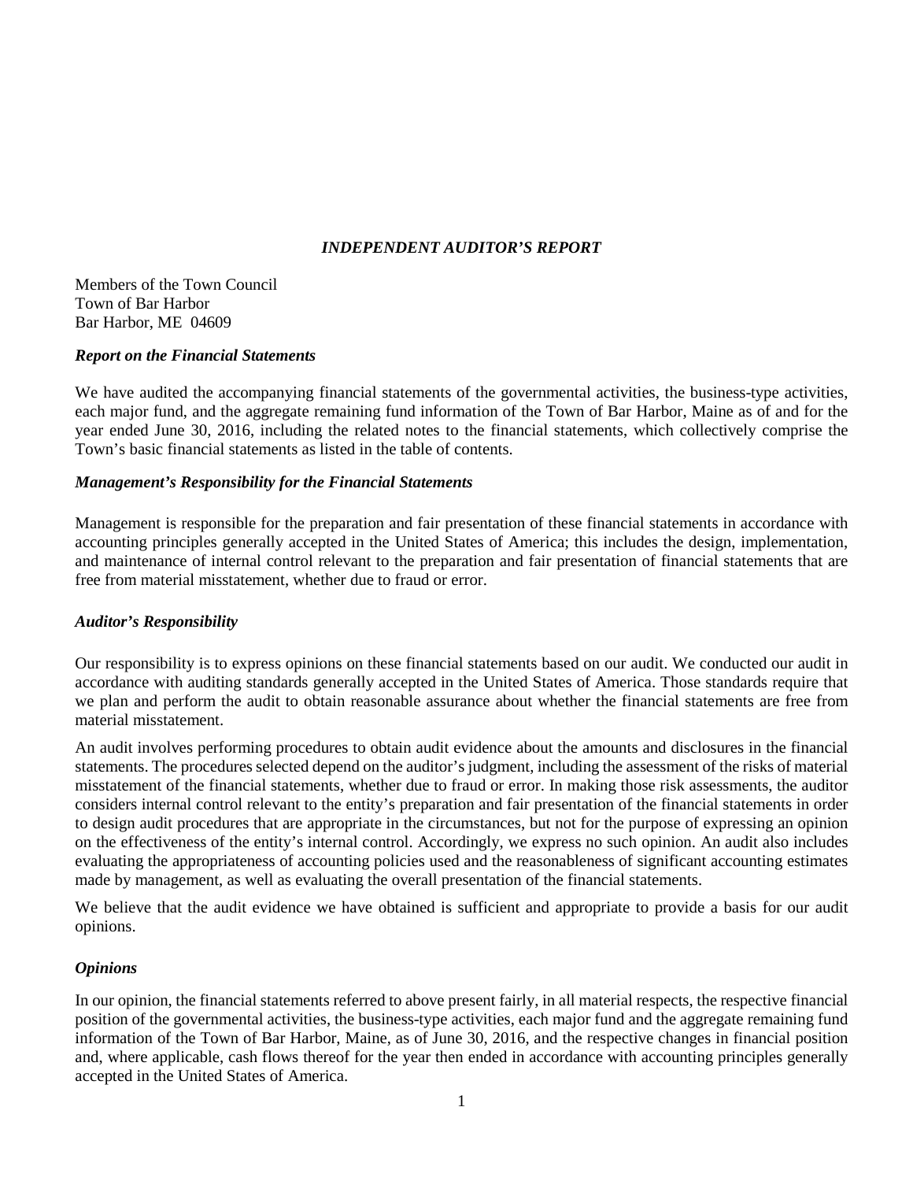## *INDEPENDENT AUDITOR'S REPORT*

Members of the Town Council Town of Bar Harbor Bar Harbor, ME 04609

#### *Report on the Financial Statements*

We have audited the accompanying financial statements of the governmental activities, the business-type activities, each major fund, and the aggregate remaining fund information of the Town of Bar Harbor, Maine as of and for the year ended June 30, 2016, including the related notes to the financial statements, which collectively comprise the Town's basic financial statements as listed in the table of contents.

## *Management's Responsibility for the Financial Statements*

Management is responsible for the preparation and fair presentation of these financial statements in accordance with accounting principles generally accepted in the United States of America; this includes the design, implementation, and maintenance of internal control relevant to the preparation and fair presentation of financial statements that are free from material misstatement, whether due to fraud or error.

## *Auditor's Responsibility*

Our responsibility is to express opinions on these financial statements based on our audit. We conducted our audit in accordance with auditing standards generally accepted in the United States of America. Those standards require that we plan and perform the audit to obtain reasonable assurance about whether the financial statements are free from material misstatement.

An audit involves performing procedures to obtain audit evidence about the amounts and disclosures in the financial statements. The procedures selected depend on the auditor's judgment, including the assessment of the risks of material misstatement of the financial statements, whether due to fraud or error. In making those risk assessments, the auditor considers internal control relevant to the entity's preparation and fair presentation of the financial statements in order to design audit procedures that are appropriate in the circumstances, but not for the purpose of expressing an opinion on the effectiveness of the entity's internal control. Accordingly, we express no such opinion. An audit also includes evaluating the appropriateness of accounting policies used and the reasonableness of significant accounting estimates made by management, as well as evaluating the overall presentation of the financial statements.

We believe that the audit evidence we have obtained is sufficient and appropriate to provide a basis for our audit opinions.

## *Opinions*

In our opinion, the financial statements referred to above present fairly, in all material respects, the respective financial position of the governmental activities, the business-type activities, each major fund and the aggregate remaining fund information of the Town of Bar Harbor, Maine, as of June 30, 2016, and the respective changes in financial position and, where applicable, cash flows thereof for the year then ended in accordance with accounting principles generally accepted in the United States of America.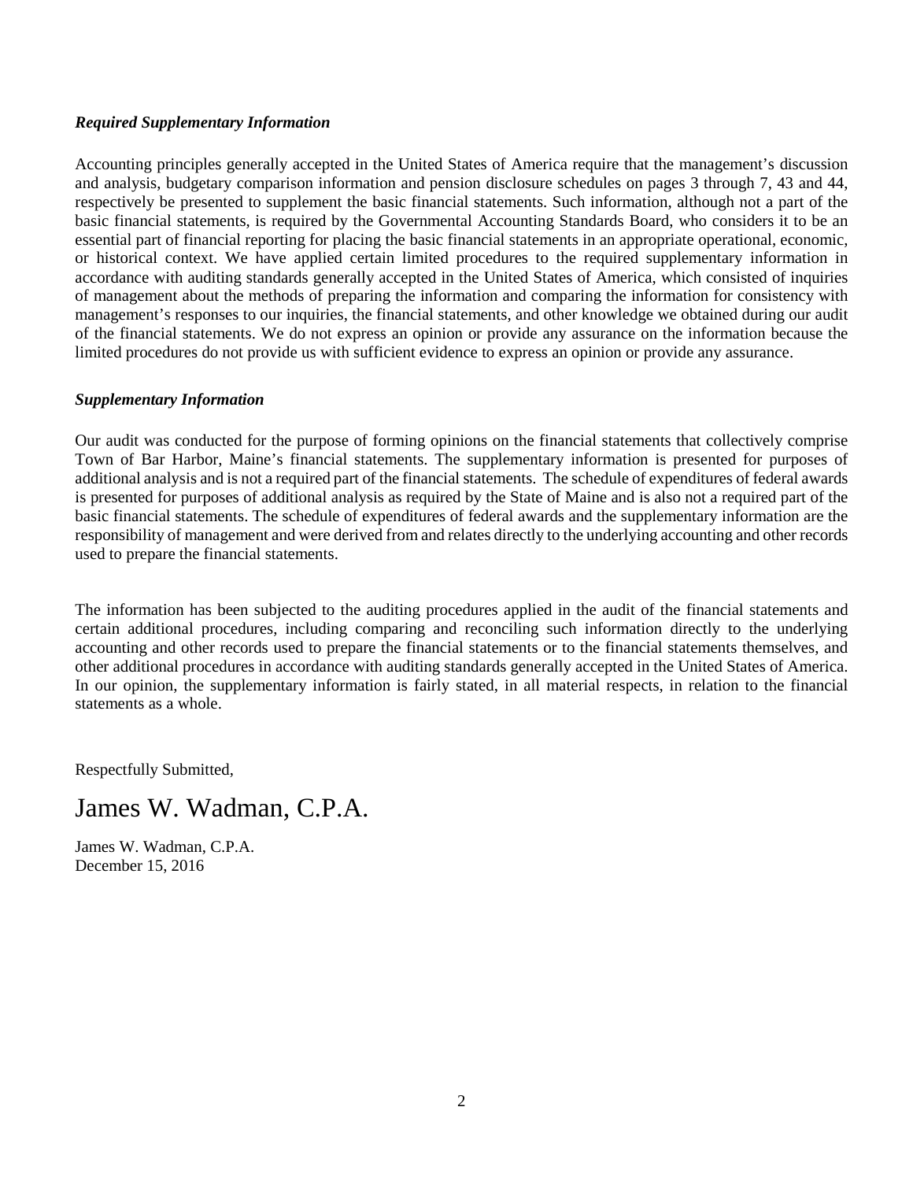## *Required Supplementary Information*

Accounting principles generally accepted in the United States of America require that the management's discussion and analysis, budgetary comparison information and pension disclosure schedules on pages 3 through 7, 43 and 44, respectively be presented to supplement the basic financial statements. Such information, although not a part of the basic financial statements, is required by the Governmental Accounting Standards Board, who considers it to be an essential part of financial reporting for placing the basic financial statements in an appropriate operational, economic, or historical context. We have applied certain limited procedures to the required supplementary information in accordance with auditing standards generally accepted in the United States of America, which consisted of inquiries of management about the methods of preparing the information and comparing the information for consistency with management's responses to our inquiries, the financial statements, and other knowledge we obtained during our audit of the financial statements. We do not express an opinion or provide any assurance on the information because the limited procedures do not provide us with sufficient evidence to express an opinion or provide any assurance.

#### *Supplementary Information*

Our audit was conducted for the purpose of forming opinions on the financial statements that collectively comprise Town of Bar Harbor, Maine's financial statements. The supplementary information is presented for purposes of additional analysis and is not a required part of the financial statements. The schedule of expenditures of federal awards is presented for purposes of additional analysis as required by the State of Maine and is also not a required part of the basic financial statements. The schedule of expenditures of federal awards and the supplementary information are the responsibility of management and were derived from and relates directly to the underlying accounting and other records used to prepare the financial statements.

The information has been subjected to the auditing procedures applied in the audit of the financial statements and certain additional procedures, including comparing and reconciling such information directly to the underlying accounting and other records used to prepare the financial statements or to the financial statements themselves, and other additional procedures in accordance with auditing standards generally accepted in the United States of America. In our opinion, the supplementary information is fairly stated, in all material respects, in relation to the financial statements as a whole.

Respectfully Submitted,

## James W. Wadman, C.P.A.

James W. Wadman, C.P.A. December 15, 2016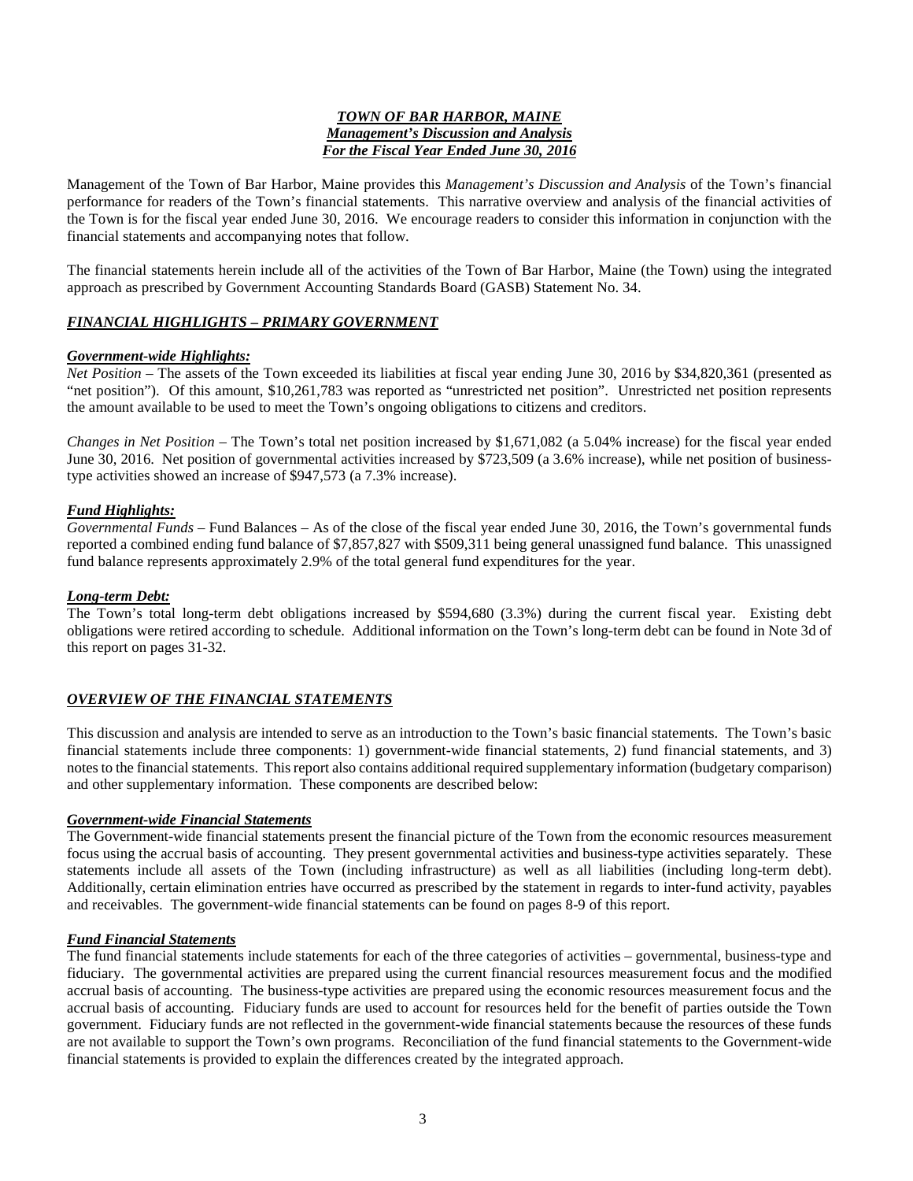#### *TOWN OF BAR HARBOR, MAINE Management's Discussion and Analysis For the Fiscal Year Ended June 30, 2016*

Management of the Town of Bar Harbor, Maine provides this *Management's Discussion and Analysis* of the Town's financial performance for readers of the Town's financial statements. This narrative overview and analysis of the financial activities of the Town is for the fiscal year ended June 30, 2016. We encourage readers to consider this information in conjunction with the financial statements and accompanying notes that follow.

The financial statements herein include all of the activities of the Town of Bar Harbor, Maine (the Town) using the integrated approach as prescribed by Government Accounting Standards Board (GASB) Statement No. 34.

#### *FINANCIAL HIGHLIGHTS – PRIMARY GOVERNMENT*

#### *Government-wide Highlights:*

*Net Position* – The assets of the Town exceeded its liabilities at fiscal year ending June 30, 2016 by \$34,820,361 (presented as "net position"). Of this amount, \$10,261,783 was reported as "unrestricted net position". Unrestricted net position represents the amount available to be used to meet the Town's ongoing obligations to citizens and creditors.

*Changes in Net Position –* The Town's total net position increased by \$1,671,082 (a 5.04% increase) for the fiscal year ended June 30, 2016. Net position of governmental activities increased by \$723,509 (a 3.6% increase), while net position of businesstype activities showed an increase of \$947,573 (a 7.3% increase).

#### *Fund Highlights:*

*Governmental Funds –* Fund Balances – As of the close of the fiscal year ended June 30, 2016, the Town's governmental funds reported a combined ending fund balance of \$7,857,827 with \$509,311 being general unassigned fund balance. This unassigned fund balance represents approximately 2.9% of the total general fund expenditures for the year.

#### *Long-term Debt:*

The Town's total long-term debt obligations increased by \$594,680 (3.3%) during the current fiscal year. Existing debt obligations were retired according to schedule. Additional information on the Town's long-term debt can be found in Note 3d of this report on pages 31-32.

#### *OVERVIEW OF THE FINANCIAL STATEMENTS*

This discussion and analysis are intended to serve as an introduction to the Town's basic financial statements. The Town's basic financial statements include three components: 1) government-wide financial statements, 2) fund financial statements, and 3) notes to the financial statements. This report also contains additional required supplementary information (budgetary comparison) and other supplementary information. These components are described below:

#### *Government-wide Financial Statements*

The Government-wide financial statements present the financial picture of the Town from the economic resources measurement focus using the accrual basis of accounting. They present governmental activities and business-type activities separately. These statements include all assets of the Town (including infrastructure) as well as all liabilities (including long-term debt). Additionally, certain elimination entries have occurred as prescribed by the statement in regards to inter-fund activity, payables and receivables. The government-wide financial statements can be found on pages 8-9 of this report.

#### *Fund Financial Statements*

The fund financial statements include statements for each of the three categories of activities – governmental, business-type and fiduciary. The governmental activities are prepared using the current financial resources measurement focus and the modified accrual basis of accounting. The business-type activities are prepared using the economic resources measurement focus and the accrual basis of accounting. Fiduciary funds are used to account for resources held for the benefit of parties outside the Town government. Fiduciary funds are not reflected in the government-wide financial statements because the resources of these funds are not available to support the Town's own programs. Reconciliation of the fund financial statements to the Government-wide financial statements is provided to explain the differences created by the integrated approach.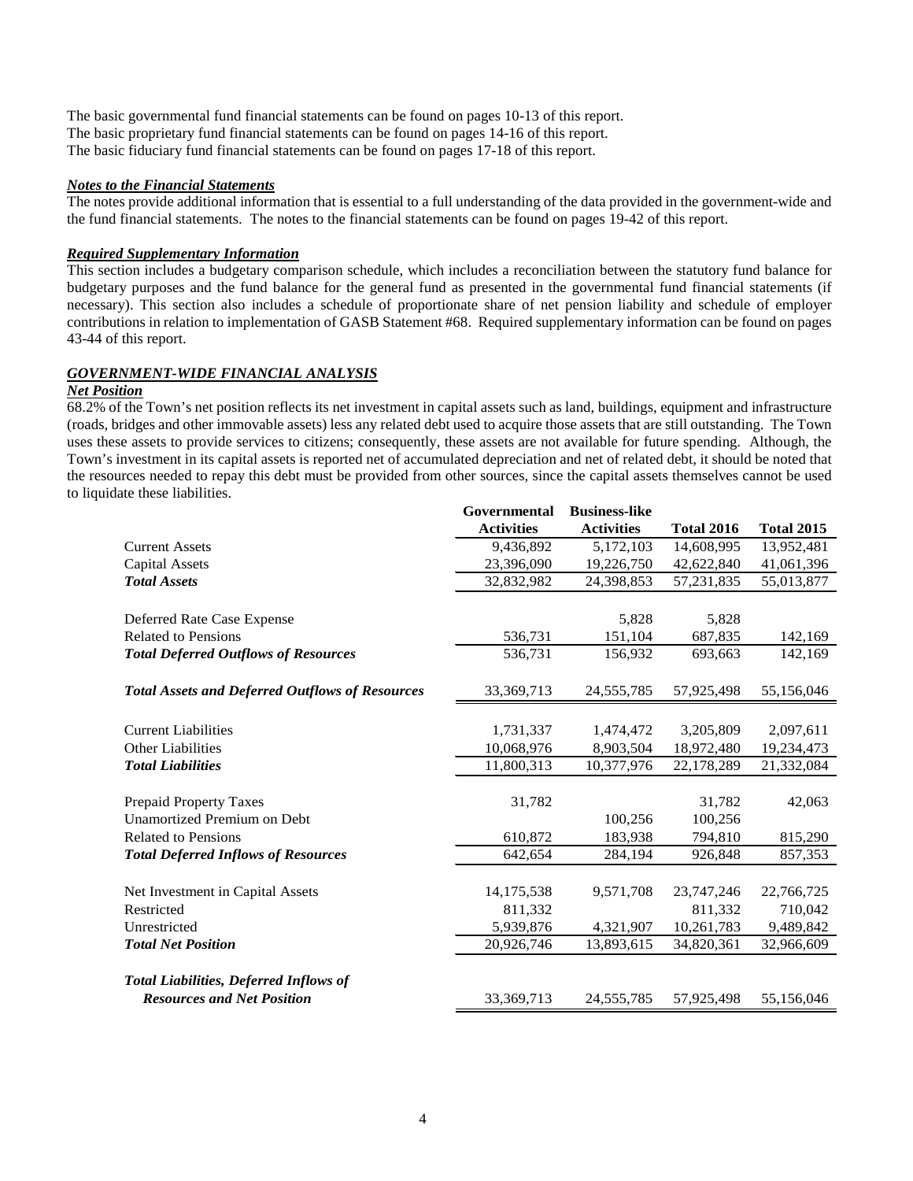The basic governmental fund financial statements can be found on pages 10-13 of this report. The basic proprietary fund financial statements can be found on pages 14-16 of this report. The basic fiduciary fund financial statements can be found on pages 17-18 of this report.

#### *Notes to the Financial Statements*

The notes provide additional information that is essential to a full understanding of the data provided in the government-wide and the fund financial statements. The notes to the financial statements can be found on pages 19-42 of this report.

#### *Required Supplementary Information*

This section includes a budgetary comparison schedule, which includes a reconciliation between the statutory fund balance for budgetary purposes and the fund balance for the general fund as presented in the governmental fund financial statements (if necessary). This section also includes a schedule of proportionate share of net pension liability and schedule of employer contributions in relation to implementation of GASB Statement #68. Required supplementary information can be found on pages 43-44 of this report.

#### *GOVERNMENT-WIDE FINANCIAL ANALYSIS*

#### *Net Position*

68.2% of the Town's net position reflects its net investment in capital assets such as land, buildings, equipment and infrastructure (roads, bridges and other immovable assets) less any related debt used to acquire those assets that are still outstanding. The Town uses these assets to provide services to citizens; consequently, these assets are not available for future spending. Although, the Town's investment in its capital assets is reported net of accumulated depreciation and net of related debt, it should be noted that the resources needed to repay this debt must be provided from other sources, since the capital assets themselves cannot be used to liquidate these liabilities.

|                                                        | Governmental      | <b>Business-like</b> |                   |                   |
|--------------------------------------------------------|-------------------|----------------------|-------------------|-------------------|
|                                                        | <b>Activities</b> | <b>Activities</b>    | <b>Total 2016</b> | <b>Total 2015</b> |
| <b>Current Assets</b>                                  | 9,436,892         | 5,172,103            | 14,608,995        | 13,952,481        |
| <b>Capital Assets</b>                                  | 23,396,090        | 19,226,750           | 42,622,840        | 41,061,396        |
| <b>Total Assets</b>                                    | 32,832,982        | 24,398,853           | 57,231,835        | 55,013,877        |
|                                                        |                   |                      |                   |                   |
| Deferred Rate Case Expense                             |                   | 5,828                | 5,828             |                   |
| <b>Related to Pensions</b>                             | 536,731           | 151,104              | 687,835           | 142,169           |
| <b>Total Deferred Outflows of Resources</b>            | 536,731           | 156,932              | 693,663           | 142,169           |
|                                                        |                   |                      |                   |                   |
| <b>Total Assets and Deferred Outflows of Resources</b> | 33, 369, 713      | 24, 555, 785         | 57,925,498        | 55,156,046        |
|                                                        |                   |                      |                   |                   |
| <b>Current Liabilities</b>                             | 1,731,337         | 1,474,472            | 3,205,809         | 2,097,611         |
| <b>Other Liabilities</b>                               | 10,068,976        | 8,903,504            | 18,972,480        | 19,234,473        |
| <b>Total Liabilities</b>                               | 11,800,313        | 10,377,976           | 22,178,289        | 21,332,084        |
|                                                        |                   |                      |                   |                   |
| <b>Prepaid Property Taxes</b>                          | 31,782            |                      | 31,782            | 42,063            |
| <b>Unamortized Premium on Debt</b>                     |                   | 100,256              | 100,256           |                   |
| <b>Related to Pensions</b>                             | 610,872           | 183,938              | 794,810           | 815,290           |
| <b>Total Deferred Inflows of Resources</b>             | 642.654           | 284,194              | 926,848           | 857,353           |
|                                                        |                   |                      |                   |                   |
| Net Investment in Capital Assets                       | 14, 175, 538      | 9,571,708            | 23,747,246        | 22,766,725        |
| Restricted                                             | 811,332           |                      | 811,332           | 710,042           |
| Unrestricted                                           | 5,939,876         | 4,321,907            | 10,261,783        | 9,489,842         |
| <b>Total Net Position</b>                              | 20,926,746        | 13,893,615           | 34,820,361        | 32,966,609        |
|                                                        |                   |                      |                   |                   |
| <b>Total Liabilities, Deferred Inflows of</b>          |                   |                      |                   |                   |
| <b>Resources and Net Position</b>                      | 33, 369, 713      | 24, 555, 785         | 57,925,498        | 55,156,046        |
|                                                        |                   |                      |                   |                   |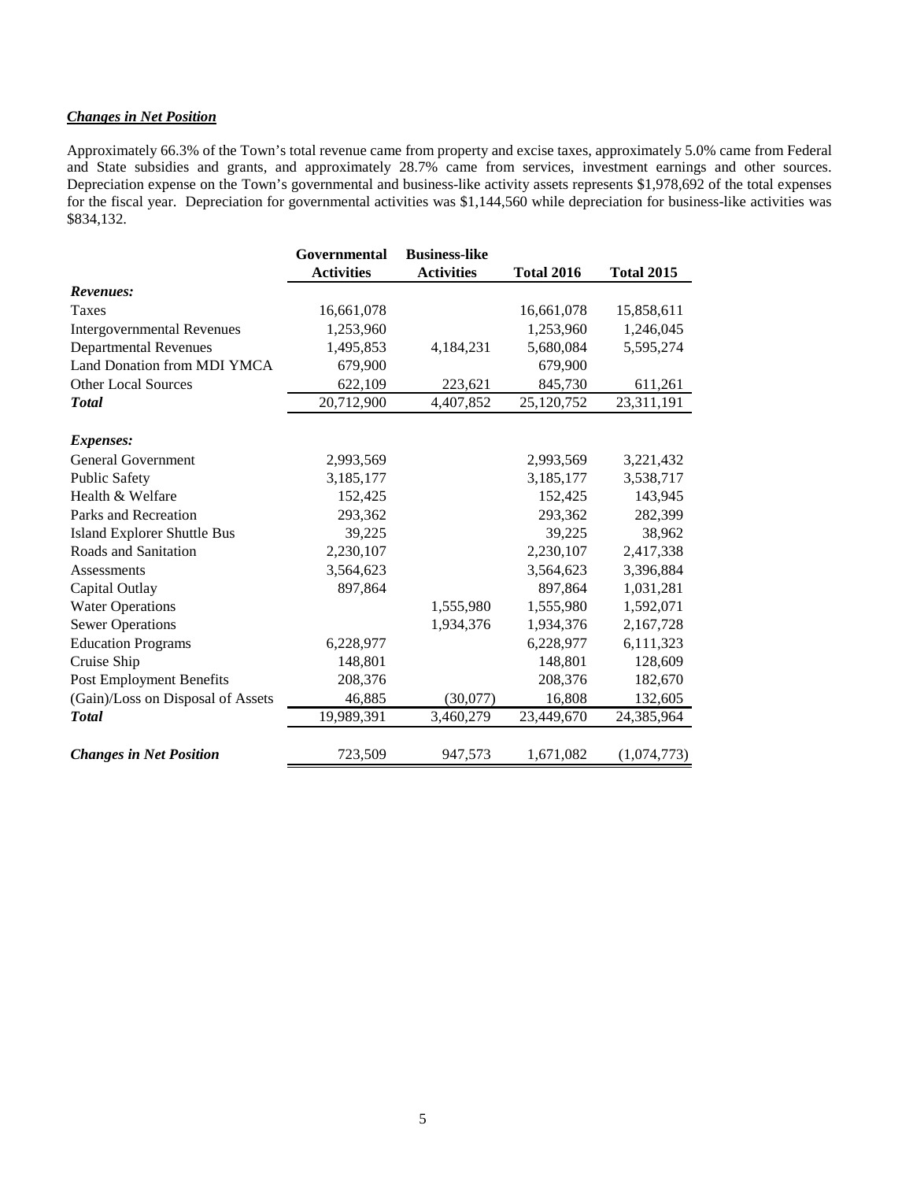#### *Changes in Net Position*

Approximately 66.3% of the Town's total revenue came from property and excise taxes, approximately 5.0% came from Federal and State subsidies and grants, and approximately 28.7% came from services, investment earnings and other sources. Depreciation expense on the Town's governmental and business-like activity assets represents \$1,978,692 of the total expenses for the fiscal year. Depreciation for governmental activities was \$1,144,560 while depreciation for business-like activities was \$834,132.

|                                    | Governmental      | <b>Business-like</b> |                   |                   |
|------------------------------------|-------------------|----------------------|-------------------|-------------------|
|                                    | <b>Activities</b> | <b>Activities</b>    | <b>Total 2016</b> | <b>Total 2015</b> |
| Revenues:                          |                   |                      |                   |                   |
| <b>Taxes</b>                       | 16,661,078        |                      | 16,661,078        | 15,858,611        |
| <b>Intergovernmental Revenues</b>  | 1,253,960         |                      | 1,253,960         | 1,246,045         |
| <b>Departmental Revenues</b>       | 1,495,853         | 4,184,231            | 5,680,084         | 5,595,274         |
| Land Donation from MDI YMCA        | 679,900           |                      | 679,900           |                   |
| <b>Other Local Sources</b>         | 622,109           | 223,621              | 845,730           | 611,261           |
| <b>Total</b>                       | 20,712,900        | 4,407,852            | 25,120,752        | 23,311,191        |
| <i>Expenses:</i>                   |                   |                      |                   |                   |
| <b>General Government</b>          | 2,993,569         |                      | 2,993,569         | 3,221,432         |
| <b>Public Safety</b>               | 3,185,177         |                      | 3,185,177         | 3,538,717         |
| Health & Welfare                   | 152,425           |                      | 152,425           | 143,945           |
| Parks and Recreation               | 293,362           |                      | 293,362           | 282,399           |
| <b>Island Explorer Shuttle Bus</b> | 39,225            |                      | 39,225            | 38,962            |
| Roads and Sanitation               | 2,230,107         |                      | 2,230,107         | 2,417,338         |
| Assessments                        | 3,564,623         |                      | 3,564,623         | 3,396,884         |
| Capital Outlay                     | 897,864           |                      | 897,864           | 1,031,281         |
| <b>Water Operations</b>            |                   | 1,555,980            | 1,555,980         | 1,592,071         |
| <b>Sewer Operations</b>            |                   | 1,934,376            | 1,934,376         | 2,167,728         |
| <b>Education Programs</b>          | 6,228,977         |                      | 6,228,977         | 6,111,323         |
| Cruise Ship                        | 148,801           |                      | 148,801           | 128,609           |
| <b>Post Employment Benefits</b>    | 208,376           |                      | 208,376           | 182,670           |
| (Gain)/Loss on Disposal of Assets  | 46,885            | (30,077)             | 16,808            | 132,605           |
| <b>Total</b>                       | 19,989,391        | 3,460,279            | 23,449,670        | 24,385,964        |
| <b>Changes in Net Position</b>     | 723,509           | 947,573              | 1,671,082         | (1,074,773)       |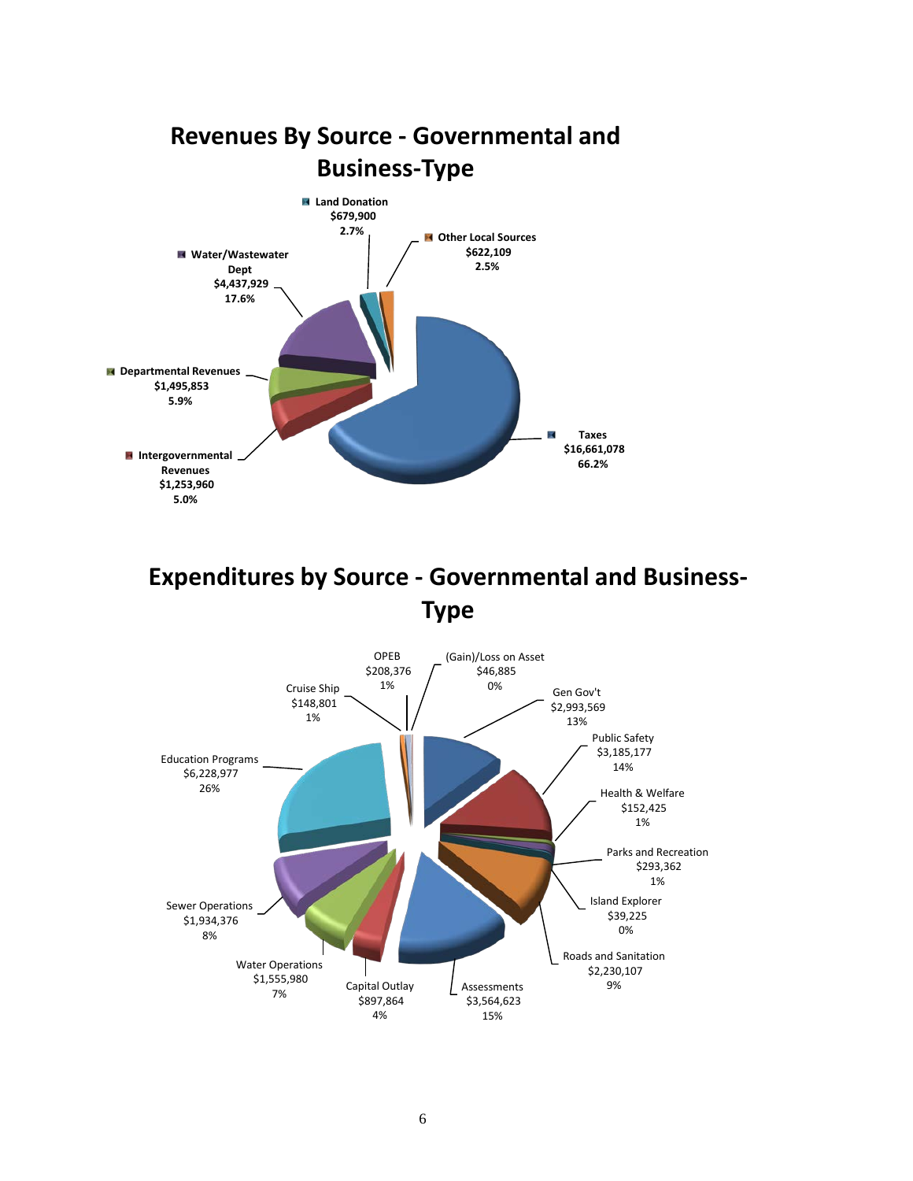

# **Expenditures by Source - Governmental and Business-Type**

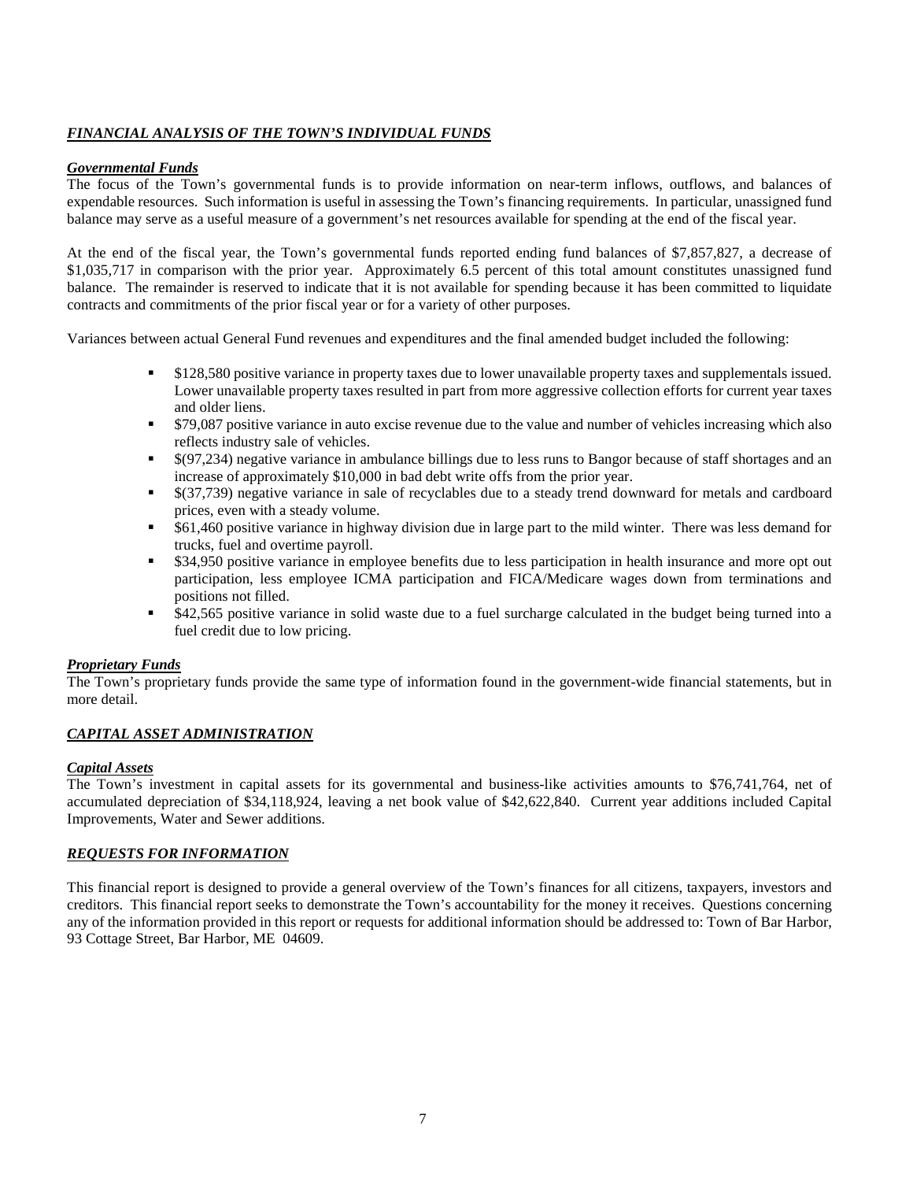#### *FINANCIAL ANALYSIS OF THE TOWN'S INDIVIDUAL FUNDS*

#### *Governmental Funds*

The focus of the Town's governmental funds is to provide information on near-term inflows, outflows, and balances of expendable resources. Such information is useful in assessing the Town's financing requirements. In particular, unassigned fund balance may serve as a useful measure of a government's net resources available for spending at the end of the fiscal year.

At the end of the fiscal year, the Town's governmental funds reported ending fund balances of \$7,857,827, a decrease of \$1,035,717 in comparison with the prior year. Approximately 6.5 percent of this total amount constitutes unassigned fund balance. The remainder is reserved to indicate that it is not available for spending because it has been committed to liquidate contracts and commitments of the prior fiscal year or for a variety of other purposes.

Variances between actual General Fund revenues and expenditures and the final amended budget included the following:

- \$128,580 positive variance in property taxes due to lower unavailable property taxes and supplementals issued. Lower unavailable property taxes resulted in part from more aggressive collection efforts for current year taxes and older liens.
- \$79,087 positive variance in auto excise revenue due to the value and number of vehicles increasing which also reflects industry sale of vehicles.
- \$(97,234) negative variance in ambulance billings due to less runs to Bangor because of staff shortages and an increase of approximately \$10,000 in bad debt write offs from the prior year.
- \$(37,739) negative variance in sale of recyclables due to a steady trend downward for metals and cardboard prices, even with a steady volume.
- \$61,460 positive variance in highway division due in large part to the mild winter. There was less demand for trucks, fuel and overtime payroll.
- \$34,950 positive variance in employee benefits due to less participation in health insurance and more opt out participation, less employee ICMA participation and FICA/Medicare wages down from terminations and positions not filled.
- \$42,565 positive variance in solid waste due to a fuel surcharge calculated in the budget being turned into a fuel credit due to low pricing.

#### *Proprietary Funds*

The Town's proprietary funds provide the same type of information found in the government-wide financial statements, but in more detail.

#### *CAPITAL ASSET ADMINISTRATION*

#### *Capital Assets*

The Town's investment in capital assets for its governmental and business-like activities amounts to \$76,741,764, net of accumulated depreciation of \$34,118,924, leaving a net book value of \$42,622,840. Current year additions included Capital Improvements, Water and Sewer additions.

#### *REQUESTS FOR INFORMATION*

This financial report is designed to provide a general overview of the Town's finances for all citizens, taxpayers, investors and creditors. This financial report seeks to demonstrate the Town's accountability for the money it receives. Questions concerning any of the information provided in this report or requests for additional information should be addressed to: Town of Bar Harbor, 93 Cottage Street, Bar Harbor, ME 04609.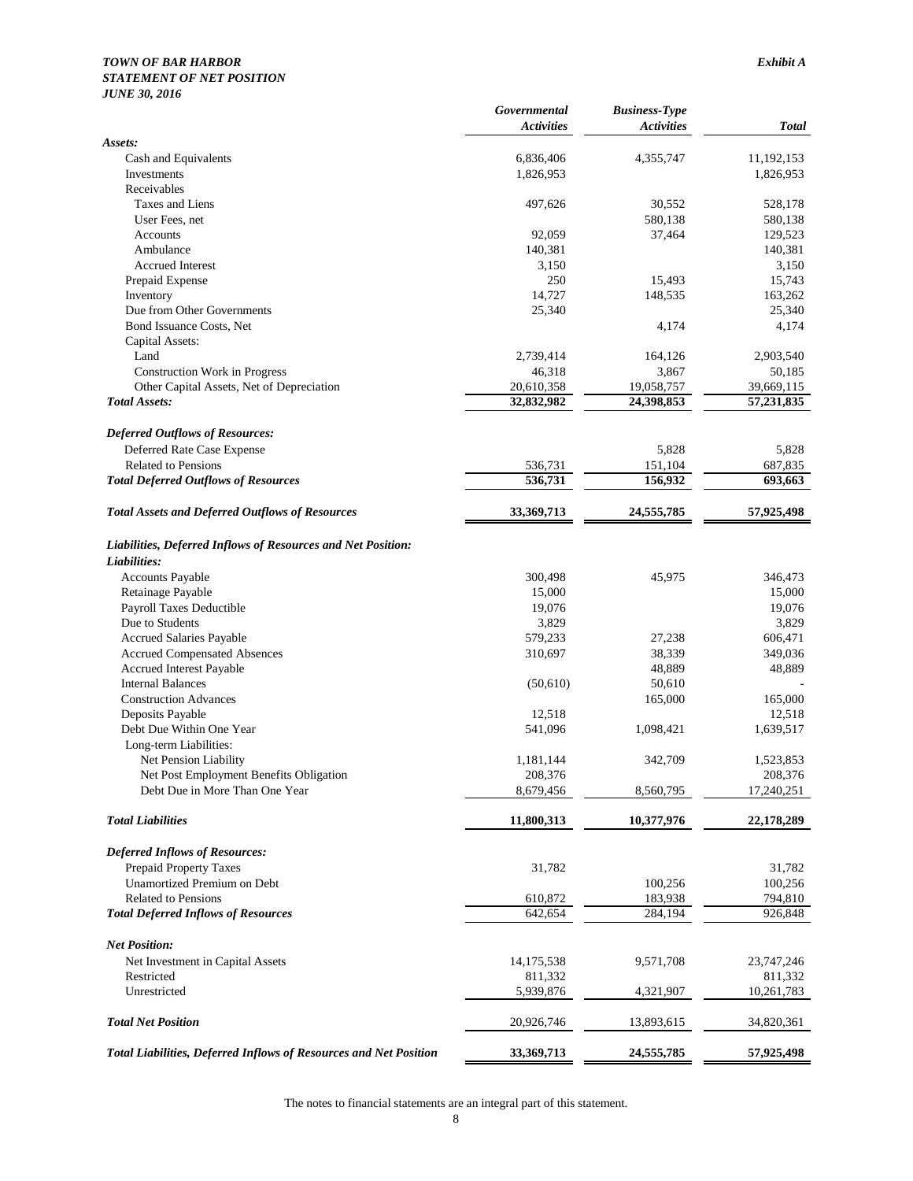#### *TOWN OF BAR HARBOR Exhibit A*

#### *STATEMENT OF NET POSITION*

| <b>JUNE 30, 2016</b>                                                     |                                   |                                           |                    |
|--------------------------------------------------------------------------|-----------------------------------|-------------------------------------------|--------------------|
|                                                                          | Governmental<br><b>Activities</b> | <b>Business-Type</b><br><b>Activities</b> | <b>Total</b>       |
| Assets:                                                                  |                                   |                                           |                    |
| Cash and Equivalents                                                     | 6,836,406                         | 4,355,747                                 | 11,192,153         |
| Investments                                                              | 1,826,953                         |                                           | 1,826,953          |
| Receivables                                                              |                                   |                                           |                    |
| Taxes and Liens<br>User Fees, net                                        | 497,626                           | 30,552<br>580,138                         | 528,178<br>580,138 |
| Accounts                                                                 | 92,059                            | 37,464                                    | 129,523            |
| Ambulance                                                                | 140,381                           |                                           | 140,381            |
| <b>Accrued Interest</b>                                                  | 3,150                             |                                           | 3,150              |
| Prepaid Expense                                                          | 250                               | 15,493                                    | 15,743             |
| Inventory                                                                | 14,727                            | 148,535                                   | 163,262            |
| Due from Other Governments                                               | 25,340                            |                                           | 25,340             |
| Bond Issuance Costs, Net                                                 |                                   | 4,174                                     | 4,174              |
| Capital Assets:                                                          |                                   |                                           |                    |
| Land                                                                     | 2,739,414                         | 164,126                                   | 2,903,540          |
| <b>Construction Work in Progress</b>                                     | 46,318                            | 3,867                                     | 50,185             |
| Other Capital Assets, Net of Depreciation                                | 20,610,358                        | 19,058,757                                | 39,669,115         |
| <b>Total Assets:</b>                                                     | 32,832,982                        | 24,398,853                                | 57,231,835         |
| <b>Deferred Outflows of Resources:</b>                                   |                                   |                                           |                    |
| Deferred Rate Case Expense                                               |                                   | 5,828                                     | 5,828              |
| <b>Related to Pensions</b>                                               | 536,731                           | 151,104                                   | 687,835            |
| <b>Total Deferred Outflows of Resources</b>                              | 536,731                           | 156,932                                   | 693,663            |
| <b>Total Assets and Deferred Outflows of Resources</b>                   | 33,369,713                        | 24,555,785                                | 57,925,498         |
| Liabilities, Deferred Inflows of Resources and Net Position:             |                                   |                                           |                    |
| Liabilities:                                                             |                                   |                                           |                    |
| <b>Accounts Payable</b>                                                  | 300,498                           | 45,975                                    | 346,473            |
| Retainage Payable                                                        | 15,000                            |                                           | 15,000             |
| Payroll Taxes Deductible                                                 | 19,076                            |                                           | 19,076             |
| Due to Students                                                          | 3,829                             |                                           | 3,829              |
| <b>Accrued Salaries Payable</b>                                          | 579,233                           | 27,238                                    | 606,471            |
| <b>Accrued Compensated Absences</b>                                      | 310,697                           | 38,339                                    | 349,036            |
| Accrued Interest Payable<br><b>Internal Balances</b>                     |                                   | 48,889<br>50,610                          | 48,889             |
| <b>Construction Advances</b>                                             | (50,610)                          | 165,000                                   | 165,000            |
| Deposits Payable                                                         | 12,518                            |                                           | 12,518             |
| Debt Due Within One Year                                                 | 541,096                           | 1,098,421                                 | 1,639,517          |
| Long-term Liabilities:                                                   |                                   |                                           |                    |
| Net Pension Liability                                                    | 1,181,144                         | 342,709                                   | 1,523,853          |
| Net Post Employment Benefits Obligation                                  | 208,376                           |                                           | 208,376            |
| Debt Due in More Than One Year                                           | 8,679,456                         | 8,560,795                                 | 17,240,251         |
| <b>Total Liabilities</b>                                                 | 11,800,313                        | 10,377,976                                | 22,178,289         |
| <b>Deferred Inflows of Resources:</b>                                    |                                   |                                           |                    |
| Prepaid Property Taxes                                                   | 31,782                            |                                           | 31,782             |
| Unamortized Premium on Debt                                              |                                   | 100,256                                   | 100,256            |
| Related to Pensions                                                      | 610,872                           | 183,938                                   | 794,810            |
| <b>Total Deferred Inflows of Resources</b>                               | 642,654                           | 284,194                                   | 926,848            |
| <b>Net Position:</b>                                                     |                                   |                                           |                    |
| Net Investment in Capital Assets                                         | 14,175,538                        | 9,571,708                                 | 23,747,246         |
| Restricted                                                               | 811,332                           |                                           | 811,332            |
| Unrestricted                                                             | 5,939,876                         | 4,321,907                                 | 10,261,783         |
| <b>Total Net Position</b>                                                | 20,926,746                        | 13,893,615                                | 34,820,361         |
| <b>Total Liabilities, Deferred Inflows of Resources and Net Position</b> | 33,369,713                        | 24,555,785                                | 57,925,498         |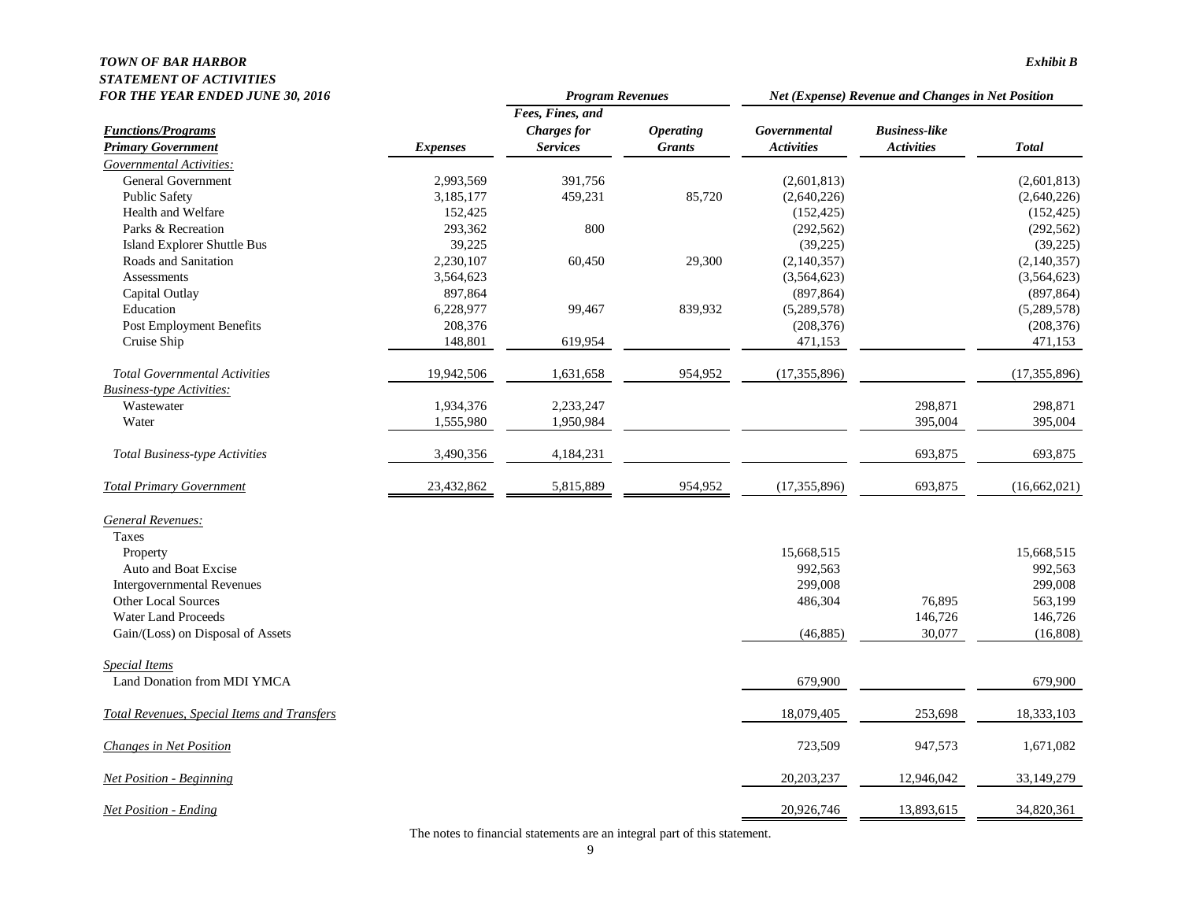## *TOWN OF BAR HARBOR Exhibit B STATEMENT OF ACTIVITIES*

| <b>FOR THE YEAR ENDED JUNE 30, 2016</b>            |                 | <b>Program Revenues</b> |                  | Net (Expense) Revenue and Changes in Net Position |                      |                |
|----------------------------------------------------|-----------------|-------------------------|------------------|---------------------------------------------------|----------------------|----------------|
|                                                    |                 | Fees, Fines, and        |                  |                                                   |                      |                |
| <b>Functions/Programs</b>                          |                 | <b>Charges</b> for      | <b>Operating</b> | Governmental                                      | <b>Business-like</b> |                |
| <b>Primary Government</b>                          | <b>Expenses</b> | <b>Services</b>         | <b>Grants</b>    | <b>Activities</b>                                 | <b>Activities</b>    | <b>Total</b>   |
| Governmental Activities:                           |                 |                         |                  |                                                   |                      |                |
| <b>General Government</b>                          | 2,993,569       | 391,756                 |                  | (2,601,813)                                       |                      | (2,601,813)    |
| <b>Public Safety</b>                               | 3,185,177       | 459,231                 | 85,720           | (2,640,226)                                       |                      | (2,640,226)    |
| Health and Welfare                                 | 152,425         |                         |                  | (152, 425)                                        |                      | (152, 425)     |
| Parks & Recreation                                 | 293,362         | 800                     |                  | (292, 562)                                        |                      | (292, 562)     |
| <b>Island Explorer Shuttle Bus</b>                 | 39,225          |                         |                  | (39, 225)                                         |                      | (39, 225)      |
| Roads and Sanitation                               | 2,230,107       | 60,450                  | 29,300           | (2,140,357)                                       |                      | (2,140,357)    |
| Assessments                                        | 3,564,623       |                         |                  | (3,564,623)                                       |                      | (3,564,623)    |
| Capital Outlay                                     | 897,864         |                         |                  | (897, 864)                                        |                      | (897, 864)     |
| Education                                          | 6,228,977       | 99,467                  | 839,932          | (5,289,578)                                       |                      | (5,289,578)    |
| Post Employment Benefits                           | 208,376         |                         |                  | (208, 376)                                        |                      | (208, 376)     |
| Cruise Ship                                        | 148,801         | 619,954                 |                  | 471,153                                           |                      | 471,153        |
| <b>Total Governmental Activities</b>               | 19,942,506      | 1,631,658               | 954,952          | (17, 355, 896)                                    |                      | (17, 355, 896) |
| <b>Business-type Activities:</b>                   |                 |                         |                  |                                                   |                      |                |
| Wastewater                                         | 1,934,376       | 2,233,247               |                  |                                                   | 298,871              | 298,871        |
| Water                                              | 1,555,980       | 1,950,984               |                  |                                                   | 395,004              | 395,004        |
| <b>Total Business-type Activities</b>              | 3,490,356       | 4,184,231               |                  |                                                   | 693,875              | 693,875        |
| <b>Total Primary Government</b>                    | 23,432,862      | 5,815,889               | 954,952          | (17, 355, 896)                                    | 693,875              | (16, 662, 021) |
| General Revenues:                                  |                 |                         |                  |                                                   |                      |                |
| Taxes                                              |                 |                         |                  |                                                   |                      |                |
| Property                                           |                 |                         |                  | 15,668,515                                        |                      | 15,668,515     |
| Auto and Boat Excise                               |                 |                         |                  | 992,563                                           |                      | 992,563        |
| <b>Intergovernmental Revenues</b>                  |                 |                         |                  | 299,008                                           |                      | 299,008        |
| Other Local Sources                                |                 |                         |                  | 486,304                                           | 76,895               | 563,199        |
| <b>Water Land Proceeds</b>                         |                 |                         |                  |                                                   | 146,726              | 146,726        |
| Gain/(Loss) on Disposal of Assets                  |                 |                         |                  | (46,885)                                          | 30,077               | (16,808)       |
| Special Items                                      |                 |                         |                  |                                                   |                      |                |
| Land Donation from MDI YMCA                        |                 |                         |                  | 679,900                                           |                      | 679,900        |
| <b>Total Revenues, Special Items and Transfers</b> |                 |                         |                  | 18,079,405                                        | 253,698              | 18,333,103     |
| Changes in Net Position                            |                 |                         |                  | 723,509                                           | 947,573              | 1,671,082      |
| <b>Net Position - Beginning</b>                    |                 |                         |                  | 20,203,237                                        | 12,946,042           | 33,149,279     |
| <b>Net Position - Ending</b>                       |                 |                         |                  | 20,926,746                                        | 13,893,615           | 34,820,361     |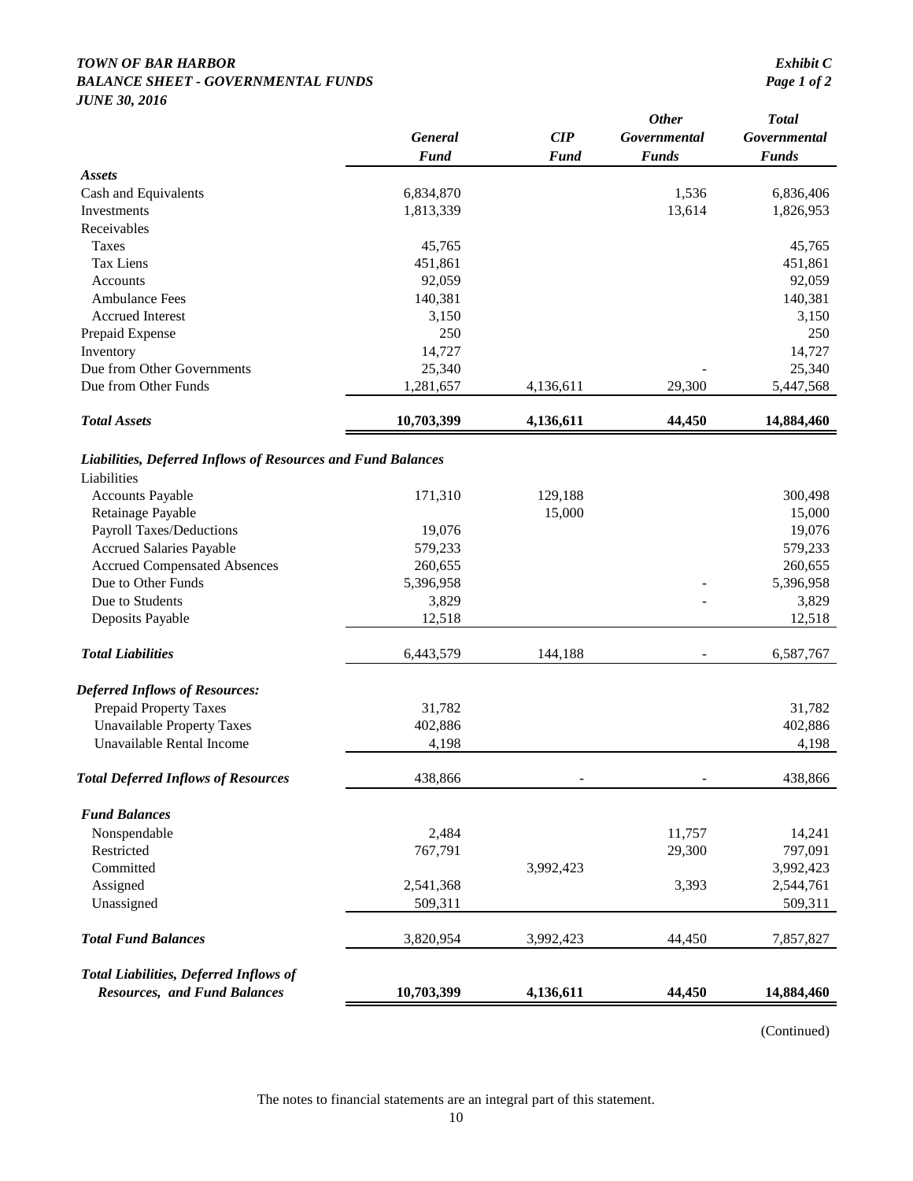#### *TOWN OF BAR HARBOR Exhibit C* **BALANCE SHEET - GOVERNMENTAL FUNDS** *JUNE 30, 2016*

|                                                              | <b>General</b><br><b>Fund</b> | CIP<br><b>Fund</b>       | <b>Other</b><br>Governmental<br><b>Funds</b> | <b>Total</b><br>Governmental<br><b>Funds</b> |
|--------------------------------------------------------------|-------------------------------|--------------------------|----------------------------------------------|----------------------------------------------|
| <b>Assets</b>                                                |                               |                          |                                              |                                              |
| Cash and Equivalents                                         | 6,834,870                     |                          | 1,536                                        | 6,836,406                                    |
| Investments                                                  | 1,813,339                     |                          | 13,614                                       | 1,826,953                                    |
| Receivables                                                  |                               |                          |                                              |                                              |
| Taxes                                                        | 45,765                        |                          |                                              | 45,765                                       |
| <b>Tax Liens</b>                                             | 451,861                       |                          |                                              | 451,861                                      |
| Accounts                                                     | 92,059                        |                          |                                              | 92,059                                       |
| <b>Ambulance Fees</b>                                        | 140,381                       |                          |                                              | 140,381                                      |
| <b>Accrued Interest</b>                                      | 3,150                         |                          |                                              | 3,150                                        |
| Prepaid Expense                                              | 250                           |                          |                                              | 250                                          |
| Inventory                                                    | 14,727                        |                          |                                              | 14,727                                       |
| Due from Other Governments                                   | 25,340                        |                          |                                              | 25,340                                       |
| Due from Other Funds                                         | 1,281,657                     | 4,136,611                | 29,300                                       | 5,447,568                                    |
| <b>Total Assets</b>                                          | 10,703,399                    | 4,136,611                | 44,450                                       | 14,884,460                                   |
| Liabilities, Deferred Inflows of Resources and Fund Balances |                               |                          |                                              |                                              |
| Liabilities                                                  |                               |                          |                                              |                                              |
| <b>Accounts Payable</b>                                      | 171,310                       | 129,188                  |                                              | 300,498                                      |
| Retainage Payable                                            |                               | 15,000                   |                                              | 15,000                                       |
| Payroll Taxes/Deductions                                     | 19,076                        |                          |                                              | 19,076                                       |
| <b>Accrued Salaries Payable</b>                              | 579,233                       |                          |                                              | 579,233                                      |
| <b>Accrued Compensated Absences</b>                          | 260,655                       |                          |                                              | 260,655                                      |
| Due to Other Funds                                           | 5,396,958                     |                          |                                              | 5,396,958                                    |
| Due to Students                                              | 3,829                         |                          |                                              | 3,829                                        |
| Deposits Payable                                             | 12,518                        |                          |                                              | 12,518                                       |
| <b>Total Liabilities</b>                                     | 6,443,579                     | 144,188                  |                                              | 6,587,767                                    |
| <b>Deferred Inflows of Resources:</b>                        |                               |                          |                                              |                                              |
| <b>Prepaid Property Taxes</b>                                | 31,782                        |                          |                                              | 31,782                                       |
| <b>Unavailable Property Taxes</b>                            | 402,886                       |                          |                                              | 402,886                                      |
| Unavailable Rental Income                                    | 4,198                         |                          |                                              | 4,198                                        |
| <b>Total Deferred Inflows of Resources</b>                   | 438,866                       | $\overline{\phantom{a}}$ | $\overline{\phantom{0}}$                     | 438,866                                      |
| <b>Fund Balances</b>                                         |                               |                          |                                              |                                              |
| Nonspendable                                                 | 2,484                         |                          | 11,757                                       | 14,241                                       |
| Restricted                                                   | 767,791                       |                          | 29,300                                       | 797,091                                      |
| Committed                                                    |                               | 3,992,423                |                                              | 3,992,423                                    |
| Assigned                                                     | 2,541,368                     |                          | 3,393                                        | 2,544,761                                    |
| Unassigned                                                   | 509,311                       |                          |                                              | 509,311                                      |
| <b>Total Fund Balances</b>                                   | 3,820,954                     | 3,992,423                | 44,450                                       | 7,857,827                                    |
| <b>Total Liabilities, Deferred Inflows of</b>                |                               |                          |                                              |                                              |
| <b>Resources, and Fund Balances</b>                          | 10,703,399                    | 4,136,611                | 44,450                                       | 14,884,460                                   |

(Continued)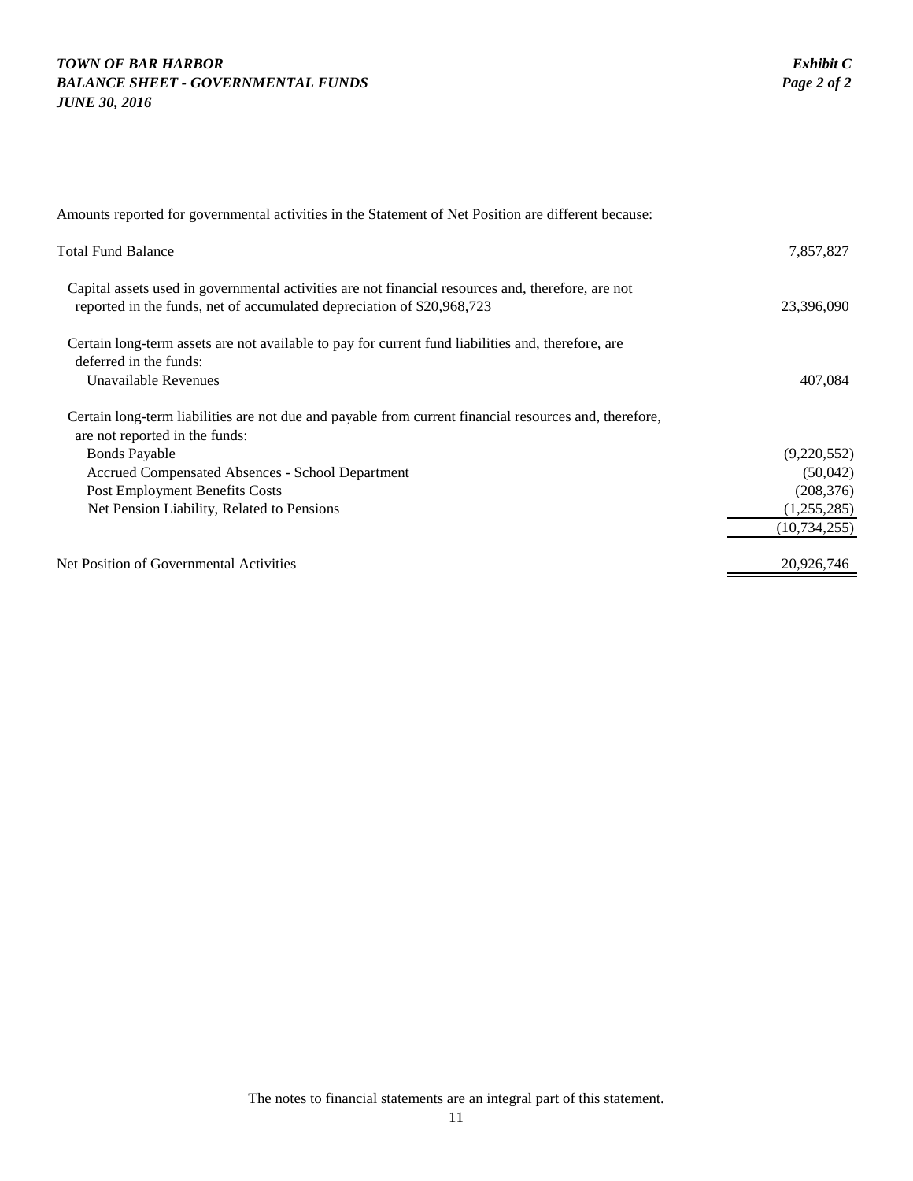## *TOWN OF BAR HARBOR Exhibit C* **BALANCE SHEET - GOVERNMENTAL FUNDS** *JUNE 30, 2016*

| Amounts reported for governmental activities in the Statement of Net Position are different because:                                                                         |                |
|------------------------------------------------------------------------------------------------------------------------------------------------------------------------------|----------------|
| <b>Total Fund Balance</b>                                                                                                                                                    | 7,857,827      |
| Capital assets used in governmental activities are not financial resources and, therefore, are not<br>reported in the funds, net of accumulated depreciation of \$20,968,723 | 23,396,090     |
| Certain long-term assets are not available to pay for current fund liabilities and, therefore, are<br>deferred in the funds:                                                 |                |
| Unavailable Revenues                                                                                                                                                         | 407,084        |
| Certain long-term liabilities are not due and payable from current financial resources and, therefore,<br>are not reported in the funds:                                     |                |
| <b>Bonds Payable</b>                                                                                                                                                         | (9,220,552)    |
| Accrued Compensated Absences - School Department                                                                                                                             | (50,042)       |
| Post Employment Benefits Costs                                                                                                                                               | (208, 376)     |
| Net Pension Liability, Related to Pensions                                                                                                                                   | (1,255,285)    |
|                                                                                                                                                                              | (10, 734, 255) |
| Net Position of Governmental Activities                                                                                                                                      | 20,926,746     |
|                                                                                                                                                                              |                |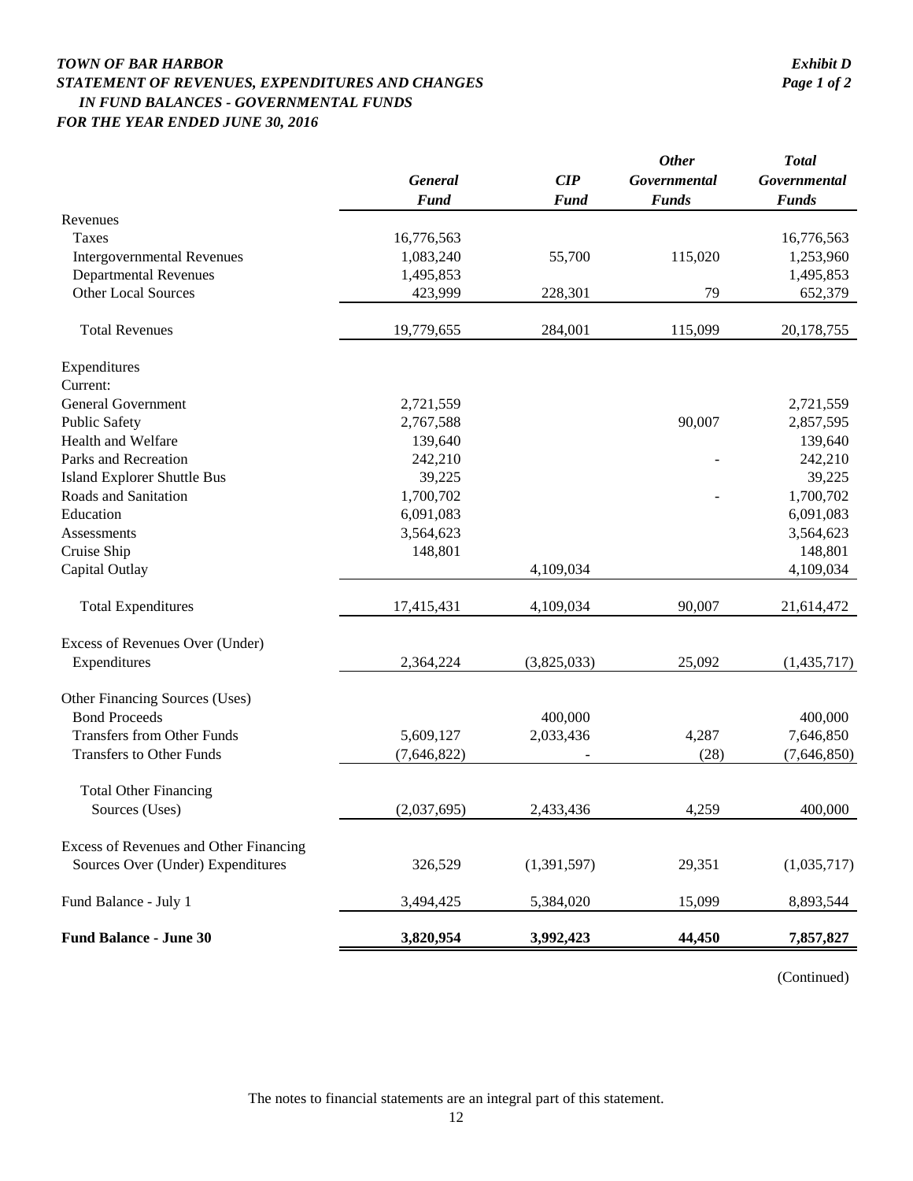## *TOWN OF BAR HARBOR Exhibit D STATEMENT OF REVENUES, EXPENDITURES AND CHANGES Page 1 of 2 IN FUND BALANCES - GOVERNMENTAL FUNDS FOR THE YEAR ENDED JUNE 30, 2016*

|                                        | General     | CIP         | <b>Other</b><br>Governmental | <b>Total</b><br>Governmental |
|----------------------------------------|-------------|-------------|------------------------------|------------------------------|
|                                        | <b>Fund</b> | <b>Fund</b> | <b>Funds</b>                 | <b>Funds</b>                 |
| Revenues                               |             |             |                              |                              |
| Taxes                                  | 16,776,563  |             |                              | 16,776,563                   |
| <b>Intergovernmental Revenues</b>      | 1,083,240   | 55,700      | 115,020                      | 1,253,960                    |
| <b>Departmental Revenues</b>           | 1,495,853   |             |                              | 1,495,853                    |
| <b>Other Local Sources</b>             | 423,999     | 228,301     | 79                           | 652,379                      |
| <b>Total Revenues</b>                  | 19,779,655  | 284,001     | 115,099                      | 20,178,755                   |
| Expenditures                           |             |             |                              |                              |
| Current:                               |             |             |                              |                              |
| <b>General Government</b>              | 2,721,559   |             |                              | 2,721,559                    |
| <b>Public Safety</b>                   | 2,767,588   |             | 90,007                       | 2,857,595                    |
| Health and Welfare                     | 139,640     |             |                              | 139,640                      |
| Parks and Recreation                   | 242,210     |             |                              | 242,210                      |
| <b>Island Explorer Shuttle Bus</b>     | 39,225      |             |                              | 39,225                       |
| Roads and Sanitation                   | 1,700,702   |             |                              | 1,700,702                    |
| Education                              | 6,091,083   |             |                              | 6,091,083                    |
| <b>Assessments</b>                     | 3,564,623   |             |                              | 3,564,623                    |
| Cruise Ship                            | 148,801     |             |                              | 148,801                      |
| Capital Outlay                         |             | 4,109,034   |                              | 4,109,034                    |
| <b>Total Expenditures</b>              | 17,415,431  | 4,109,034   | 90,007                       | 21,614,472                   |
| Excess of Revenues Over (Under)        |             |             |                              |                              |
| Expenditures                           | 2,364,224   | (3,825,033) | 25,092                       | (1,435,717)                  |
| Other Financing Sources (Uses)         |             |             |                              |                              |
| <b>Bond Proceeds</b>                   |             | 400,000     |                              | 400,000                      |
| <b>Transfers from Other Funds</b>      | 5,609,127   | 2,033,436   | 4,287                        | 7,646,850                    |
| <b>Transfers to Other Funds</b>        | (7,646,822) |             | (28)                         | (7,646,850)                  |
| <b>Total Other Financing</b>           |             |             |                              |                              |
| Sources (Uses)                         | (2,037,695) | 2,433,436   | 4,259                        | 400,000                      |
| Excess of Revenues and Other Financing |             |             |                              |                              |
| Sources Over (Under) Expenditures      | 326,529     | (1,391,597) | 29,351                       | (1,035,717)                  |
| Fund Balance - July 1                  | 3,494,425   | 5,384,020   | 15,099                       | 8,893,544                    |
| <b>Fund Balance - June 30</b>          | 3,820,954   | 3,992,423   | 44,450                       | 7,857,827                    |

(Continued)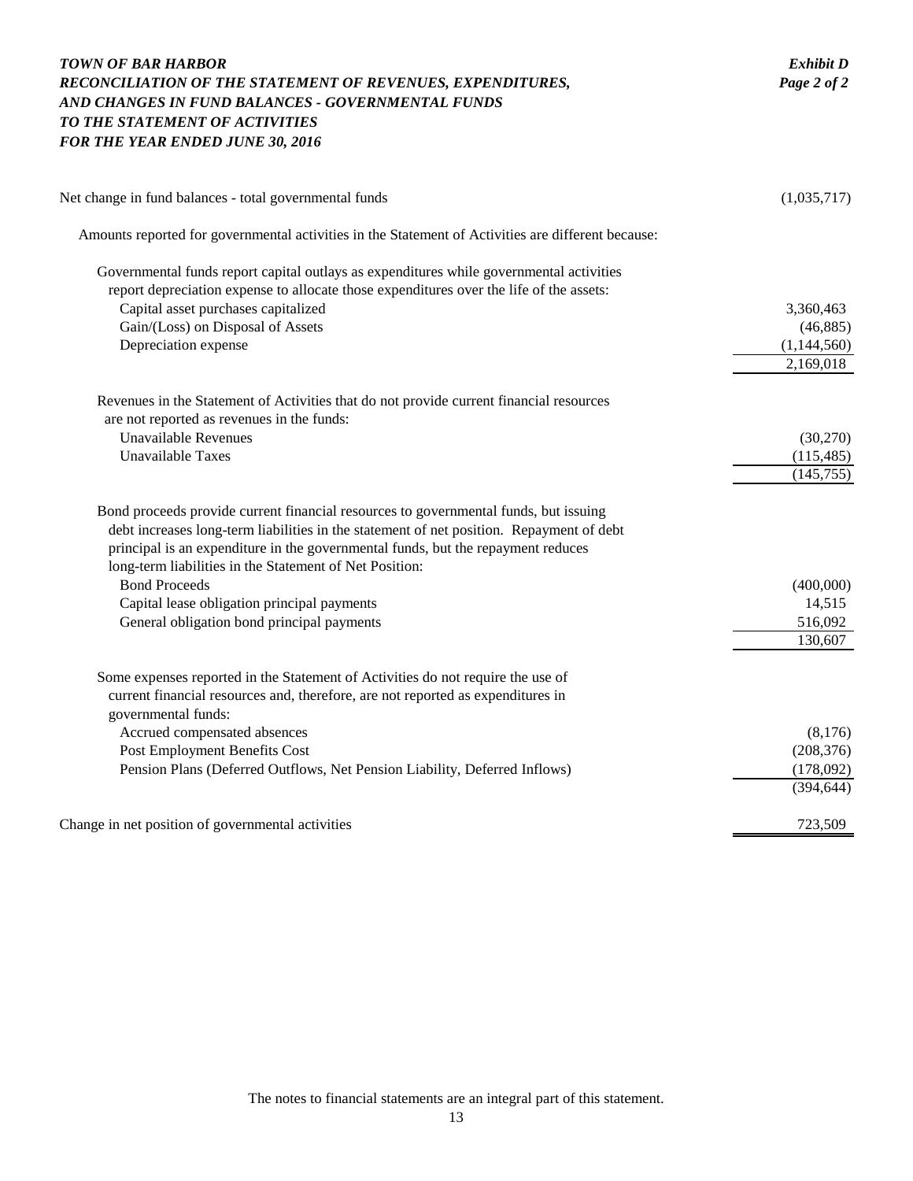| <b>TOWN OF BAR HARBOR</b><br>RECONCILIATION OF THE STATEMENT OF REVENUES, EXPENDITURES,<br>AND CHANGES IN FUND BALANCES - GOVERNMENTAL FUNDS<br>TO THE STATEMENT OF ACTIVITIES<br>FOR THE YEAR ENDED JUNE 30, 2016                                                                                                                                                                                                                                   | <b>Exhibit D</b><br>Page 2 of 2                   |
|------------------------------------------------------------------------------------------------------------------------------------------------------------------------------------------------------------------------------------------------------------------------------------------------------------------------------------------------------------------------------------------------------------------------------------------------------|---------------------------------------------------|
| Net change in fund balances - total governmental funds                                                                                                                                                                                                                                                                                                                                                                                               | (1,035,717)                                       |
| Amounts reported for governmental activities in the Statement of Activities are different because:                                                                                                                                                                                                                                                                                                                                                   |                                                   |
| Governmental funds report capital outlays as expenditures while governmental activities<br>report depreciation expense to allocate those expenditures over the life of the assets:<br>Capital asset purchases capitalized<br>Gain/(Loss) on Disposal of Assets<br>Depreciation expense                                                                                                                                                               | 3,360,463<br>(46,885)<br>(1,144,560)<br>2,169,018 |
| Revenues in the Statement of Activities that do not provide current financial resources<br>are not reported as revenues in the funds:<br><b>Unavailable Revenues</b><br><b>Unavailable Taxes</b>                                                                                                                                                                                                                                                     | (30,270)<br>(115, 485)<br>(145, 755)              |
| Bond proceeds provide current financial resources to governmental funds, but issuing<br>debt increases long-term liabilities in the statement of net position. Repayment of debt<br>principal is an expenditure in the governmental funds, but the repayment reduces<br>long-term liabilities in the Statement of Net Position:<br><b>Bond Proceeds</b><br>Capital lease obligation principal payments<br>General obligation bond principal payments | (400,000)<br>14,515<br>516,092<br>130,607         |
| Some expenses reported in the Statement of Activities do not require the use of<br>current financial resources and, therefore, are not reported as expenditures in<br>governmental funds:<br>Accrued compensated absences<br>Post Employment Benefits Cost<br>Pension Plans (Deferred Outflows, Net Pension Liability, Deferred Inflows)                                                                                                             | (8,176)<br>(208, 376)<br>(178,092)<br>(394, 644)  |
| Change in net position of governmental activities                                                                                                                                                                                                                                                                                                                                                                                                    | 723,509                                           |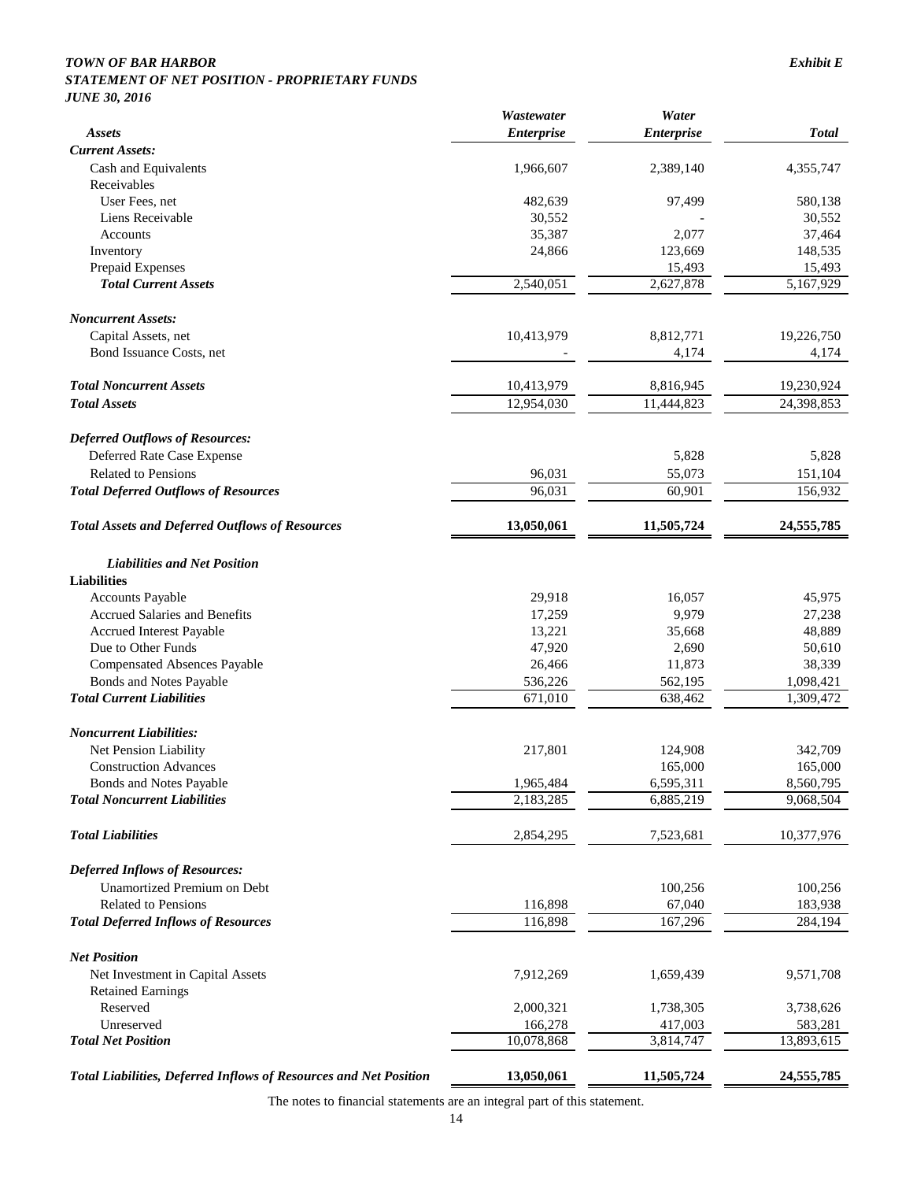#### *TOWN OF BAR HARBOR Exhibit E*

#### *STATEMENT OF NET POSITION - PROPRIETARY FUNDS JUNE 30, 2016*

|                                                                   | Wastewater        | Water             |              |
|-------------------------------------------------------------------|-------------------|-------------------|--------------|
| <b>Assets</b>                                                     | <b>Enterprise</b> | <b>Enterprise</b> | <b>Total</b> |
| <b>Current Assets:</b>                                            |                   |                   |              |
| Cash and Equivalents                                              | 1,966,607         | 2,389,140         | 4,355,747    |
| Receivables                                                       |                   |                   |              |
| User Fees, net                                                    | 482,639           | 97,499            | 580,138      |
| Liens Receivable                                                  | 30,552            |                   | 30,552       |
| Accounts                                                          | 35,387            | 2,077             | 37,464       |
| Inventory                                                         | 24,866            | 123,669           | 148,535      |
| Prepaid Expenses                                                  |                   | 15,493            | 15,493       |
| <b>Total Current Assets</b>                                       | 2,540,051         | 2,627,878         | 5,167,929    |
| <b>Noncurrent Assets:</b>                                         |                   |                   |              |
| Capital Assets, net                                               | 10,413,979        | 8,812,771         | 19,226,750   |
| Bond Issuance Costs, net                                          |                   | 4,174             | 4,174        |
| <b>Total Noncurrent Assets</b>                                    | 10,413,979        | 8,816,945         | 19,230,924   |
| <b>Total Assets</b>                                               | 12,954,030        | 11,444,823        | 24,398,853   |
|                                                                   |                   |                   |              |
| <b>Deferred Outflows of Resources:</b>                            |                   |                   |              |
| Deferred Rate Case Expense                                        |                   | 5,828             | 5,828        |
| <b>Related to Pensions</b>                                        | 96,031            | 55,073            | 151,104      |
| <b>Total Deferred Outflows of Resources</b>                       | 96,031            | 60,901            | 156,932      |
| <b>Total Assets and Deferred Outflows of Resources</b>            | 13,050,061        | 11,505,724        | 24, 555, 785 |
| <b>Liabilities and Net Position</b>                               |                   |                   |              |
| <b>Liabilities</b>                                                |                   |                   |              |
| <b>Accounts Payable</b>                                           | 29,918            | 16,057            | 45,975       |
| Accrued Salaries and Benefits                                     | 17,259            | 9,979             | 27,238       |
| <b>Accrued Interest Payable</b>                                   | 13,221            | 35,668            | 48,889       |
| Due to Other Funds                                                | 47,920            | 2,690             | 50,610       |
| <b>Compensated Absences Payable</b>                               | 26,466            | 11,873            | 38,339       |
| Bonds and Notes Payable                                           | 536,226           | 562,195           | 1,098,421    |
| <b>Total Current Liabilities</b>                                  | 671,010           | 638,462           | 1,309,472    |
|                                                                   |                   |                   |              |
| <b>Noncurrent Liabilities:</b>                                    |                   |                   |              |
| Net Pension Liability                                             | 217,801           | 124,908           | 342,709      |
| <b>Construction Advances</b>                                      |                   | 165,000           | 165,000      |
| Bonds and Notes Payable                                           | 1,965,484         | 6,595,311         | 8,560,795    |
| <b>Total Noncurrent Liabilities</b>                               | 2,183,285         | 6,885,219         | 9,068,504    |
| <b>Total Liabilities</b>                                          | 2,854,295         | 7,523,681         | 10,377,976   |
| <b>Deferred Inflows of Resources:</b>                             |                   |                   |              |
| Unamortized Premium on Debt                                       |                   | 100,256           | 100,256      |
| <b>Related to Pensions</b>                                        | 116,898           | 67,040            | 183,938      |
| <b>Total Deferred Inflows of Resources</b>                        | 116,898           | 167,296           | 284,194      |
|                                                                   |                   |                   |              |
| <b>Net Position</b>                                               |                   |                   |              |
| Net Investment in Capital Assets                                  | 7,912,269         | 1,659,439         | 9,571,708    |
| <b>Retained Earnings</b>                                          |                   |                   |              |
| Reserved                                                          | 2,000,321         | 1,738,305         | 3,738,626    |
| Unreserved                                                        | 166,278           | 417,003           | 583,281      |
| <b>Total Net Position</b>                                         | 10,078,868        | 3,814,747         | 13,893,615   |
| Total Liabilities, Deferred Inflows of Resources and Net Position | 13,050,061        | 11,505,724        | 24,555,785   |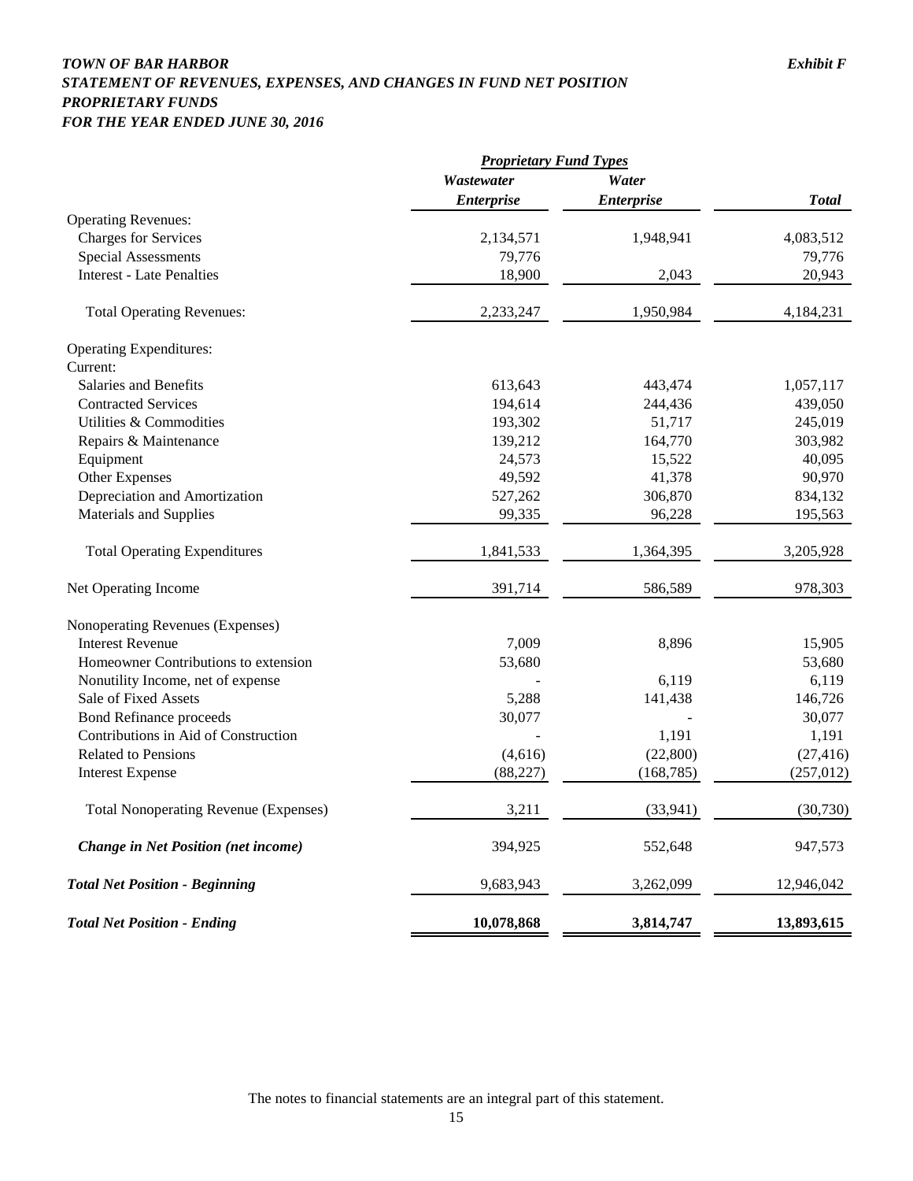## *TOWN OF BAR HARBOR Exhibit F STATEMENT OF REVENUES, EXPENSES, AND CHANGES IN FUND NET POSITION PROPRIETARY FUNDS FOR THE YEAR ENDED JUNE 30, 2016*

|                                              | <b>Proprietary Fund Types</b> |                   |              |
|----------------------------------------------|-------------------------------|-------------------|--------------|
|                                              | Wastewater                    | Water             |              |
|                                              | <b>Enterprise</b>             | <b>Enterprise</b> | <b>Total</b> |
| <b>Operating Revenues:</b>                   |                               |                   |              |
| <b>Charges for Services</b>                  | 2,134,571                     | 1,948,941         | 4,083,512    |
| <b>Special Assessments</b>                   | 79,776                        |                   | 79,776       |
| <b>Interest - Late Penalties</b>             | 18,900                        | 2,043             | 20,943       |
| <b>Total Operating Revenues:</b>             | 2,233,247                     | 1,950,984         | 4,184,231    |
| <b>Operating Expenditures:</b>               |                               |                   |              |
| Current:                                     |                               |                   |              |
| Salaries and Benefits                        | 613,643                       | 443,474           | 1,057,117    |
| <b>Contracted Services</b>                   | 194,614                       | 244,436           | 439,050      |
| Utilities & Commodities                      | 193,302                       | 51,717            | 245,019      |
| Repairs & Maintenance                        | 139,212                       | 164,770           | 303,982      |
| Equipment                                    | 24,573                        | 15,522            | 40,095       |
| Other Expenses                               | 49,592                        | 41,378            | 90,970       |
| Depreciation and Amortization                | 527,262                       | 306,870           | 834,132      |
| Materials and Supplies                       | 99,335                        | 96,228            | 195,563      |
| <b>Total Operating Expenditures</b>          | 1,841,533                     | 1,364,395         | 3,205,928    |
| Net Operating Income                         | 391,714                       | 586,589           | 978,303      |
| Nonoperating Revenues (Expenses)             |                               |                   |              |
| <b>Interest Revenue</b>                      | 7,009                         | 8,896             | 15,905       |
| Homeowner Contributions to extension         | 53,680                        |                   | 53,680       |
| Nonutility Income, net of expense            |                               | 6,119             | 6,119        |
| Sale of Fixed Assets                         | 5,288                         | 141,438           | 146,726      |
| <b>Bond Refinance proceeds</b>               | 30,077                        |                   | 30,077       |
| Contributions in Aid of Construction         |                               | 1,191             | 1,191        |
| <b>Related to Pensions</b>                   | (4,616)                       | (22,800)          | (27, 416)    |
| <b>Interest Expense</b>                      | (88, 227)                     | (168, 785)        | (257, 012)   |
| <b>Total Nonoperating Revenue (Expenses)</b> | 3,211                         | (33, 941)         | (30, 730)    |
| <b>Change in Net Position (net income)</b>   | 394,925                       | 552,648           | 947,573      |
| <b>Total Net Position - Beginning</b>        | 9,683,943                     | 3,262,099         | 12,946,042   |
| <b>Total Net Position - Ending</b>           | 10,078,868                    | 3,814,747         | 13,893,615   |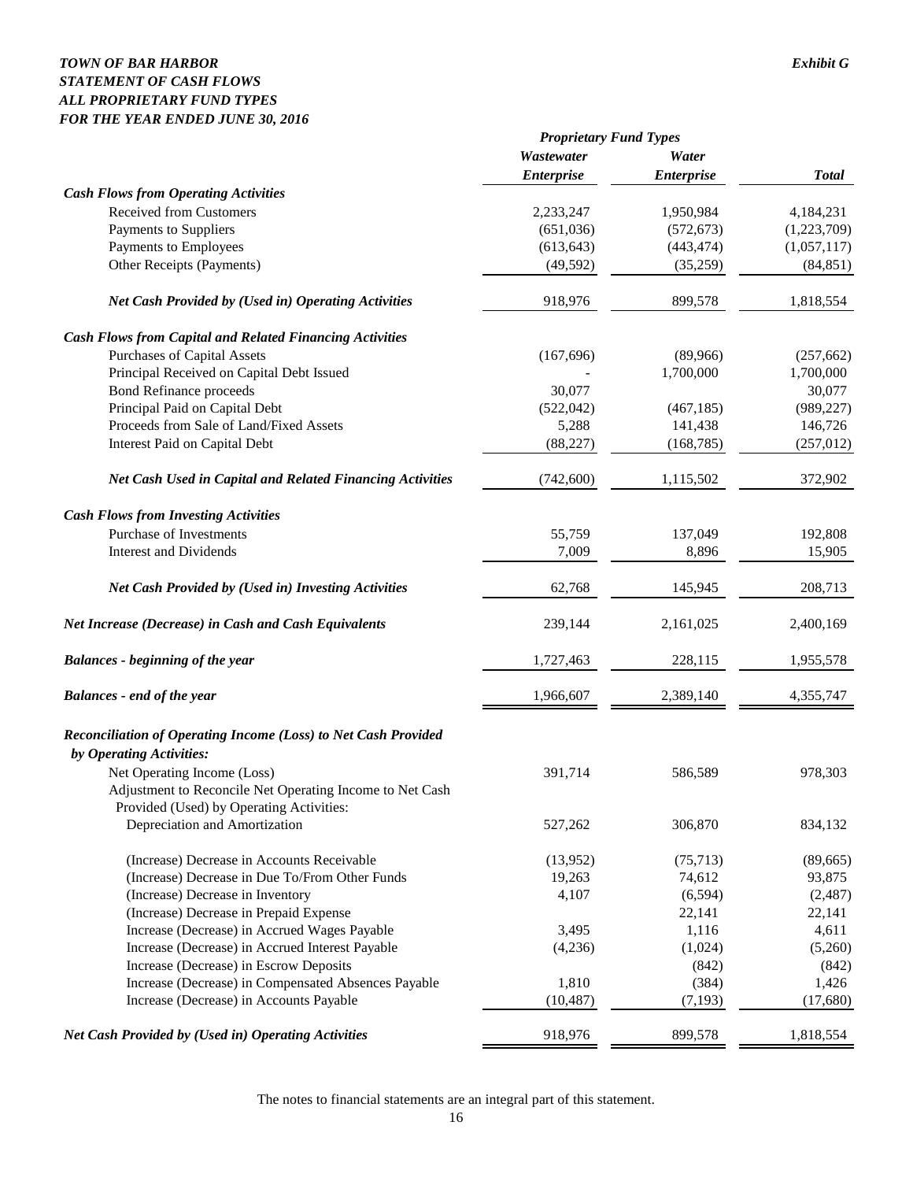## *TOWN OF BAR HARBOR Exhibit G STATEMENT OF CASH FLOWS ALL PROPRIETARY FUND TYPES FOR THE YEAR ENDED JUNE 30, 2016*

|                                                                                                                                     | <b>Proprietary Fund Types</b> |                   |              |  |
|-------------------------------------------------------------------------------------------------------------------------------------|-------------------------------|-------------------|--------------|--|
|                                                                                                                                     | Wastewater                    | Water             |              |  |
|                                                                                                                                     | <b>Enterprise</b>             | <b>Enterprise</b> | <b>Total</b> |  |
| <b>Cash Flows from Operating Activities</b>                                                                                         |                               |                   |              |  |
| <b>Received from Customers</b>                                                                                                      | 2,233,247                     | 1,950,984         | 4,184,231    |  |
| Payments to Suppliers                                                                                                               | (651,036)                     | (572, 673)        | (1,223,709)  |  |
| Payments to Employees                                                                                                               | (613, 643)                    | (443, 474)        | (1,057,117)  |  |
| Other Receipts (Payments)                                                                                                           | (49, 592)                     | (35,259)          | (84, 851)    |  |
| Net Cash Provided by (Used in) Operating Activities                                                                                 | 918,976                       | 899,578           | 1,818,554    |  |
| <b>Cash Flows from Capital and Related Financing Activities</b>                                                                     |                               |                   |              |  |
| Purchases of Capital Assets                                                                                                         | (167, 696)                    | (89,966)          | (257, 662)   |  |
| Principal Received on Capital Debt Issued                                                                                           |                               | 1,700,000         | 1,700,000    |  |
| <b>Bond Refinance proceeds</b>                                                                                                      | 30,077                        |                   | 30,077       |  |
| Principal Paid on Capital Debt                                                                                                      | (522, 042)                    | (467, 185)        | (989, 227)   |  |
| Proceeds from Sale of Land/Fixed Assets                                                                                             | 5,288                         | 141,438           | 146,726      |  |
| <b>Interest Paid on Capital Debt</b>                                                                                                | (88, 227)                     | (168, 785)        | (257, 012)   |  |
| <b>Net Cash Used in Capital and Related Financing Activities</b>                                                                    | (742, 600)                    | 1,115,502         | 372,902      |  |
| <b>Cash Flows from Investing Activities</b>                                                                                         |                               |                   |              |  |
| Purchase of Investments                                                                                                             | 55,759                        | 137,049           | 192,808      |  |
| <b>Interest and Dividends</b>                                                                                                       | 7,009                         | 8,896             | 15,905       |  |
| <b>Net Cash Provided by (Used in) Investing Activities</b>                                                                          | 62,768                        | 145,945           | 208,713      |  |
| <b>Net Increase (Decrease) in Cash and Cash Equivalents</b>                                                                         | 239,144                       | 2,161,025         | 2,400,169    |  |
| <b>Balances - beginning of the year</b>                                                                                             | 1,727,463                     | 228,115           | 1,955,578    |  |
| <b>Balances</b> - end of the year                                                                                                   | 1,966,607                     | 2,389,140         | 4,355,747    |  |
| Reconciliation of Operating Income (Loss) to Net Cash Provided                                                                      |                               |                   |              |  |
| by Operating Activities:                                                                                                            |                               |                   |              |  |
| Net Operating Income (Loss)<br>Adjustment to Reconcile Net Operating Income to Net Cash<br>Provided (Used) by Operating Activities: | 391,714                       | 586,589           | 978,303      |  |
| Depreciation and Amortization                                                                                                       | 527,262                       | 306,870           | 834,132      |  |
| (Increase) Decrease in Accounts Receivable                                                                                          | (13,952)                      | (75, 713)         | (89, 665)    |  |
| (Increase) Decrease in Due To/From Other Funds                                                                                      | 19,263                        | 74,612            | 93,875       |  |
| (Increase) Decrease in Inventory                                                                                                    | 4,107                         | (6, 594)          | (2,487)      |  |
| (Increase) Decrease in Prepaid Expense                                                                                              |                               | 22,141            | 22,141       |  |
| Increase (Decrease) in Accrued Wages Payable                                                                                        | 3,495                         | 1,116             | 4,611        |  |
| Increase (Decrease) in Accrued Interest Payable                                                                                     | (4,236)                       | (1,024)           | (5,260)      |  |
| Increase (Decrease) in Escrow Deposits                                                                                              |                               | (842)             | (842)        |  |
| Increase (Decrease) in Compensated Absences Payable                                                                                 | 1,810                         | (384)             | 1,426        |  |
| Increase (Decrease) in Accounts Payable                                                                                             | (10, 487)                     | (7, 193)          | (17,680)     |  |
| Net Cash Provided by (Used in) Operating Activities                                                                                 | 918,976                       | 899,578           | 1,818,554    |  |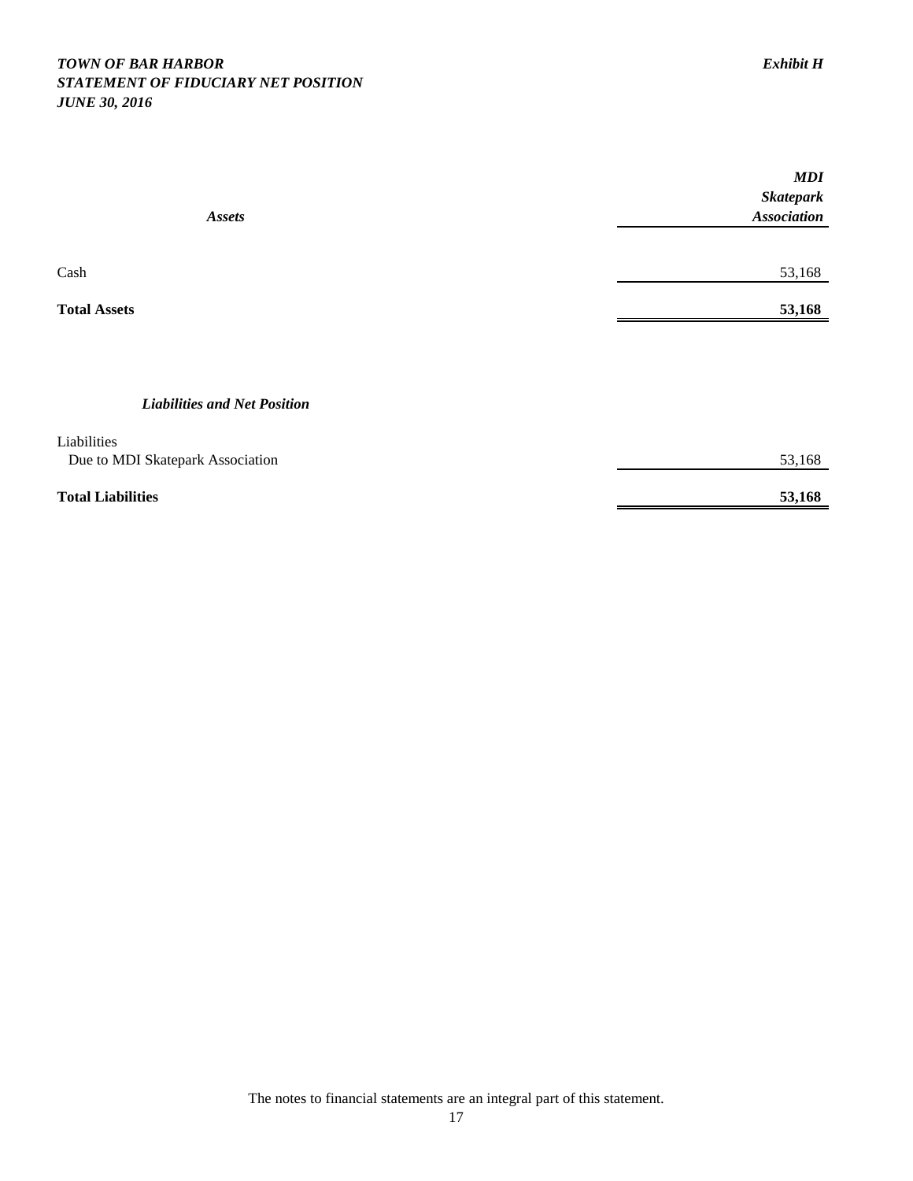## *TOWN OF BAR HARBOR Exhibit H STATEMENT OF FIDUCIARY NET POSITION JUNE 30, 2016*

|                                     | MDI                |
|-------------------------------------|--------------------|
|                                     | <b>Skatepark</b>   |
| <b>Assets</b>                       | <b>Association</b> |
|                                     |                    |
| Cash                                | 53,168             |
| <b>Total Assets</b>                 | 53,168             |
|                                     |                    |
| <b>Liabilities and Net Position</b> |                    |
| Liabilities                         |                    |
| Due to MDI Skatepark Association    | 53,168             |
| <b>Total Liabilities</b>            | 53,168             |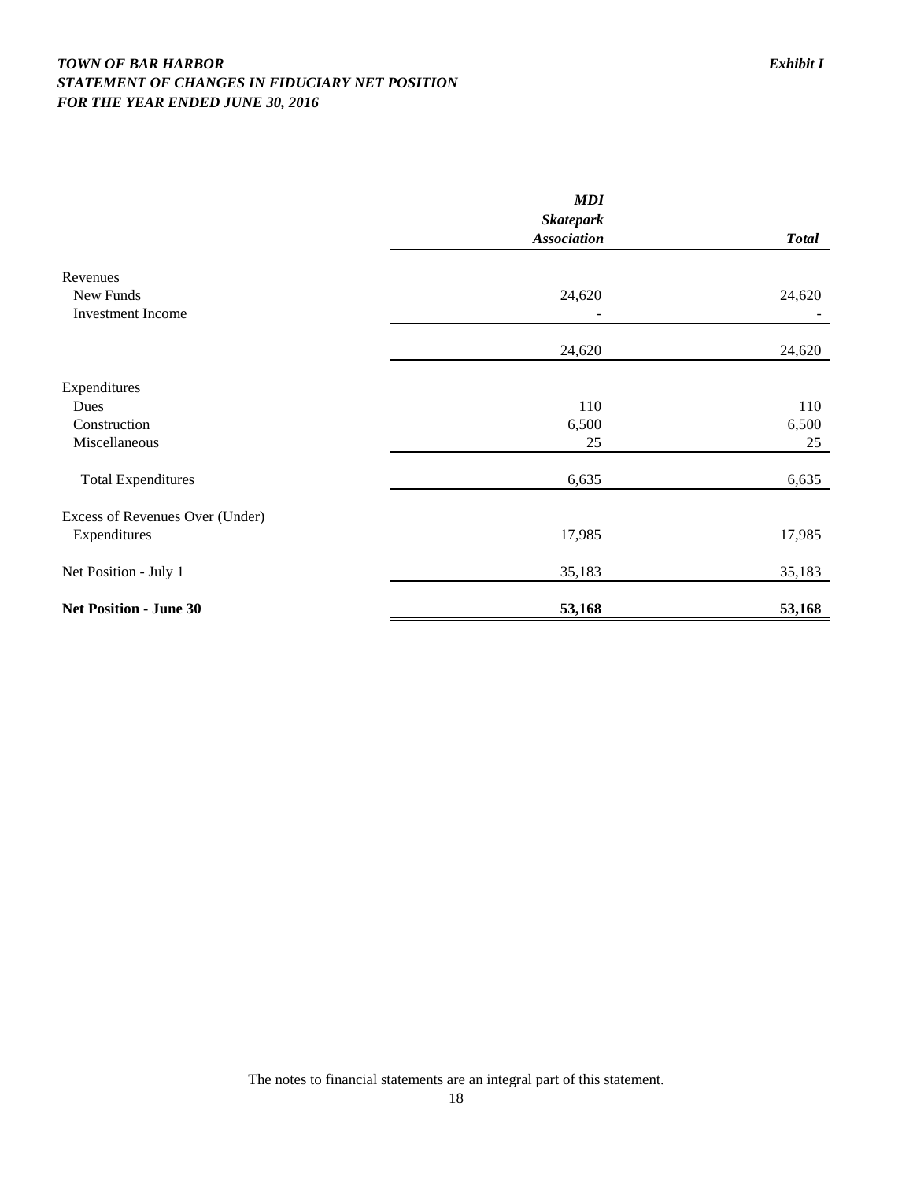## *TOWN OF BAR HARBOR Exhibit I STATEMENT OF CHANGES IN FIDUCIARY NET POSITION FOR THE YEAR ENDED JUNE 30, 2016*

|                                 | <b>MDI</b>                             |              |
|---------------------------------|----------------------------------------|--------------|
|                                 | <b>Skatepark</b><br><b>Association</b> | <b>Total</b> |
| Revenues                        |                                        |              |
| New Funds<br>Investment Income  | 24,620                                 | 24,620       |
|                                 | 24,620                                 | 24,620       |
| Expenditures                    |                                        |              |
| Dues                            | 110                                    | 110          |
| Construction                    | 6,500                                  | 6,500        |
| Miscellaneous                   | 25                                     | 25           |
| <b>Total Expenditures</b>       | 6,635                                  | 6,635        |
| Excess of Revenues Over (Under) |                                        |              |
| Expenditures                    | 17,985                                 | 17,985       |
| Net Position - July 1           | 35,183                                 | 35,183       |
| <b>Net Position - June 30</b>   | 53,168                                 | 53,168       |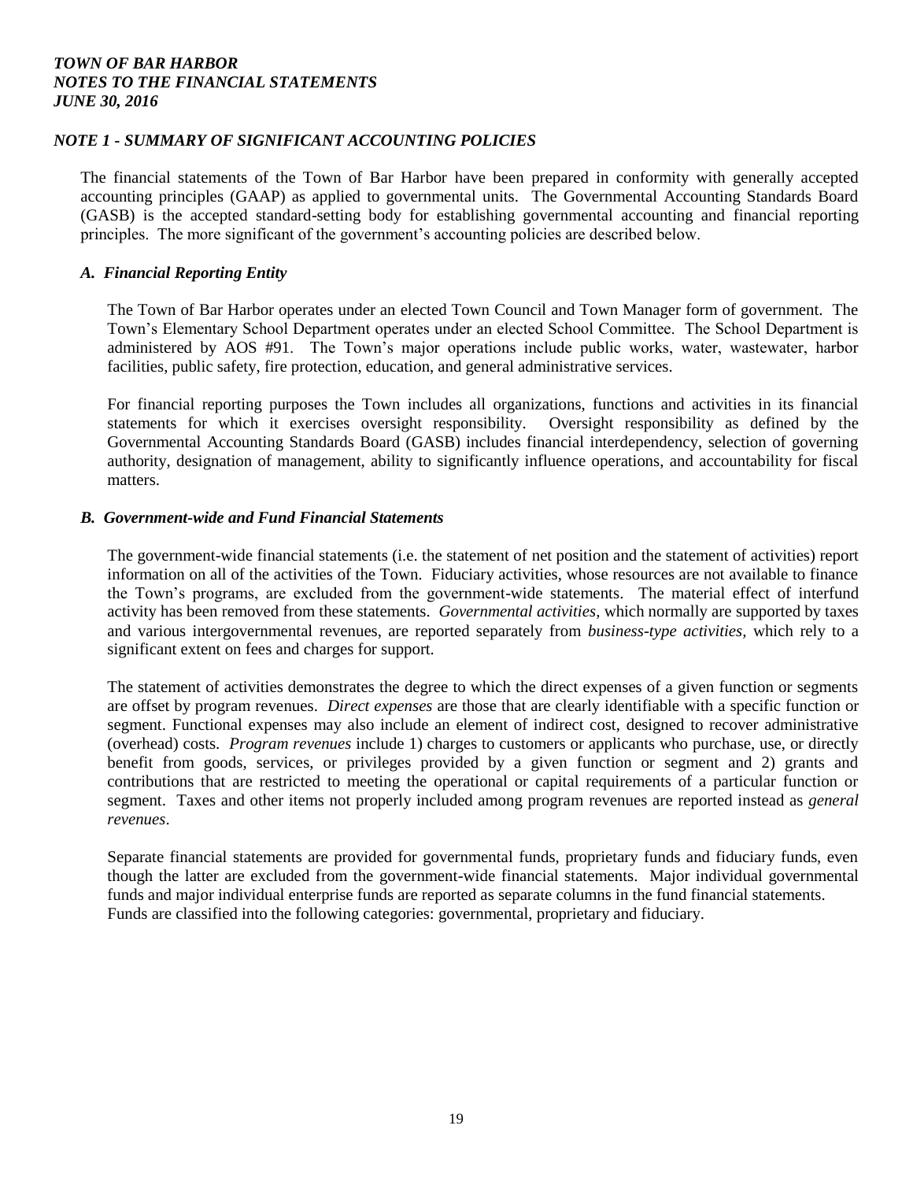#### *NOTE 1 - SUMMARY OF SIGNIFICANT ACCOUNTING POLICIES*

The financial statements of the Town of Bar Harbor have been prepared in conformity with generally accepted accounting principles (GAAP) as applied to governmental units. The Governmental Accounting Standards Board (GASB) is the accepted standard-setting body for establishing governmental accounting and financial reporting principles. The more significant of the government's accounting policies are described below.

#### *A. Financial Reporting Entity*

The Town of Bar Harbor operates under an elected Town Council and Town Manager form of government. The Town's Elementary School Department operates under an elected School Committee. The School Department is administered by AOS #91. The Town's major operations include public works, water, wastewater, harbor facilities, public safety, fire protection, education, and general administrative services.

For financial reporting purposes the Town includes all organizations, functions and activities in its financial statements for which it exercises oversight responsibility. Oversight responsibility as defined by the Governmental Accounting Standards Board (GASB) includes financial interdependency, selection of governing authority, designation of management, ability to significantly influence operations, and accountability for fiscal matters.

#### *B. Government-wide and Fund Financial Statements*

The government-wide financial statements (i.e. the statement of net position and the statement of activities) report information on all of the activities of the Town. Fiduciary activities, whose resources are not available to finance the Town's programs, are excluded from the government-wide statements. The material effect of interfund activity has been removed from these statements. *Governmental activities,* which normally are supported by taxes and various intergovernmental revenues, are reported separately from *business-type activities,* which rely to a significant extent on fees and charges for support.

The statement of activities demonstrates the degree to which the direct expenses of a given function or segments are offset by program revenues. *Direct expenses* are those that are clearly identifiable with a specific function or segment. Functional expenses may also include an element of indirect cost, designed to recover administrative (overhead) costs. *Program revenues* include 1) charges to customers or applicants who purchase, use, or directly benefit from goods, services, or privileges provided by a given function or segment and 2) grants and contributions that are restricted to meeting the operational or capital requirements of a particular function or segment. Taxes and other items not properly included among program revenues are reported instead as *general revenues*.

Separate financial statements are provided for governmental funds, proprietary funds and fiduciary funds, even though the latter are excluded from the government-wide financial statements. Major individual governmental funds and major individual enterprise funds are reported as separate columns in the fund financial statements. Funds are classified into the following categories: governmental, proprietary and fiduciary.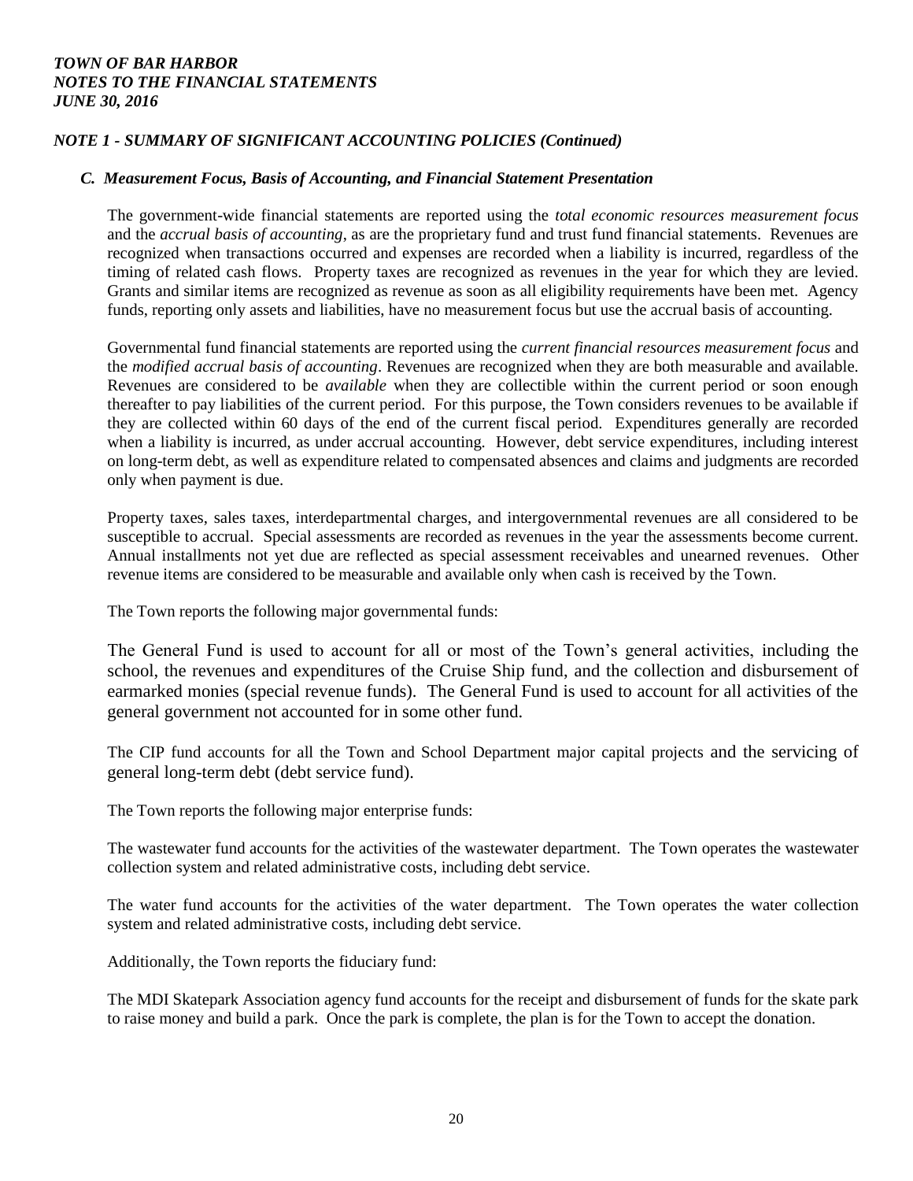## *NOTE 1 - SUMMARY OF SIGNIFICANT ACCOUNTING POLICIES (Continued)*

#### *C. Measurement Focus, Basis of Accounting, and Financial Statement Presentation*

The government-wide financial statements are reported using the *total economic resources measurement focus* and the *accrual basis of accounting*, as are the proprietary fund and trust fund financial statements. Revenues are recognized when transactions occurred and expenses are recorded when a liability is incurred, regardless of the timing of related cash flows. Property taxes are recognized as revenues in the year for which they are levied. Grants and similar items are recognized as revenue as soon as all eligibility requirements have been met. Agency funds, reporting only assets and liabilities, have no measurement focus but use the accrual basis of accounting.

Governmental fund financial statements are reported using the *current financial resources measurement focus* and the *modified accrual basis of accounting*. Revenues are recognized when they are both measurable and available. Revenues are considered to be *available* when they are collectible within the current period or soon enough thereafter to pay liabilities of the current period. For this purpose, the Town considers revenues to be available if they are collected within 60 days of the end of the current fiscal period. Expenditures generally are recorded when a liability is incurred, as under accrual accounting. However, debt service expenditures, including interest on long-term debt, as well as expenditure related to compensated absences and claims and judgments are recorded only when payment is due.

Property taxes, sales taxes, interdepartmental charges, and intergovernmental revenues are all considered to be susceptible to accrual. Special assessments are recorded as revenues in the year the assessments become current. Annual installments not yet due are reflected as special assessment receivables and unearned revenues. Other revenue items are considered to be measurable and available only when cash is received by the Town.

The Town reports the following major governmental funds:

The General Fund is used to account for all or most of the Town's general activities, including the school, the revenues and expenditures of the Cruise Ship fund, and the collection and disbursement of earmarked monies (special revenue funds). The General Fund is used to account for all activities of the general government not accounted for in some other fund.

The CIP fund accounts for all the Town and School Department major capital projects and the servicing of general long-term debt (debt service fund).

The Town reports the following major enterprise funds:

The wastewater fund accounts for the activities of the wastewater department. The Town operates the wastewater collection system and related administrative costs, including debt service.

The water fund accounts for the activities of the water department. The Town operates the water collection system and related administrative costs, including debt service.

Additionally, the Town reports the fiduciary fund:

The MDI Skatepark Association agency fund accounts for the receipt and disbursement of funds for the skate park to raise money and build a park. Once the park is complete, the plan is for the Town to accept the donation.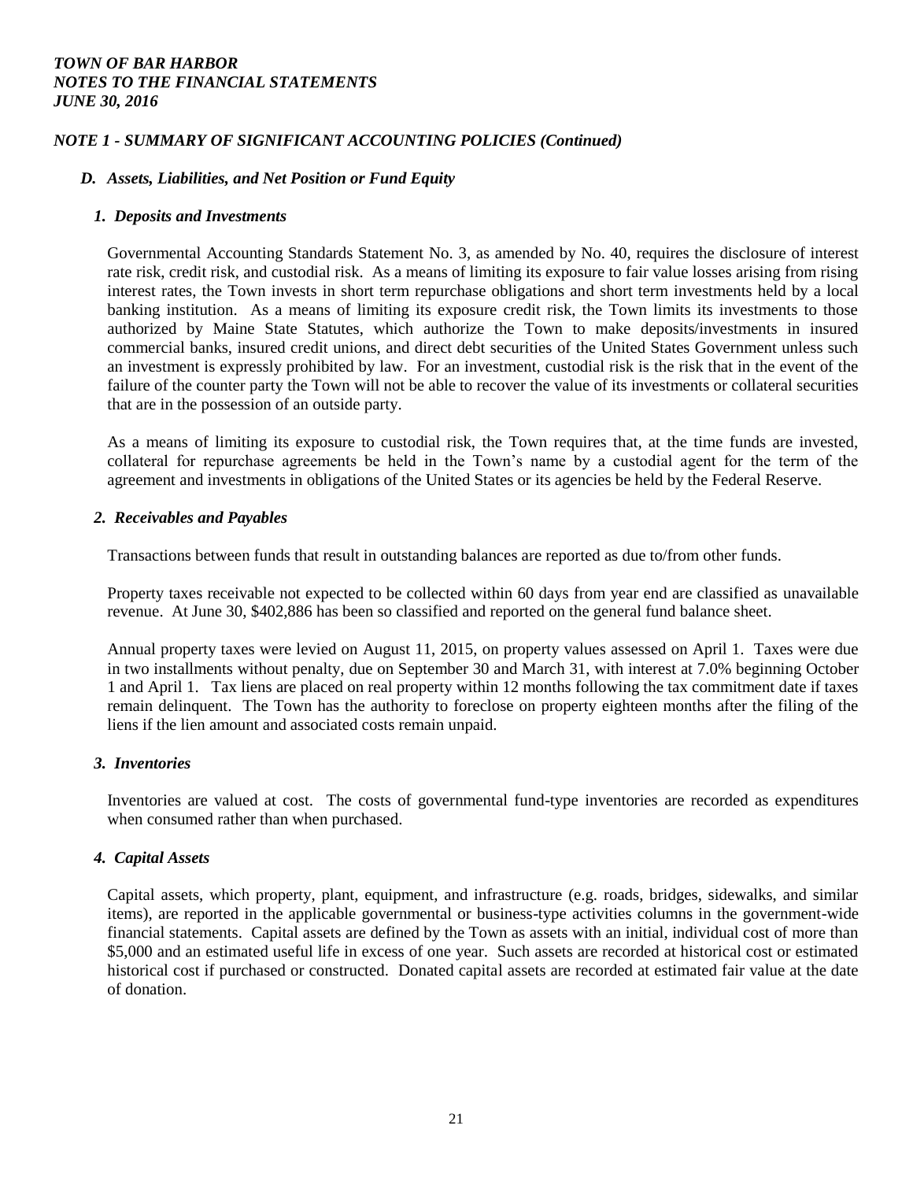### *NOTE 1 - SUMMARY OF SIGNIFICANT ACCOUNTING POLICIES (Continued)*

#### *D. Assets, Liabilities, and Net Position or Fund Equity*

#### *1. Deposits and Investments*

Governmental Accounting Standards Statement No. 3, as amended by No. 40, requires the disclosure of interest rate risk, credit risk, and custodial risk. As a means of limiting its exposure to fair value losses arising from rising interest rates, the Town invests in short term repurchase obligations and short term investments held by a local banking institution. As a means of limiting its exposure credit risk, the Town limits its investments to those authorized by Maine State Statutes, which authorize the Town to make deposits/investments in insured commercial banks, insured credit unions, and direct debt securities of the United States Government unless such an investment is expressly prohibited by law. For an investment, custodial risk is the risk that in the event of the failure of the counter party the Town will not be able to recover the value of its investments or collateral securities that are in the possession of an outside party.

As a means of limiting its exposure to custodial risk, the Town requires that, at the time funds are invested, collateral for repurchase agreements be held in the Town's name by a custodial agent for the term of the agreement and investments in obligations of the United States or its agencies be held by the Federal Reserve.

#### *2. Receivables and Payables*

Transactions between funds that result in outstanding balances are reported as due to/from other funds.

Property taxes receivable not expected to be collected within 60 days from year end are classified as unavailable revenue. At June 30, \$402,886 has been so classified and reported on the general fund balance sheet.

Annual property taxes were levied on August 11, 2015, on property values assessed on April 1. Taxes were due in two installments without penalty, due on September 30 and March 31, with interest at 7.0% beginning October 1 and April 1. Tax liens are placed on real property within 12 months following the tax commitment date if taxes remain delinquent. The Town has the authority to foreclose on property eighteen months after the filing of the liens if the lien amount and associated costs remain unpaid.

## *3. Inventories*

Inventories are valued at cost. The costs of governmental fund-type inventories are recorded as expenditures when consumed rather than when purchased.

## *4. Capital Assets*

Capital assets, which property, plant, equipment, and infrastructure (e.g. roads, bridges, sidewalks, and similar items), are reported in the applicable governmental or business-type activities columns in the government-wide financial statements. Capital assets are defined by the Town as assets with an initial, individual cost of more than \$5,000 and an estimated useful life in excess of one year. Such assets are recorded at historical cost or estimated historical cost if purchased or constructed. Donated capital assets are recorded at estimated fair value at the date of donation.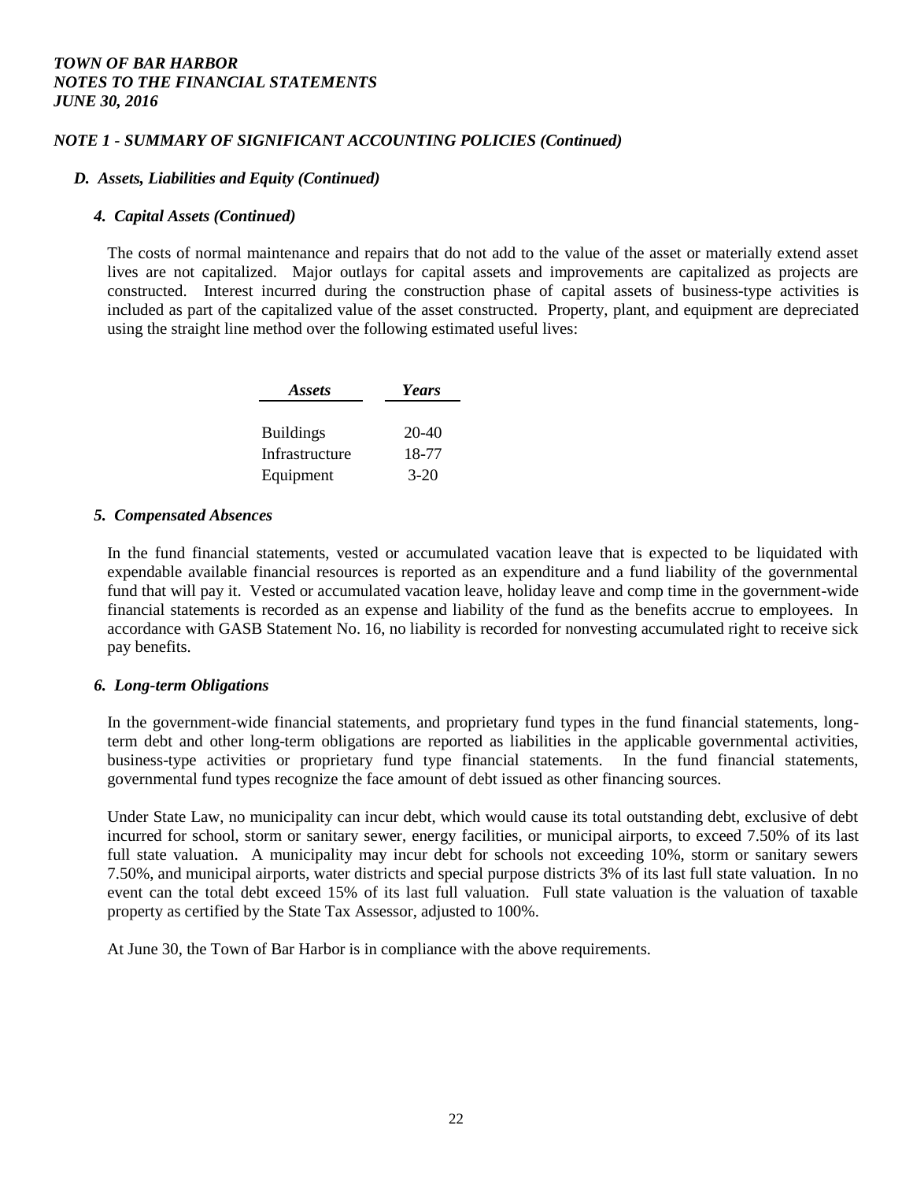## *NOTE 1 - SUMMARY OF SIGNIFICANT ACCOUNTING POLICIES (Continued)*

#### *D. Assets, Liabilities and Equity (Continued)*

#### *4. Capital Assets (Continued)*

The costs of normal maintenance and repairs that do not add to the value of the asset or materially extend asset lives are not capitalized. Major outlays for capital assets and improvements are capitalized as projects are constructed. Interest incurred during the construction phase of capital assets of business-type activities is included as part of the capitalized value of the asset constructed. Property, plant, and equipment are depreciated using the straight line method over the following estimated useful lives:

| Assets           | Years   |
|------------------|---------|
|                  |         |
| <b>Buildings</b> | $20-40$ |
| Infrastructure   | 18-77   |
| Equipment        | $3-20$  |

#### *5. Compensated Absences*

In the fund financial statements, vested or accumulated vacation leave that is expected to be liquidated with expendable available financial resources is reported as an expenditure and a fund liability of the governmental fund that will pay it. Vested or accumulated vacation leave, holiday leave and comp time in the government-wide financial statements is recorded as an expense and liability of the fund as the benefits accrue to employees. In accordance with GASB Statement No. 16, no liability is recorded for nonvesting accumulated right to receive sick pay benefits.

## *6. Long-term Obligations*

In the government-wide financial statements, and proprietary fund types in the fund financial statements, longterm debt and other long-term obligations are reported as liabilities in the applicable governmental activities, business-type activities or proprietary fund type financial statements. In the fund financial statements, governmental fund types recognize the face amount of debt issued as other financing sources.

Under State Law, no municipality can incur debt, which would cause its total outstanding debt, exclusive of debt incurred for school, storm or sanitary sewer, energy facilities, or municipal airports, to exceed 7.50% of its last full state valuation. A municipality may incur debt for schools not exceeding 10%, storm or sanitary sewers 7.50%, and municipal airports, water districts and special purpose districts 3% of its last full state valuation. In no event can the total debt exceed 15% of its last full valuation. Full state valuation is the valuation of taxable property as certified by the State Tax Assessor, adjusted to 100%.

At June 30, the Town of Bar Harbor is in compliance with the above requirements.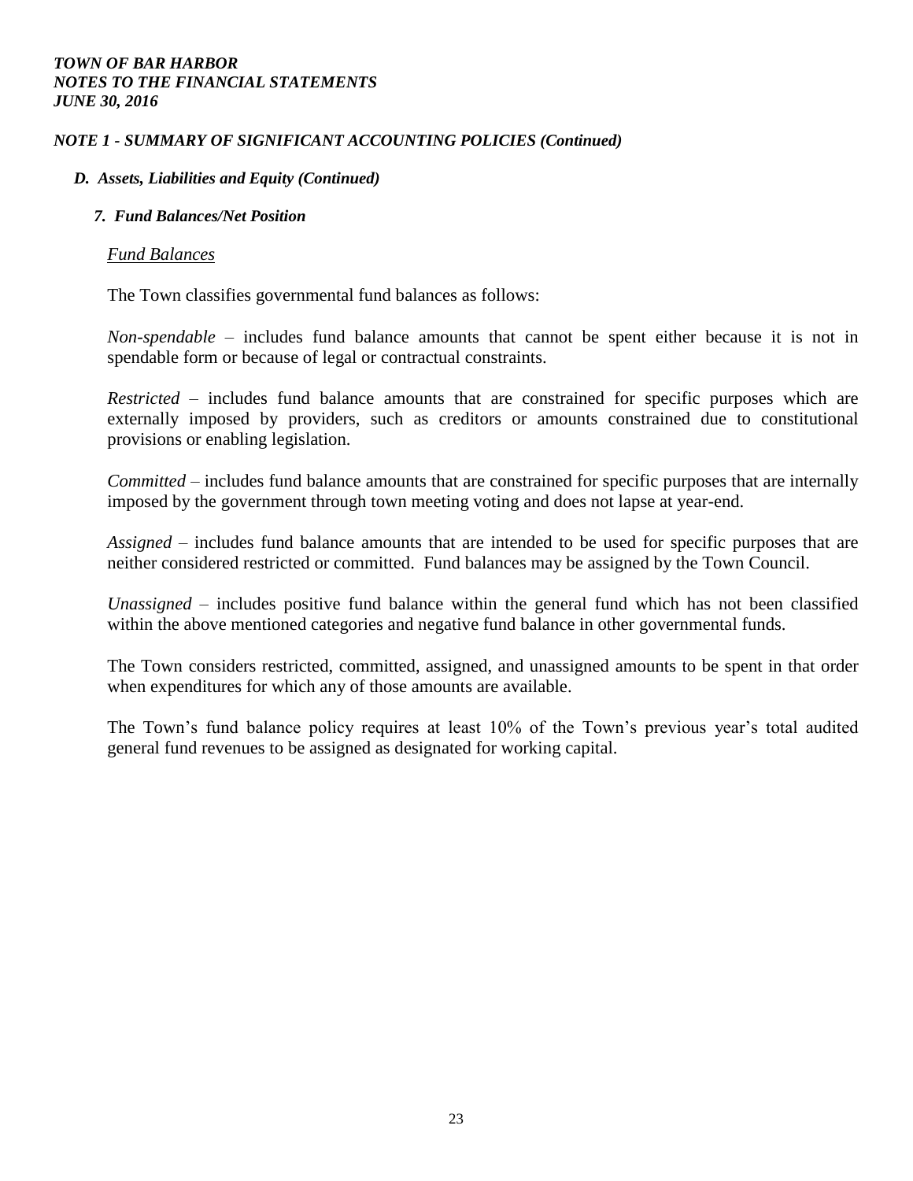## *NOTE 1 - SUMMARY OF SIGNIFICANT ACCOUNTING POLICIES (Continued)*

## *D. Assets, Liabilities and Equity (Continued)*

## *7. Fund Balances/Net Position*

## *Fund Balances*

The Town classifies governmental fund balances as follows:

*Non-spendable –* includes fund balance amounts that cannot be spent either because it is not in spendable form or because of legal or contractual constraints.

*Restricted –* includes fund balance amounts that are constrained for specific purposes which are externally imposed by providers, such as creditors or amounts constrained due to constitutional provisions or enabling legislation.

*Committed –* includes fund balance amounts that are constrained for specific purposes that are internally imposed by the government through town meeting voting and does not lapse at year-end.

*Assigned –* includes fund balance amounts that are intended to be used for specific purposes that are neither considered restricted or committed. Fund balances may be assigned by the Town Council.

*Unassigned –* includes positive fund balance within the general fund which has not been classified within the above mentioned categories and negative fund balance in other governmental funds.

The Town considers restricted, committed, assigned, and unassigned amounts to be spent in that order when expenditures for which any of those amounts are available.

The Town's fund balance policy requires at least 10% of the Town's previous year's total audited general fund revenues to be assigned as designated for working capital.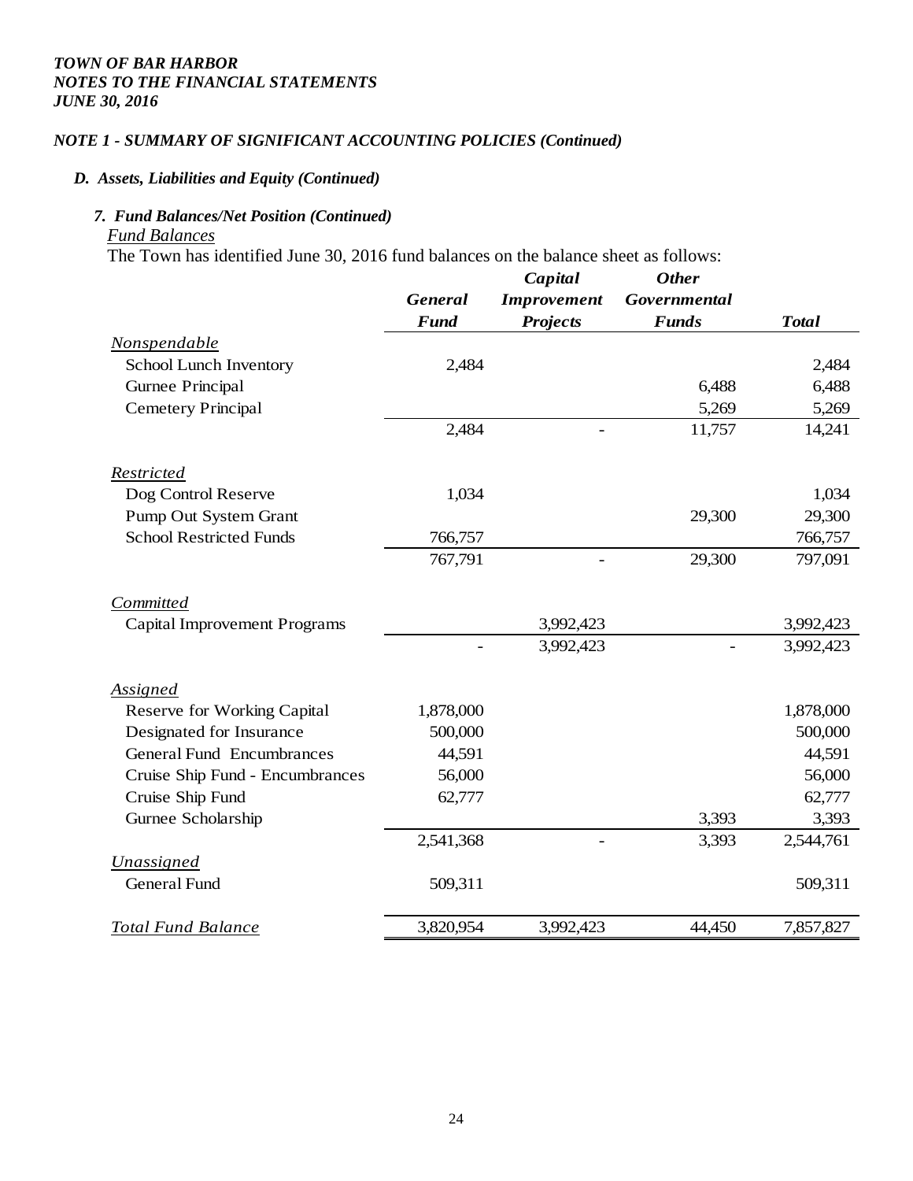## *NOTE 1 - SUMMARY OF SIGNIFICANT ACCOUNTING POLICIES (Continued)*

#### *D. Assets, Liabilities and Equity (Continued)*

## *7. Fund Balances/Net Position (Continued) Fund Balances*

The Town has identified June 30, 2016 fund balances on the balance sheet as follows:

|                                     |                | Capital                  | <b>Other</b> |              |
|-------------------------------------|----------------|--------------------------|--------------|--------------|
|                                     | <b>General</b> | <b>Improvement</b>       | Governmental |              |
|                                     | <b>Fund</b>    | <b>Projects</b>          | <b>Funds</b> | <b>Total</b> |
| Nonspendable                        |                |                          |              |              |
| School Lunch Inventory              | 2,484          |                          |              | 2,484        |
| Gurnee Principal                    |                |                          | 6,488        | 6,488        |
| <b>Cemetery Principal</b>           |                |                          | 5,269        | 5,269        |
|                                     | 2,484          |                          | 11,757       | 14,241       |
| Restricted                          |                |                          |              |              |
| Dog Control Reserve                 | 1,034          |                          |              | 1,034        |
| Pump Out System Grant               |                |                          | 29,300       | 29,300       |
| <b>School Restricted Funds</b>      | 766,757        |                          |              | 766,757      |
|                                     | 767,791        | $\overline{\phantom{0}}$ | 29,300       | 797,091      |
| Committed                           |                |                          |              |              |
| <b>Capital Improvement Programs</b> |                | 3,992,423                |              | 3,992,423    |
|                                     |                | 3,992,423                |              | 3,992,423    |
| Assigned                            |                |                          |              |              |
| <b>Reserve for Working Capital</b>  | 1,878,000      |                          |              | 1,878,000    |
| Designated for Insurance            | 500,000        |                          |              | 500,000      |
| <b>General Fund Encumbrances</b>    | 44,591         |                          |              | 44,591       |
| Cruise Ship Fund - Encumbrances     | 56,000         |                          |              | 56,000       |
| Cruise Ship Fund                    | 62,777         |                          |              | 62,777       |
| Gurnee Scholarship                  |                |                          | 3,393        | 3,393        |
|                                     | 2,541,368      |                          | 3,393        | 2,544,761    |
| <b>Unassigned</b>                   |                |                          |              |              |
| <b>General Fund</b>                 | 509,311        |                          |              | 509,311      |
| <b>Total Fund Balance</b>           | 3,820,954      | 3,992,423                | 44,450       | 7,857,827    |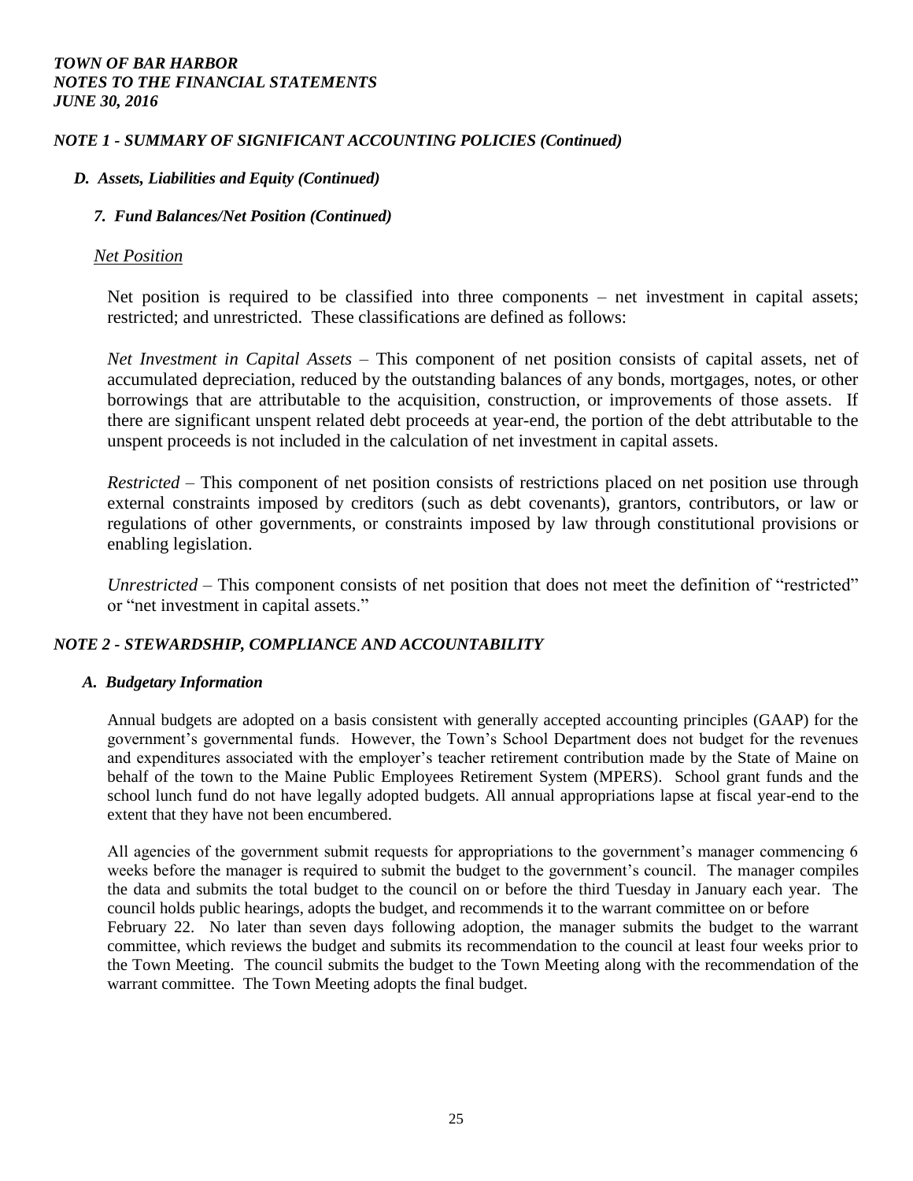## *NOTE 1 - SUMMARY OF SIGNIFICANT ACCOUNTING POLICIES (Continued)*

## *D. Assets, Liabilities and Equity (Continued)*

## *7. Fund Balances/Net Position (Continued)*

## *Net Position*

Net position is required to be classified into three components – net investment in capital assets; restricted; and unrestricted. These classifications are defined as follows:

*Net Investment in Capital Assets –* This component of net position consists of capital assets, net of accumulated depreciation, reduced by the outstanding balances of any bonds, mortgages, notes, or other borrowings that are attributable to the acquisition, construction, or improvements of those assets. If there are significant unspent related debt proceeds at year-end, the portion of the debt attributable to the unspent proceeds is not included in the calculation of net investment in capital assets.

*Restricted –* This component of net position consists of restrictions placed on net position use through external constraints imposed by creditors (such as debt covenants), grantors, contributors, or law or regulations of other governments, or constraints imposed by law through constitutional provisions or enabling legislation.

*Unrestricted –* This component consists of net position that does not meet the definition of "restricted" or "net investment in capital assets."

## *NOTE 2 - STEWARDSHIP, COMPLIANCE AND ACCOUNTABILITY*

## *A. Budgetary Information*

Annual budgets are adopted on a basis consistent with generally accepted accounting principles (GAAP) for the government's governmental funds. However, the Town's School Department does not budget for the revenues and expenditures associated with the employer's teacher retirement contribution made by the State of Maine on behalf of the town to the Maine Public Employees Retirement System (MPERS). School grant funds and the school lunch fund do not have legally adopted budgets. All annual appropriations lapse at fiscal year-end to the extent that they have not been encumbered.

All agencies of the government submit requests for appropriations to the government's manager commencing 6 weeks before the manager is required to submit the budget to the government's council. The manager compiles the data and submits the total budget to the council on or before the third Tuesday in January each year. The council holds public hearings, adopts the budget, and recommends it to the warrant committee on or before February 22. No later than seven days following adoption, the manager submits the budget to the warrant committee, which reviews the budget and submits its recommendation to the council at least four weeks prior to the Town Meeting. The council submits the budget to the Town Meeting along with the recommendation of the warrant committee. The Town Meeting adopts the final budget.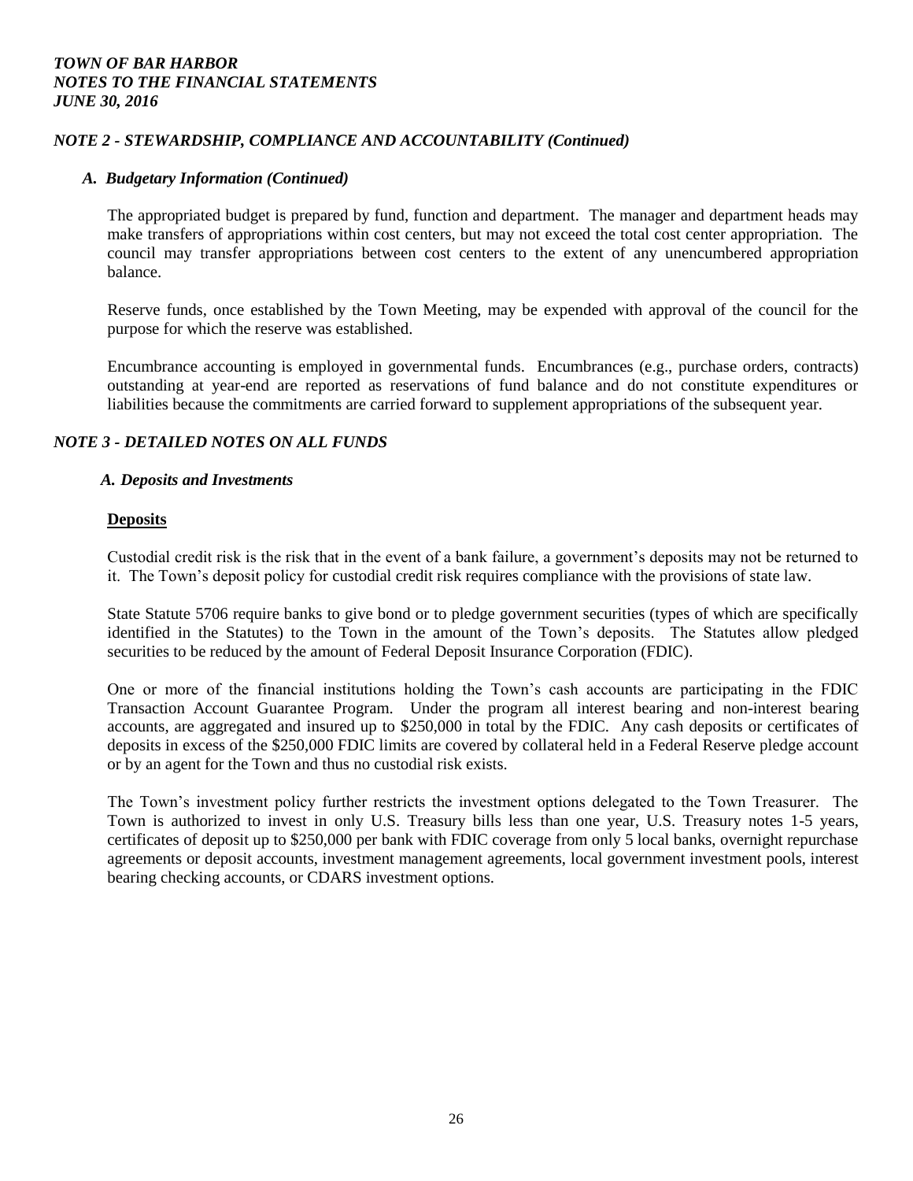## *NOTE 2 - STEWARDSHIP, COMPLIANCE AND ACCOUNTABILITY (Continued)*

#### *A. Budgetary Information (Continued)*

The appropriated budget is prepared by fund, function and department. The manager and department heads may make transfers of appropriations within cost centers, but may not exceed the total cost center appropriation. The council may transfer appropriations between cost centers to the extent of any unencumbered appropriation balance.

Reserve funds, once established by the Town Meeting, may be expended with approval of the council for the purpose for which the reserve was established.

Encumbrance accounting is employed in governmental funds. Encumbrances (e.g., purchase orders, contracts) outstanding at year-end are reported as reservations of fund balance and do not constitute expenditures or liabilities because the commitments are carried forward to supplement appropriations of the subsequent year.

## *NOTE 3 - DETAILED NOTES ON ALL FUNDS*

#### *A. Deposits and Investments*

#### **Deposits**

Custodial credit risk is the risk that in the event of a bank failure, a government's deposits may not be returned to it. The Town's deposit policy for custodial credit risk requires compliance with the provisions of state law.

State Statute 5706 require banks to give bond or to pledge government securities (types of which are specifically identified in the Statutes) to the Town in the amount of the Town's deposits. The Statutes allow pledged securities to be reduced by the amount of Federal Deposit Insurance Corporation (FDIC).

One or more of the financial institutions holding the Town's cash accounts are participating in the FDIC Transaction Account Guarantee Program. Under the program all interest bearing and non-interest bearing accounts, are aggregated and insured up to \$250,000 in total by the FDIC. Any cash deposits or certificates of deposits in excess of the \$250,000 FDIC limits are covered by collateral held in a Federal Reserve pledge account or by an agent for the Town and thus no custodial risk exists.

The Town's investment policy further restricts the investment options delegated to the Town Treasurer. The Town is authorized to invest in only U.S. Treasury bills less than one year, U.S. Treasury notes 1-5 years, certificates of deposit up to \$250,000 per bank with FDIC coverage from only 5 local banks, overnight repurchase agreements or deposit accounts, investment management agreements, local government investment pools, interest bearing checking accounts, or CDARS investment options.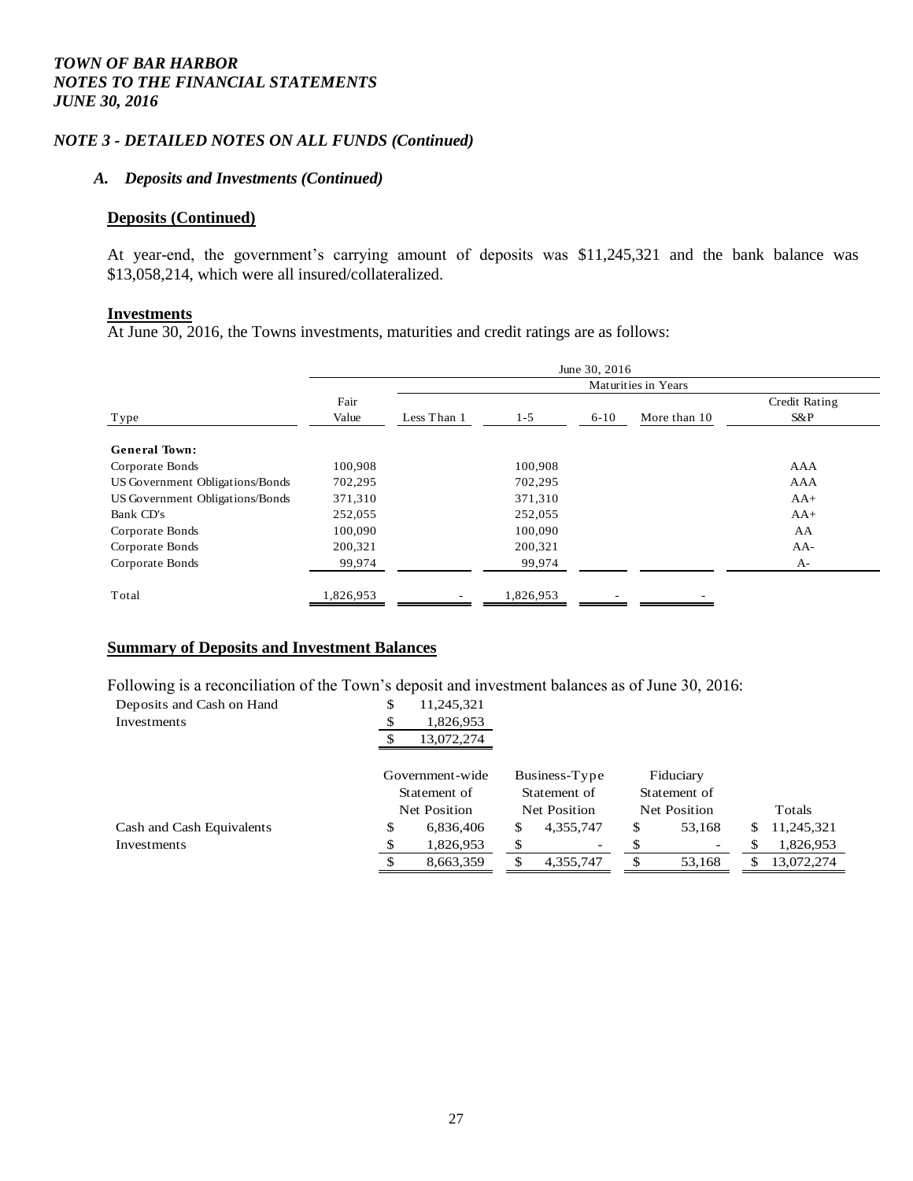## *NOTE 3 - DETAILED NOTES ON ALL FUNDS (Continued)*

#### *A. Deposits and Investments (Continued)*

#### **Deposits (Continued)**

At year-end, the government's carrying amount of deposits was \$11,245,321 and the bank balance was \$13,058,214, which were all insured/collateralized.

#### **Investments**

At June 30, 2016, the Towns investments, maturities and credit ratings are as follows:

|                                 | June 30, 2016       |             |           |          |              |               |
|---------------------------------|---------------------|-------------|-----------|----------|--------------|---------------|
|                                 | Maturities in Years |             |           |          |              |               |
|                                 | Fair                |             |           |          |              | Credit Rating |
| Type                            | Value               | Less Than 1 | $1 - 5$   | $6 - 10$ | More than 10 | S&P           |
| <b>General Town:</b>            |                     |             |           |          |              |               |
| Corporate Bonds                 | 100,908             |             | 100,908   |          |              | AAA           |
| US Government Obligations/Bonds | 702,295             |             | 702,295   |          |              | AAA           |
| US Government Obligations/Bonds | 371,310             |             | 371,310   |          |              | $AA+$         |
| Bank CD's                       | 252,055             |             | 252,055   |          |              | $AA+$         |
| Corporate Bonds                 | 100,090             |             | 100,090   |          |              | AA            |
| Corporate Bonds                 | 200,321             |             | 200,321   |          |              | AA-           |
| Corporate Bonds                 | 99,974              |             | 99,974    |          |              | $A-$          |
| Total                           | 1,826,953           |             | 1,826,953 |          |              |               |

## **Summary of Deposits and Investment Balances**

Following is a reconciliation of the Town's deposit and investment balances as of June 30, 2016:

| Deposits and Cash on Hand | \$<br>11,245,321 |                |              |                  |
|---------------------------|------------------|----------------|--------------|------------------|
| Investments               | 1,826,953        |                |              |                  |
|                           | 13,072,274<br>ъ  |                |              |                  |
|                           |                  |                |              |                  |
|                           | Government-wide  | Business-Type  | Fiduciary    |                  |
|                           | Statement of     | Statement of   | Statement of |                  |
|                           | Net Position     | Net Position   | Net Position | Totals           |
| Cash and Cash Equivalents | \$<br>6,836,406  | 4,355,747<br>S | \$<br>53,168 | 11,245,321<br>S. |
| Investments               | \$<br>1,826,953  | \$             |              | 1,826,953        |
|                           | 8,663,359        | 4,355,747      | 53,168       | 13,072,274<br>S  |
|                           |                  |                |              |                  |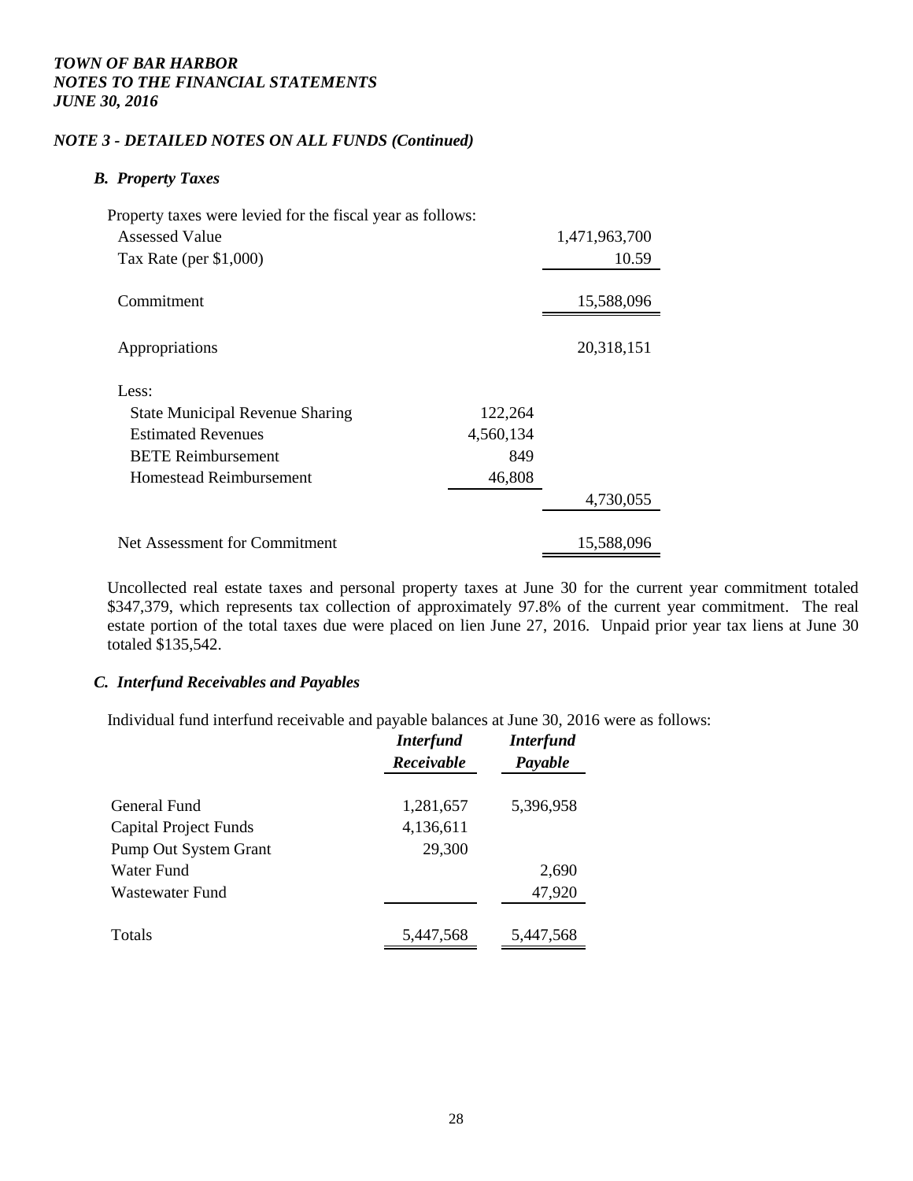## *NOTE 3 - DETAILED NOTES ON ALL FUNDS (Continued)*

#### *B. Property Taxes*

| Property taxes were levied for the fiscal year as follows: |           |               |
|------------------------------------------------------------|-----------|---------------|
| Assessed Value                                             |           | 1,471,963,700 |
| Tax Rate (per $$1,000$ )                                   |           | 10.59         |
| Commitment                                                 |           | 15,588,096    |
| Appropriations                                             |           | 20,318,151    |
| Less:                                                      |           |               |
| <b>State Municipal Revenue Sharing</b>                     | 122,264   |               |
| <b>Estimated Revenues</b>                                  | 4,560,134 |               |
| <b>BETE Reimbursement</b>                                  | 849       |               |
| Homestead Reimbursement                                    | 46,808    |               |
|                                                            |           | 4,730,055     |
| Net Assessment for Commitment                              |           | 15,588,096    |

Uncollected real estate taxes and personal property taxes at June 30 for the current year commitment totaled \$347,379, which represents tax collection of approximately 97.8% of the current year commitment. The real estate portion of the total taxes due were placed on lien June 27, 2016. Unpaid prior year tax liens at June 30 totaled \$135,542.

#### *C. Interfund Receivables and Payables*

Individual fund interfund receivable and payable balances at June 30, 2016 were as follows:

| <b>Interfund</b><br>Receivable | <b>Interfund</b><br>Payable |  |
|--------------------------------|-----------------------------|--|
|                                |                             |  |
|                                | 5,396,958                   |  |
|                                |                             |  |
| 29,300                         |                             |  |
|                                | 2,690                       |  |
|                                | 47,920                      |  |
|                                |                             |  |
| 5,447,568                      | 5,447,568                   |  |
|                                | 1,281,657<br>4,136,611      |  |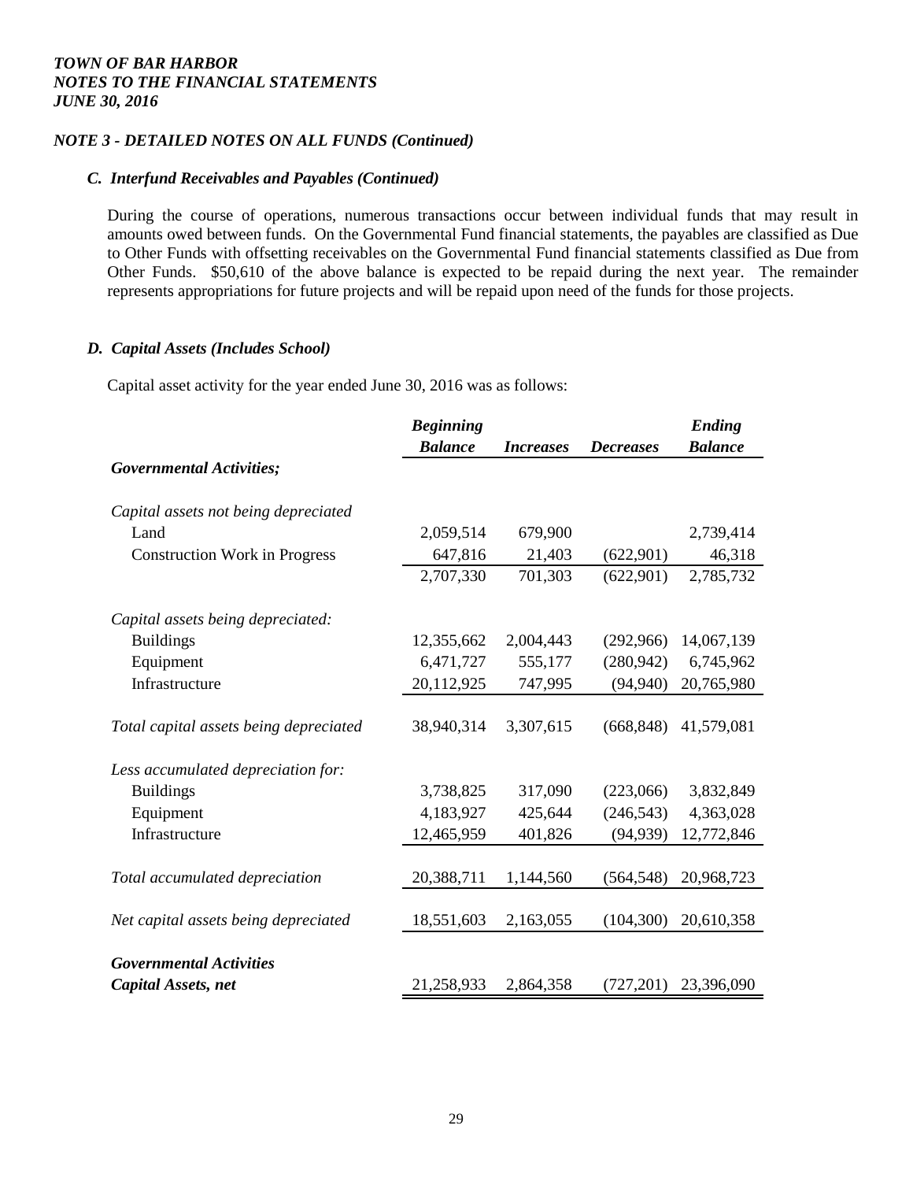## *NOTE 3 - DETAILED NOTES ON ALL FUNDS (Continued)*

## *C. Interfund Receivables and Payables (Continued)*

During the course of operations, numerous transactions occur between individual funds that may result in amounts owed between funds. On the Governmental Fund financial statements, the payables are classified as Due to Other Funds with offsetting receivables on the Governmental Fund financial statements classified as Due from Other Funds. \$50,610 of the above balance is expected to be repaid during the next year. The remainder represents appropriations for future projects and will be repaid upon need of the funds for those projects.

## *D. Capital Assets (Includes School)*

Capital asset activity for the year ended June 30, 2016 was as follows:

|                                        | <b>Beginning</b> |                  |                  | Ending         |
|----------------------------------------|------------------|------------------|------------------|----------------|
|                                        | <b>Balance</b>   | <b>Increases</b> | <b>Decreases</b> | <b>Balance</b> |
| <b>Governmental Activities;</b>        |                  |                  |                  |                |
| Capital assets not being depreciated   |                  |                  |                  |                |
| Land                                   | 2,059,514        | 679,900          |                  | 2,739,414      |
| <b>Construction Work in Progress</b>   | 647,816          | 21,403           | (622,901)        | 46,318         |
|                                        | 2,707,330        | 701,303          | (622,901)        | 2,785,732      |
| Capital assets being depreciated:      |                  |                  |                  |                |
| <b>Buildings</b>                       | 12,355,662       | 2,004,443        | (292,966)        | 14,067,139     |
| Equipment                              | 6,471,727        | 555,177          | (280, 942)       | 6,745,962      |
| Infrastructure                         | 20,112,925       | 747,995          | (94, 940)        | 20,765,980     |
| Total capital assets being depreciated | 38,940,314       | 3,307,615        | (668, 848)       | 41,579,081     |
| Less accumulated depreciation for:     |                  |                  |                  |                |
| <b>Buildings</b>                       | 3,738,825        | 317,090          | (223,066)        | 3,832,849      |
| Equipment                              | 4,183,927        | 425,644          | (246, 543)       | 4,363,028      |
| Infrastructure                         | 12,465,959       | 401,826          | (94, 939)        | 12,772,846     |
| Total accumulated depreciation         | 20,388,711       | 1,144,560        | (564, 548)       | 20,968,723     |
| Net capital assets being depreciated   | 18,551,603       | 2,163,055        | (104, 300)       | 20,610,358     |
| <b>Governmental Activities</b>         |                  |                  |                  |                |
| Capital Assets, net                    | 21,258,933       | 2,864,358        | (727, 201)       | 23,396,090     |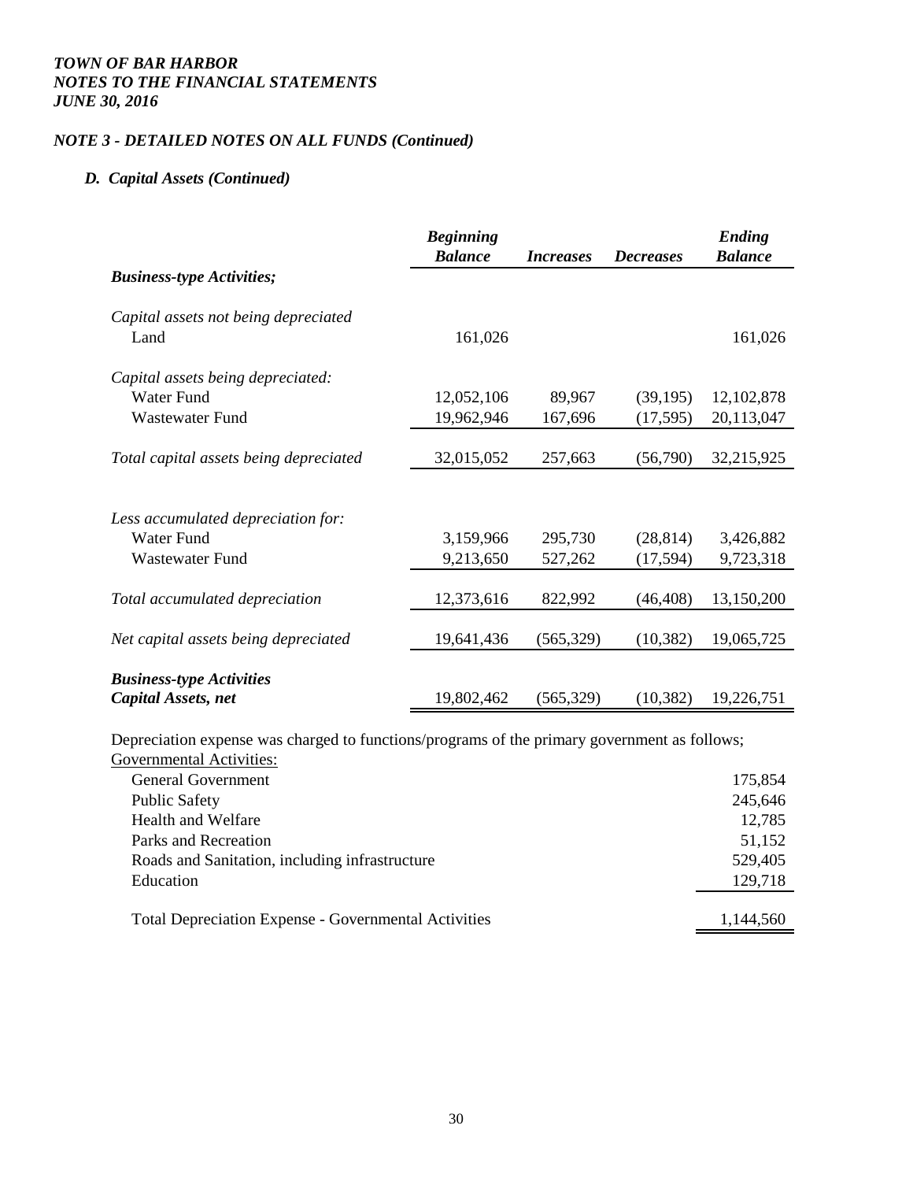## *NOTE 3 - DETAILED NOTES ON ALL FUNDS (Continued)*

#### *D. Capital Assets (Continued)*

|                                        | <b>Beginning</b><br><b>Balance</b> | <i>Increases</i> | <b>Decreases</b> | <b>Ending</b><br><b>Balance</b> |
|----------------------------------------|------------------------------------|------------------|------------------|---------------------------------|
| <b>Business-type Activities;</b>       |                                    |                  |                  |                                 |
| Capital assets not being depreciated   |                                    |                  |                  |                                 |
| Land                                   | 161,026                            |                  |                  | 161,026                         |
| Capital assets being depreciated:      |                                    |                  |                  |                                 |
| Water Fund                             | 12,052,106                         | 89,967           | (39, 195)        | 12, 102, 878                    |
| <b>Wastewater Fund</b>                 | 19,962,946                         | 167,696          | (17,595)         | 20,113,047                      |
|                                        |                                    |                  |                  |                                 |
| Total capital assets being depreciated | 32,015,052                         | 257,663          | (56,790)         | 32,215,925                      |
|                                        |                                    |                  |                  |                                 |
| Less accumulated depreciation for:     |                                    |                  |                  |                                 |
| <b>Water Fund</b>                      | 3,159,966                          | 295,730          | (28, 814)        | 3,426,882                       |
| <b>Wastewater Fund</b>                 | 9,213,650                          | 527,262          | (17, 594)        | 9,723,318                       |
|                                        |                                    |                  |                  |                                 |
| Total accumulated depreciation         | 12,373,616                         | 822,992          | (46, 408)        | 13,150,200                      |
|                                        |                                    |                  |                  |                                 |
| Net capital assets being depreciated   | 19,641,436                         | (565, 329)       | (10, 382)        | 19,065,725                      |
|                                        |                                    |                  |                  |                                 |
| <b>Business-type Activities</b>        |                                    |                  |                  |                                 |
| Capital Assets, net                    | 19,802,462                         | (565, 329)       | (10, 382)        | 19,226,751                      |

Depreciation expense was charged to functions/programs of the primary government as follows;

| Governmental Activities:                                    |           |
|-------------------------------------------------------------|-----------|
| <b>General Government</b>                                   | 175,854   |
| <b>Public Safety</b>                                        | 245,646   |
| Health and Welfare                                          | 12,785    |
| Parks and Recreation                                        | 51,152    |
| Roads and Sanitation, including infrastructure              | 529,405   |
| Education                                                   | 129,718   |
|                                                             |           |
| <b>Total Depreciation Expense - Governmental Activities</b> | 1.144.560 |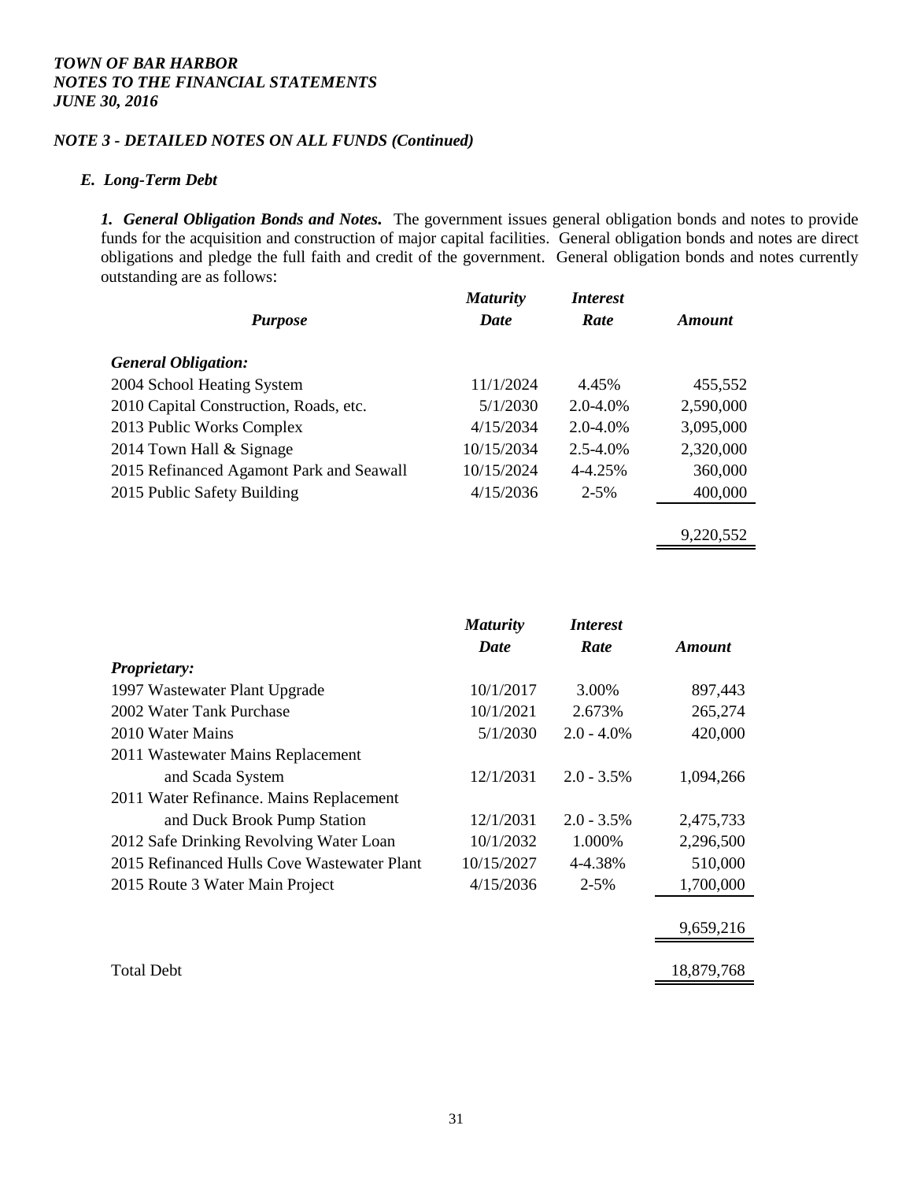## *NOTE 3 - DETAILED NOTES ON ALL FUNDS (Continued)*

#### *E. Long-Term Debt*

*1. General Obligation Bonds and Notes.* The government issues general obligation bonds and notes to provide funds for the acquisition and construction of major capital facilities. General obligation bonds and notes are direct obligations and pledge the full faith and credit of the government. General obligation bonds and notes currently outstanding are as follows:

9,220,552

|                                          | <b>Maturity</b> | <i>Interest</i> |           |
|------------------------------------------|-----------------|-----------------|-----------|
| <b>Purpose</b>                           | <b>Date</b>     | Rate            | Amount    |
| <b>General Obligation:</b>               |                 |                 |           |
| 2004 School Heating System               | 11/1/2024       | 4.45%           | 455,552   |
| 2010 Capital Construction, Roads, etc.   | 5/1/2030        | $2.0 - 4.0\%$   | 2,590,000 |
| 2013 Public Works Complex                | 4/15/2034       | $2.0 - 4.0\%$   | 3,095,000 |
| 2014 Town Hall & Signage                 | 10/15/2034      | $2.5 - 4.0\%$   | 2,320,000 |
| 2015 Refinanced Agamont Park and Seawall | 10/15/2024      | 4-4.25%         | 360,000   |
| 2015 Public Safety Building              | 4/15/2036       | $2 - 5\%$       | 400,000   |
|                                          |                 |                 |           |

|                                             | <b>Maturity</b><br>Date | <i>Interest</i><br>Rate | <b>Amount</b> |
|---------------------------------------------|-------------------------|-------------------------|---------------|
| Proprietary:                                |                         |                         |               |
| 1997 Wastewater Plant Upgrade               | 10/1/2017               | 3.00%                   | 897,443       |
| 2002 Water Tank Purchase                    | 10/1/2021               | 2.673%                  | 265,274       |
| 2010 Water Mains                            | 5/1/2030                | $2.0 - 4.0\%$           | 420,000       |
| 2011 Wastewater Mains Replacement           |                         |                         |               |
| and Scada System                            | 12/1/2031               | $2.0 - 3.5\%$           | 1,094,266     |
| 2011 Water Refinance. Mains Replacement     |                         |                         |               |
| and Duck Brook Pump Station                 | 12/1/2031               | $2.0 - 3.5\%$           | 2,475,733     |
| 2012 Safe Drinking Revolving Water Loan     | 10/1/2032               | 1.000%                  | 2,296,500     |
| 2015 Refinanced Hulls Cove Wastewater Plant | 10/15/2027              | 4-4.38%                 | 510,000       |
| 2015 Route 3 Water Main Project             | 4/15/2036               | $2 - 5%$                | 1,700,000     |
|                                             |                         |                         | 9,659,216     |
| <b>Total Debt</b>                           |                         |                         | 18,879,768    |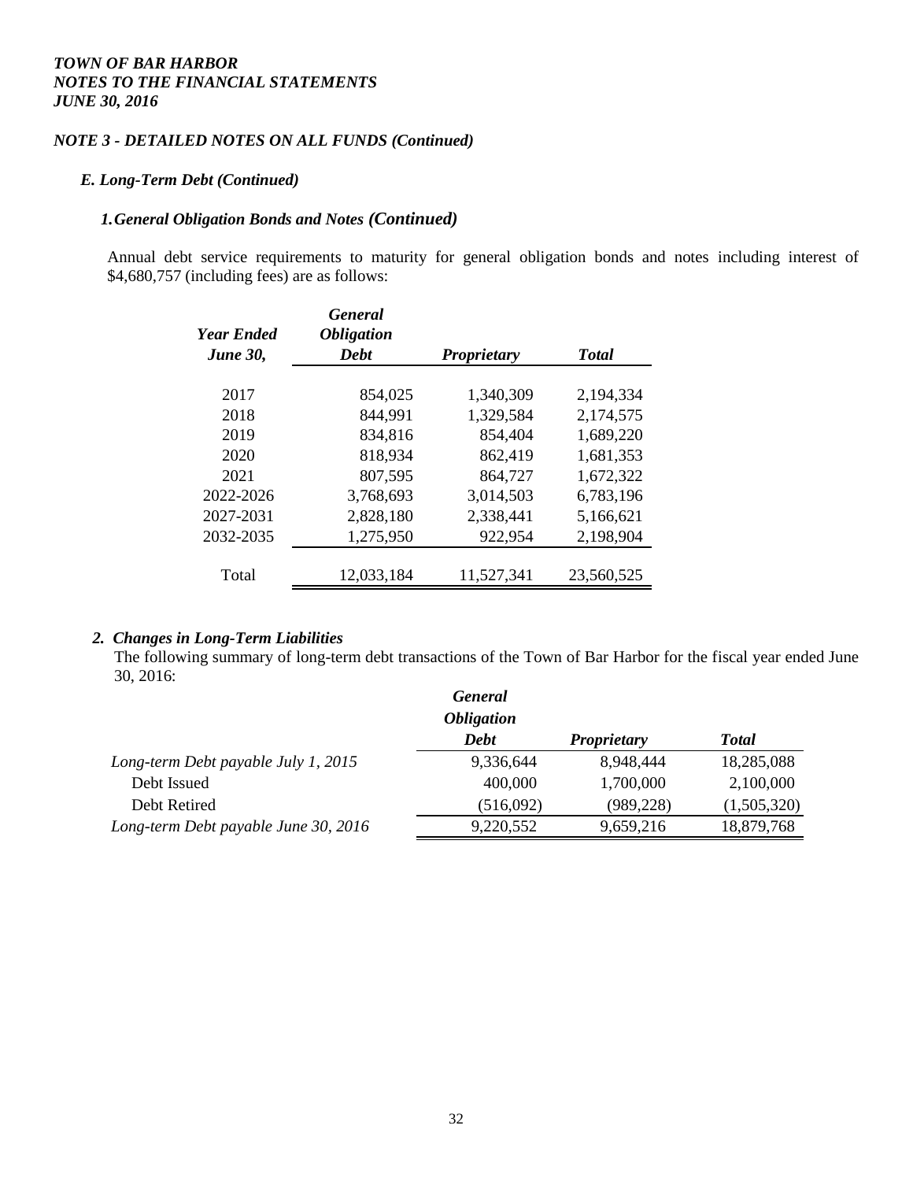## *NOTE 3 - DETAILED NOTES ON ALL FUNDS (Continued)*

#### *E. Long-Term Debt (Continued)*

#### *1.General Obligation Bonds and Notes (Continued)*

Annual debt service requirements to maturity for general obligation bonds and notes including interest of \$4,680,757 (including fees) are as follows:

| <b>Year Ended</b><br><b>June 30,</b> | <b>General</b><br><i><b>Obligation</b></i><br><b>Debt</b> | <b>Proprietary</b> | <b>Total</b> |
|--------------------------------------|-----------------------------------------------------------|--------------------|--------------|
| 2017                                 | 854,025                                                   | 1,340,309          | 2,194,334    |
| 2018                                 | 844,991                                                   | 1,329,584          | 2,174,575    |
| 2019                                 | 834,816                                                   | 854,404            | 1,689,220    |
| 2020                                 | 818,934                                                   | 862,419            | 1,681,353    |
| 2021                                 | 807,595                                                   | 864,727            | 1,672,322    |
| 2022-2026                            | 3,768,693                                                 | 3,014,503          | 6,783,196    |
| 2027-2031                            | 2,828,180                                                 | 2,338,441          | 5,166,621    |
| 2032-2035                            | 1,275,950                                                 | 922,954            | 2,198,904    |
| Total                                | 12,033,184                                                | 11,527,341         | 23,560,525   |

## *2. Changes in Long-Term Liabilities*

The following summary of long-term debt transactions of the Town of Bar Harbor for the fiscal year ended June 30, 2016:

| <b>General</b>           |                    |              |
|--------------------------|--------------------|--------------|
| <i><b>Obligation</b></i> |                    |              |
| <b>Debt</b>              | <b>Proprietary</b> | <b>Total</b> |
| 9,336,644                | 8,948,444          | 18,285,088   |
| 400,000                  | 1,700,000          | 2,100,000    |
| (516,092)                | (989, 228)         | (1,505,320)  |
| 9,220,552                | 9,659,216          | 18,879,768   |
|                          |                    |              |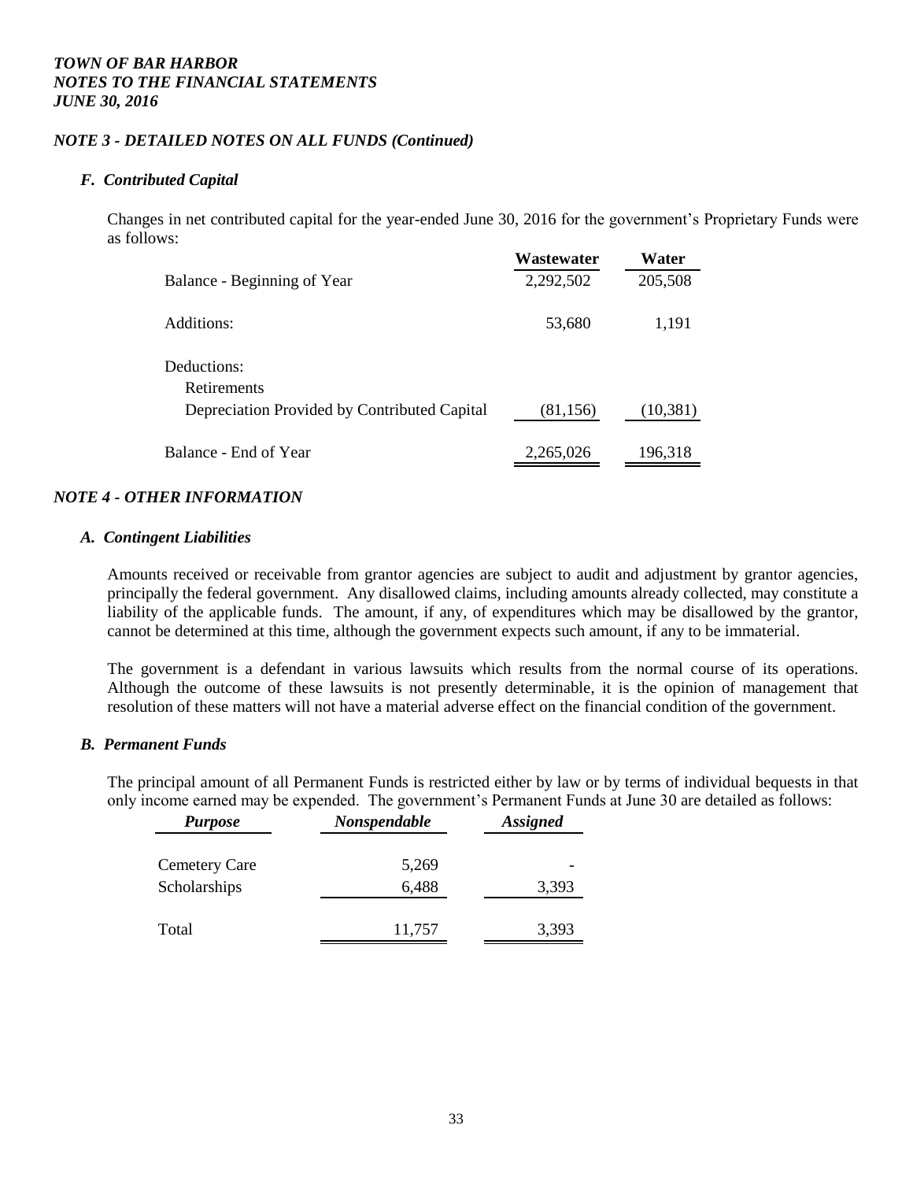#### *NOTE 3 - DETAILED NOTES ON ALL FUNDS (Continued)*

## *F. Contributed Capital*

Changes in net contributed capital for the year-ended June 30, 2016 for the government's Proprietary Funds were as follows:

|                                              | Wastewater | Water     |
|----------------------------------------------|------------|-----------|
| Balance - Beginning of Year                  | 2,292,502  | 205,508   |
| Additions:                                   | 53,680     | 1,191     |
| Deductions:<br>Retirements                   |            |           |
| Depreciation Provided by Contributed Capital | (81, 156)  | (10, 381) |
| Balance - End of Year                        | 2,265,026  | 196,318   |

## *NOTE 4 - OTHER INFORMATION*

#### *A. Contingent Liabilities*

Amounts received or receivable from grantor agencies are subject to audit and adjustment by grantor agencies, principally the federal government. Any disallowed claims, including amounts already collected, may constitute a liability of the applicable funds. The amount, if any, of expenditures which may be disallowed by the grantor, cannot be determined at this time, although the government expects such amount, if any to be immaterial.

The government is a defendant in various lawsuits which results from the normal course of its operations. Although the outcome of these lawsuits is not presently determinable, it is the opinion of management that resolution of these matters will not have a material adverse effect on the financial condition of the government.

#### *B. Permanent Funds*

The principal amount of all Permanent Funds is restricted either by law or by terms of individual bequests in that only income earned may be expended. The government's Permanent Funds at June 30 are detailed as follows:

| <b>Purpose</b>       | Nonspendable | <b>Assigned</b> |
|----------------------|--------------|-----------------|
| <b>Cemetery Care</b> | 5,269        |                 |
| Scholarships         | 6,488        | 3,393           |
| Total                | 11,757       | 3,393           |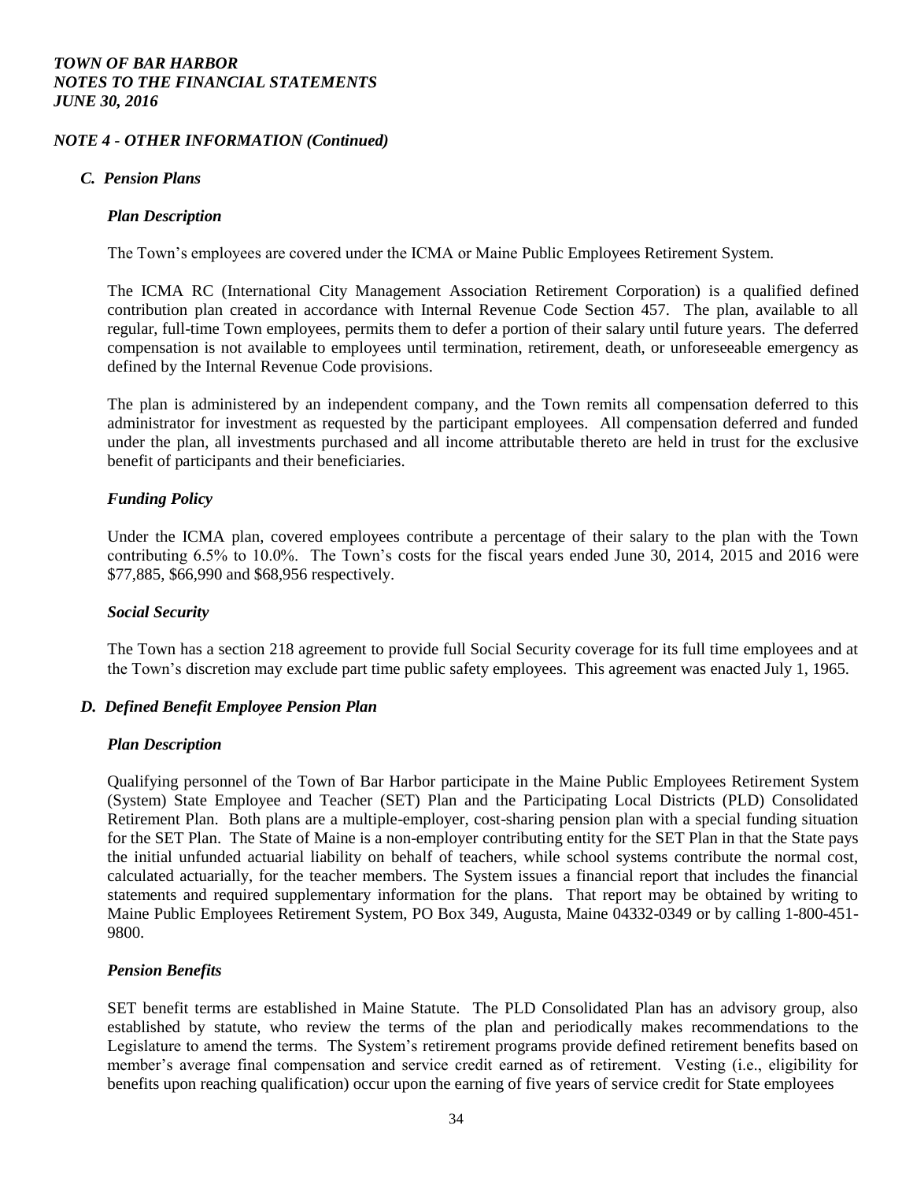#### *NOTE 4 - OTHER INFORMATION (Continued)*

#### *C. Pension Plans*

#### *Plan Description*

The Town's employees are covered under the ICMA or Maine Public Employees Retirement System.

The ICMA RC (International City Management Association Retirement Corporation) is a qualified defined contribution plan created in accordance with Internal Revenue Code Section 457. The plan, available to all regular, full-time Town employees, permits them to defer a portion of their salary until future years. The deferred compensation is not available to employees until termination, retirement, death, or unforeseeable emergency as defined by the Internal Revenue Code provisions.

The plan is administered by an independent company, and the Town remits all compensation deferred to this administrator for investment as requested by the participant employees. All compensation deferred and funded under the plan, all investments purchased and all income attributable thereto are held in trust for the exclusive benefit of participants and their beneficiaries.

## *Funding Policy*

Under the ICMA plan, covered employees contribute a percentage of their salary to the plan with the Town contributing 6.5% to 10.0%. The Town's costs for the fiscal years ended June 30, 2014, 2015 and 2016 were \$77,885, \$66,990 and \$68,956 respectively.

#### *Social Security*

The Town has a section 218 agreement to provide full Social Security coverage for its full time employees and at the Town's discretion may exclude part time public safety employees. This agreement was enacted July 1, 1965.

#### *D. Defined Benefit Employee Pension Plan*

#### *Plan Description*

Qualifying personnel of the Town of Bar Harbor participate in the Maine Public Employees Retirement System (System) State Employee and Teacher (SET) Plan and the Participating Local Districts (PLD) Consolidated Retirement Plan. Both plans are a multiple-employer, cost-sharing pension plan with a special funding situation for the SET Plan. The State of Maine is a non-employer contributing entity for the SET Plan in that the State pays the initial unfunded actuarial liability on behalf of teachers, while school systems contribute the normal cost, calculated actuarially, for the teacher members. The System issues a financial report that includes the financial statements and required supplementary information for the plans. That report may be obtained by writing to Maine Public Employees Retirement System, PO Box 349, Augusta, Maine 04332-0349 or by calling 1-800-451- 9800.

## *Pension Benefits*

SET benefit terms are established in Maine Statute. The PLD Consolidated Plan has an advisory group, also established by statute, who review the terms of the plan and periodically makes recommendations to the Legislature to amend the terms. The System's retirement programs provide defined retirement benefits based on member's average final compensation and service credit earned as of retirement. Vesting (i.e., eligibility for benefits upon reaching qualification) occur upon the earning of five years of service credit for State employees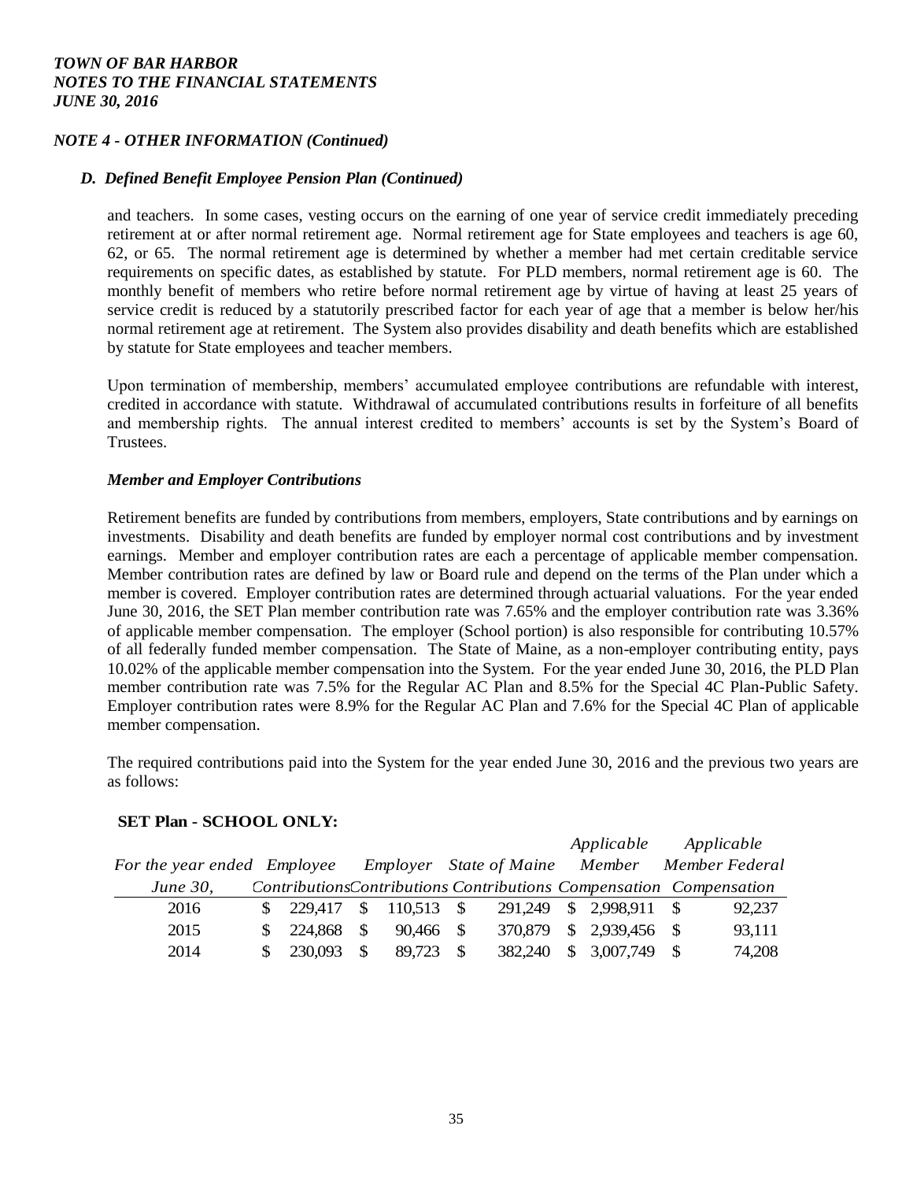## *NOTE 4 - OTHER INFORMATION (Continued)*

#### *D. Defined Benefit Employee Pension Plan (Continued)*

and teachers. In some cases, vesting occurs on the earning of one year of service credit immediately preceding retirement at or after normal retirement age. Normal retirement age for State employees and teachers is age 60, 62, or 65. The normal retirement age is determined by whether a member had met certain creditable service requirements on specific dates, as established by statute. For PLD members, normal retirement age is 60. The monthly benefit of members who retire before normal retirement age by virtue of having at least 25 years of service credit is reduced by a statutorily prescribed factor for each year of age that a member is below her/his normal retirement age at retirement. The System also provides disability and death benefits which are established by statute for State employees and teacher members.

Upon termination of membership, members' accumulated employee contributions are refundable with interest, credited in accordance with statute. Withdrawal of accumulated contributions results in forfeiture of all benefits and membership rights. The annual interest credited to members' accounts is set by the System's Board of Trustees.

#### *Member and Employer Contributions*

Retirement benefits are funded by contributions from members, employers, State contributions and by earnings on investments. Disability and death benefits are funded by employer normal cost contributions and by investment earnings. Member and employer contribution rates are each a percentage of applicable member compensation. Member contribution rates are defined by law or Board rule and depend on the terms of the Plan under which a member is covered. Employer contribution rates are determined through actuarial valuations. For the year ended June 30, 2016, the SET Plan member contribution rate was 7.65% and the employer contribution rate was 3.36% of applicable member compensation. The employer (School portion) is also responsible for contributing 10.57% of all federally funded member compensation. The State of Maine, as a non-employer contributing entity, pays 10.02% of the applicable member compensation into the System. For the year ended June 30, 2016, the PLD Plan member contribution rate was 7.5% for the Regular AC Plan and 8.5% for the Special 4C Plan-Public Safety. Employer contribution rates were 8.9% for the Regular AC Plan and 7.6% for the Special 4C Plan of applicable member compensation.

The required contributions paid into the System for the year ended June 30, 2016 and the previous two years are as follows:

#### **SET Plan - SCHOOL ONLY:**

|                             |         |               |              |                                       | Applicable       | Applicable                                                          |
|-----------------------------|---------|---------------|--------------|---------------------------------------|------------------|---------------------------------------------------------------------|
| For the year ended Employee |         |               |              | <b>Employer</b> State of Maine Member |                  | Member Federal                                                      |
| <i>June 30,</i>             |         |               |              |                                       |                  | Contributions Contributions Contributions Compensation Compensation |
| 2016                        |         |               | $110,513$ \$ | 291.249                               | $$2,998,911$ \\$ | 92,237                                                              |
| 2015                        | 224.868 | -\$           | $90.466$ \$  | 370.879                               | $$2,939,456$ \;  | 93,111                                                              |
| 2014                        | 230,093 | <sup>\$</sup> | 89.723       | 382,240                               | $$3,007,749$ \;  | 74,208                                                              |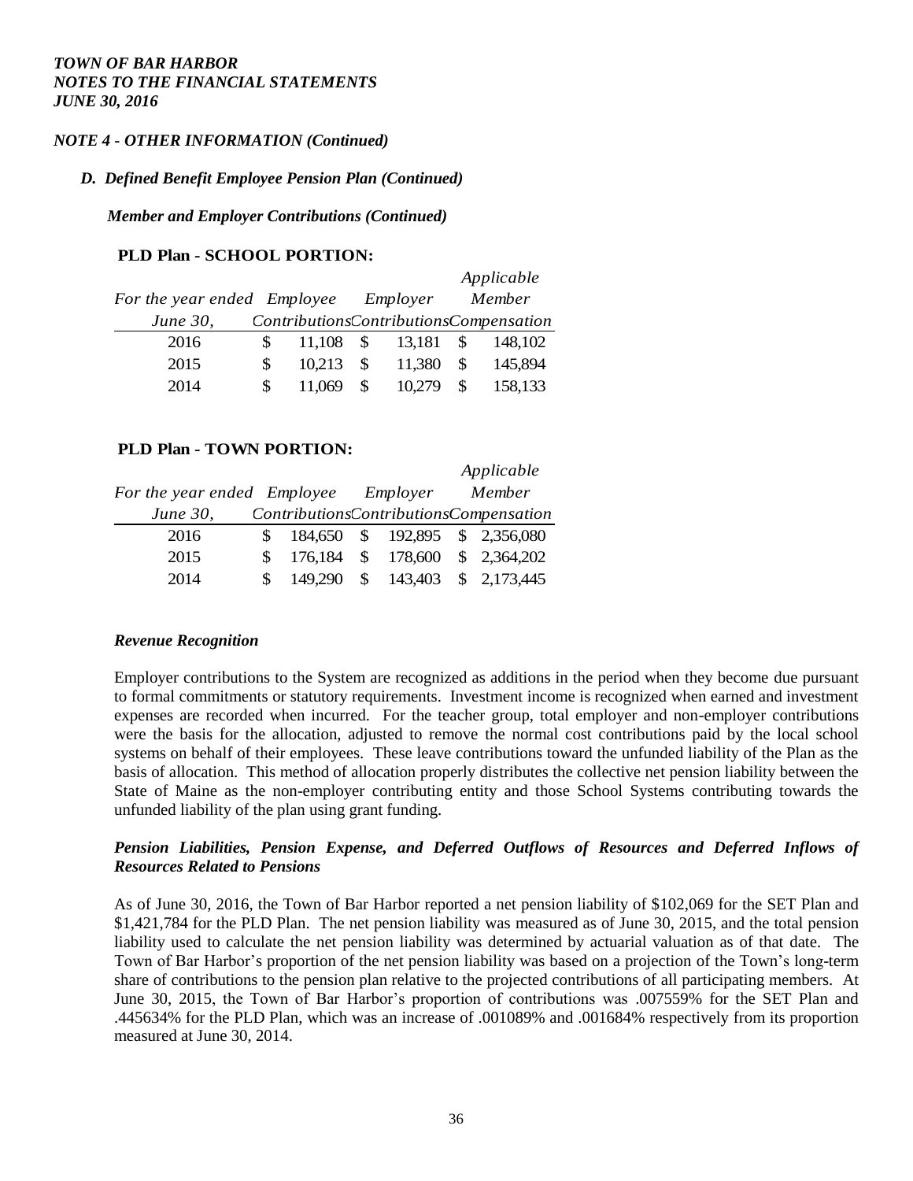## *NOTE 4 - OTHER INFORMATION (Continued)*

#### *D. Defined Benefit Employee Pension Plan (Continued)*

*Member and Employer Contributions (Continued)*

#### **PLD Plan - SCHOOL PORTION:**

|                             |     |        |               |          |               | Applicable                             |
|-----------------------------|-----|--------|---------------|----------|---------------|----------------------------------------|
| For the year ended Employee |     |        |               | Employer |               | Member                                 |
| <i>June 30,</i>             |     |        |               |          |               | ContributionsContributionsCompensation |
| 2016                        | S.  | 11.108 | -SS           | 13,181   | - SS          | 148.102                                |
| 2015                        | \$. | 10.213 | <sup>\$</sup> | 11,380   | <sup>\$</sup> | 145,894                                |
| 2014                        | \$. | 11.069 |               | 10,279   |               | 158,133                                |

#### **PLD Plan - TOWN PORTION:**

|                             |         |               |          | Applicable                             |
|-----------------------------|---------|---------------|----------|----------------------------------------|
| For the year ended Employee |         |               | Employer | Member                                 |
| <i>June 30,</i>             |         |               |          | ContributionsContributionsCompensation |
| 2016                        |         |               |          | 184,650 \$ 192,895 \$ 2,356,080        |
| 2015                        | 176,184 | \$            |          | 178,600 \$ 2,364,202                   |
| 2014                        | 149.290 | <sup>\$</sup> | 143,403  | \$2,173,445                            |

#### *Revenue Recognition*

Employer contributions to the System are recognized as additions in the period when they become due pursuant to formal commitments or statutory requirements. Investment income is recognized when earned and investment expenses are recorded when incurred. For the teacher group, total employer and non-employer contributions were the basis for the allocation, adjusted to remove the normal cost contributions paid by the local school systems on behalf of their employees. These leave contributions toward the unfunded liability of the Plan as the basis of allocation. This method of allocation properly distributes the collective net pension liability between the State of Maine as the non-employer contributing entity and those School Systems contributing towards the unfunded liability of the plan using grant funding.

## *Pension Liabilities, Pension Expense, and Deferred Outflows of Resources and Deferred Inflows of Resources Related to Pensions*

As of June 30, 2016, the Town of Bar Harbor reported a net pension liability of \$102,069 for the SET Plan and \$1,421,784 for the PLD Plan. The net pension liability was measured as of June 30, 2015, and the total pension liability used to calculate the net pension liability was determined by actuarial valuation as of that date. The Town of Bar Harbor's proportion of the net pension liability was based on a projection of the Town's long-term share of contributions to the pension plan relative to the projected contributions of all participating members. At June 30, 2015, the Town of Bar Harbor's proportion of contributions was .007559% for the SET Plan and .445634% for the PLD Plan, which was an increase of .001089% and .001684% respectively from its proportion measured at June 30, 2014.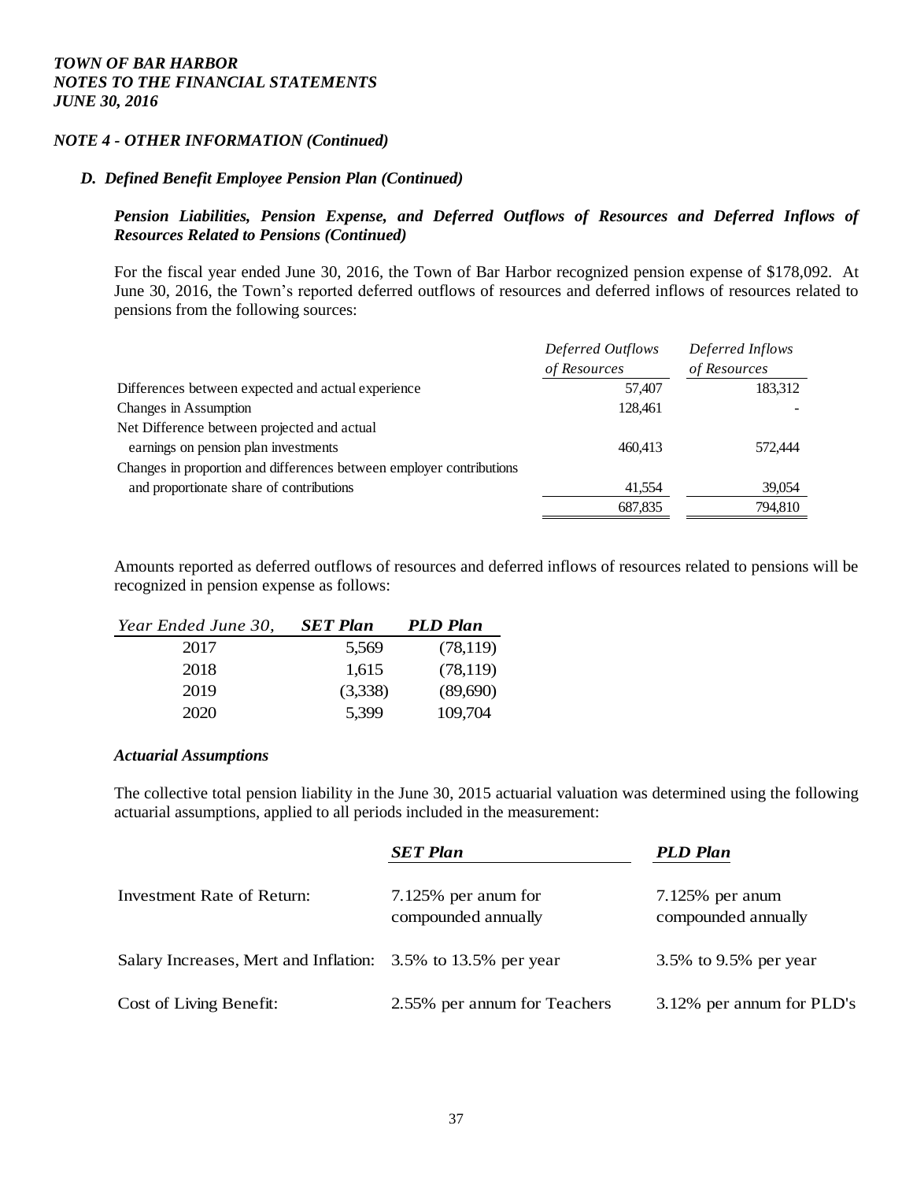#### *NOTE 4 - OTHER INFORMATION (Continued)*

#### *D. Defined Benefit Employee Pension Plan (Continued)*

## *Pension Liabilities, Pension Expense, and Deferred Outflows of Resources and Deferred Inflows of Resources Related to Pensions (Continued)*

For the fiscal year ended June 30, 2016, the Town of Bar Harbor recognized pension expense of \$178,092. At June 30, 2016, the Town's reported deferred outflows of resources and deferred inflows of resources related to pensions from the following sources:

|                                                                      | Deferred Outflows | Deferred Inflows |
|----------------------------------------------------------------------|-------------------|------------------|
|                                                                      | of Resources      | of Resources     |
| Differences between expected and actual experience                   | 57,407            | 183,312          |
| Changes in Assumption                                                | 128,461           |                  |
| Net Difference between projected and actual                          |                   |                  |
| earnings on pension plan investments                                 | 460.413           | 572,444          |
| Changes in proportion and differences between employer contributions |                   |                  |
| and proportionate share of contributions                             | 41,554            | 39,054           |
|                                                                      | 687.835           | 794,810          |
|                                                                      |                   |                  |

Amounts reported as deferred outflows of resources and deferred inflows of resources related to pensions will be recognized in pension expense as follows:

| Year Ended June 30, | <b>SET Plan</b> | <b>PLD Plan</b> |
|---------------------|-----------------|-----------------|
| 2017                | 5,569           | (78,119)        |
| 2018                | 1,615           | (78, 119)       |
| 2019                | (3,338)         | (89,690)        |
| 2020                | 5,399           | 109,704         |

#### *Actuarial Assumptions*

The collective total pension liability in the June 30, 2015 actuarial valuation was determined using the following actuarial assumptions, applied to all periods included in the measurement:

|                                                              | <b>SET Plan</b>                            | <b>PLD Plan</b>                          |
|--------------------------------------------------------------|--------------------------------------------|------------------------------------------|
| Investment Rate of Return:                                   | 7.125% per anum for<br>compounded annually | $7.125%$ per anum<br>compounded annually |
| Salary Increases, Mert and Inflation: 3.5% to 13.5% per year |                                            | 3.5% to 9.5% per year                    |
| Cost of Living Benefit:                                      | 2.55% per annum for Teachers               | 3.12% per annum for PLD's                |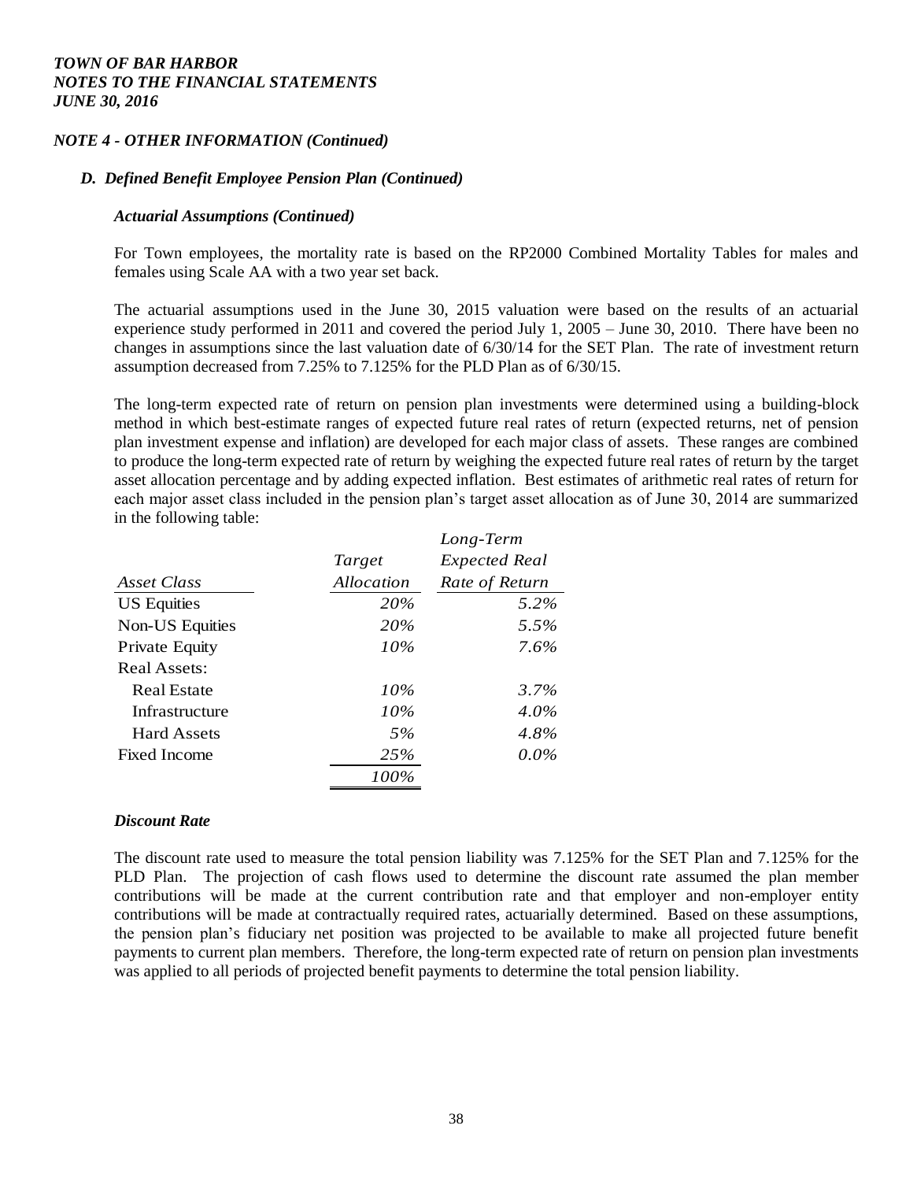## *NOTE 4 - OTHER INFORMATION (Continued)*

#### *D. Defined Benefit Employee Pension Plan (Continued)*

#### *Actuarial Assumptions (Continued)*

For Town employees, the mortality rate is based on the RP2000 Combined Mortality Tables for males and females using Scale AA with a two year set back.

The actuarial assumptions used in the June 30, 2015 valuation were based on the results of an actuarial experience study performed in 2011 and covered the period July 1, 2005 – June 30, 2010. There have been no changes in assumptions since the last valuation date of 6/30/14 for the SET Plan. The rate of investment return assumption decreased from 7.25% to 7.125% for the PLD Plan as of 6/30/15.

The long-term expected rate of return on pension plan investments were determined using a building-block method in which best-estimate ranges of expected future real rates of return (expected returns, net of pension plan investment expense and inflation) are developed for each major class of assets. These ranges are combined to produce the long-term expected rate of return by weighing the expected future real rates of return by the target asset allocation percentage and by adding expected inflation. Best estimates of arithmetic real rates of return for each major asset class included in the pension plan's target asset allocation as of June 30, 2014 are summarized in the following table:

|                        |            | Long-Term            |
|------------------------|------------|----------------------|
|                        | Target     | <b>Expected Real</b> |
| Asset Class            | Allocation | Rate of Return       |
| <b>US</b> Equities     | 20%        | 5.2%                 |
| <b>Non-US Equities</b> | 20%        | 5.5%                 |
| Private Equity         | 10%        | 7.6%                 |
| Real Assets:           |            |                      |
| Real Estate            | 10%        | $3.7\%$              |
| Infrastructure         | 10%        | $4.0\%$              |
| <b>Hard Assets</b>     | 5%         | 4.8%                 |
| Fixed Income           | 25%        | $0.0\%$              |
|                        | $100\%$    |                      |

#### *Discount Rate*

The discount rate used to measure the total pension liability was 7.125% for the SET Plan and 7.125% for the PLD Plan. The projection of cash flows used to determine the discount rate assumed the plan member contributions will be made at the current contribution rate and that employer and non-employer entity contributions will be made at contractually required rates, actuarially determined. Based on these assumptions, the pension plan's fiduciary net position was projected to be available to make all projected future benefit payments to current plan members. Therefore, the long-term expected rate of return on pension plan investments was applied to all periods of projected benefit payments to determine the total pension liability.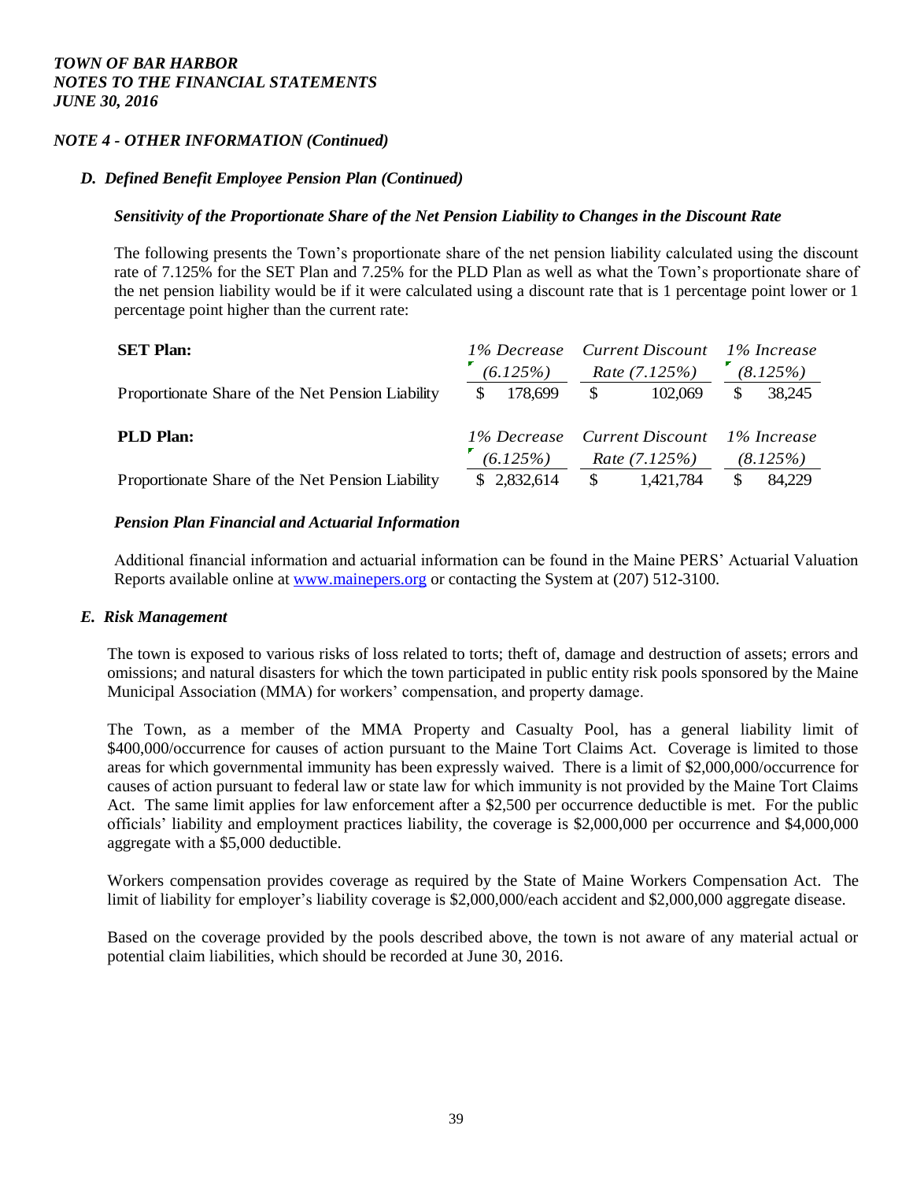## *NOTE 4 - OTHER INFORMATION (Continued)*

#### *D. Defined Benefit Employee Pension Plan (Continued)*

#### *Sensitivity of the Proportionate Share of the Net Pension Liability to Changes in the Discount Rate*

The following presents the Town's proportionate share of the net pension liability calculated using the discount rate of 7.125% for the SET Plan and 7.25% for the PLD Plan as well as what the Town's proportionate share of the net pension liability would be if it were calculated using a discount rate that is 1 percentage point lower or 1 percentage point higher than the current rate:

| <b>SET Plan:</b>                                 |                                    |             |                        | 1% Decrease Current Discount |     | 1% Increase |          |
|--------------------------------------------------|------------------------------------|-------------|------------------------|------------------------------|-----|-------------|----------|
|                                                  | (6.125%)                           |             | <i>Rate</i> $(7.125%)$ |                              |     |             | (8.125%) |
| Proportionate Share of the Net Pension Liability | S.                                 | 178,699     | - \$                   | 102.069                      | \$. | 38,245      |          |
| <b>PLD Plan:</b>                                 |                                    |             |                        | 1% Decrease Current Discount |     | 1% Increase |          |
|                                                  | <i>Rate</i> $(7.125%)$<br>(6.125%) |             |                        | (8.125%)                     |     |             |          |
| Proportionate Share of the Net Pension Liability |                                    | \$2,832,614 | -S                     | 1,421,784                    | \$. | 84,229      |          |

#### *Pension Plan Financial and Actuarial Information*

Additional financial information and actuarial information can be found in the Maine PERS' Actuarial Valuation Reports available online at [www.mainepers.org](http://www.mainepers.org/) or contacting the System at (207) 512-3100.

#### *E. Risk Management*

The town is exposed to various risks of loss related to torts; theft of, damage and destruction of assets; errors and omissions; and natural disasters for which the town participated in public entity risk pools sponsored by the Maine Municipal Association (MMA) for workers' compensation, and property damage.

The Town, as a member of the MMA Property and Casualty Pool, has a general liability limit of \$400,000/occurrence for causes of action pursuant to the Maine Tort Claims Act. Coverage is limited to those areas for which governmental immunity has been expressly waived. There is a limit of \$2,000,000/occurrence for causes of action pursuant to federal law or state law for which immunity is not provided by the Maine Tort Claims Act. The same limit applies for law enforcement after a \$2,500 per occurrence deductible is met. For the public officials' liability and employment practices liability, the coverage is \$2,000,000 per occurrence and \$4,000,000 aggregate with a \$5,000 deductible.

Workers compensation provides coverage as required by the State of Maine Workers Compensation Act. The limit of liability for employer's liability coverage is \$2,000,000/each accident and \$2,000,000 aggregate disease.

Based on the coverage provided by the pools described above, the town is not aware of any material actual or potential claim liabilities, which should be recorded at June 30, 2016.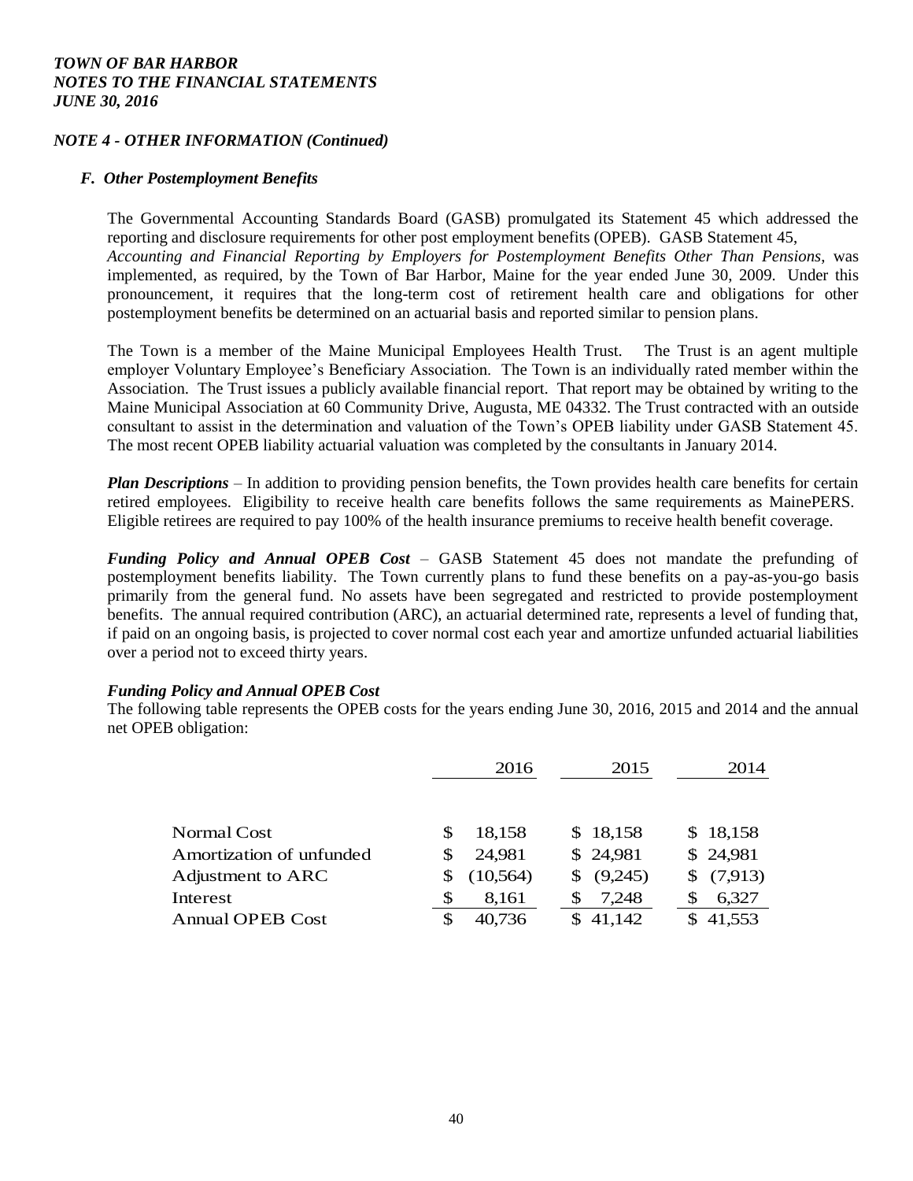#### *NOTE 4 - OTHER INFORMATION (Continued)*

#### *F. Other Postemployment Benefits*

The Governmental Accounting Standards Board (GASB) promulgated its Statement 45 which addressed the reporting and disclosure requirements for other post employment benefits (OPEB). GASB Statement 45, *Accounting and Financial Reporting by Employers for Postemployment Benefits Other Than Pensions*, was implemented, as required, by the Town of Bar Harbor, Maine for the year ended June 30, 2009. Under this pronouncement, it requires that the long-term cost of retirement health care and obligations for other postemployment benefits be determined on an actuarial basis and reported similar to pension plans.

The Town is a member of the Maine Municipal Employees Health Trust. The Trust is an agent multiple employer Voluntary Employee's Beneficiary Association. The Town is an individually rated member within the Association. The Trust issues a publicly available financial report. That report may be obtained by writing to the Maine Municipal Association at 60 Community Drive, Augusta, ME 04332. The Trust contracted with an outside consultant to assist in the determination and valuation of the Town's OPEB liability under GASB Statement 45. The most recent OPEB liability actuarial valuation was completed by the consultants in January 2014.

*Plan Descriptions* – In addition to providing pension benefits, the Town provides health care benefits for certain retired employees. Eligibility to receive health care benefits follows the same requirements as MainePERS. Eligible retirees are required to pay 100% of the health insurance premiums to receive health benefit coverage.

*Funding Policy and Annual OPEB Cost* – GASB Statement 45 does not mandate the prefunding of postemployment benefits liability. The Town currently plans to fund these benefits on a pay-as-you-go basis primarily from the general fund. No assets have been segregated and restricted to provide postemployment benefits. The annual required contribution (ARC), an actuarial determined rate, represents a level of funding that, if paid on an ongoing basis, is projected to cover normal cost each year and amortize unfunded actuarial liabilities over a period not to exceed thirty years.

## *Funding Policy and Annual OPEB Cost*

The following table represents the OPEB costs for the years ending June 30, 2016, 2015 and 2014 and the annual net OPEB obligation:

|                          |    | 2016      | 2015         | 2014      |
|--------------------------|----|-----------|--------------|-----------|
|                          |    |           |              |           |
| Normal Cost              |    | 18,158    | \$18,158     | \$18,158  |
| Amortization of unfunded |    | 24,981    | \$24,981     | \$24,981  |
| Adjustment to ARC        |    | (10, 564) | (9,245)<br>S | \$(7,913) |
| Interest                 | \$ | 8,161     | 7,248        | 6,327     |
| <b>Annual OPEB Cost</b>  | S  | 40.736    | 41,142       | 41,553    |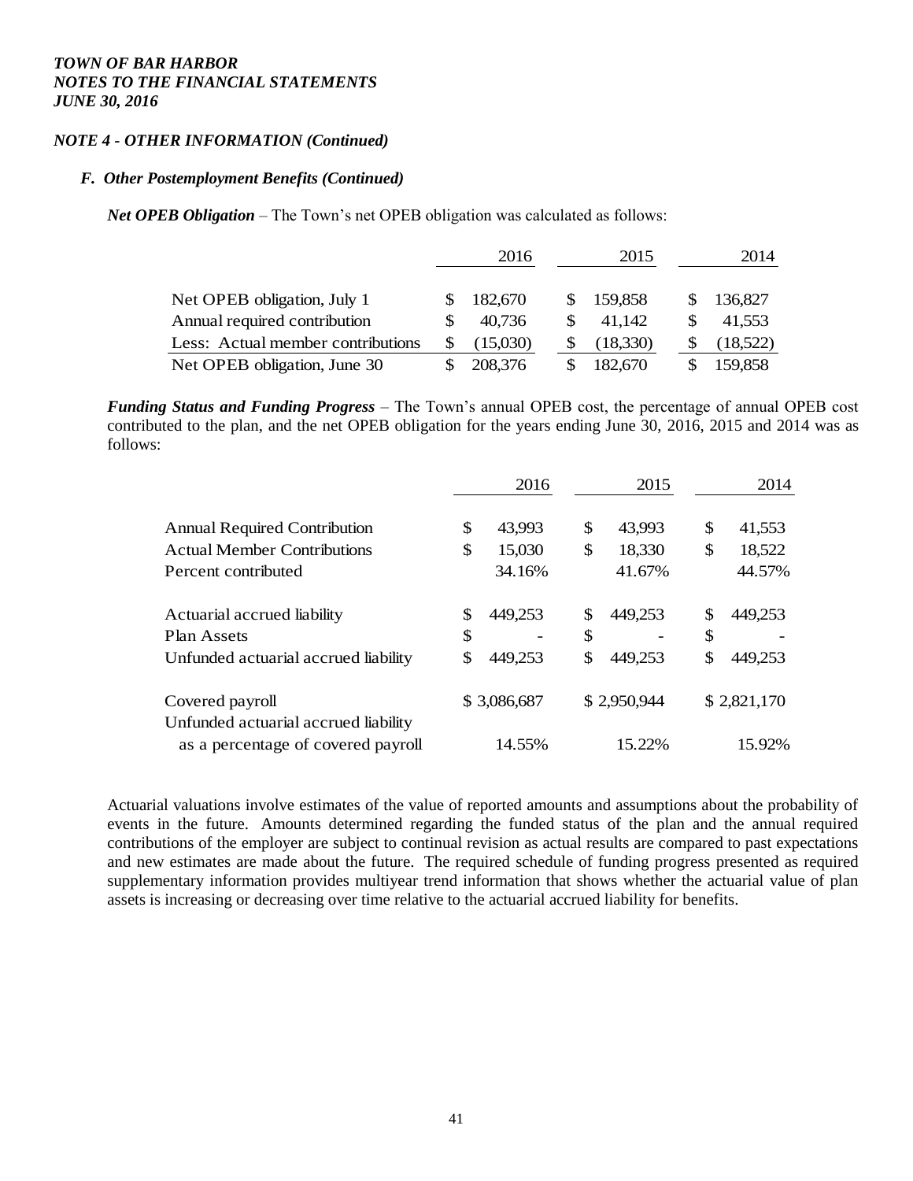#### *NOTE 4 - OTHER INFORMATION (Continued)*

#### *F. Other Postemployment Benefits (Continued)*

*Net OPEB Obligation* – The Town's net OPEB obligation was calculated as follows:

|                                   | 2016 |          | 2015 |          |     | 2014     |
|-----------------------------------|------|----------|------|----------|-----|----------|
| Net OPEB obligation, July 1       |      | 182,670  | SS.  | 159,858  |     | 136,827  |
| Annual required contribution      |      | 40,736   |      | 41,142   | \$. | 41,553   |
| Less: Actual member contributions |      | (15,030) |      | (18,330) |     | (18,522) |
| Net OPEB obligation, June 30      |      | 208,376  |      | 182,670  |     | 159,858  |

*Funding Status and Funding Progress* – The Town's annual OPEB cost, the percentage of annual OPEB cost contributed to the plan, and the net OPEB obligation for the years ending June 30, 2016, 2015 and 2014 was as follows:

|                                      | 2016          | 2015          | 2014          |
|--------------------------------------|---------------|---------------|---------------|
| <b>Annual Required Contribution</b>  | \$<br>43,993  | \$<br>43,993  | \$<br>41,553  |
| <b>Actual Member Contributions</b>   | \$<br>15,030  | \$<br>18,330  | \$<br>18,522  |
| Percent contributed                  | 34.16%        | 41.67%        | 44.57%        |
| Actuarial accrued liability          | \$<br>449,253 | \$<br>449,253 | \$<br>449,253 |
| Plan Assets                          | \$            | \$            | \$            |
| Unfunded actuarial accrued liability | \$<br>449,253 | \$<br>449,253 | \$<br>449,253 |
| Covered payroll                      | \$3,086,687   | \$2,950,944   | \$2,821,170   |
| Unfunded actuarial accrued liability |               |               |               |
| as a percentage of covered payroll   | 14.55%        | 15.22%        | 15.92%        |

Actuarial valuations involve estimates of the value of reported amounts and assumptions about the probability of events in the future. Amounts determined regarding the funded status of the plan and the annual required contributions of the employer are subject to continual revision as actual results are compared to past expectations and new estimates are made about the future. The required schedule of funding progress presented as required supplementary information provides multiyear trend information that shows whether the actuarial value of plan assets is increasing or decreasing over time relative to the actuarial accrued liability for benefits.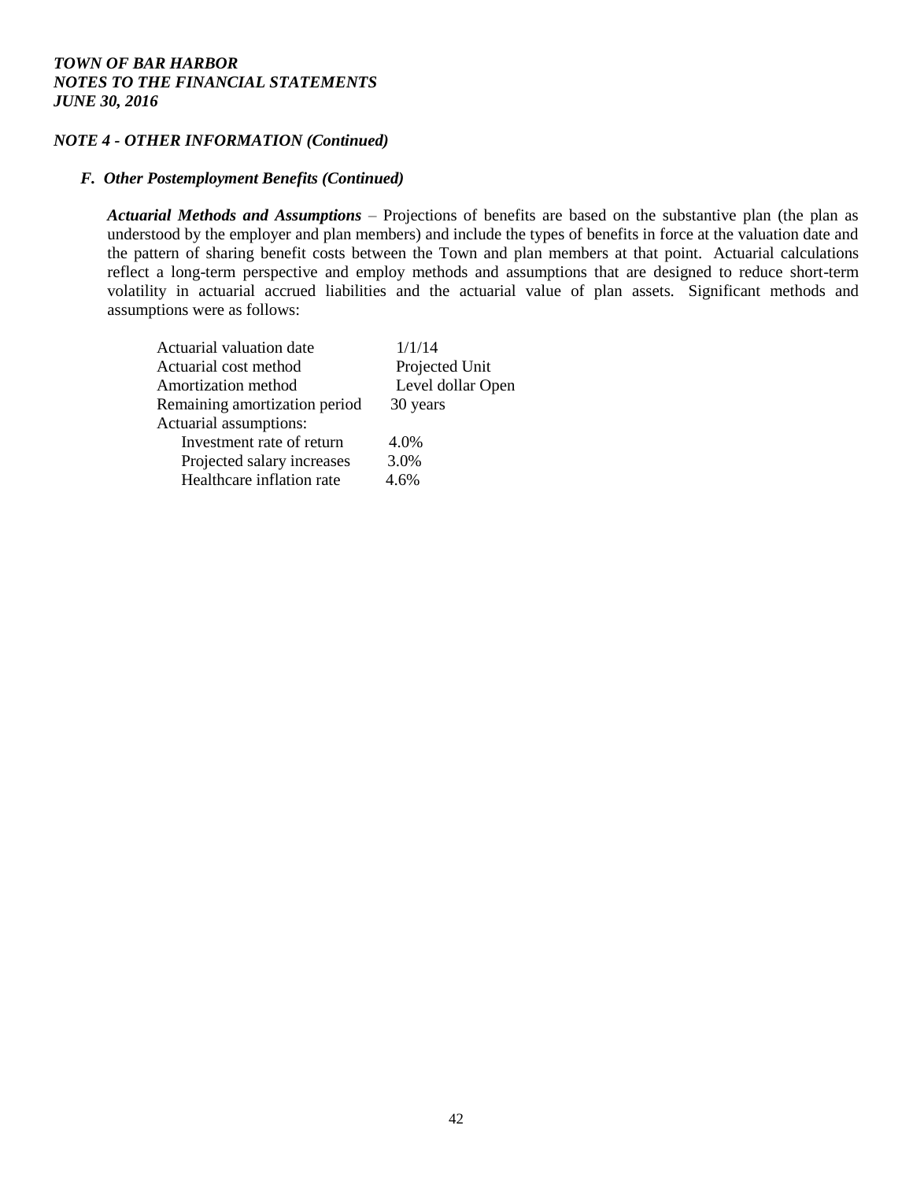## *NOTE 4 - OTHER INFORMATION (Continued)*

#### *F. Other Postemployment Benefits (Continued)*

*Actuarial Methods and Assumptions* – Projections of benefits are based on the substantive plan (the plan as understood by the employer and plan members) and include the types of benefits in force at the valuation date and the pattern of sharing benefit costs between the Town and plan members at that point. Actuarial calculations reflect a long-term perspective and employ methods and assumptions that are designed to reduce short-term volatility in actuarial accrued liabilities and the actuarial value of plan assets. Significant methods and assumptions were as follows:

| Actuarial valuation date      | 1/1/14            |
|-------------------------------|-------------------|
| Actuarial cost method         | Projected Unit    |
| Amortization method           | Level dollar Open |
| Remaining amortization period | 30 years          |
| Actuarial assumptions:        |                   |
| Investment rate of return     | 4.0%              |
| Projected salary increases    | 3.0%              |
| Healthcare inflation rate     | 4.6%              |
|                               |                   |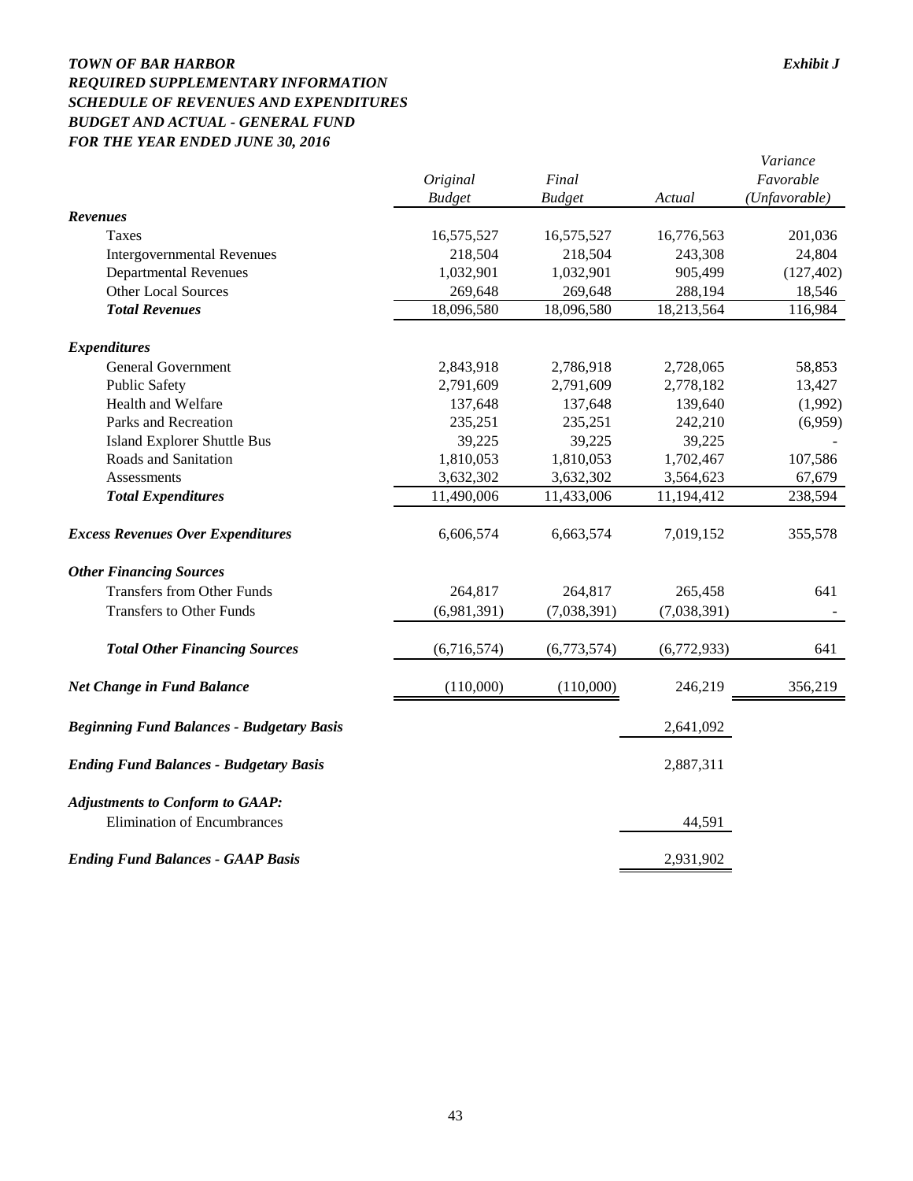## *TOWN OF BAR HARBOR Exhibit J REQUIRED SUPPLEMENTARY INFORMATION SCHEDULE OF REVENUES AND EXPENDITURES BUDGET AND ACTUAL - GENERAL FUND FOR THE YEAR ENDED JUNE 30, 2016*

|                                                                              | Original      | Final         |             | Variance<br>Favorable |
|------------------------------------------------------------------------------|---------------|---------------|-------------|-----------------------|
|                                                                              | <b>Budget</b> | <b>Budget</b> | Actual      | (Unfavorable)         |
| <b>Revenues</b>                                                              |               |               |             |                       |
| Taxes                                                                        | 16,575,527    | 16,575,527    | 16,776,563  | 201,036               |
| <b>Intergovernmental Revenues</b>                                            | 218,504       | 218,504       | 243,308     | 24,804                |
| <b>Departmental Revenues</b>                                                 | 1,032,901     | 1,032,901     | 905,499     | (127, 402)            |
| <b>Other Local Sources</b>                                                   | 269,648       | 269,648       | 288,194     | 18,546                |
| <b>Total Revenues</b>                                                        | 18,096,580    | 18,096,580    | 18,213,564  | 116,984               |
| <b>Expenditures</b>                                                          |               |               |             |                       |
| <b>General Government</b>                                                    | 2,843,918     | 2,786,918     | 2,728,065   | 58,853                |
| <b>Public Safety</b>                                                         | 2,791,609     | 2,791,609     | 2,778,182   | 13,427                |
| Health and Welfare                                                           | 137,648       | 137,648       | 139,640     | (1,992)               |
| Parks and Recreation                                                         | 235,251       | 235,251       | 242,210     | (6,959)               |
| <b>Island Explorer Shuttle Bus</b>                                           | 39,225        | 39,225        | 39,225      |                       |
| Roads and Sanitation                                                         | 1,810,053     | 1,810,053     | 1,702,467   | 107,586               |
| Assessments                                                                  | 3,632,302     | 3,632,302     | 3,564,623   | 67,679                |
| <b>Total Expenditures</b>                                                    | 11,490,006    | 11,433,006    | 11,194,412  | 238,594               |
| <b>Excess Revenues Over Expenditures</b>                                     | 6,606,574     | 6,663,574     | 7,019,152   | 355,578               |
| <b>Other Financing Sources</b>                                               |               |               |             |                       |
| <b>Transfers from Other Funds</b>                                            | 264,817       | 264,817       | 265,458     | 641                   |
| <b>Transfers to Other Funds</b>                                              | (6,981,391)   | (7,038,391)   | (7,038,391) |                       |
| <b>Total Other Financing Sources</b>                                         | (6,716,574)   | (6,773,574)   | (6,772,933) | 641                   |
| <b>Net Change in Fund Balance</b>                                            | (110,000)     | (110,000)     | 246,219     | 356,219               |
| <b>Beginning Fund Balances - Budgetary Basis</b>                             |               |               | 2,641,092   |                       |
| <b>Ending Fund Balances - Budgetary Basis</b>                                |               |               | 2,887,311   |                       |
| <b>Adjustments to Conform to GAAP:</b><br><b>Elimination of Encumbrances</b> |               |               | 44,591      |                       |
| <b>Ending Fund Balances - GAAP Basis</b>                                     |               |               | 2,931,902   |                       |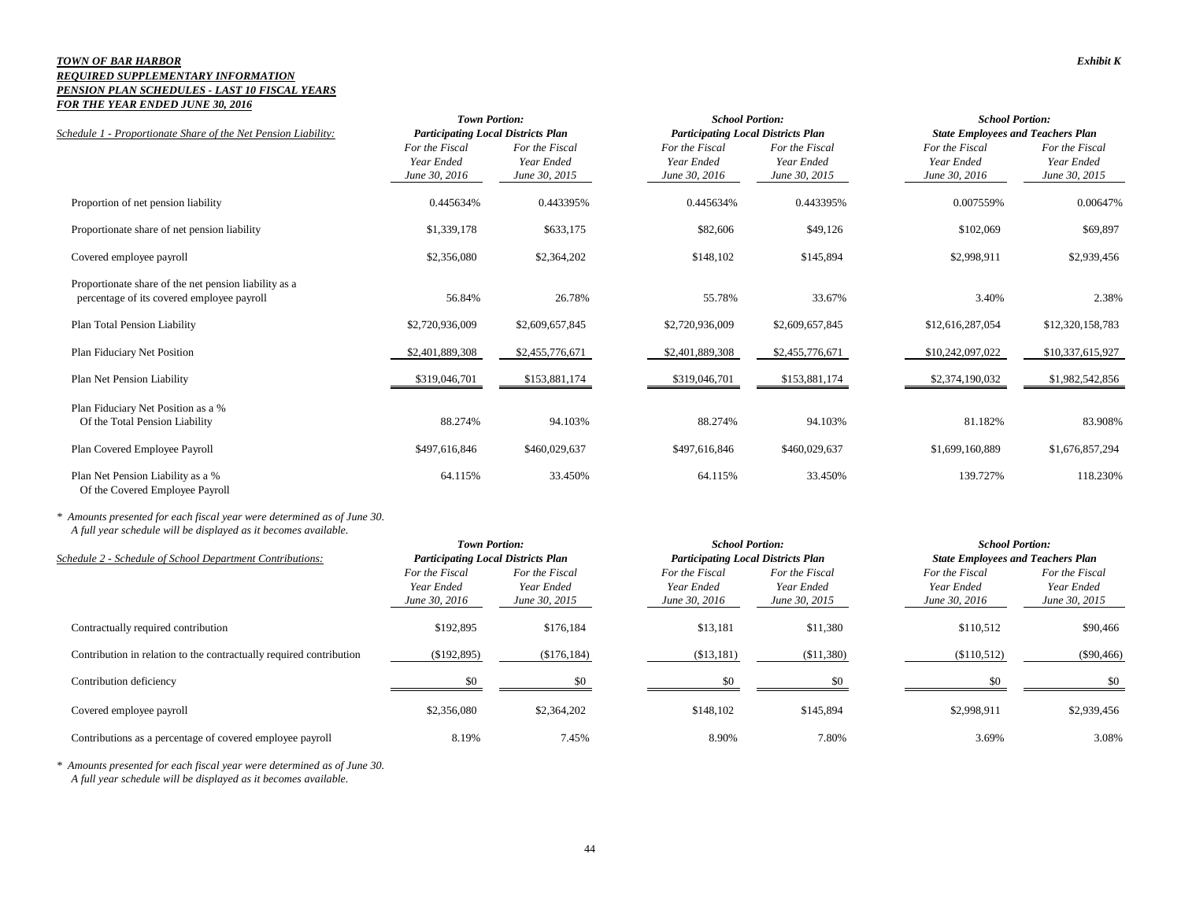#### *TOWN OF BAR HARBOR Exhibit K REQUIRED SUPPLEMENTARY INFORMATION PENSION PLAN SCHEDULES - LAST 10 FISCAL YEARS FOR THE YEAR ENDED JUNE 30, 2016*

|                                                                                                     |                                               | <b>Town Portion:</b><br><b>Participating Local Districts Plan</b> |                                               | <b>School Portion:</b>                        | <b>School Portion:</b>                        |                                               |  |
|-----------------------------------------------------------------------------------------------------|-----------------------------------------------|-------------------------------------------------------------------|-----------------------------------------------|-----------------------------------------------|-----------------------------------------------|-----------------------------------------------|--|
| Schedule 1 - Proportionate Share of the Net Pension Liability:                                      |                                               |                                                                   |                                               | <b>Participating Local Districts Plan</b>     | <b>State Employees and Teachers Plan</b>      |                                               |  |
|                                                                                                     | For the Fiscal<br>Year Ended<br>June 30, 2016 | For the Fiscal<br>Year Ended<br>June 30, 2015                     | For the Fiscal<br>Year Ended<br>June 30, 2016 | For the Fiscal<br>Year Ended<br>June 30, 2015 | For the Fiscal<br>Year Ended<br>June 30, 2016 | For the Fiscal<br>Year Ended<br>June 30, 2015 |  |
| Proportion of net pension liability                                                                 | 0.445634%                                     | 0.443395%                                                         | 0.445634%                                     | 0.443395%                                     | 0.007559%                                     | 0.00647%                                      |  |
| Proportionate share of net pension liability                                                        | \$1,339,178                                   | \$633,175                                                         | \$82,606                                      | \$49,126                                      | \$102,069                                     | \$69,897                                      |  |
| Covered employee payroll                                                                            | \$2,356,080                                   | \$2,364,202                                                       | \$148,102                                     | \$145,894                                     | \$2,998,911                                   | \$2,939,456                                   |  |
| Proportionate share of the net pension liability as a<br>percentage of its covered employee payroll | 56.84%                                        | 26.78%                                                            | 55.78%                                        | 33.67%                                        | 3.40%                                         | 2.38%                                         |  |
| Plan Total Pension Liability                                                                        | \$2,720,936,009                               | \$2,609,657,845                                                   | \$2,720,936,009                               | \$2,609,657,845                               | \$12,616,287,054                              | \$12,320,158,783                              |  |
| Plan Fiduciary Net Position                                                                         | \$2,401,889,308                               | \$2,455,776,671                                                   | \$2,401,889,308                               | \$2,455,776,671                               | \$10,242,097,022                              | \$10,337,615,927                              |  |
| Plan Net Pension Liability                                                                          | \$319,046,701                                 | \$153,881,174                                                     | \$319,046,701                                 | \$153,881,174                                 | \$2,374,190,032                               | \$1,982,542,856                               |  |
| Plan Fiduciary Net Position as a %<br>Of the Total Pension Liability                                | 88.274%                                       | 94.103%                                                           | 88.274%                                       | 94.103%                                       | 81.182%                                       | 83.908%                                       |  |
| Plan Covered Employee Payroll                                                                       | \$497,616,846                                 | \$460,029,637                                                     | \$497,616,846                                 | \$460,029,637                                 | \$1,699,160,889                               | \$1,676,857,294                               |  |
| Plan Net Pension Liability as a %<br>Of the Covered Employee Payroll                                | 64.115%                                       | 33.450%                                                           | 64.115%                                       | 33.450%                                       | 139.727%                                      | 118.230%                                      |  |

*\* Amounts presented for each fiscal year were determined as of June 30. A full year schedule will be displayed as it becomes available.*

|                                                                     | <b>Town Portion:</b><br><b>Participating Local Districts Plan</b> |                                               | <b>School Portion:</b>                        |                                               | <b>School Portion:</b>                        |                                               |  |
|---------------------------------------------------------------------|-------------------------------------------------------------------|-----------------------------------------------|-----------------------------------------------|-----------------------------------------------|-----------------------------------------------|-----------------------------------------------|--|
| Schedule 2 - Schedule of School Department Contributions:           |                                                                   |                                               | <b>Participating Local Districts Plan</b>     |                                               | <b>State Employees and Teachers Plan</b>      |                                               |  |
|                                                                     | For the Fiscal<br>Year Ended<br>June 30, 2016                     | For the Fiscal<br>Year Ended<br>June 30, 2015 | For the Fiscal<br>Year Ended<br>June 30, 2016 | For the Fiscal<br>Year Ended<br>June 30, 2015 | For the Fiscal<br>Year Ended<br>June 30, 2016 | For the Fiscal<br>Year Ended<br>June 30, 2015 |  |
| Contractually required contribution                                 | \$192,895                                                         | \$176,184                                     | \$13,181                                      | \$11,380                                      | \$110,512                                     | \$90,466                                      |  |
| Contribution in relation to the contractually required contribution | (\$192,895)                                                       | (\$176,184)                                   | ( \$13,181)                                   | (S11,380)                                     | (\$110,512)                                   | $(\$90,466)$                                  |  |
| Contribution deficiency                                             | \$0                                                               | \$0                                           |                                               | \$0                                           | \$0                                           | \$0                                           |  |
| Covered employee payroll                                            | \$2,356,080                                                       | \$2,364,202                                   | \$148,102                                     | \$145,894                                     | \$2,998,911                                   | \$2,939,456                                   |  |
| Contributions as a percentage of covered employee payroll           | 8.19%                                                             | 7.45%                                         | 8.90%                                         | 7.80%                                         | 3.69%                                         | 3.08%                                         |  |

*\* Amounts presented for each fiscal year were determined as of June 30. A full year schedule will be displayed as it becomes available.*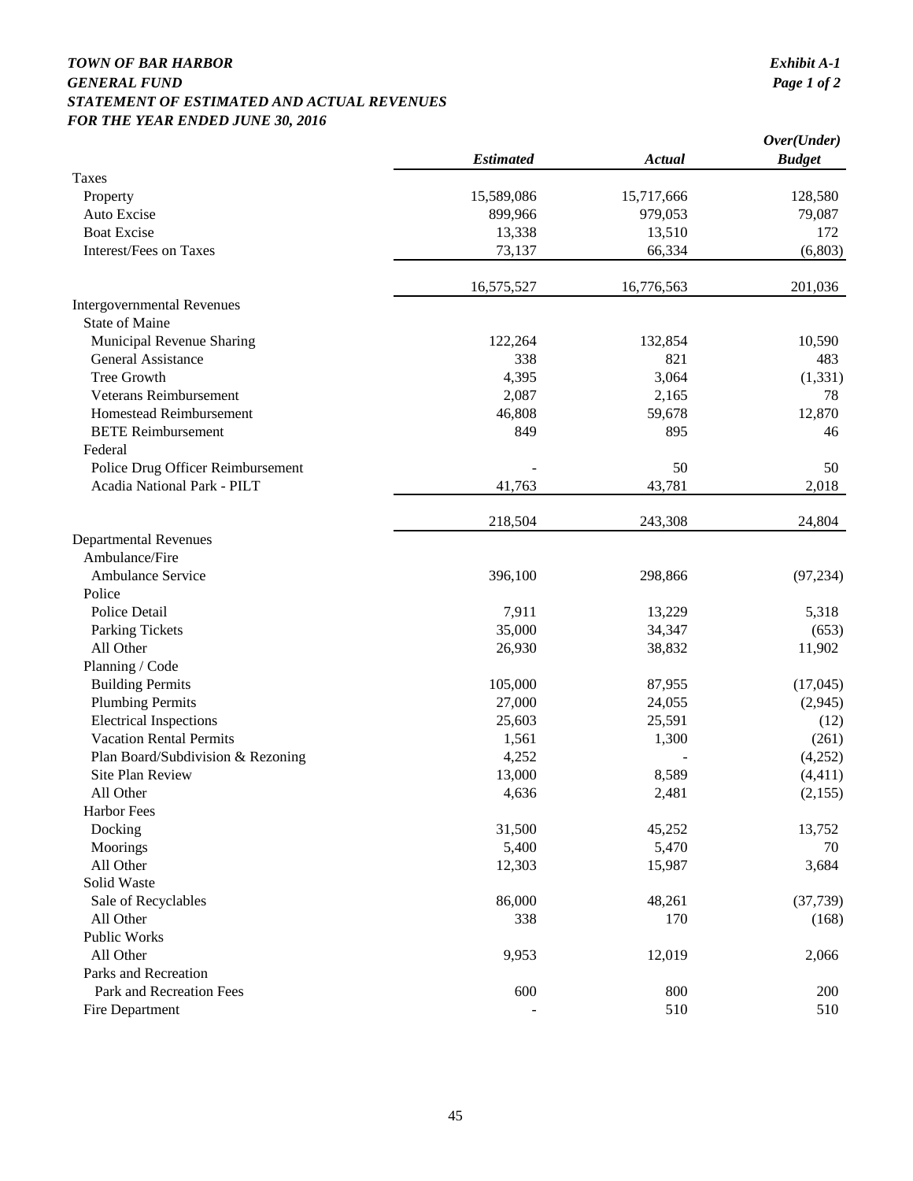## *TOWN OF BAR HARBOR Exhibit A-1 GENERAL FUND STATEMENT OF ESTIMATED AND ACTUAL REVENUES FOR THE YEAR ENDED JUNE 30, 2016*

| <b>Estimated</b><br><b>Budget</b><br>Actual<br>Taxes<br>15,589,086<br>15,717,666<br>128,580<br>Property<br>Auto Excise<br>899,966<br>979,053<br>79,087<br><b>Boat Excise</b><br>13,338<br>13,510<br>172<br><b>Interest/Fees on Taxes</b><br>(6, 803)<br>73,137<br>66,334<br>16,575,527<br>16,776,563<br>201,036<br><b>Intergovernmental Revenues</b><br><b>State of Maine</b><br>Municipal Revenue Sharing<br>122,264<br>132,854<br>10,590<br>338<br>General Assistance<br>821<br>483<br>Tree Growth<br>3,064<br>4,395<br>(1, 331)<br>Veterans Reimbursement<br>2,087<br>2,165<br>78<br>Homestead Reimbursement<br>12,870<br>46,808<br>59,678<br><b>BETE Reimbursement</b><br>849<br>895<br>46<br>Federal<br>50<br>Police Drug Officer Reimbursement<br>50<br>Acadia National Park - PILT<br>41,763<br>43,781<br>2,018<br>218,504<br>243,308<br>24,804<br><b>Departmental Revenues</b><br>Ambulance/Fire<br>Ambulance Service<br>396,100<br>298,866<br>(97, 234)<br>Police<br>Police Detail<br>7,911<br>13,229<br>5,318<br>35,000<br>34,347<br>Parking Tickets<br>(653)<br>All Other<br>26,930<br>38,832<br>11,902<br>Planning / Code<br>105,000<br>(17, 045)<br><b>Building Permits</b><br>87,955<br><b>Plumbing Permits</b><br>27,000<br>24,055<br>(2,945)<br><b>Electrical Inspections</b><br>25,603<br>25,591<br>(12)<br><b>Vacation Rental Permits</b><br>1,561<br>1,300<br>(261)<br>Plan Board/Subdivision & Rezoning<br>4,252<br>(4,252)<br><b>Site Plan Review</b><br>13,000<br>8,589<br>(4, 411)<br>All Other<br>4,636<br>2,481<br>(2, 155)<br><b>Harbor Fees</b><br>Docking<br>13,752<br>31,500<br>45,252<br>5,400<br>5,470<br>Moorings<br>70<br>All Other<br>12,303<br>15,987<br>3,684<br>Solid Waste<br>86,000<br>Sale of Recyclables<br>48,261<br>(37, 739)<br>All Other<br>170<br>338<br>(168)<br>Public Works<br>All Other<br>9,953<br>12,019<br>2,066<br>Parks and Recreation<br>Park and Recreation Fees<br>800<br>600<br>200<br>510<br>510<br>Fire Department |  | Over(Under) |  |
|---------------------------------------------------------------------------------------------------------------------------------------------------------------------------------------------------------------------------------------------------------------------------------------------------------------------------------------------------------------------------------------------------------------------------------------------------------------------------------------------------------------------------------------------------------------------------------------------------------------------------------------------------------------------------------------------------------------------------------------------------------------------------------------------------------------------------------------------------------------------------------------------------------------------------------------------------------------------------------------------------------------------------------------------------------------------------------------------------------------------------------------------------------------------------------------------------------------------------------------------------------------------------------------------------------------------------------------------------------------------------------------------------------------------------------------------------------------------------------------------------------------------------------------------------------------------------------------------------------------------------------------------------------------------------------------------------------------------------------------------------------------------------------------------------------------------------------------------------------------------------------------------------------------------------------------------------------------------------------|--|-------------|--|
|                                                                                                                                                                                                                                                                                                                                                                                                                                                                                                                                                                                                                                                                                                                                                                                                                                                                                                                                                                                                                                                                                                                                                                                                                                                                                                                                                                                                                                                                                                                                                                                                                                                                                                                                                                                                                                                                                                                                                                                 |  |             |  |
|                                                                                                                                                                                                                                                                                                                                                                                                                                                                                                                                                                                                                                                                                                                                                                                                                                                                                                                                                                                                                                                                                                                                                                                                                                                                                                                                                                                                                                                                                                                                                                                                                                                                                                                                                                                                                                                                                                                                                                                 |  |             |  |
|                                                                                                                                                                                                                                                                                                                                                                                                                                                                                                                                                                                                                                                                                                                                                                                                                                                                                                                                                                                                                                                                                                                                                                                                                                                                                                                                                                                                                                                                                                                                                                                                                                                                                                                                                                                                                                                                                                                                                                                 |  |             |  |
|                                                                                                                                                                                                                                                                                                                                                                                                                                                                                                                                                                                                                                                                                                                                                                                                                                                                                                                                                                                                                                                                                                                                                                                                                                                                                                                                                                                                                                                                                                                                                                                                                                                                                                                                                                                                                                                                                                                                                                                 |  |             |  |
|                                                                                                                                                                                                                                                                                                                                                                                                                                                                                                                                                                                                                                                                                                                                                                                                                                                                                                                                                                                                                                                                                                                                                                                                                                                                                                                                                                                                                                                                                                                                                                                                                                                                                                                                                                                                                                                                                                                                                                                 |  |             |  |
|                                                                                                                                                                                                                                                                                                                                                                                                                                                                                                                                                                                                                                                                                                                                                                                                                                                                                                                                                                                                                                                                                                                                                                                                                                                                                                                                                                                                                                                                                                                                                                                                                                                                                                                                                                                                                                                                                                                                                                                 |  |             |  |
|                                                                                                                                                                                                                                                                                                                                                                                                                                                                                                                                                                                                                                                                                                                                                                                                                                                                                                                                                                                                                                                                                                                                                                                                                                                                                                                                                                                                                                                                                                                                                                                                                                                                                                                                                                                                                                                                                                                                                                                 |  |             |  |
|                                                                                                                                                                                                                                                                                                                                                                                                                                                                                                                                                                                                                                                                                                                                                                                                                                                                                                                                                                                                                                                                                                                                                                                                                                                                                                                                                                                                                                                                                                                                                                                                                                                                                                                                                                                                                                                                                                                                                                                 |  |             |  |
|                                                                                                                                                                                                                                                                                                                                                                                                                                                                                                                                                                                                                                                                                                                                                                                                                                                                                                                                                                                                                                                                                                                                                                                                                                                                                                                                                                                                                                                                                                                                                                                                                                                                                                                                                                                                                                                                                                                                                                                 |  |             |  |
|                                                                                                                                                                                                                                                                                                                                                                                                                                                                                                                                                                                                                                                                                                                                                                                                                                                                                                                                                                                                                                                                                                                                                                                                                                                                                                                                                                                                                                                                                                                                                                                                                                                                                                                                                                                                                                                                                                                                                                                 |  |             |  |
|                                                                                                                                                                                                                                                                                                                                                                                                                                                                                                                                                                                                                                                                                                                                                                                                                                                                                                                                                                                                                                                                                                                                                                                                                                                                                                                                                                                                                                                                                                                                                                                                                                                                                                                                                                                                                                                                                                                                                                                 |  |             |  |
|                                                                                                                                                                                                                                                                                                                                                                                                                                                                                                                                                                                                                                                                                                                                                                                                                                                                                                                                                                                                                                                                                                                                                                                                                                                                                                                                                                                                                                                                                                                                                                                                                                                                                                                                                                                                                                                                                                                                                                                 |  |             |  |
|                                                                                                                                                                                                                                                                                                                                                                                                                                                                                                                                                                                                                                                                                                                                                                                                                                                                                                                                                                                                                                                                                                                                                                                                                                                                                                                                                                                                                                                                                                                                                                                                                                                                                                                                                                                                                                                                                                                                                                                 |  |             |  |
|                                                                                                                                                                                                                                                                                                                                                                                                                                                                                                                                                                                                                                                                                                                                                                                                                                                                                                                                                                                                                                                                                                                                                                                                                                                                                                                                                                                                                                                                                                                                                                                                                                                                                                                                                                                                                                                                                                                                                                                 |  |             |  |
|                                                                                                                                                                                                                                                                                                                                                                                                                                                                                                                                                                                                                                                                                                                                                                                                                                                                                                                                                                                                                                                                                                                                                                                                                                                                                                                                                                                                                                                                                                                                                                                                                                                                                                                                                                                                                                                                                                                                                                                 |  |             |  |
|                                                                                                                                                                                                                                                                                                                                                                                                                                                                                                                                                                                                                                                                                                                                                                                                                                                                                                                                                                                                                                                                                                                                                                                                                                                                                                                                                                                                                                                                                                                                                                                                                                                                                                                                                                                                                                                                                                                                                                                 |  |             |  |
|                                                                                                                                                                                                                                                                                                                                                                                                                                                                                                                                                                                                                                                                                                                                                                                                                                                                                                                                                                                                                                                                                                                                                                                                                                                                                                                                                                                                                                                                                                                                                                                                                                                                                                                                                                                                                                                                                                                                                                                 |  |             |  |
|                                                                                                                                                                                                                                                                                                                                                                                                                                                                                                                                                                                                                                                                                                                                                                                                                                                                                                                                                                                                                                                                                                                                                                                                                                                                                                                                                                                                                                                                                                                                                                                                                                                                                                                                                                                                                                                                                                                                                                                 |  |             |  |
|                                                                                                                                                                                                                                                                                                                                                                                                                                                                                                                                                                                                                                                                                                                                                                                                                                                                                                                                                                                                                                                                                                                                                                                                                                                                                                                                                                                                                                                                                                                                                                                                                                                                                                                                                                                                                                                                                                                                                                                 |  |             |  |
|                                                                                                                                                                                                                                                                                                                                                                                                                                                                                                                                                                                                                                                                                                                                                                                                                                                                                                                                                                                                                                                                                                                                                                                                                                                                                                                                                                                                                                                                                                                                                                                                                                                                                                                                                                                                                                                                                                                                                                                 |  |             |  |
|                                                                                                                                                                                                                                                                                                                                                                                                                                                                                                                                                                                                                                                                                                                                                                                                                                                                                                                                                                                                                                                                                                                                                                                                                                                                                                                                                                                                                                                                                                                                                                                                                                                                                                                                                                                                                                                                                                                                                                                 |  |             |  |
|                                                                                                                                                                                                                                                                                                                                                                                                                                                                                                                                                                                                                                                                                                                                                                                                                                                                                                                                                                                                                                                                                                                                                                                                                                                                                                                                                                                                                                                                                                                                                                                                                                                                                                                                                                                                                                                                                                                                                                                 |  |             |  |
|                                                                                                                                                                                                                                                                                                                                                                                                                                                                                                                                                                                                                                                                                                                                                                                                                                                                                                                                                                                                                                                                                                                                                                                                                                                                                                                                                                                                                                                                                                                                                                                                                                                                                                                                                                                                                                                                                                                                                                                 |  |             |  |
|                                                                                                                                                                                                                                                                                                                                                                                                                                                                                                                                                                                                                                                                                                                                                                                                                                                                                                                                                                                                                                                                                                                                                                                                                                                                                                                                                                                                                                                                                                                                                                                                                                                                                                                                                                                                                                                                                                                                                                                 |  |             |  |
|                                                                                                                                                                                                                                                                                                                                                                                                                                                                                                                                                                                                                                                                                                                                                                                                                                                                                                                                                                                                                                                                                                                                                                                                                                                                                                                                                                                                                                                                                                                                                                                                                                                                                                                                                                                                                                                                                                                                                                                 |  |             |  |
|                                                                                                                                                                                                                                                                                                                                                                                                                                                                                                                                                                                                                                                                                                                                                                                                                                                                                                                                                                                                                                                                                                                                                                                                                                                                                                                                                                                                                                                                                                                                                                                                                                                                                                                                                                                                                                                                                                                                                                                 |  |             |  |
|                                                                                                                                                                                                                                                                                                                                                                                                                                                                                                                                                                                                                                                                                                                                                                                                                                                                                                                                                                                                                                                                                                                                                                                                                                                                                                                                                                                                                                                                                                                                                                                                                                                                                                                                                                                                                                                                                                                                                                                 |  |             |  |
|                                                                                                                                                                                                                                                                                                                                                                                                                                                                                                                                                                                                                                                                                                                                                                                                                                                                                                                                                                                                                                                                                                                                                                                                                                                                                                                                                                                                                                                                                                                                                                                                                                                                                                                                                                                                                                                                                                                                                                                 |  |             |  |
|                                                                                                                                                                                                                                                                                                                                                                                                                                                                                                                                                                                                                                                                                                                                                                                                                                                                                                                                                                                                                                                                                                                                                                                                                                                                                                                                                                                                                                                                                                                                                                                                                                                                                                                                                                                                                                                                                                                                                                                 |  |             |  |
|                                                                                                                                                                                                                                                                                                                                                                                                                                                                                                                                                                                                                                                                                                                                                                                                                                                                                                                                                                                                                                                                                                                                                                                                                                                                                                                                                                                                                                                                                                                                                                                                                                                                                                                                                                                                                                                                                                                                                                                 |  |             |  |
|                                                                                                                                                                                                                                                                                                                                                                                                                                                                                                                                                                                                                                                                                                                                                                                                                                                                                                                                                                                                                                                                                                                                                                                                                                                                                                                                                                                                                                                                                                                                                                                                                                                                                                                                                                                                                                                                                                                                                                                 |  |             |  |
|                                                                                                                                                                                                                                                                                                                                                                                                                                                                                                                                                                                                                                                                                                                                                                                                                                                                                                                                                                                                                                                                                                                                                                                                                                                                                                                                                                                                                                                                                                                                                                                                                                                                                                                                                                                                                                                                                                                                                                                 |  |             |  |
|                                                                                                                                                                                                                                                                                                                                                                                                                                                                                                                                                                                                                                                                                                                                                                                                                                                                                                                                                                                                                                                                                                                                                                                                                                                                                                                                                                                                                                                                                                                                                                                                                                                                                                                                                                                                                                                                                                                                                                                 |  |             |  |
|                                                                                                                                                                                                                                                                                                                                                                                                                                                                                                                                                                                                                                                                                                                                                                                                                                                                                                                                                                                                                                                                                                                                                                                                                                                                                                                                                                                                                                                                                                                                                                                                                                                                                                                                                                                                                                                                                                                                                                                 |  |             |  |
|                                                                                                                                                                                                                                                                                                                                                                                                                                                                                                                                                                                                                                                                                                                                                                                                                                                                                                                                                                                                                                                                                                                                                                                                                                                                                                                                                                                                                                                                                                                                                                                                                                                                                                                                                                                                                                                                                                                                                                                 |  |             |  |
|                                                                                                                                                                                                                                                                                                                                                                                                                                                                                                                                                                                                                                                                                                                                                                                                                                                                                                                                                                                                                                                                                                                                                                                                                                                                                                                                                                                                                                                                                                                                                                                                                                                                                                                                                                                                                                                                                                                                                                                 |  |             |  |
|                                                                                                                                                                                                                                                                                                                                                                                                                                                                                                                                                                                                                                                                                                                                                                                                                                                                                                                                                                                                                                                                                                                                                                                                                                                                                                                                                                                                                                                                                                                                                                                                                                                                                                                                                                                                                                                                                                                                                                                 |  |             |  |
|                                                                                                                                                                                                                                                                                                                                                                                                                                                                                                                                                                                                                                                                                                                                                                                                                                                                                                                                                                                                                                                                                                                                                                                                                                                                                                                                                                                                                                                                                                                                                                                                                                                                                                                                                                                                                                                                                                                                                                                 |  |             |  |
|                                                                                                                                                                                                                                                                                                                                                                                                                                                                                                                                                                                                                                                                                                                                                                                                                                                                                                                                                                                                                                                                                                                                                                                                                                                                                                                                                                                                                                                                                                                                                                                                                                                                                                                                                                                                                                                                                                                                                                                 |  |             |  |
|                                                                                                                                                                                                                                                                                                                                                                                                                                                                                                                                                                                                                                                                                                                                                                                                                                                                                                                                                                                                                                                                                                                                                                                                                                                                                                                                                                                                                                                                                                                                                                                                                                                                                                                                                                                                                                                                                                                                                                                 |  |             |  |
|                                                                                                                                                                                                                                                                                                                                                                                                                                                                                                                                                                                                                                                                                                                                                                                                                                                                                                                                                                                                                                                                                                                                                                                                                                                                                                                                                                                                                                                                                                                                                                                                                                                                                                                                                                                                                                                                                                                                                                                 |  |             |  |
|                                                                                                                                                                                                                                                                                                                                                                                                                                                                                                                                                                                                                                                                                                                                                                                                                                                                                                                                                                                                                                                                                                                                                                                                                                                                                                                                                                                                                                                                                                                                                                                                                                                                                                                                                                                                                                                                                                                                                                                 |  |             |  |
|                                                                                                                                                                                                                                                                                                                                                                                                                                                                                                                                                                                                                                                                                                                                                                                                                                                                                                                                                                                                                                                                                                                                                                                                                                                                                                                                                                                                                                                                                                                                                                                                                                                                                                                                                                                                                                                                                                                                                                                 |  |             |  |
|                                                                                                                                                                                                                                                                                                                                                                                                                                                                                                                                                                                                                                                                                                                                                                                                                                                                                                                                                                                                                                                                                                                                                                                                                                                                                                                                                                                                                                                                                                                                                                                                                                                                                                                                                                                                                                                                                                                                                                                 |  |             |  |
|                                                                                                                                                                                                                                                                                                                                                                                                                                                                                                                                                                                                                                                                                                                                                                                                                                                                                                                                                                                                                                                                                                                                                                                                                                                                                                                                                                                                                                                                                                                                                                                                                                                                                                                                                                                                                                                                                                                                                                                 |  |             |  |
|                                                                                                                                                                                                                                                                                                                                                                                                                                                                                                                                                                                                                                                                                                                                                                                                                                                                                                                                                                                                                                                                                                                                                                                                                                                                                                                                                                                                                                                                                                                                                                                                                                                                                                                                                                                                                                                                                                                                                                                 |  |             |  |
|                                                                                                                                                                                                                                                                                                                                                                                                                                                                                                                                                                                                                                                                                                                                                                                                                                                                                                                                                                                                                                                                                                                                                                                                                                                                                                                                                                                                                                                                                                                                                                                                                                                                                                                                                                                                                                                                                                                                                                                 |  |             |  |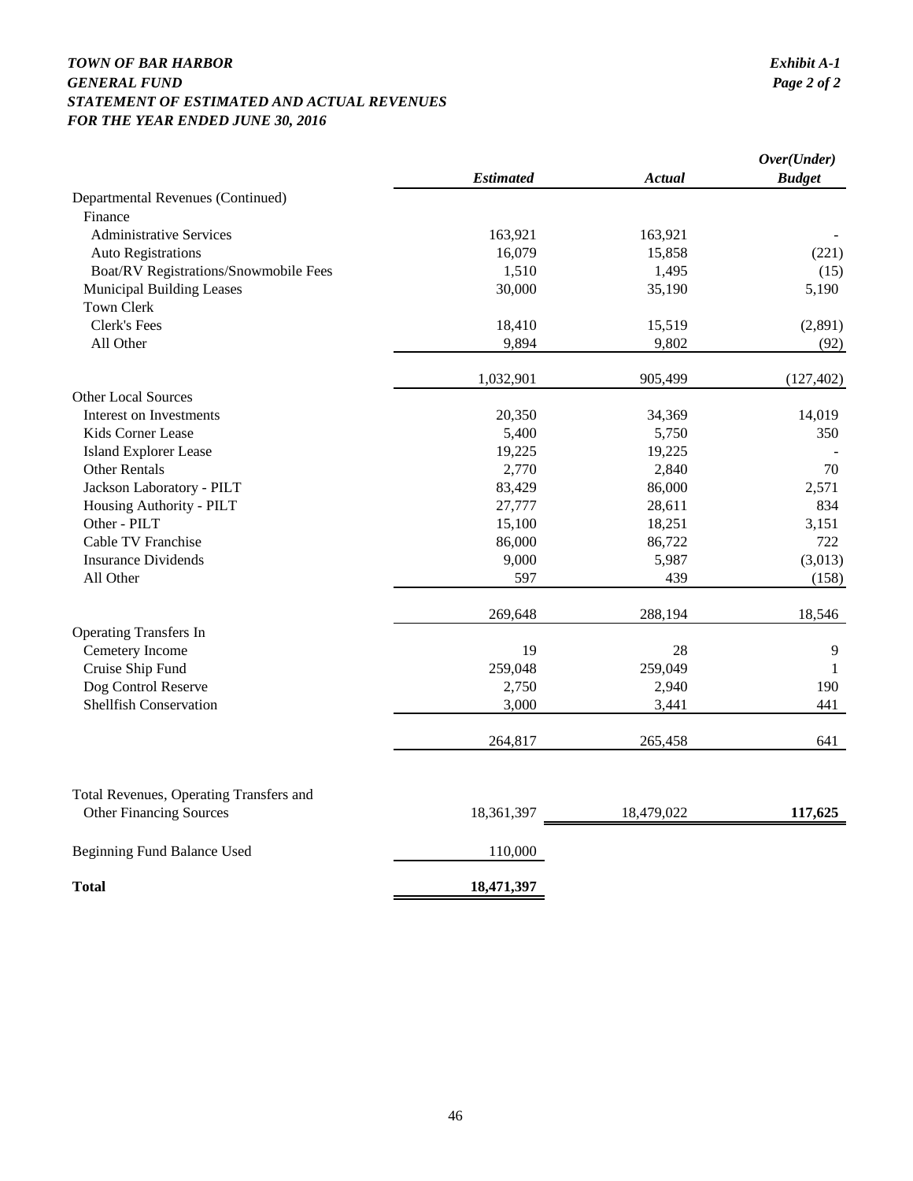## *TOWN OF BAR HARBOR Exhibit A-1 GENERAL FUND STATEMENT OF ESTIMATED AND ACTUAL REVENUES FOR THE YEAR ENDED JUNE 30, 2016*

|                                         |                  |               | Over(Under)   |
|-----------------------------------------|------------------|---------------|---------------|
|                                         | <b>Estimated</b> | <b>Actual</b> | <b>Budget</b> |
| Departmental Revenues (Continued)       |                  |               |               |
| Finance                                 |                  |               |               |
| <b>Administrative Services</b>          | 163,921          | 163,921       |               |
| <b>Auto Registrations</b>               | 16,079           | 15,858        | (221)         |
| Boat/RV Registrations/Snowmobile Fees   | 1,510            | 1,495         | (15)          |
| Municipal Building Leases               | 30,000           | 35,190        | 5,190         |
| <b>Town Clerk</b>                       |                  |               |               |
| <b>Clerk's Fees</b>                     | 18,410           | 15,519        | (2,891)       |
| All Other                               | 9,894            | 9,802         | (92)          |
|                                         | 1,032,901        | 905,499       | (127, 402)    |
| <b>Other Local Sources</b>              |                  |               |               |
| Interest on Investments                 | 20,350           | 34,369        | 14,019        |
| Kids Corner Lease                       | 5,400            | 5,750         | 350           |
| <b>Island Explorer Lease</b>            | 19,225           | 19,225        |               |
| Other Rentals                           | 2,770            | 2,840         | 70            |
| Jackson Laboratory - PILT               | 83,429           | 86,000        | 2,571         |
| Housing Authority - PILT                | 27,777           | 28,611        | 834           |
| Other - PILT                            | 15,100           | 18,251        | 3,151         |
| Cable TV Franchise                      | 86,000           | 86,722        | 722           |
| <b>Insurance Dividends</b>              | 9,000            | 5,987         | (3,013)       |
| All Other                               | 597              | 439           | (158)         |
|                                         | 269,648          | 288,194       | 18,546        |
| <b>Operating Transfers In</b>           |                  |               |               |
| Cemetery Income                         | 19               | 28            | 9             |
| Cruise Ship Fund                        | 259,048          | 259,049       | 1             |
| Dog Control Reserve                     | 2,750            | 2,940         | 190           |
| Shellfish Conservation                  | 3,000            | 3,441         | 441           |
|                                         | 264,817          | 265,458       | 641           |
|                                         |                  |               |               |
| Total Revenues, Operating Transfers and |                  |               |               |
| <b>Other Financing Sources</b>          | 18,361,397       | 18,479,022    | 117,625       |
| Beginning Fund Balance Used             | 110,000          |               |               |
| <b>Total</b>                            | 18,471,397       |               |               |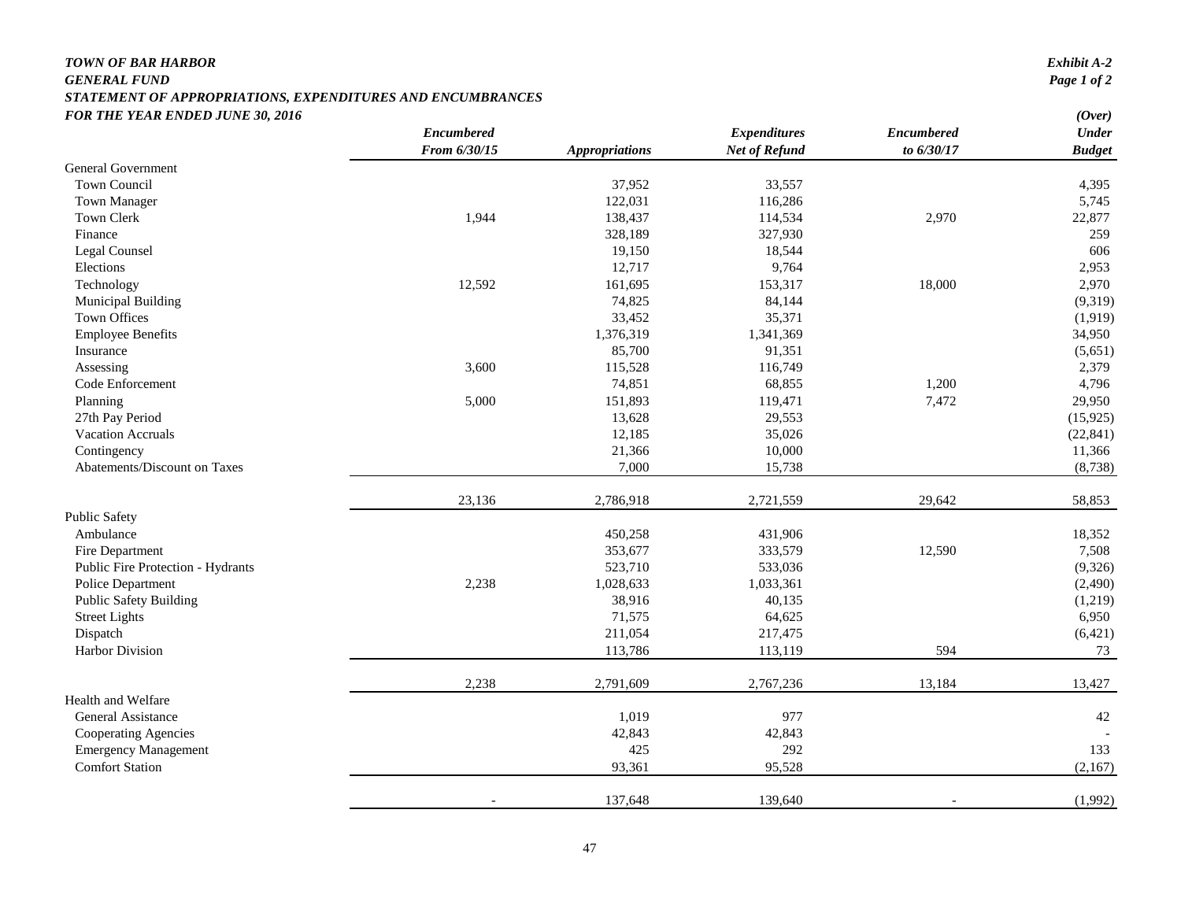#### *TOWN OF BAR HARBOR*

#### *GENERAL FUND Page 1 of 2 STATEMENT OF APPROPRIATIONS, EXPENDITURES AND ENCUMBRANCES FOR THE YEAR ENDED JUNE 30, 2016 (Over)*

| Exhibit A-2                |  |
|----------------------------|--|
| $P_{a\alpha\delta}$ 1 of 2 |  |

|                                   | Encumbered   |                       | <b>Expenditures</b>  | <b>Encumbered</b> | $\sqrt{2}$<br><b>Under</b> |
|-----------------------------------|--------------|-----------------------|----------------------|-------------------|----------------------------|
|                                   | From 6/30/15 | <b>Appropriations</b> | <b>Net of Refund</b> | to 6/30/17        | <b>Budget</b>              |
| <b>General Government</b>         |              |                       |                      |                   |                            |
| Town Council                      |              | 37,952                | 33,557               |                   | 4,395                      |
| Town Manager                      |              | 122,031               | 116,286              |                   | 5,745                      |
| Town Clerk                        | 1,944        | 138,437               | 114,534              | 2,970             | 22,877                     |
| Finance                           |              | 328,189               | 327,930              |                   | 259                        |
| Legal Counsel                     |              | 19,150                | 18,544               |                   | 606                        |
| Elections                         |              | 12,717                | 9,764                |                   | 2,953                      |
| Technology                        | 12,592       | 161,695               | 153,317              | 18,000            | 2,970                      |
| <b>Municipal Building</b>         |              | 74,825                | 84,144               |                   | (9,319)                    |
| <b>Town Offices</b>               |              | 33,452                | 35,371               |                   | (1,919)                    |
| <b>Employee Benefits</b>          |              | 1,376,319             | 1,341,369            |                   | 34,950                     |
| Insurance                         |              | 85,700                | 91,351               |                   | (5,651)                    |
| Assessing                         | 3,600        | 115,528               | 116,749              |                   | 2,379                      |
| Code Enforcement                  |              | 74,851                | 68,855               | 1,200             | 4,796                      |
| Planning                          | 5,000        | 151,893               | 119,471              | 7,472             | 29,950                     |
| 27th Pay Period                   |              | 13,628                | 29,553               |                   | (15, 925)                  |
| <b>Vacation Accruals</b>          |              | 12,185                | 35,026               |                   | (22, 841)                  |
| Contingency                       |              | 21,366                | 10,000               |                   | 11,366                     |
| Abatements/Discount on Taxes      |              | 7,000                 | 15,738               |                   | (8,738)                    |
|                                   |              |                       |                      |                   |                            |
|                                   | 23,136       | 2,786,918             | 2,721,559            | 29,642            | 58,853                     |
| <b>Public Safety</b>              |              |                       |                      |                   |                            |
| Ambulance                         |              | 450,258               | 431,906              |                   | 18,352                     |
| Fire Department                   |              | 353,677               | 333,579              | 12,590            | 7,508                      |
| Public Fire Protection - Hydrants |              | 523,710               | 533,036              |                   | (9,326)                    |
| Police Department                 | 2,238        | 1,028,633             | 1,033,361            |                   | (2, 490)                   |
| <b>Public Safety Building</b>     |              | 38,916                | 40,135               |                   | (1,219)                    |
| <b>Street Lights</b>              |              | 71,575                | 64,625               |                   | 6,950                      |
| Dispatch                          |              | 211,054               | 217,475              |                   | (6,421)                    |
| Harbor Division                   |              | 113,786               | 113,119              | 594               | 73                         |
|                                   | 2,238        | 2,791,609             | 2,767,236            | 13,184            | 13,427                     |
| Health and Welfare                |              |                       |                      |                   |                            |
| General Assistance                |              | 1,019                 | 977                  |                   | 42                         |
| Cooperating Agencies              |              | 42,843                | 42,843               |                   |                            |
| <b>Emergency Management</b>       |              | 425                   | 292                  |                   | 133                        |
| <b>Comfort Station</b>            |              | 93,361                | 95,528               |                   | (2,167)                    |
|                                   |              | 137,648               | 139,640              |                   | (1,992)                    |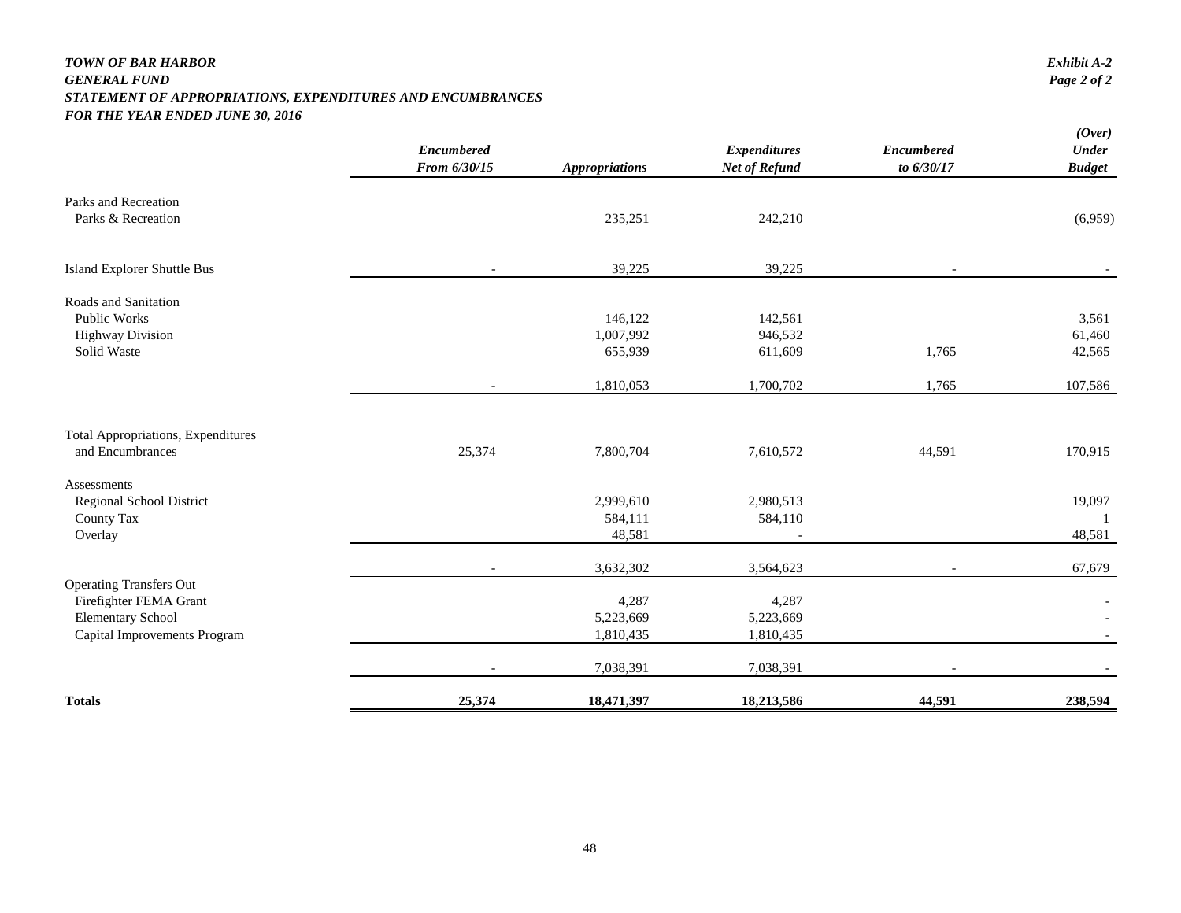#### *TOWN OF BAR HARBOR Exhibit A-2 GENERAL FUND Page 2 of 2 STATEMENT OF APPROPRIATIONS, EXPENDITURES AND ENCUMBRANCES FOR THE YEAR ENDED JUNE 30, 2016*

|                                           | <b>Encumbered</b><br>From 6/30/15 | <b>Appropriations</b> | <b>Expenditures</b><br><b>Net of Refund</b> | <b>Encumbered</b><br>to 6/30/17 | (Over)<br><b>Under</b><br><b>Budget</b> |
|-------------------------------------------|-----------------------------------|-----------------------|---------------------------------------------|---------------------------------|-----------------------------------------|
|                                           |                                   |                       |                                             |                                 |                                         |
| Parks and Recreation                      |                                   |                       |                                             |                                 |                                         |
| Parks & Recreation                        |                                   | 235,251               | 242,210                                     |                                 | (6,959)                                 |
| Island Explorer Shuttle Bus               | $\overline{\phantom{a}}$          | 39,225                | 39,225                                      |                                 |                                         |
| Roads and Sanitation                      |                                   |                       |                                             |                                 |                                         |
| <b>Public Works</b>                       |                                   | 146,122               | 142,561                                     |                                 | 3,561                                   |
| <b>Highway Division</b>                   |                                   | 1,007,992             | 946,532                                     |                                 | 61,460                                  |
| Solid Waste                               |                                   | 655,939               | 611,609                                     | 1,765                           | 42,565                                  |
|                                           |                                   | 1,810,053             | 1,700,702                                   | 1,765                           | 107,586                                 |
| <b>Total Appropriations, Expenditures</b> |                                   |                       |                                             |                                 |                                         |
| and Encumbrances                          | 25,374                            | 7,800,704             | 7,610,572                                   | 44,591                          | 170,915                                 |
| Assessments                               |                                   |                       |                                             |                                 |                                         |
| Regional School District                  |                                   | 2,999,610             | 2,980,513                                   |                                 | 19,097                                  |
| County Tax                                |                                   | 584,111               | 584,110                                     |                                 | -1                                      |
| Overlay                                   |                                   | 48,581                |                                             |                                 | 48,581                                  |
|                                           | $\overline{\phantom{a}}$          | 3,632,302             | 3,564,623                                   | $\blacksquare$                  | 67,679                                  |
| <b>Operating Transfers Out</b>            |                                   |                       |                                             |                                 |                                         |
| Firefighter FEMA Grant                    |                                   | 4,287                 | 4,287                                       |                                 |                                         |
| <b>Elementary School</b>                  |                                   | 5,223,669             | 5,223,669                                   |                                 |                                         |
| Capital Improvements Program              |                                   | 1,810,435             | 1,810,435                                   |                                 |                                         |
|                                           |                                   | 7,038,391             | 7,038,391                                   |                                 |                                         |
| <b>Totals</b>                             | 25,374                            | 18,471,397            | 18,213,586                                  | 44,591                          | 238,594                                 |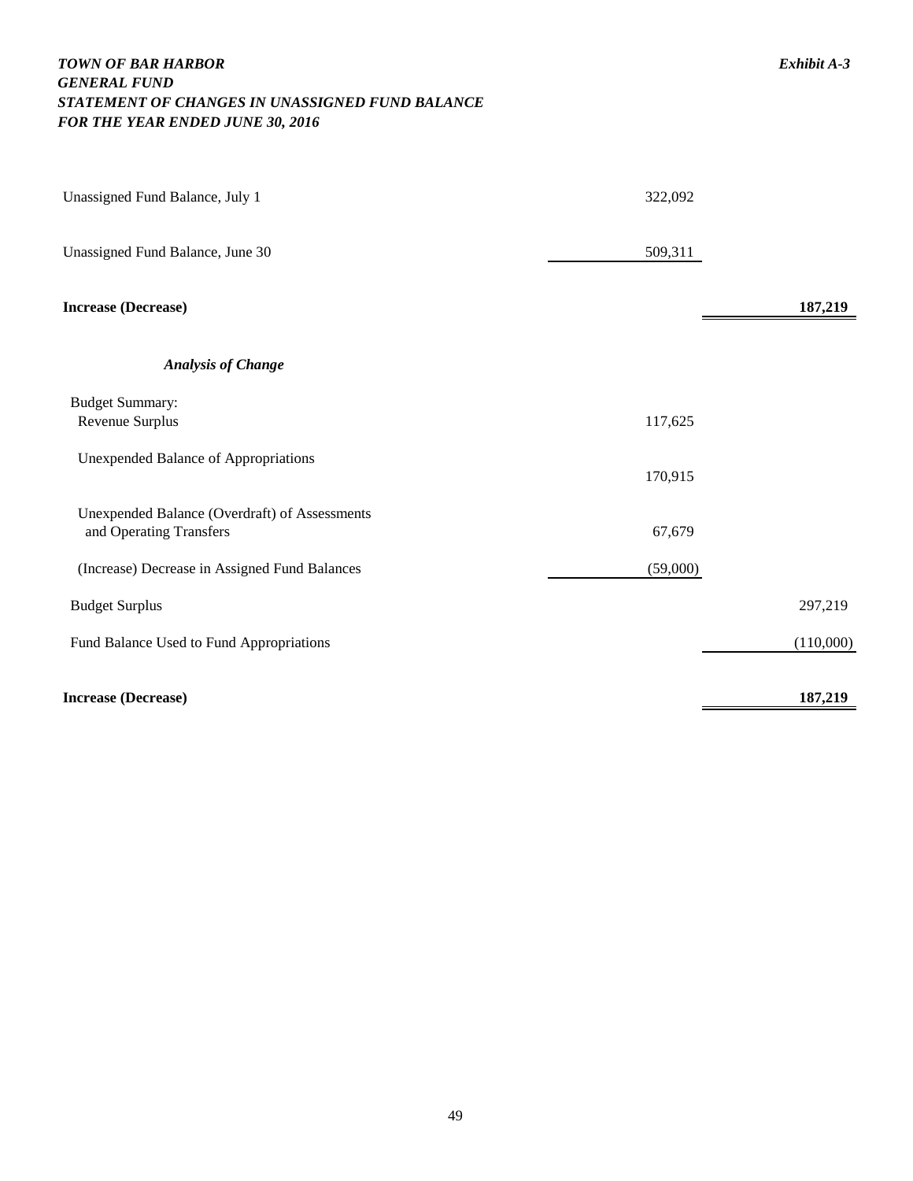## *TOWN OF BAR HARBOR Exhibit A-3 GENERAL FUND STATEMENT OF CHANGES IN UNASSIGNED FUND BALANCE FOR THE YEAR ENDED JUNE 30, 2016*

| Unassigned Fund Balance, July 1                                          | 322,092  |           |
|--------------------------------------------------------------------------|----------|-----------|
| Unassigned Fund Balance, June 30                                         | 509,311  |           |
| <b>Increase (Decrease)</b>                                               |          | 187,219   |
| <b>Analysis of Change</b>                                                |          |           |
| <b>Budget Summary:</b><br>Revenue Surplus                                | 117,625  |           |
| <b>Unexpended Balance of Appropriations</b>                              | 170,915  |           |
| Unexpended Balance (Overdraft) of Assessments<br>and Operating Transfers | 67,679   |           |
| (Increase) Decrease in Assigned Fund Balances                            | (59,000) |           |
| <b>Budget Surplus</b>                                                    |          | 297,219   |
| Fund Balance Used to Fund Appropriations                                 |          | (110,000) |
| <b>Increase (Decrease)</b>                                               |          | 187,219   |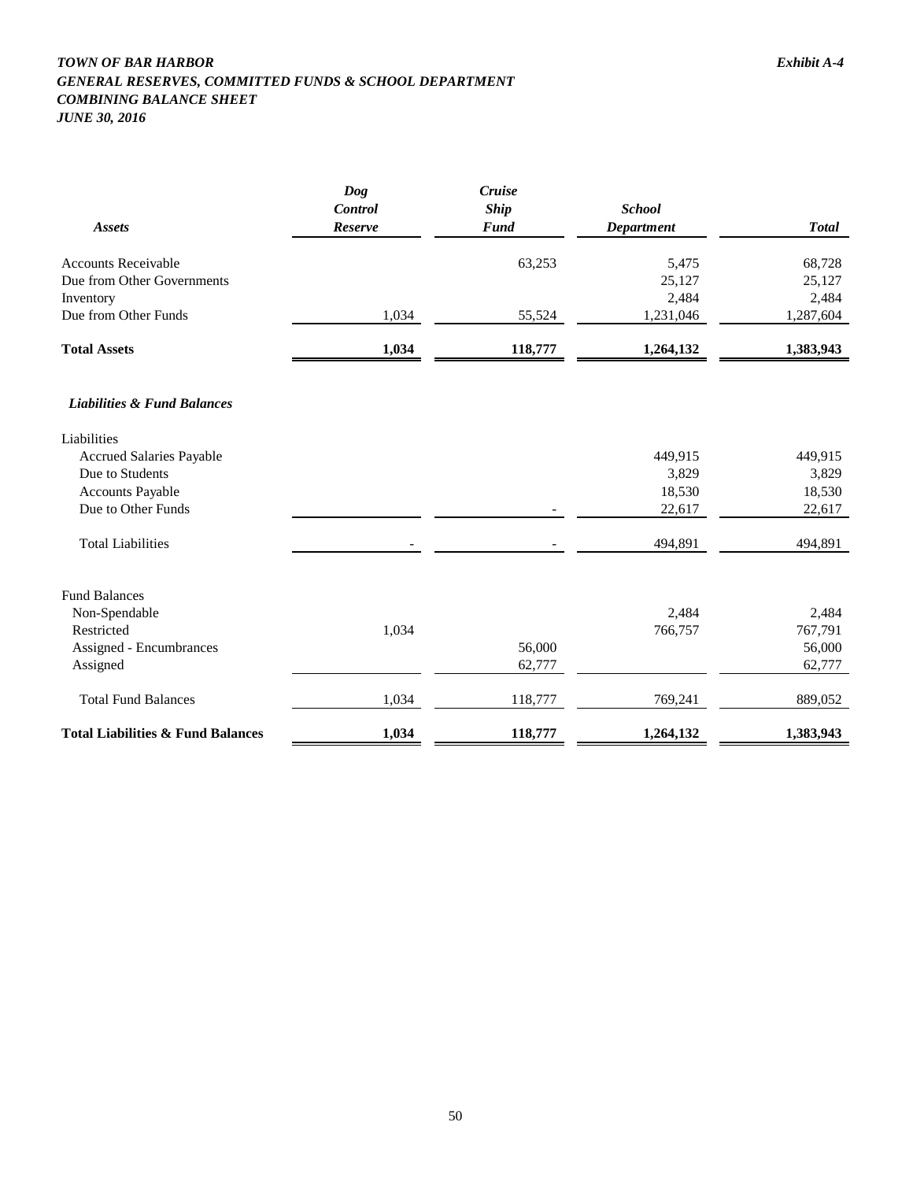## *TOWN OF BAR HARBOR Exhibit A-4 GENERAL RESERVES, COMMITTED FUNDS & SCHOOL DEPARTMENT COMBINING BALANCE SHEET*

*JUNE 30, 2016*

|                                              | Dog<br>Control | Cruise<br><b>Ship</b> | <b>School</b>     |              |
|----------------------------------------------|----------------|-----------------------|-------------------|--------------|
| Assets                                       | Reserve        | <b>Fund</b>           | <b>Department</b> | <b>Total</b> |
|                                              |                |                       |                   |              |
| <b>Accounts Receivable</b>                   |                | 63,253                | 5,475             | 68,728       |
| Due from Other Governments                   |                |                       | 25,127            | 25,127       |
| Inventory                                    |                |                       | 2,484             | 2,484        |
| Due from Other Funds                         | 1,034          | 55,524                | 1,231,046         | 1,287,604    |
| <b>Total Assets</b>                          | 1,034          | 118,777               | 1,264,132         | 1,383,943    |
| <b>Liabilities &amp; Fund Balances</b>       |                |                       |                   |              |
| Liabilities                                  |                |                       |                   |              |
| <b>Accrued Salaries Payable</b>              |                |                       | 449,915           | 449,915      |
| Due to Students                              |                |                       | 3,829             | 3,829        |
| <b>Accounts Payable</b>                      |                |                       | 18,530            | 18,530       |
| Due to Other Funds                           |                |                       | 22,617            | 22,617       |
| <b>Total Liabilities</b>                     |                |                       | 494,891           | 494,891      |
| <b>Fund Balances</b>                         |                |                       |                   |              |
| Non-Spendable                                |                |                       | 2,484             | 2,484        |
| Restricted                                   | 1,034          |                       | 766,757           | 767,791      |
| Assigned - Encumbrances                      |                | 56,000                |                   | 56,000       |
| Assigned                                     |                | 62,777                |                   | 62,777       |
| <b>Total Fund Balances</b>                   | 1,034          | 118,777               | 769,241           | 889,052      |
| <b>Total Liabilities &amp; Fund Balances</b> | 1,034          | 118,777               | 1,264,132         | 1,383,943    |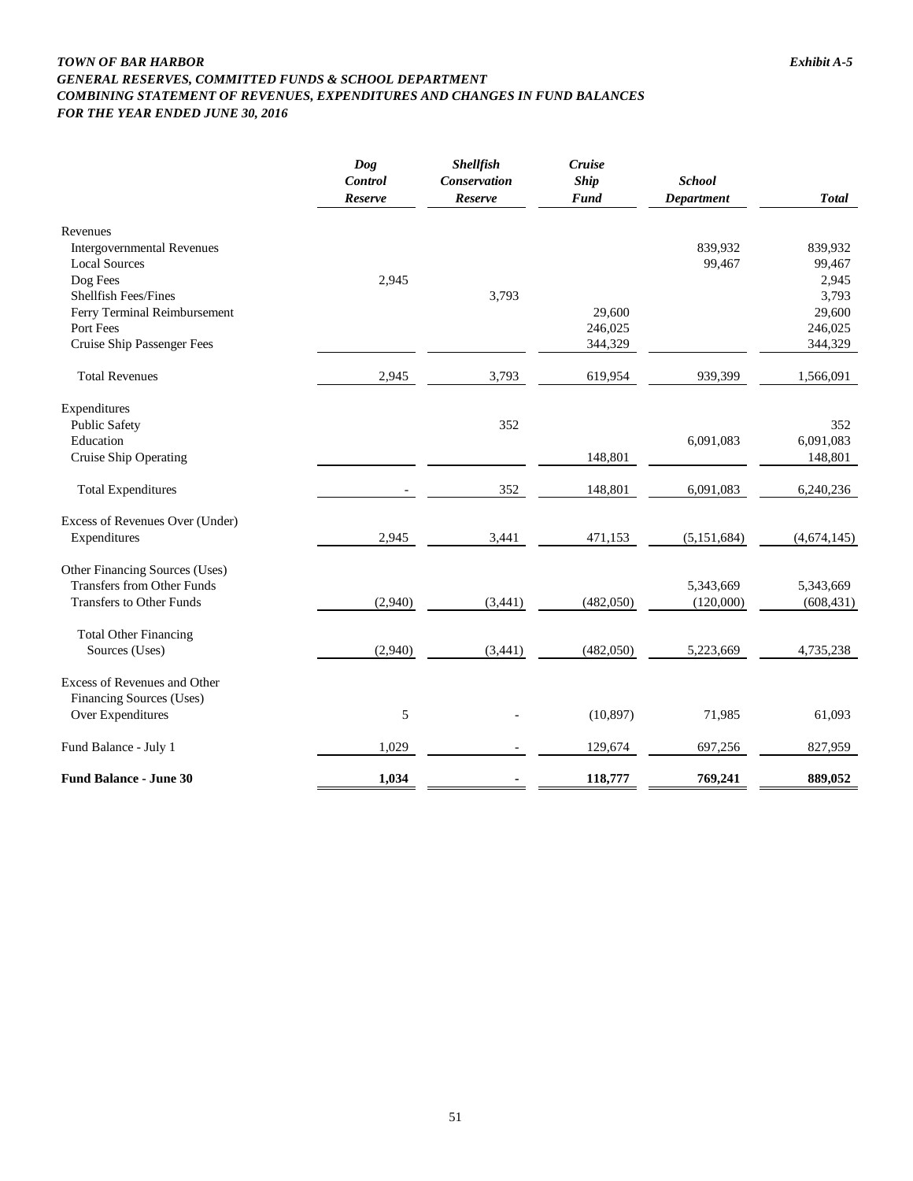#### *TOWN OF BAR HARBOR Exhibit A-5 GENERAL RESERVES, COMMITTED FUNDS & SCHOOL DEPARTMENT COMBINING STATEMENT OF REVENUES, EXPENDITURES AND CHANGES IN FUND BALANCES FOR THE YEAR ENDED JUNE 30, 2016*

|                                                                                                                                                                                             | Dog<br><b>Control</b><br><b>Reserve</b> | <b>Shellfish</b><br><b>Conservation</b><br>Reserve | Cruise<br><b>Ship</b><br><b>Fund</b> | <b>School</b><br><b>Department</b> | <b>Total</b>                                                        |
|---------------------------------------------------------------------------------------------------------------------------------------------------------------------------------------------|-----------------------------------------|----------------------------------------------------|--------------------------------------|------------------------------------|---------------------------------------------------------------------|
| Revenues<br><b>Intergovernmental Revenues</b><br><b>Local Sources</b><br>Dog Fees<br><b>Shellfish Fees/Fines</b><br>Ferry Terminal Reimbursement<br>Port Fees<br>Cruise Ship Passenger Fees | 2,945                                   | 3,793                                              | 29,600<br>246,025<br>344,329         | 839,932<br>99,467                  | 839,932<br>99,467<br>2,945<br>3,793<br>29,600<br>246,025<br>344,329 |
| <b>Total Revenues</b>                                                                                                                                                                       | 2,945                                   | 3,793                                              | 619,954                              | 939,399                            | 1,566,091                                                           |
| Expenditures<br><b>Public Safety</b><br>Education<br>Cruise Ship Operating                                                                                                                  |                                         | 352                                                | 148,801                              | 6,091,083                          | 352<br>6,091,083<br>148,801                                         |
| <b>Total Expenditures</b>                                                                                                                                                                   |                                         | 352                                                | 148,801                              | 6,091,083                          | 6,240,236                                                           |
| Excess of Revenues Over (Under)<br>Expenditures                                                                                                                                             | 2,945                                   | 3,441                                              | 471,153                              | (5,151,684)                        | (4,674,145)                                                         |
| Other Financing Sources (Uses)<br><b>Transfers from Other Funds</b><br><b>Transfers to Other Funds</b>                                                                                      | (2,940)                                 | (3, 441)                                           | (482,050)                            | 5,343,669<br>(120,000)             | 5,343,669<br>(608, 431)                                             |
| <b>Total Other Financing</b><br>Sources (Uses)                                                                                                                                              | (2,940)                                 | (3,441)                                            | (482,050)                            | 5,223,669                          | 4,735,238                                                           |
| Excess of Revenues and Other<br><b>Financing Sources (Uses)</b><br>Over Expenditures                                                                                                        | 5                                       |                                                    | (10, 897)                            | 71,985                             | 61,093                                                              |
| Fund Balance - July 1                                                                                                                                                                       | 1,029                                   |                                                    | 129,674                              | 697,256                            | 827,959                                                             |
| <b>Fund Balance - June 30</b>                                                                                                                                                               | 1,034                                   |                                                    | 118,777                              | 769,241                            | 889,052                                                             |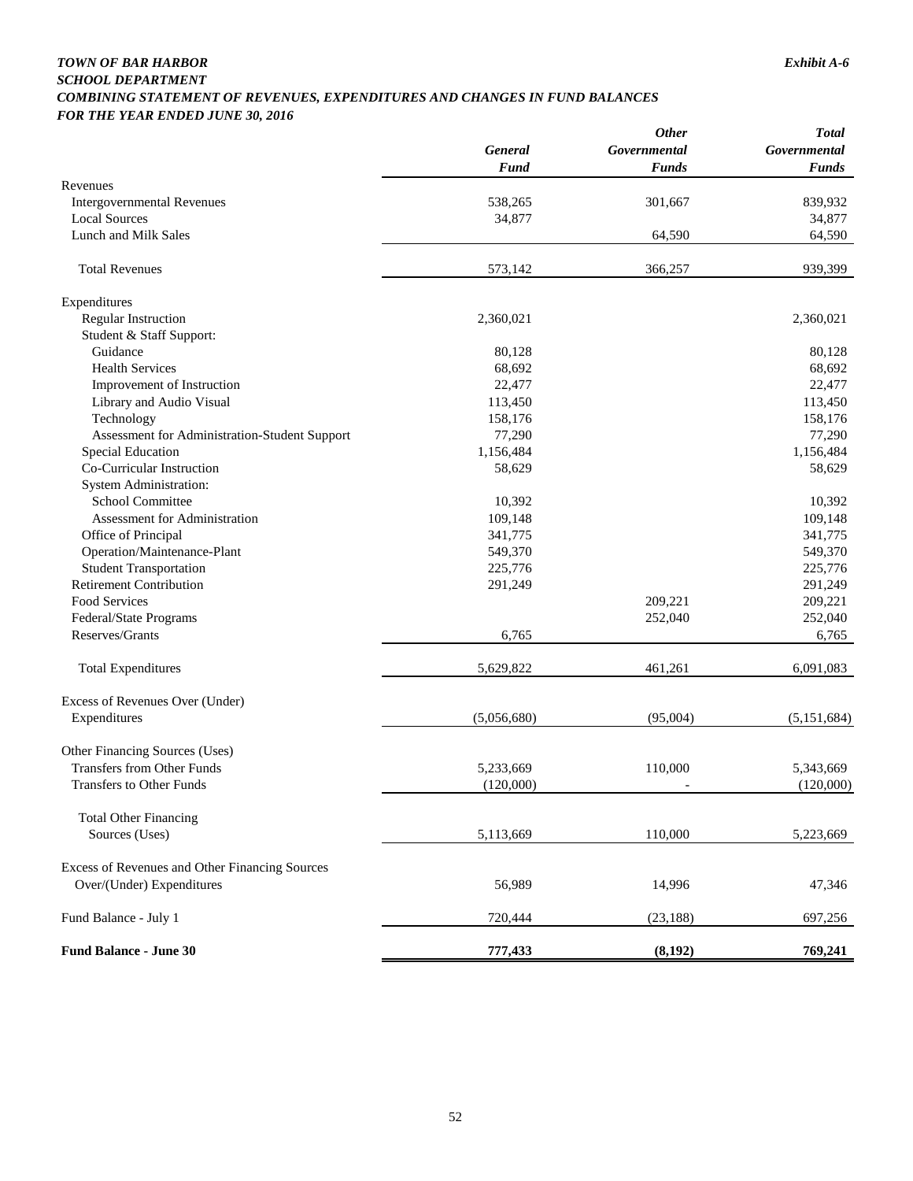#### *TOWN OF BAR HARBOR Exhibit A-6 SCHOOL DEPARTMENT COMBINING STATEMENT OF REVENUES, EXPENDITURES AND CHANGES IN FUND BALANCES FOR THE YEAR ENDED JUNE 30, 2016*

|                                                |                | <b>Other</b>             | <b>Total</b>  |  |
|------------------------------------------------|----------------|--------------------------|---------------|--|
|                                                | <b>General</b> | Governmental             | Governmental  |  |
|                                                | Fund           | <b>Funds</b>             | <b>Funds</b>  |  |
| Revenues                                       |                |                          |               |  |
| <b>Intergovernmental Revenues</b>              | 538,265        | 301,667                  | 839,932       |  |
| <b>Local Sources</b>                           | 34,877         |                          | 34,877        |  |
| Lunch and Milk Sales                           |                | 64,590                   | 64,590        |  |
| <b>Total Revenues</b>                          | 573,142        | 366,257                  | 939,399       |  |
| Expenditures                                   |                |                          |               |  |
| <b>Regular Instruction</b>                     | 2,360,021      |                          | 2,360,021     |  |
| Student & Staff Support:                       |                |                          |               |  |
| Guidance                                       | 80,128         |                          | 80,128        |  |
| <b>Health Services</b>                         | 68,692         |                          | 68,692        |  |
| Improvement of Instruction                     | 22,477         |                          | 22,477        |  |
|                                                |                |                          | 113,450       |  |
| Library and Audio Visual                       | 113,450        |                          |               |  |
| Technology                                     | 158,176        |                          | 158,176       |  |
| Assessment for Administration-Student Support  | 77,290         |                          | 77,290        |  |
| <b>Special Education</b>                       | 1,156,484      |                          | 1,156,484     |  |
| Co-Curricular Instruction                      | 58,629         |                          | 58,629        |  |
| <b>System Administration:</b>                  |                |                          |               |  |
| <b>School Committee</b>                        | 10,392         |                          | 10,392        |  |
| Assessment for Administration                  | 109,148        |                          | 109,148       |  |
| Office of Principal                            | 341,775        |                          | 341,775       |  |
| Operation/Maintenance-Plant                    | 549,370        |                          | 549,370       |  |
| <b>Student Transportation</b>                  | 225,776        |                          | 225,776       |  |
| <b>Retirement Contribution</b>                 | 291,249        |                          | 291,249       |  |
| Food Services                                  |                | 209,221                  | 209,221       |  |
| Federal/State Programs                         |                | 252,040                  | 252,040       |  |
| Reserves/Grants                                | 6,765          |                          | 6,765         |  |
| <b>Total Expenditures</b>                      | 5,629,822      | 461,261                  | 6,091,083     |  |
| Excess of Revenues Over (Under)                |                |                          |               |  |
| Expenditures                                   | (5,056,680)    | (95,004)                 | (5, 151, 684) |  |
| Other Financing Sources (Uses)                 |                |                          |               |  |
| <b>Transfers from Other Funds</b>              | 5,233,669      | 110,000                  | 5,343,669     |  |
| <b>Transfers to Other Funds</b>                | (120,000)      | $\overline{\phantom{a}}$ | (120,000)     |  |
| <b>Total Other Financing</b>                   |                |                          |               |  |
| Sources (Uses)                                 | 5,113,669      | 110,000                  | 5,223,669     |  |
|                                                |                |                          |               |  |
| Excess of Revenues and Other Financing Sources |                |                          |               |  |
| Over/(Under) Expenditures                      | 56,989         | 14,996                   | 47,346        |  |
| Fund Balance - July 1                          | 720,444        | (23, 188)                | 697,256       |  |
| <b>Fund Balance - June 30</b>                  | 777,433        | (8, 192)                 | 769,241       |  |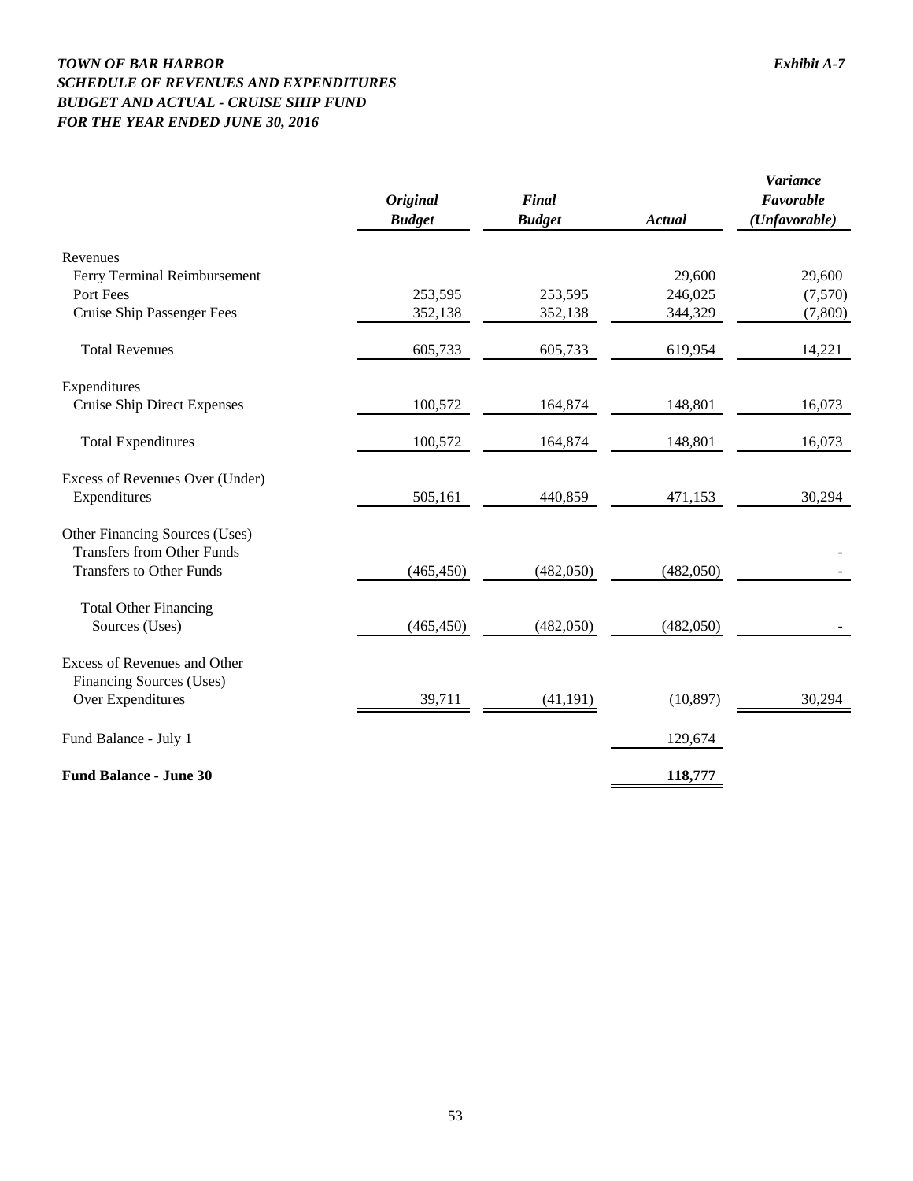## *TOWN OF BAR HARBOR Exhibit A-7 SCHEDULE OF REVENUES AND EXPENDITURES BUDGET AND ACTUAL - CRUISE SHIP FUND FOR THE YEAR ENDED JUNE 30, 2016*

|                                     | <b>Original</b><br><b>Budget</b> | Final<br><b>Budget</b> | <b>Actual</b> | <i>Variance</i><br>Favorable<br>(Unfavorable) |
|-------------------------------------|----------------------------------|------------------------|---------------|-----------------------------------------------|
| Revenues                            |                                  |                        |               |                                               |
| Ferry Terminal Reimbursement        |                                  |                        | 29,600        | 29,600                                        |
| Port Fees                           | 253,595                          | 253,595                | 246,025       | (7,570)                                       |
| Cruise Ship Passenger Fees          | 352,138                          | 352,138                | 344,329       | (7,809)                                       |
| <b>Total Revenues</b>               | 605,733                          | 605,733                | 619,954       | 14,221                                        |
| Expenditures                        |                                  |                        |               |                                               |
| <b>Cruise Ship Direct Expenses</b>  | 100,572                          | 164,874                | 148,801       | 16,073                                        |
| <b>Total Expenditures</b>           | 100,572                          | 164,874                | 148,801       | 16,073                                        |
| Excess of Revenues Over (Under)     |                                  |                        |               |                                               |
| Expenditures                        | 505,161                          | 440,859                | 471,153       | 30,294                                        |
| Other Financing Sources (Uses)      |                                  |                        |               |                                               |
| <b>Transfers from Other Funds</b>   |                                  |                        |               |                                               |
| <b>Transfers to Other Funds</b>     | (465, 450)                       | (482,050)              | (482,050)     |                                               |
| <b>Total Other Financing</b>        |                                  |                        |               |                                               |
| Sources (Uses)                      | (465, 450)                       | (482,050)              | (482,050)     |                                               |
| <b>Excess of Revenues and Other</b> |                                  |                        |               |                                               |
| <b>Financing Sources (Uses)</b>     |                                  |                        |               |                                               |
| Over Expenditures                   | 39,711                           | (41, 191)              | (10, 897)     | 30,294                                        |
| Fund Balance - July 1               |                                  |                        | 129,674       |                                               |
| <b>Fund Balance - June 30</b>       |                                  |                        | 118,777       |                                               |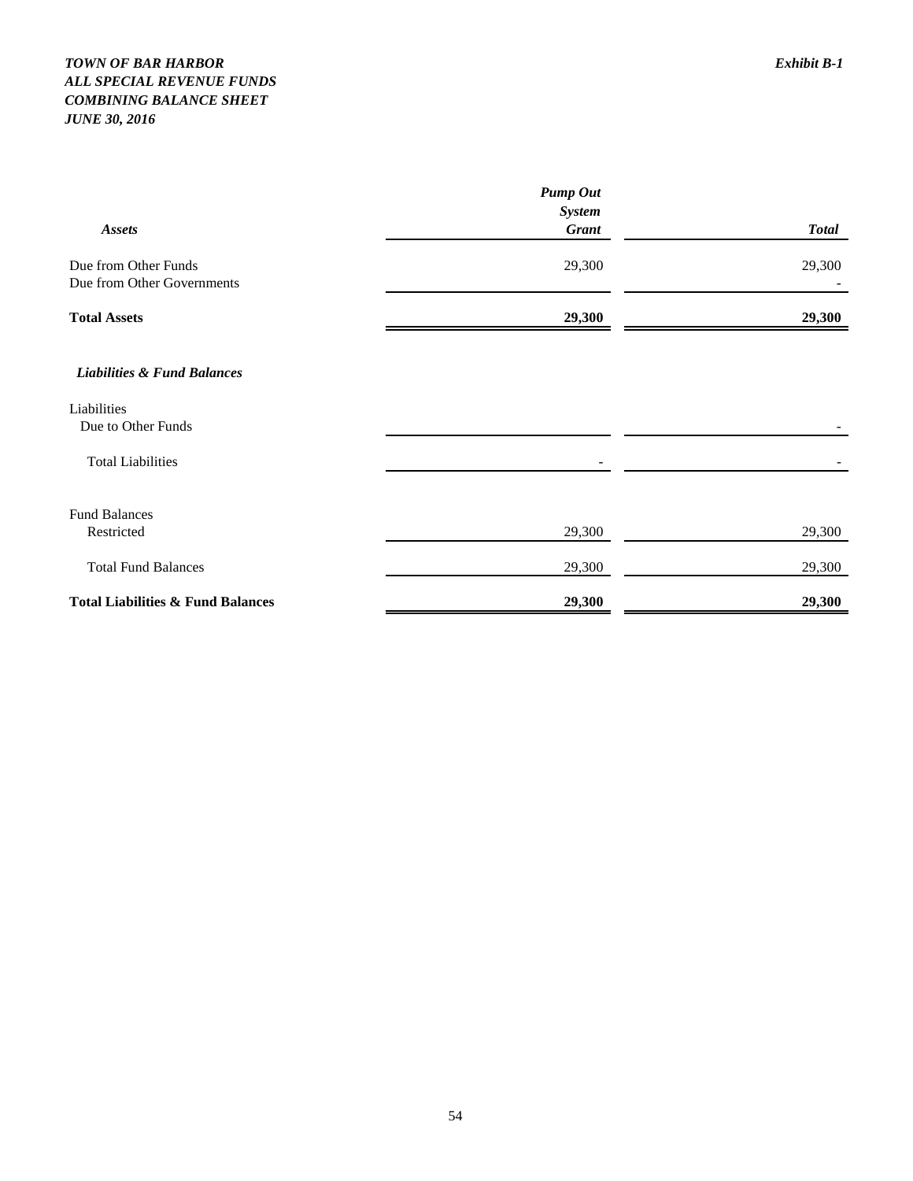## *TOWN OF BAR HARBOR Exhibit B-1 ALL SPECIAL REVENUE FUNDS COMBINING BALANCE SHEET JUNE 30, 2016*

|                                              | <b>Pump Out</b> |              |
|----------------------------------------------|-----------------|--------------|
|                                              | <b>System</b>   |              |
| <b>Assets</b>                                | <b>Grant</b>    | <b>Total</b> |
| Due from Other Funds                         | 29,300          | 29,300       |
| Due from Other Governments                   |                 |              |
| <b>Total Assets</b>                          | 29,300          | 29,300       |
| <b>Liabilities &amp; Fund Balances</b>       |                 |              |
| Liabilities                                  |                 |              |
| Due to Other Funds                           |                 |              |
| <b>Total Liabilities</b>                     |                 |              |
| <b>Fund Balances</b>                         |                 |              |
| Restricted                                   | 29,300          | 29,300       |
| <b>Total Fund Balances</b>                   | 29,300          | 29,300       |
| <b>Total Liabilities &amp; Fund Balances</b> | 29,300          | 29,300       |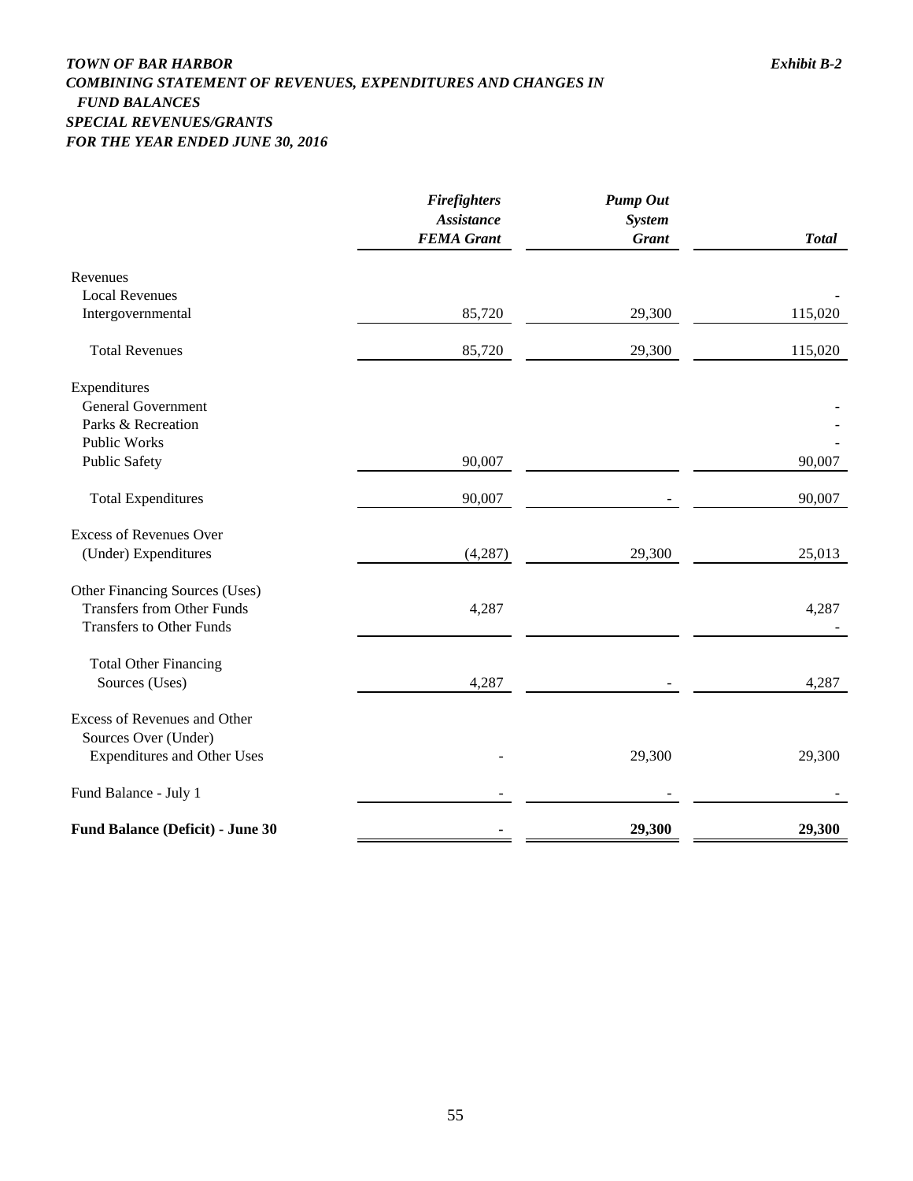## *TOWN OF BAR HARBOR Exhibit B-2 COMBINING STATEMENT OF REVENUES, EXPENDITURES AND CHANGES IN FUND BALANCES SPECIAL REVENUES/GRANTS FOR THE YEAR ENDED JUNE 30, 2016*

|                                         | <b>Firefighters</b><br><b>Assistance</b> | <b>Pump Out</b><br><b>System</b> |              |
|-----------------------------------------|------------------------------------------|----------------------------------|--------------|
|                                         | <b>FEMA</b> Grant                        | <b>Grant</b>                     | <b>Total</b> |
| Revenues                                |                                          |                                  |              |
| <b>Local Revenues</b>                   |                                          |                                  |              |
| Intergovernmental                       | 85,720                                   | 29,300                           | 115,020      |
| <b>Total Revenues</b>                   | 85,720                                   | 29,300                           | 115,020      |
| Expenditures                            |                                          |                                  |              |
| <b>General Government</b>               |                                          |                                  |              |
| Parks & Recreation                      |                                          |                                  |              |
| <b>Public Works</b>                     |                                          |                                  |              |
| <b>Public Safety</b>                    | 90,007                                   |                                  | 90,007       |
| <b>Total Expenditures</b>               | 90,007                                   |                                  | 90,007       |
| <b>Excess of Revenues Over</b>          |                                          |                                  |              |
| (Under) Expenditures                    | (4,287)                                  | 29,300                           | 25,013       |
| Other Financing Sources (Uses)          |                                          |                                  |              |
| <b>Transfers from Other Funds</b>       | 4,287                                    |                                  | 4,287        |
| <b>Transfers to Other Funds</b>         |                                          |                                  |              |
| <b>Total Other Financing</b>            |                                          |                                  |              |
| Sources (Uses)                          | 4,287                                    |                                  | 4,287        |
| Excess of Revenues and Other            |                                          |                                  |              |
| Sources Over (Under)                    |                                          |                                  |              |
| <b>Expenditures and Other Uses</b>      |                                          | 29,300                           | 29,300       |
| Fund Balance - July 1                   |                                          |                                  |              |
| <b>Fund Balance (Deficit) - June 30</b> |                                          | 29,300                           | 29,300       |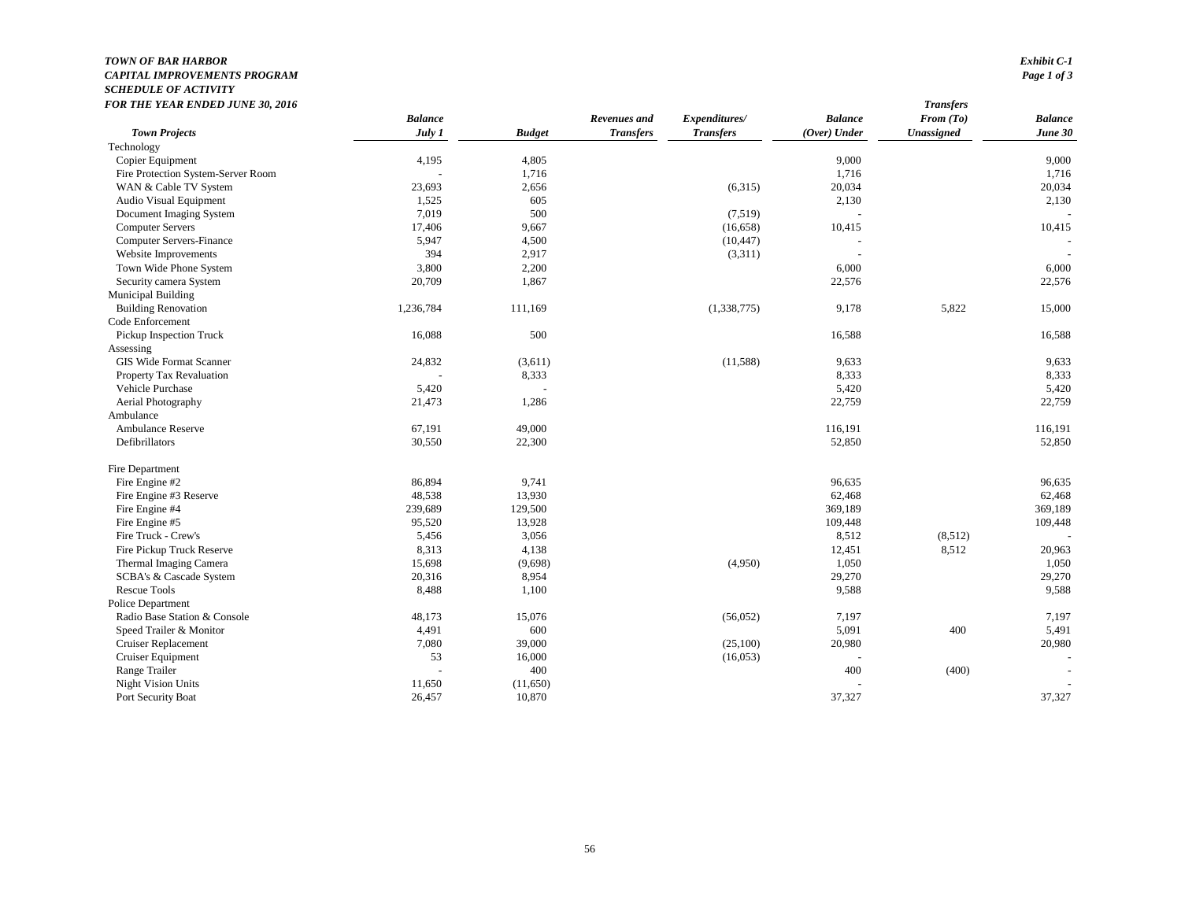#### *TOWN OF BAR HARBOR Exhibit C-1 CAPITAL IMPROVEMENTS PROGRAM Page 1 of 3 SCHEDULE OF ACTIVITY FOR THE YEAR ENDED JUNE 30, 2016 Transfers*

| FUN THE TEAN ENDED JUNE 30, 2010   |                |               |                  |                  |                | <i><u><b>ransjers</b></u></i> |                |
|------------------------------------|----------------|---------------|------------------|------------------|----------------|-------------------------------|----------------|
|                                    | <b>Balance</b> |               | Revenues and     | Expenditures/    | <b>Balance</b> | From $(To)$                   | <b>Balance</b> |
| <b>Town Projects</b>               | July 1         | <b>Budget</b> | <b>Transfers</b> | <b>Transfers</b> | (Over) Under   | <b>Unassigned</b>             | June 30        |
| Technology                         |                |               |                  |                  |                |                               |                |
| Copier Equipment                   | 4,195          | 4,805         |                  |                  | 9,000          |                               | 9,000          |
| Fire Protection System-Server Room |                | 1,716         |                  |                  | 1,716          |                               | 1,716          |
| WAN & Cable TV System              | 23,693         | 2,656         |                  | (6,315)          | 20,034         |                               | 20,034         |
| Audio Visual Equipment             | 1,525          | 605           |                  |                  | 2,130          |                               | 2,130          |
| Document Imaging System            | 7,019          | 500           |                  | (7,519)          |                |                               |                |
| <b>Computer Servers</b>            | 17,406         | 9,667         |                  | (16, 658)        | 10,415         |                               | 10,415         |
| <b>Computer Servers-Finance</b>    | 5,947          | 4,500         |                  | (10, 447)        |                |                               |                |
| Website Improvements               | 394            | 2,917         |                  | (3,311)          |                |                               |                |
| Town Wide Phone System             | 3,800          | 2,200         |                  |                  | 6,000          |                               | 6,000          |
| Security camera System             | 20,709         | 1,867         |                  |                  | 22,576         |                               | 22,576         |
| Municipal Building                 |                |               |                  |                  |                |                               |                |
| <b>Building Renovation</b>         | 1,236,784      | 111,169       |                  | (1,338,775)      | 9,178          | 5,822                         | 15,000         |
| Code Enforcement                   |                |               |                  |                  |                |                               |                |
| Pickup Inspection Truck            | 16,088         | 500           |                  |                  | 16,588         |                               | 16,588         |
| Assessing                          |                |               |                  |                  |                |                               |                |
| GIS Wide Format Scanner            | 24,832         | (3,611)       |                  | (11,588)         | 9,633          |                               | 9,633          |
| Property Tax Revaluation           |                | 8,333         |                  |                  | 8,333          |                               | 8,333          |
| Vehicle Purchase                   | 5,420          |               |                  |                  | 5,420          |                               | 5,420          |
| Aerial Photography                 | 21,473         | 1,286         |                  |                  | 22,759         |                               | 22,759         |
| Ambulance                          |                |               |                  |                  |                |                               |                |
| Ambulance Reserve                  | 67,191         | 49,000        |                  |                  | 116,191        |                               | 116,191        |
| Defibrillators                     | 30,550         | 22,300        |                  |                  | 52,850         |                               | 52,850         |
| Fire Department                    |                |               |                  |                  |                |                               |                |
| Fire Engine #2                     | 86,894         | 9,741         |                  |                  | 96,635         |                               | 96,635         |
| Fire Engine #3 Reserve             | 48,538         | 13,930        |                  |                  | 62,468         |                               | 62,468         |
| Fire Engine #4                     | 239,689        | 129,500       |                  |                  | 369,189        |                               | 369,189        |
| Fire Engine #5                     | 95,520         | 13,928        |                  |                  | 109,448        |                               | 109,448        |
| Fire Truck - Crew's                | 5,456          | 3,056         |                  |                  | 8,512          | (8,512)                       |                |
| Fire Pickup Truck Reserve          | 8,313          | 4,138         |                  |                  | 12,451         | 8,512                         | 20,963         |
| Thermal Imaging Camera             | 15,698         | (9,698)       |                  | (4,950)          | 1,050          |                               | 1,050          |
| SCBA's & Cascade System            | 20,316         | 8,954         |                  |                  | 29,270         |                               | 29,270         |
| <b>Rescue Tools</b>                | 8,488          | 1,100         |                  |                  | 9,588          |                               | 9,588          |
| Police Department                  |                |               |                  |                  |                |                               |                |
| Radio Base Station & Console       | 48,173         | 15,076        |                  | (56,052)         | 7,197          |                               | 7,197          |
| Speed Trailer & Monitor            | 4,491          | 600           |                  |                  | 5,091          | 400                           | 5,491          |
| <b>Cruiser Replacement</b>         | 7,080          | 39,000        |                  | (25,100)         | 20,980         |                               | 20,980         |
| Cruiser Equipment                  | 53             | 16,000        |                  | (16,053)         |                |                               |                |
| Range Trailer                      |                | 400           |                  |                  | 400            | (400)                         |                |
| <b>Night Vision Units</b>          | 11,650         | (11,650)      |                  |                  |                |                               |                |
| Port Security Boat                 | 26,457         | 10,870        |                  |                  | 37,327         |                               | 37,327         |
|                                    |                |               |                  |                  |                |                               |                |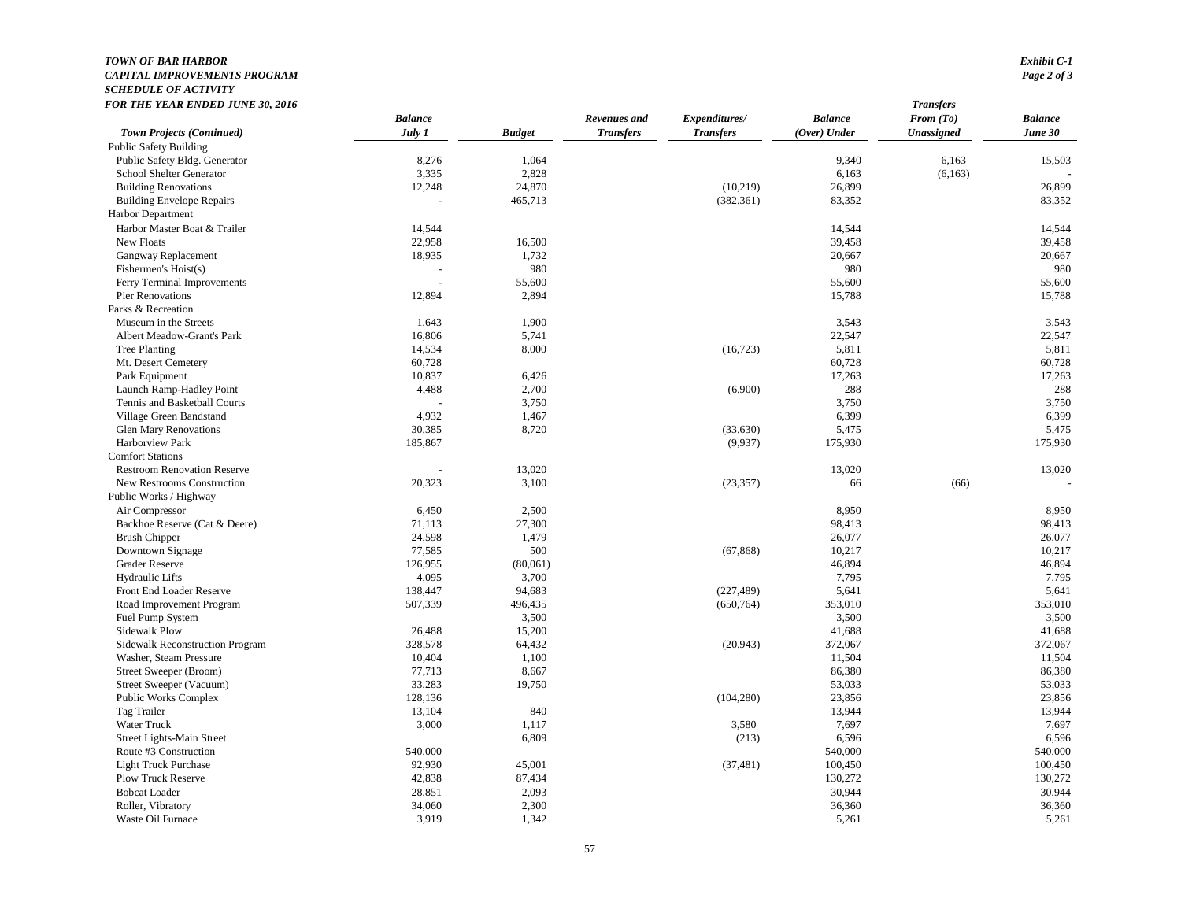## *TOWN OF BAR HARBOR Exhibit C-1 CAPITAL IMPROVEMENTS PROGRAM Page 2 of 3 SCHEDULE OF ACTIVITY*

| FOR THE YEAR ENDED JUNE 30, 2016                         |                |               |                  |                  |                | <b>Transfers</b> |                |  |
|----------------------------------------------------------|----------------|---------------|------------------|------------------|----------------|------------------|----------------|--|
|                                                          | <b>Balance</b> |               | Revenues and     | Expenditures/    | <b>Balance</b> | From (To)        | <b>Balance</b> |  |
| <b>Town Projects (Continued)</b>                         | July 1         | <b>Budget</b> | <b>Transfers</b> | <b>Transfers</b> | $(Over)$ Under | Unassigned       | June 30        |  |
| <b>Public Safety Building</b>                            |                |               |                  |                  |                |                  |                |  |
| Public Safety Bldg. Generator                            | 8,276          | 1,064         |                  |                  | 9,340          | 6,163            | 15,503         |  |
| School Shelter Generator                                 | 3,335          | 2,828         |                  |                  | 6,163          | (6,163)          |                |  |
| <b>Building Renovations</b>                              | 12,248         | 24,870        |                  | (10, 219)        | 26,899         |                  | 26,899         |  |
| <b>Building Envelope Repairs</b>                         |                | 465,713       |                  | (382, 361)       | 83,352         |                  | 83,352         |  |
| <b>Harbor Department</b>                                 |                |               |                  |                  |                |                  |                |  |
| Harbor Master Boat & Trailer                             | 14,544         |               |                  |                  | 14,544         |                  | 14,544         |  |
| New Floats                                               | 22,958         | 16,500        |                  |                  | 39,458         |                  | 39,458         |  |
| Gangway Replacement                                      | 18,935         | 1,732         |                  |                  | 20,667         |                  | 20,667         |  |
| Fishermen's Hoist(s)                                     |                | 980           |                  |                  | 980            |                  | 980            |  |
| Ferry Terminal Improvements                              |                | 55,600        |                  |                  | 55,600         |                  | 55,600         |  |
| Pier Renovations                                         | 12,894         | 2,894         |                  |                  | 15,788         |                  | 15,788         |  |
| Parks & Recreation                                       |                |               |                  |                  |                |                  |                |  |
| Museum in the Streets                                    | 1,643          | 1,900         |                  |                  | 3,543          |                  | 3,543          |  |
| Albert Meadow-Grant's Park                               | 16,806         | 5,741         |                  |                  | 22,547         |                  | 22,547         |  |
| <b>Tree Planting</b>                                     | 14,534         | 8,000         |                  | (16, 723)        | 5,811          |                  | 5.811          |  |
| Mt. Desert Cemetery                                      | 60,728         |               |                  |                  | 60,728         |                  | 60,728         |  |
| Park Equipment                                           | 10,837         | 6,426         |                  |                  | 17,263         |                  | 17,263         |  |
|                                                          | 4,488          | 2,700         |                  | (6,900)          | 288            |                  | 288            |  |
| Launch Ramp-Hadley Point<br>Tennis and Basketball Courts |                | 3,750         |                  |                  | 3,750          |                  | 3,750          |  |
|                                                          |                |               |                  |                  |                |                  | 6,399          |  |
| Village Green Bandstand                                  | 4,932          | 1,467         |                  |                  | 6,399          |                  | 5,475          |  |
| Glen Mary Renovations                                    | 30,385         | 8,720         |                  | (33,630)         | 5,475          |                  |                |  |
| Harborview Park                                          | 185,867        |               |                  | (9,937)          | 175,930        |                  | 175,930        |  |
| <b>Comfort Stations</b>                                  |                |               |                  |                  |                |                  |                |  |
| <b>Restroom Renovation Reserve</b>                       |                | 13,020        |                  |                  | 13,020         |                  | 13,020         |  |
| New Restrooms Construction                               | 20,323         | 3,100         |                  | (23, 357)        | 66             | (66)             |                |  |
| Public Works / Highway                                   |                |               |                  |                  |                |                  |                |  |
| Air Compressor                                           | 6,450          | 2,500         |                  |                  | 8,950          |                  | 8,950          |  |
| Backhoe Reserve (Cat & Deere)                            | 71,113         | 27,300        |                  |                  | 98,413         |                  | 98,413         |  |
| <b>Brush Chipper</b>                                     | 24,598         | 1,479         |                  |                  | 26,077         |                  | 26,077         |  |
| Downtown Signage                                         | 77,585         | 500           |                  | (67, 868)        | 10,217         |                  | 10,217         |  |
| Grader Reserve                                           | 126,955        | (80,061)      |                  |                  | 46,894         |                  | 46,894         |  |
| <b>Hydraulic Lifts</b>                                   | 4,095          | 3,700         |                  |                  | 7,795          |                  | 7,795          |  |
| Front End Loader Reserve                                 | 138,447        | 94,683        |                  | (227, 489)       | 5,641          |                  | 5,641          |  |
| Road Improvement Program                                 | 507,339        | 496,435       |                  | (650, 764)       | 353,010        |                  | 353,010        |  |
| Fuel Pump System                                         |                | 3,500         |                  |                  | 3,500          |                  | 3,500          |  |
| <b>Sidewalk Plow</b>                                     | 26,488         | 15,200        |                  |                  | 41,688         |                  | 41.688         |  |
| <b>Sidewalk Reconstruction Program</b>                   | 328,578        | 64,432        |                  | (20, 943)        | 372,067        |                  | 372,067        |  |
| Washer, Steam Pressure                                   | 10,404         | 1,100         |                  |                  | 11,504         |                  | 11,504         |  |
| Street Sweeper (Broom)                                   | 77,713         | 8,667         |                  |                  | 86,380         |                  | 86,380         |  |
| Street Sweeper (Vacuum)                                  | 33,283         | 19,750        |                  |                  | 53,033         |                  | 53,033         |  |
| <b>Public Works Complex</b>                              | 128,136        |               |                  | (104, 280)       | 23,856         |                  | 23,856         |  |
| Tag Trailer                                              | 13,104         | 840           |                  |                  | 13,944         |                  | 13,944         |  |
| Water Truck                                              | 3,000          | 1,117         |                  | 3,580            | 7,697          |                  | 7,697          |  |
| Street Lights-Main Street                                |                | 6,809         |                  | (213)            | 6,596          |                  | 6.596          |  |
| Route #3 Construction                                    | 540,000        |               |                  |                  | 540,000        |                  | 540,000        |  |
| <b>Light Truck Purchase</b>                              | 92,930         | 45,001        |                  | (37, 481)        | 100,450        |                  | 100,450        |  |
| <b>Plow Truck Reserve</b>                                | 42,838         | 87,434        |                  |                  | 130,272        |                  | 130,272        |  |
| <b>Bobcat Loader</b>                                     | 28,851         | 2,093         |                  |                  | 30,944         |                  | 30,944         |  |
| Roller, Vibratory                                        | 34,060         | 2,300         |                  |                  | 36,360         |                  | 36,360         |  |
| Waste Oil Furnace                                        | 3,919          | 1,342         |                  |                  | 5,261          |                  | 5,261          |  |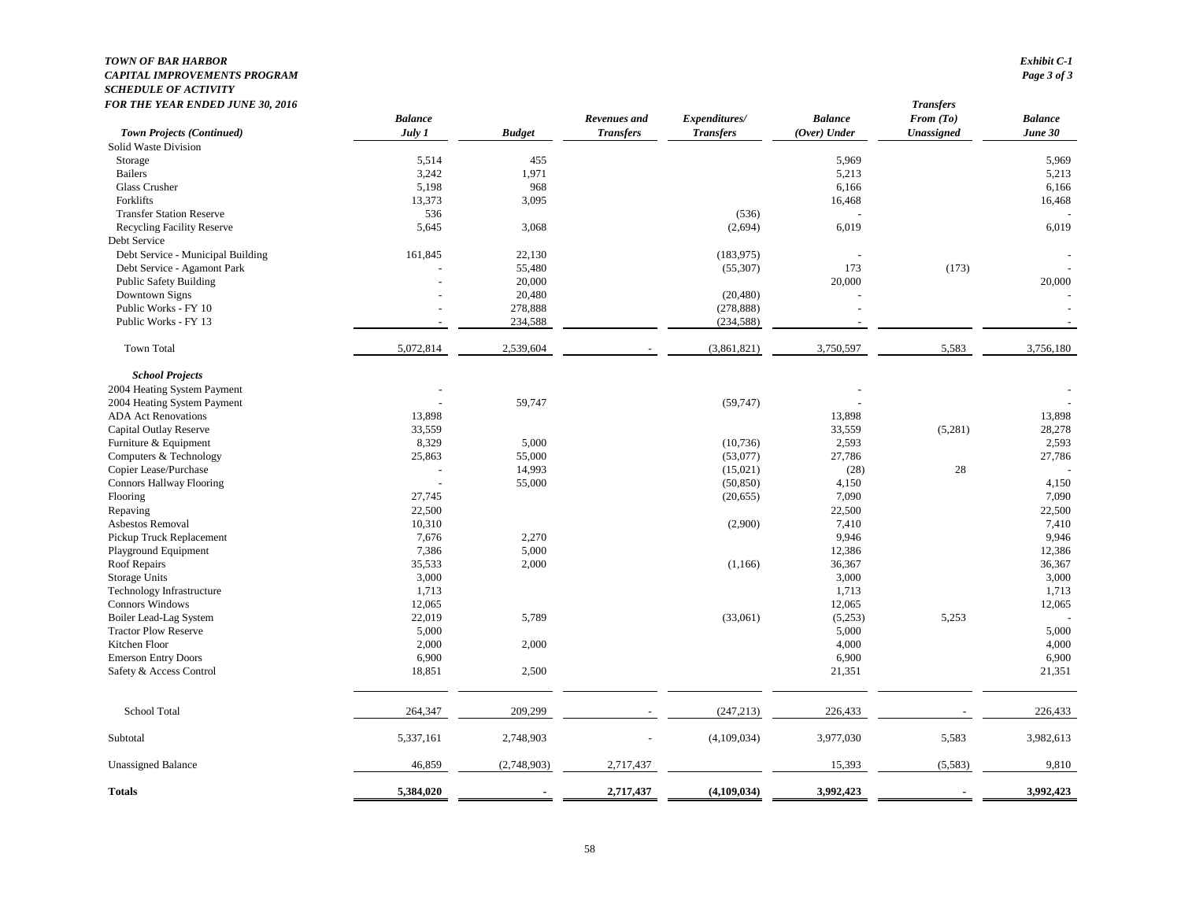#### *TOWN OF BAR HARBOR Exhibit C-1 CAPITAL IMPROVEMENTS PROGRAM SCHEDULE OF ACTIVITY FOR THE YEAR ENDED JUNE 30, 2016 Transfers*

| FUN THE TEAN ENDED JUNE 30, 2010<br><b>Town Projects (Continued)</b> | <b>Balance</b><br>July 1 | <b>Budget</b> | Revenues and<br><b>Transfers</b> | Expenditures/<br><b>Transfers</b> | <b>Balance</b><br>(Over) Under | <i><b>Transjers</b></i><br>From (To)<br><b>Unassigned</b> | <b>Balance</b><br>June 30 |
|----------------------------------------------------------------------|--------------------------|---------------|----------------------------------|-----------------------------------|--------------------------------|-----------------------------------------------------------|---------------------------|
| Solid Waste Division                                                 |                          |               |                                  |                                   |                                |                                                           |                           |
| Storage                                                              | 5,514                    | 455           |                                  |                                   | 5,969                          |                                                           | 5,969                     |
| <b>Bailers</b>                                                       | 3,242                    | 1,971         |                                  |                                   | 5,213                          |                                                           | 5,213                     |
| Glass Crusher                                                        | 5,198                    | 968           |                                  |                                   | 6,166                          |                                                           | 6,166                     |
| Forklifts                                                            | 13,373                   | 3,095         |                                  |                                   | 16,468                         |                                                           | 16,468                    |
| <b>Transfer Station Reserve</b>                                      | 536                      |               |                                  | (536)                             |                                |                                                           |                           |
| <b>Recycling Facility Reserve</b>                                    | 5,645                    | 3,068         |                                  | (2,694)                           | 6,019                          |                                                           | 6,019                     |
| Debt Service                                                         |                          |               |                                  |                                   |                                |                                                           |                           |
| Debt Service - Municipal Building                                    | 161,845                  | 22,130        |                                  | (183, 975)                        |                                |                                                           |                           |
| Debt Service - Agamont Park                                          |                          | 55,480        |                                  | (55, 307)                         | 173                            | (173)                                                     |                           |
| Public Safety Building                                               |                          | 20,000        |                                  |                                   | 20,000                         |                                                           | 20,000                    |
| Downtown Signs                                                       |                          | 20,480        |                                  | (20, 480)                         |                                |                                                           |                           |
| Public Works - FY 10                                                 |                          | 278,888       |                                  | (278, 888)                        |                                |                                                           |                           |
| Public Works - FY 13                                                 |                          | 234,588       |                                  | (234, 588)                        |                                |                                                           |                           |
|                                                                      |                          |               |                                  |                                   |                                |                                                           |                           |
| <b>Town Total</b>                                                    | 5,072,814                | 2,539,604     |                                  | (3,861,821)                       | 3,750,597                      | 5,583                                                     | 3,756,180                 |
| <b>School Projects</b>                                               |                          |               |                                  |                                   |                                |                                                           |                           |
| 2004 Heating System Payment                                          |                          |               |                                  |                                   |                                |                                                           |                           |
| 2004 Heating System Payment                                          |                          | 59,747        |                                  | (59, 747)                         |                                |                                                           |                           |
| <b>ADA Act Renovations</b>                                           | 13,898                   |               |                                  |                                   | 13,898                         |                                                           | 13,898                    |
| Capital Outlay Reserve                                               | 33,559                   |               |                                  |                                   | 33,559                         | (5,281)                                                   | 28,278                    |
| Furniture & Equipment                                                | 8,329                    | 5,000         |                                  | (10, 736)                         | 2,593                          |                                                           | 2,593                     |
| Computers & Technology                                               | 25,863                   | 55,000        |                                  | (53,077)                          | 27,786                         |                                                           | 27,786                    |
| Copier Lease/Purchase                                                |                          | 14,993        |                                  | (15,021)                          | (28)                           | 28                                                        |                           |
| <b>Connors Hallway Flooring</b>                                      |                          | 55,000        |                                  | (50, 850)                         | 4,150                          |                                                           | 4,150                     |
| Flooring                                                             | 27,745                   |               |                                  | (20,655)                          | 7,090                          |                                                           | 7,090                     |
| Repaving                                                             | 22,500                   |               |                                  |                                   | 22,500                         |                                                           | 22,500                    |
| Asbestos Removal                                                     | 10,310                   |               |                                  | (2,900)                           | 7,410                          |                                                           | 7,410                     |
| Pickup Truck Replacement                                             | 7,676                    | 2,270         |                                  |                                   | 9,946                          |                                                           | 9,946                     |
| Playground Equipment                                                 | 7,386                    | 5,000         |                                  |                                   | 12,386                         |                                                           | 12,386                    |
| Roof Repairs                                                         | 35,533                   | 2,000         |                                  | (1, 166)                          | 36,367                         |                                                           | 36,367                    |
| Storage Units                                                        | 3,000                    |               |                                  |                                   | 3,000                          |                                                           | 3,000                     |
| Technology Infrastructure                                            | 1,713                    |               |                                  |                                   | 1,713                          |                                                           | 1,713                     |
| Connors Windows                                                      | 12,065                   |               |                                  |                                   | 12,065                         |                                                           | 12,065                    |
| Boiler Lead-Lag System                                               | 22,019                   | 5,789         |                                  | (33,061)                          | (5,253)                        | 5,253                                                     |                           |
| <b>Tractor Plow Reserve</b>                                          | 5,000                    |               |                                  |                                   | 5,000                          |                                                           | 5,000                     |
| Kitchen Floor                                                        | 2,000                    | 2,000         |                                  |                                   | 4,000                          |                                                           | 4,000                     |
| <b>Emerson Entry Doors</b>                                           | 6,900                    |               |                                  |                                   | 6,900                          |                                                           | 6,900                     |
| Safety & Access Control                                              | 18,851                   | 2,500         |                                  |                                   | 21,351                         |                                                           | 21,351                    |
| School Total                                                         | 264,347                  | 209,299       |                                  | (247, 213)                        | 226,433                        |                                                           | 226,433                   |
| Subtotal                                                             | 5,337,161                | 2,748,903     |                                  | (4,109,034)                       | 3,977,030                      | 5,583                                                     | 3,982,613                 |
|                                                                      |                          |               |                                  |                                   |                                |                                                           | 9,810                     |
| <b>Unassigned Balance</b>                                            | 46,859                   | (2,748,903)   | 2,717,437                        |                                   | 15,393                         | (5,583)                                                   |                           |
| <b>Totals</b>                                                        | 5,384,020                |               | 2,717,437                        | (4, 109, 034)                     | 3,992,423                      |                                                           | 3,992,423                 |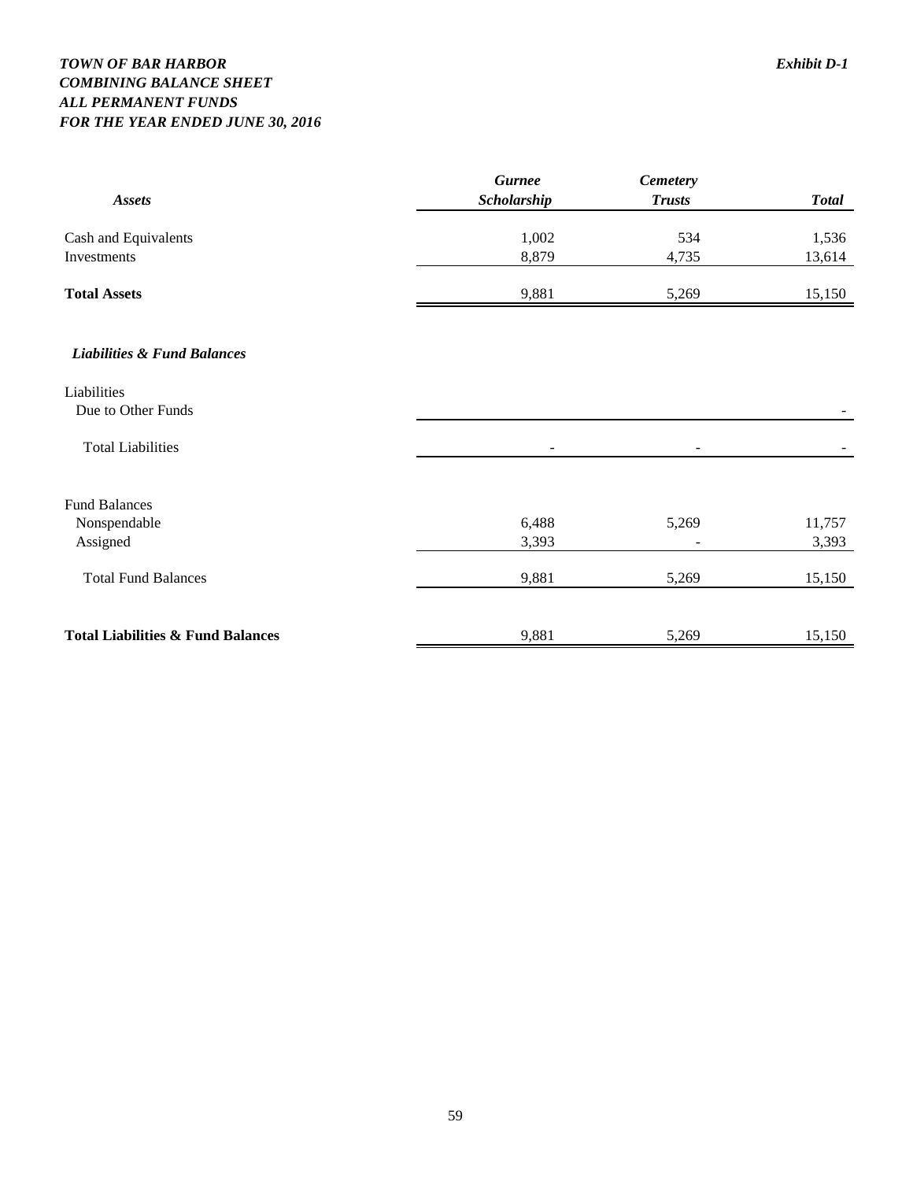## *TOWN OF BAR HARBOR Exhibit D-1 COMBINING BALANCE SHEET ALL PERMANENT FUNDS FOR THE YEAR ENDED JUNE 30, 2016*

| <b>Assets</b>                                | <b>Gurnee</b><br>Scholarship | <b>Cemetery</b><br><b>Trusts</b> | <b>Total</b> |
|----------------------------------------------|------------------------------|----------------------------------|--------------|
| Cash and Equivalents                         | 1,002                        | 534                              | 1,536        |
| Investments                                  | 8,879                        | 4,735                            | 13,614       |
| <b>Total Assets</b>                          | 9,881                        | 5,269                            | 15,150       |
| <b>Liabilities &amp; Fund Balances</b>       |                              |                                  |              |
| Liabilities                                  |                              |                                  |              |
| Due to Other Funds                           |                              |                                  |              |
| <b>Total Liabilities</b>                     |                              |                                  |              |
| <b>Fund Balances</b>                         |                              |                                  |              |
| Nonspendable                                 | 6,488                        | 5,269                            | 11,757       |
| Assigned                                     | 3,393                        |                                  | 3,393        |
| <b>Total Fund Balances</b>                   | 9,881                        | 5,269                            | 15,150       |
| <b>Total Liabilities &amp; Fund Balances</b> | 9,881                        | 5,269                            | 15,150       |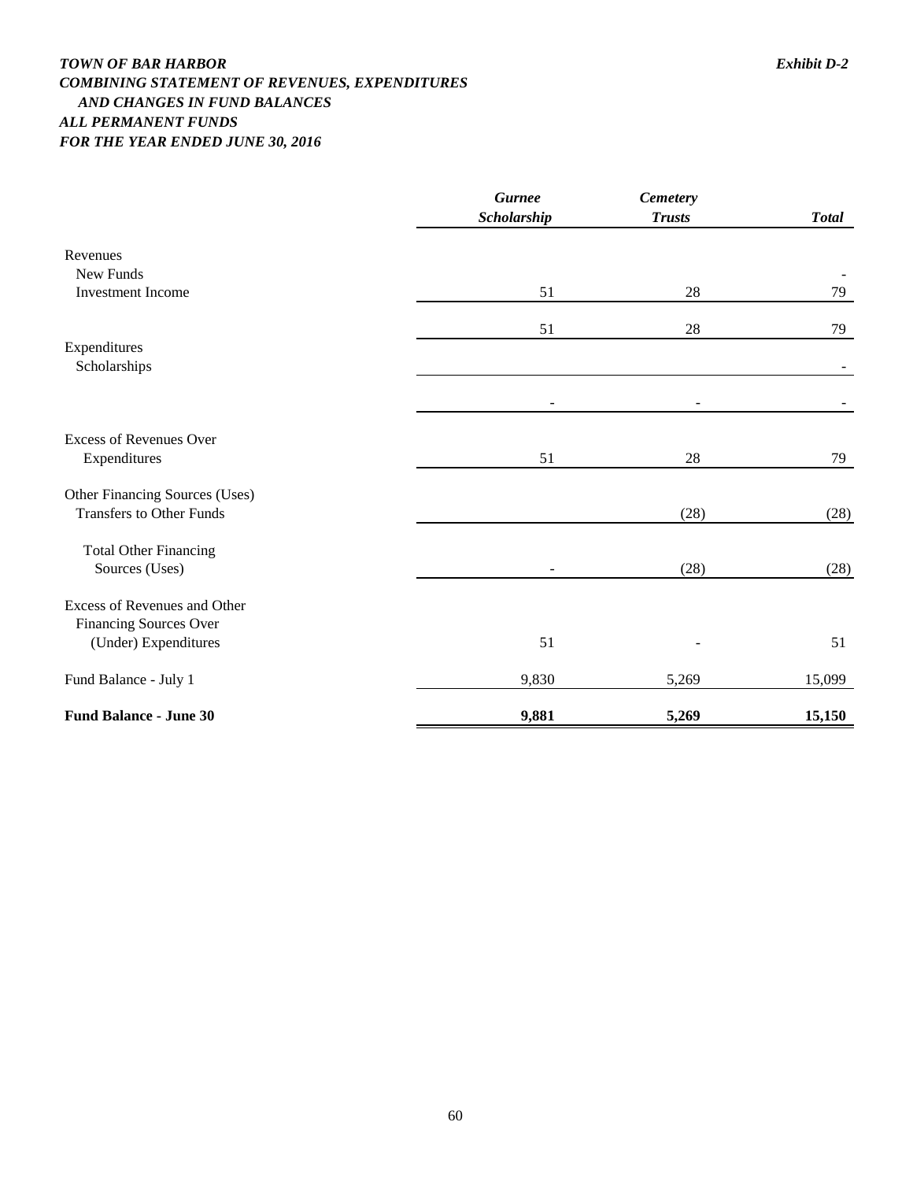## *TOWN OF BAR HARBOR Exhibit D-2 COMBINING STATEMENT OF REVENUES, EXPENDITURES AND CHANGES IN FUND BALANCES ALL PERMANENT FUNDS FOR THE YEAR ENDED JUNE 30, 2016*

|                                       | <b>Gurnee</b>     | <b>Cemetery</b> |              |
|---------------------------------------|-------------------|-----------------|--------------|
|                                       | Scholarship       | <b>Trusts</b>   | <b>Total</b> |
| Revenues                              |                   |                 |              |
| New Funds<br><b>Investment Income</b> |                   |                 | 79           |
|                                       | 51                | 28              |              |
|                                       | 51                | 28              | 79           |
| Expenditures                          |                   |                 |              |
| Scholarships                          |                   |                 |              |
|                                       | $\qquad \qquad -$ |                 |              |
| <b>Excess of Revenues Over</b>        |                   |                 |              |
| Expenditures                          | 51                | 28              | 79           |
| Other Financing Sources (Uses)        |                   |                 |              |
| <b>Transfers to Other Funds</b>       |                   | (28)            | (28)         |
| <b>Total Other Financing</b>          |                   |                 |              |
| Sources (Uses)                        |                   | (28)            | (28)         |
| Excess of Revenues and Other          |                   |                 |              |
| <b>Financing Sources Over</b>         |                   |                 |              |
| (Under) Expenditures                  | 51                |                 | 51           |
| Fund Balance - July 1                 | 9,830             | 5,269           | 15,099       |
| <b>Fund Balance - June 30</b>         | 9,881             | 5,269           | 15,150       |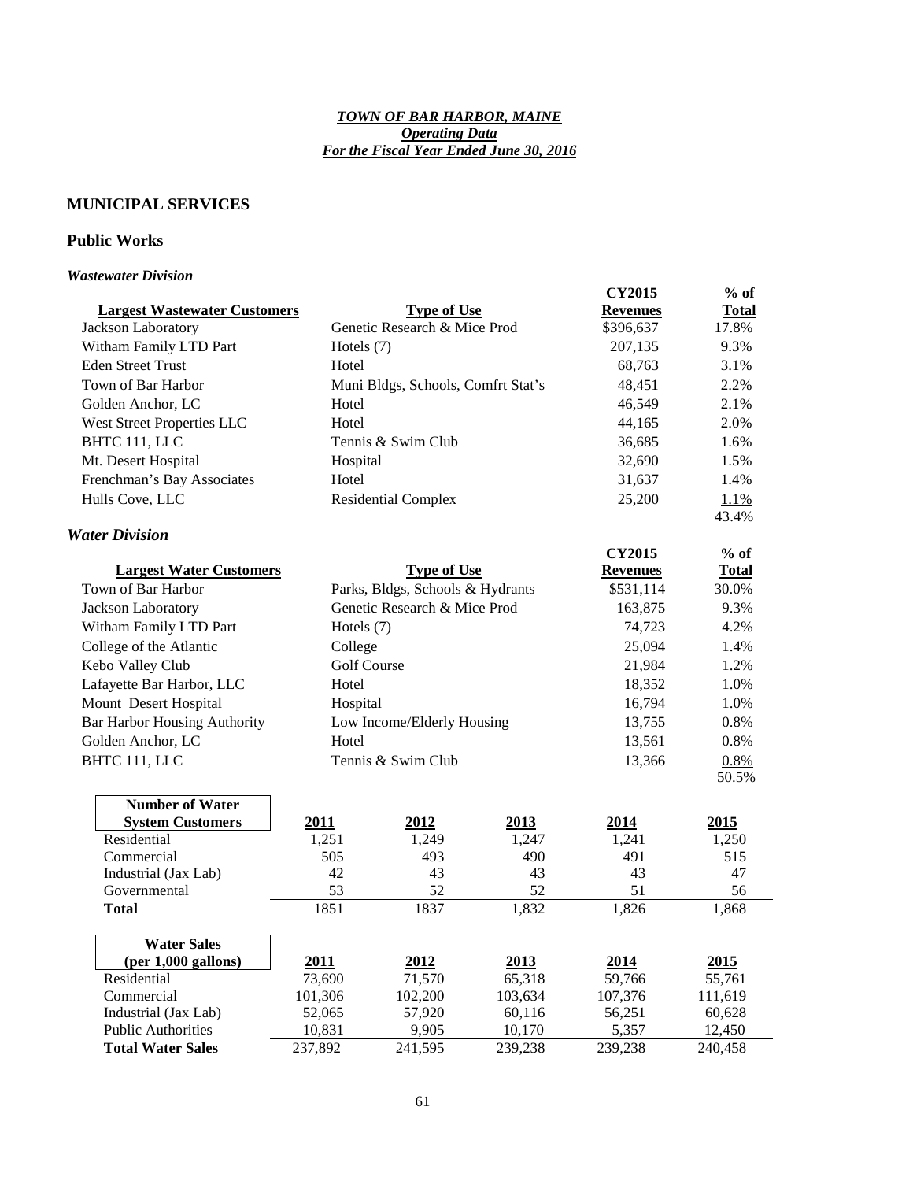#### *TOWN OF BAR HARBOR, MAINE Operating Data For the Fiscal Year Ended June 30, 2016*

## **MUNICIPAL SERVICES**

## **Public Works**

#### *Wastewater Division*

|                                     |                    |                                    |                 | <b>CY2015</b>   | $%$ of       |
|-------------------------------------|--------------------|------------------------------------|-----------------|-----------------|--------------|
| <b>Largest Wastewater Customers</b> |                    | <b>Type of Use</b>                 | <b>Revenues</b> | <b>Total</b>    |              |
| Jackson Laboratory                  |                    | Genetic Research & Mice Prod       | \$396,637       | 17.8%           |              |
| Witham Family LTD Part              | Hotels (7)         |                                    |                 | 207,135         | 9.3%         |
| <b>Eden Street Trust</b>            | Hotel              |                                    |                 | 68,763          | 3.1%         |
| Town of Bar Harbor                  |                    | Muni Bldgs, Schools, Comfrt Stat's |                 | 48,451          | 2.2%         |
| Golden Anchor, LC                   | Hotel              |                                    |                 | 46,549          | 2.1%         |
| <b>West Street Properties LLC</b>   | Hotel              |                                    |                 | 44,165          | 2.0%         |
| BHTC 111, LLC                       |                    | Tennis & Swim Club                 |                 | 36,685          | 1.6%         |
| Mt. Desert Hospital                 | Hospital           |                                    |                 | 32,690          | 1.5%         |
| Frenchman's Bay Associates          | Hotel              |                                    |                 | 31,637          | 1.4%         |
| Hulls Cove, LLC                     |                    | <b>Residential Complex</b>         |                 | 25,200          | 1.1%         |
|                                     |                    |                                    |                 |                 | 43.4%        |
| <b>Water Division</b>               |                    |                                    |                 |                 |              |
|                                     |                    |                                    |                 | <b>CY2015</b>   | $%$ of       |
| <b>Largest Water Customers</b>      |                    | <b>Type of Use</b>                 |                 | <b>Revenues</b> | <b>Total</b> |
| Town of Bar Harbor                  |                    | Parks, Bldgs, Schools & Hydrants   |                 | \$531,114       | 30.0%        |
| Jackson Laboratory                  |                    | Genetic Research & Mice Prod       |                 | 163,875         | 9.3%         |
| Witham Family LTD Part              | Hotels (7)         |                                    | 74,723          | 4.2%            |              |
| College of the Atlantic             | College            |                                    |                 | 25,094          | 1.4%         |
| Kebo Valley Club                    | <b>Golf Course</b> |                                    | 21,984          | 1.2%            |              |
| Lafayette Bar Harbor, LLC           | Hotel              |                                    |                 | 18,352          | 1.0%         |
| Mount Desert Hospital               | Hospital           |                                    |                 | 16,794          | 1.0%         |
| <b>Bar Harbor Housing Authority</b> |                    | Low Income/Elderly Housing         |                 | 13,755          | 0.8%         |
| Golden Anchor, LC                   | Hotel              |                                    |                 | 13,561          | 0.8%         |
| BHTC 111, LLC                       |                    | Tennis & Swim Club                 |                 | 13,366          | 0.8%         |
|                                     |                    |                                    |                 |                 | 50.5%        |
| <b>Number of Water</b>              |                    |                                    |                 |                 |              |
| <b>System Customers</b>             | 2011               | 2012                               | 2013            | 2014            | 2015         |
| Residential                         | 1,251              | 1,249                              | 1,247           | 1,241           | 1,250        |
| Commercial                          | 505                | 493                                | 490             | 491             | 515          |
| Industrial (Jax Lab)                | 42                 | 43                                 | 43              | 43              | 47           |
| Governmental                        | 53                 | 52                                 | 52              | 51              | 56           |
| <b>Total</b>                        | 1851               | 1837                               | 1,832           | 1,826           | 1,868        |
| <b>Water Sales</b>                  |                    |                                    |                 |                 |              |
| $(per 1,000$ gallons)               | 2011               | 2012                               | 2013            | 2014            | 2015         |
| Residential                         | 73,690             | 71,570                             | 65,318          | 59,766          | 55,761       |
| Commercial                          | 101,306            | 102,200                            | 103,634         | 107,376         | 111,619      |
| Industrial (Jax Lab)                | 52,065             | 57,920                             | 60,116          | 56,251          | 60,628       |
| <b>Public Authorities</b>           | 10,831             | 9,905                              | 10,170          | 5,357           | 12,450       |
| <b>Total Water Sales</b>            | 237,892            | 241,595                            | 239,238         | 239,238         | 240,458      |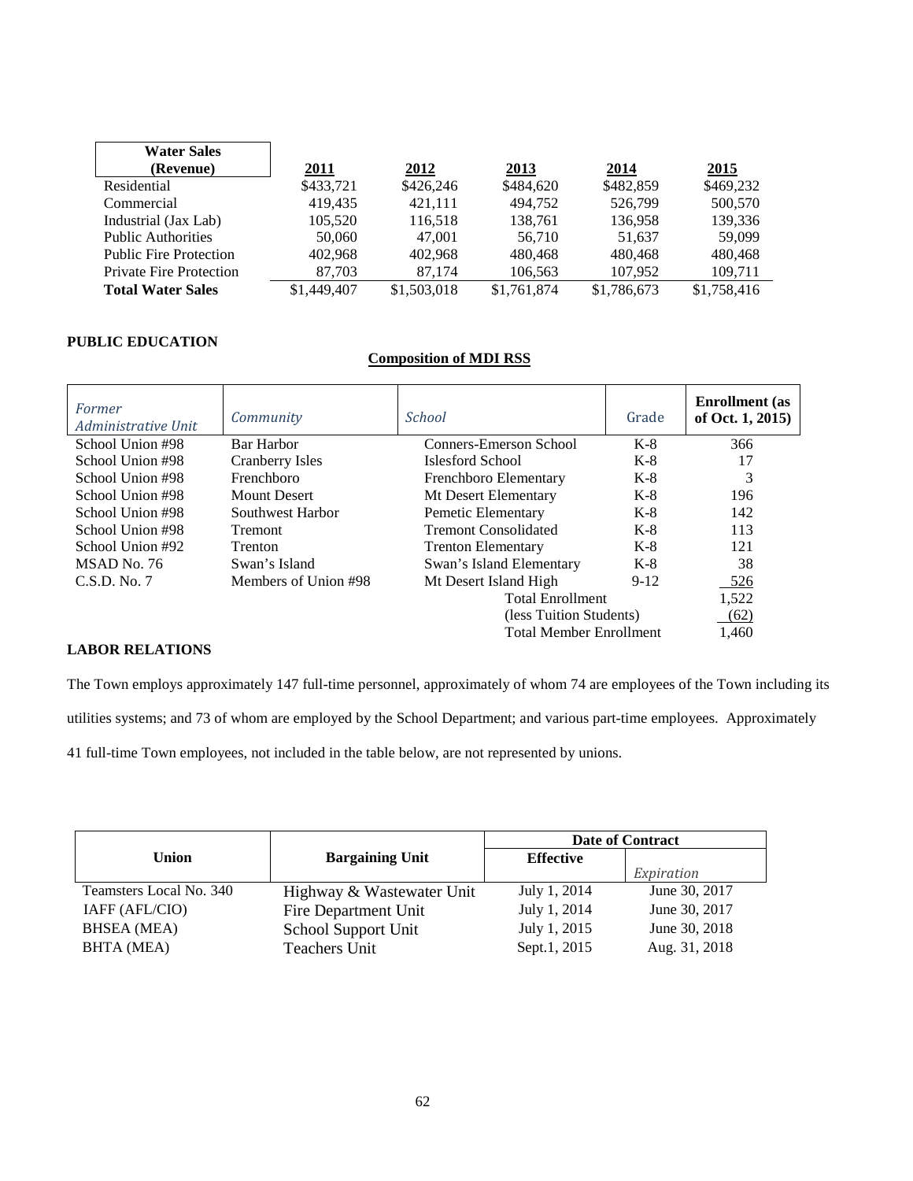| <b>Water Sales</b>             |             |             |             |             |             |
|--------------------------------|-------------|-------------|-------------|-------------|-------------|
| (Revenue)                      | 2011        | 2012        | 2013        | 2014        | 2015        |
| Residential                    | \$433,721   | \$426,246   | \$484,620   | \$482,859   | \$469,232   |
| Commercial                     | 419.435     | 421.111     | 494.752     | 526,799     | 500,570     |
| Industrial (Jax Lab)           | 105,520     | 116,518     | 138,761     | 136,958     | 139,336     |
| <b>Public Authorities</b>      | 50,060      | 47,001      | 56.710      | 51.637      | 59,099      |
| <b>Public Fire Protection</b>  | 402.968     | 402.968     | 480,468     | 480.468     | 480,468     |
| <b>Private Fire Protection</b> | 87,703      | 87.174      | 106,563     | 107,952     | 109,711     |
| <b>Total Water Sales</b>       | \$1,449,407 | \$1,503,018 | \$1,761,874 | \$1,786,673 | \$1,758,416 |

#### **PUBLIC EDUCATION**

#### **Composition of MDI RSS**

| Former<br>Administrative Unit | Community            | <b>School</b>                  | Grade  | <b>Enrollment</b> (as<br>of Oct. 1, 2015) |
|-------------------------------|----------------------|--------------------------------|--------|-------------------------------------------|
| School Union #98              | Bar Harbor           | Conners-Emerson School         | $K-8$  | 366                                       |
| School Union #98              | Cranberry Isles      | Islesford School               | $K-8$  | 17                                        |
| School Union #98              | Frenchboro           | Frenchboro Elementary          | $K-8$  | 3                                         |
| School Union #98              | Mount Desert         | Mt Desert Elementary           | $K-8$  | 196                                       |
| School Union #98              | Southwest Harbor     | Pemetic Elementary             | K-8    | 142                                       |
| School Union #98              | <b>Tremont</b>       | <b>Tremont Consolidated</b>    | $K-8$  | 113                                       |
| School Union #92              | <b>Trenton</b>       | <b>Trenton Elementary</b>      | $K-8$  | 121                                       |
| MSAD No. 76                   | Swan's Island        | Swan's Island Elementary       | $K-8$  | 38                                        |
| C.S.D. No. 7                  | Members of Union #98 | Mt Desert Island High          | $9-12$ | 526                                       |
|                               |                      | <b>Total Enrollment</b>        |        | 1,522                                     |
|                               |                      | (less Tuition Students)        |        | (62)                                      |
|                               |                      | <b>Total Member Enrollment</b> |        | 1.460                                     |

## **LABOR RELATIONS**

The Town employs approximately 147 full-time personnel, approximately of whom 74 are employees of the Town including its

utilities systems; and 73 of whom are employed by the School Department; and various part-time employees. Approximately

41 full-time Town employees, not included in the table below, are not represented by unions.

|                         |                           |                  | <b>Date of Contract</b> |
|-------------------------|---------------------------|------------------|-------------------------|
| <b>Union</b>            | <b>Bargaining Unit</b>    | <b>Effective</b> |                         |
|                         |                           |                  | Expiration              |
| Teamsters Local No. 340 | Highway & Wastewater Unit | July 1, 2014     | June 30, 2017           |
| IAFF (AFL/CIO)          | Fire Department Unit      | July 1, 2014     | June 30, 2017           |
| <b>BHSEA</b> (MEA)      | School Support Unit       | July 1, 2015     | June 30, 2018           |
| BHTA (MEA)              | Teachers Unit             | Sept.1, 2015     | Aug. 31, 2018           |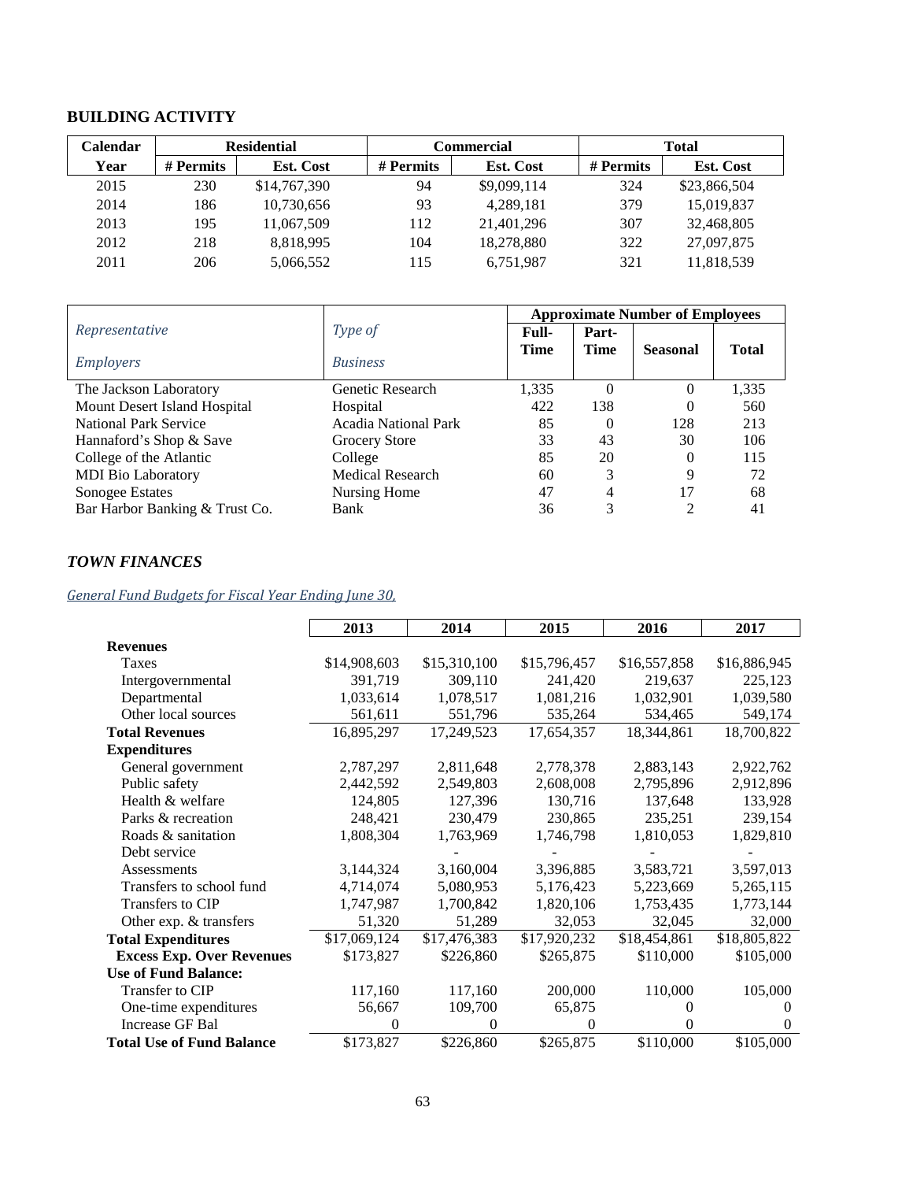## **BUILDING ACTIVITY**

| Calendar |           | <b>Residential</b><br>Commercial |           |                  |           | Total            |  |
|----------|-----------|----------------------------------|-----------|------------------|-----------|------------------|--|
| Year     | # Permits | <b>Est. Cost</b>                 | # Permits | <b>Est. Cost</b> | # Permits | <b>Est. Cost</b> |  |
| 2015     | 230       | \$14,767,390                     | 94        | \$9,099,114      | 324       | \$23,866,504     |  |
| 2014     | 186       | 10,730,656                       | 93        | 4,289,181        | 379       | 15,019,837       |  |
| 2013     | 195       | 11,067,509                       | 112       | 21,401,296       | 307       | 32,468,805       |  |
| 2012     | 218       | 8,818,995                        | 104       | 18,278,880       | 322       | 27,097,875       |  |
| 2011     | 206       | 5,066,552                        | 115       | 6,751,987        | 321       | 11,818,539       |  |

|                                |                             | <b>Approximate Number of Employees</b> |                |                 |              |  |
|--------------------------------|-----------------------------|----------------------------------------|----------------|-----------------|--------------|--|
| Representative                 | Type of                     | Full-                                  | Part-          |                 |              |  |
| <i>Employers</i>               | <b>Business</b>             | <b>Time</b>                            | <b>Time</b>    | <b>Seasonal</b> | <b>Total</b> |  |
| The Jackson Laboratory         | Genetic Research            | 1,335                                  | $\Omega$       | 0               | 1,335        |  |
| Mount Desert Island Hospital   | Hospital                    | 422                                    | 138            | 0               | 560          |  |
| <b>National Park Service</b>   | <b>Acadia National Park</b> | 85                                     | $\Omega$       | 128             | 213          |  |
| Hannaford's Shop & Save        | Grocery Store               | 33                                     | 43             | 30              | 106          |  |
| College of the Atlantic        | College                     | 85                                     | 20             | $\theta$        | 115          |  |
| <b>MDI</b> Bio Laboratory      | <b>Medical Research</b>     | 60                                     | 3              | 9               | 72           |  |
| Sonogee Estates                | Nursing Home                | 47                                     | $\overline{4}$ | 17              | 68           |  |
| Bar Harbor Banking & Trust Co. | Bank                        | 36                                     | 3              | $\mathfrak{D}$  | 41           |  |

## *TOWN FINANCES*

## *General Fund Budgets for Fiscal Year Ending June 30,*

|                                  | 2013         | 2014         | 2015         | 2016         | 2017         |
|----------------------------------|--------------|--------------|--------------|--------------|--------------|
| <b>Revenues</b>                  |              |              |              |              |              |
| Taxes                            | \$14,908,603 | \$15,310,100 | \$15,796,457 | \$16,557,858 | \$16,886,945 |
| Intergovernmental                | 391,719      | 309,110      | 241,420      | 219,637      | 225,123      |
| Departmental                     | 1,033,614    | 1,078,517    | 1,081,216    | 1,032,901    | 1,039,580    |
| Other local sources              | 561,611      | 551,796      | 535,264      | 534,465      | 549,174      |
| <b>Total Revenues</b>            | 16,895,297   | 17,249,523   | 17,654,357   | 18,344,861   | 18,700,822   |
| <b>Expenditures</b>              |              |              |              |              |              |
| General government               | 2,787,297    | 2,811,648    | 2,778,378    | 2,883,143    | 2,922,762    |
| Public safety                    | 2,442,592    | 2,549,803    | 2,608,008    | 2,795,896    | 2,912,896    |
| Health & welfare                 | 124,805      | 127,396      | 130,716      | 137,648      | 133,928      |
| Parks & recreation               | 248,421      | 230,479      | 230,865      | 235,251      | 239,154      |
| Roads & sanitation               | 1,808,304    | 1,763,969    | 1,746,798    | 1,810,053    | 1,829,810    |
| Debt service                     |              |              |              |              |              |
| Assessments                      | 3,144,324    | 3,160,004    | 3,396,885    | 3,583,721    | 3,597,013    |
| Transfers to school fund         | 4,714,074    | 5,080,953    | 5,176,423    | 5,223,669    | 5,265,115    |
| Transfers to CIP                 | 1,747,987    | 1,700,842    | 1,820,106    | 1,753,435    | 1,773,144    |
| Other exp. & transfers           | 51,320       | 51,289       | 32,053       | 32,045       | 32,000       |
| <b>Total Expenditures</b>        | \$17,069,124 | \$17,476,383 | \$17,920,232 | \$18,454,861 | \$18,805,822 |
| <b>Excess Exp. Over Revenues</b> | \$173,827    | \$226,860    | \$265,875    | \$110,000    | \$105,000    |
| <b>Use of Fund Balance:</b>      |              |              |              |              |              |
| Transfer to CIP                  | 117,160      | 117,160      | 200,000      | 110,000      | 105,000      |
| One-time expenditures            | 56,667       | 109,700      | 65,875       | 0            | $\theta$     |
| Increase GF Bal                  | $\Omega$     | 0            | $\theta$     | 0            | $\Omega$     |
| <b>Total Use of Fund Balance</b> | \$173,827    | \$226,860    | \$265,875    | \$110,000    | \$105,000    |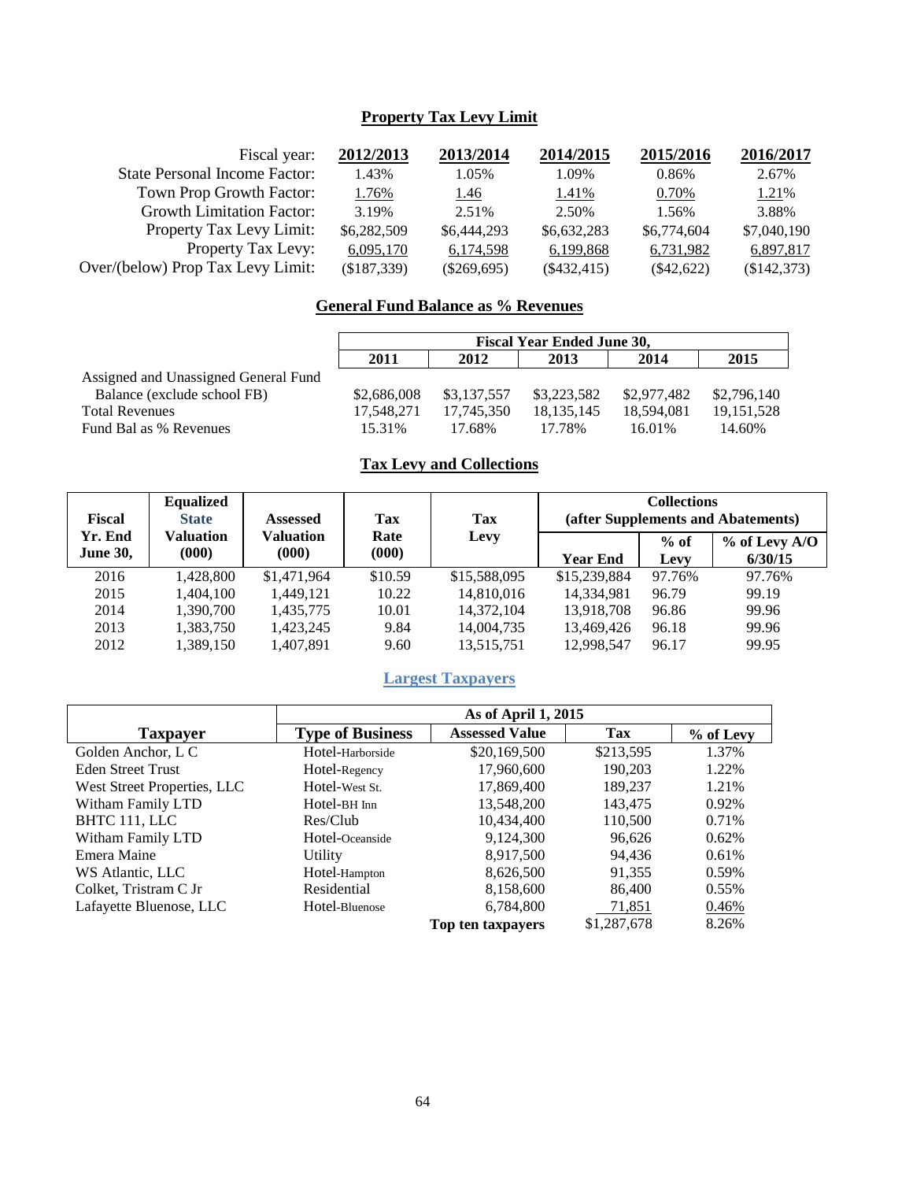## **Property Tax Levy Limit**

| 2012/2013   | 2013/2014     | 2014/2015     | 2015/2016    | 2016/2017   |
|-------------|---------------|---------------|--------------|-------------|
| 1.43%       | 1.05%         | 1.09%         | 0.86%        | 2.67%       |
| 1.76%       | <u>1.46</u>   | 1.41%         | 0.70%        | 1.21%       |
| 3.19%       | 2.51%         | 2.50%         | 1.56%        | 3.88%       |
| \$6,282,509 | \$6,444,293   | \$6,632,283   | \$6,774,604  | \$7,040,190 |
| 6,095,170   | 6,174,598     | 6,199,868     | 6,731,982    | 6,897,817   |
| (\$187,339) | $(\$269,695)$ | $(\$432,415)$ | $(\$42,622)$ | (\$142,373) |
|             |               |               |              |             |

## **General Fund Balance as % Revenues**

|                                      | <b>Fiscal Year Ended June 30,</b>    |             |             |             |              |  |  |
|--------------------------------------|--------------------------------------|-------------|-------------|-------------|--------------|--|--|
|                                      | 2015<br>2011<br>2013<br>2012<br>2014 |             |             |             |              |  |  |
| Assigned and Unassigned General Fund |                                      |             |             |             |              |  |  |
| Balance (exclude school FB)          | \$2,686,008                          | \$3.137.557 | \$3,223,582 | \$2,977,482 | \$2,796,140  |  |  |
| <b>Total Revenues</b>                | 17.548.271                           | 17.745.350  | 18.135.145  | 18.594.081  | 19, 151, 528 |  |  |
| Fund Bal as % Revenues               | 15.31%                               | 17.68%      | 17.78%      | 16.01%      | 14.60%       |  |  |

## **Tax Levy and Collections**

| Fiscal                     | <b>Equalized</b><br><b>State</b> | <b>Assessed</b>    | Tax           | Tax          |                 | <b>Collections</b> | (after Supplements and Abatements) |
|----------------------------|----------------------------------|--------------------|---------------|--------------|-----------------|--------------------|------------------------------------|
| Yr. End<br><b>June 30,</b> | Valuation<br>(000)               | Valuation<br>(000) | Rate<br>(000) | Levy         | <b>Year End</b> | $%$ of<br>Levy     | $%$ of Levy A/O<br>6/30/15         |
| 2016                       | 1.428.800                        | \$1,471,964        | \$10.59       | \$15,588,095 | \$15,239,884    | 97.76%             | 97.76%                             |
| 2015                       | 1.404.100                        | 1,449,121          | 10.22         | 14,810,016   | 14,334,981      | 96.79              | 99.19                              |
| 2014                       | 1.390.700                        | 1,435,775          | 10.01         | 14.372.104   | 13,918,708      | 96.86              | 99.96                              |
| 2013                       | 1.383.750                        | 1.423.245          | 9.84          | 14.004.735   | 13.469.426      | 96.18              | 99.96                              |
| 2012                       | 1,389,150                        | 1,407,891          | 9.60          | 13,515,751   | 12,998,547      | 96.17              | 99.95                              |

## **Largest Taxpayers**

|                             | As of April 1, 2015     |                       |             |           |  |  |
|-----------------------------|-------------------------|-----------------------|-------------|-----------|--|--|
| <b>Taxpayer</b>             | <b>Type of Business</b> | <b>Assessed Value</b> | Tax         | % of Levy |  |  |
| Golden Anchor, L C          | Hotel-Harborside        | \$20,169,500          | \$213,595   | 1.37%     |  |  |
| <b>Eden Street Trust</b>    | Hotel-Regency           | 17,960,600            | 190.203     | 1.22%     |  |  |
| West Street Properties, LLC | Hotel-West St.          | 17,869,400            | 189,237     | 1.21%     |  |  |
| Witham Family LTD           | Hotel-BH Inn            | 13,548,200            | 143,475     | 0.92%     |  |  |
| BHTC 111, LLC               | Res/Club                | 10,434,400            | 110,500     | 0.71%     |  |  |
| Witham Family LTD           | Hotel-Oceanside         | 9,124,300             | 96.626      | 0.62%     |  |  |
| Emera Maine                 | Utility                 | 8,917,500             | 94,436      | 0.61%     |  |  |
| WS Atlantic, LLC            | Hotel-Hampton           | 8,626,500             | 91,355      | 0.59%     |  |  |
| Colket, Tristram C Jr.      | Residential             | 8,158,600             | 86,400      | $0.55\%$  |  |  |
| Lafayette Bluenose, LLC     | Hotel-Bluenose          | 6,784,800             | 71,851      | 0.46%     |  |  |
|                             |                         | Top ten taxpayers     | \$1,287,678 | 8.26%     |  |  |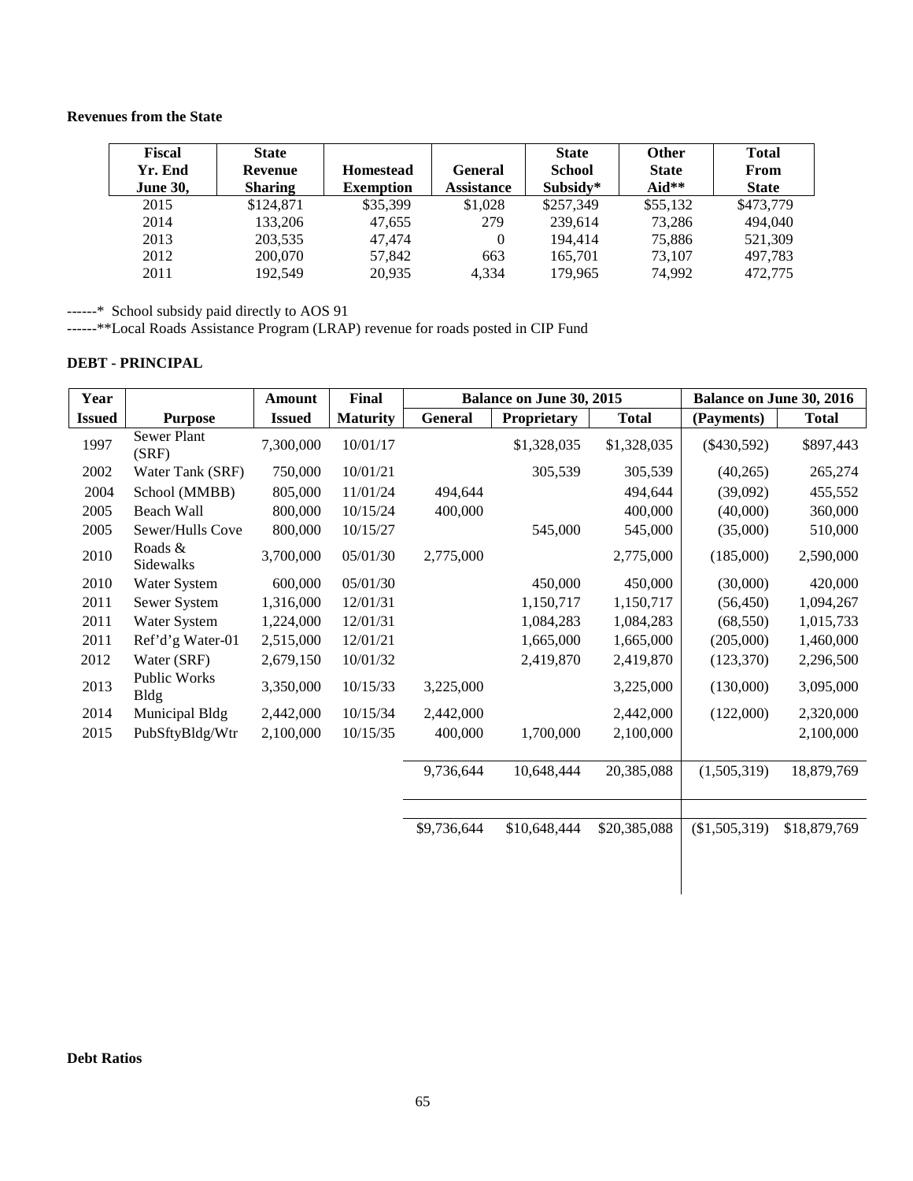#### **Revenues from the State**

| <b>Fiscal</b><br>Yr. End<br><b>June 30,</b> | <b>State</b><br>Revenue<br><b>Sharing</b> | <b>Homestead</b><br><b>Exemption</b> | <b>General</b><br><b>Assistance</b> | <b>State</b><br><b>School</b><br>Subsidy* | <b>Other</b><br><b>State</b><br>Aid** | <b>Total</b><br>From<br><b>State</b> |
|---------------------------------------------|-------------------------------------------|--------------------------------------|-------------------------------------|-------------------------------------------|---------------------------------------|--------------------------------------|
| 2015                                        | \$124,871                                 | \$35,399                             | \$1,028                             | \$257,349                                 | \$55,132                              | \$473,779                            |
| 2014                                        | 133,206                                   | 47.655                               | 279                                 | 239.614                                   | 73,286                                | 494,040                              |
| 2013                                        | 203,535                                   | 47.474                               | $\theta$                            | 194.414                                   | 75.886                                | 521,309                              |
| 2012                                        | 200,070                                   | 57,842                               | 663                                 | 165,701                                   | 73.107                                | 497,783                              |
| 2011                                        | 192.549                                   | 20.935                               | 4.334                               | 179.965                                   | 74.992                                | 472,775                              |

------\* School subsidy paid directly to AOS 91

------\*\*Local Roads Assistance Program (LRAP) revenue for roads posted in CIP Fund

#### **DEBT - PRINCIPAL**

| Year          |                             | Amount        | Final           |             | Balance on June 30, 2015 |              | <b>Balance on June 30, 2016</b> |              |
|---------------|-----------------------------|---------------|-----------------|-------------|--------------------------|--------------|---------------------------------|--------------|
| <b>Issued</b> | <b>Purpose</b>              | <b>Issued</b> | <b>Maturity</b> | General     | Proprietary              | <b>Total</b> | (Payments)                      | <b>Total</b> |
| 1997          | Sewer Plant<br>(SRF)        | 7,300,000     | 10/01/17        |             | \$1,328,035              | \$1,328,035  | $(\$430,592)$                   | \$897,443    |
| 2002          | Water Tank (SRF)            | 750,000       | 10/01/21        |             | 305,539                  | 305,539      | (40, 265)                       | 265,274      |
| 2004          | School (MMBB)               | 805,000       | 11/01/24        | 494,644     |                          | 494,644      | (39,092)                        | 455,552      |
| 2005          | Beach Wall                  | 800,000       | 10/15/24        | 400,000     |                          | 400,000      | (40,000)                        | 360,000      |
| 2005          | Sewer/Hulls Cove            | 800,000       | 10/15/27        |             | 545,000                  | 545,000      | (35,000)                        | 510,000      |
| 2010          | Roads &<br>Sidewalks        | 3,700,000     | 05/01/30        | 2,775,000   |                          | 2,775,000    | (185,000)                       | 2,590,000    |
| 2010          | Water System                | 600,000       | 05/01/30        |             | 450,000                  | 450,000      | (30,000)                        | 420,000      |
| 2011          | Sewer System                | 1,316,000     | 12/01/31        |             | 1,150,717                | 1,150,717    | (56, 450)                       | 1,094,267    |
| 2011          | Water System                | 1,224,000     | 12/01/31        |             | 1,084,283                | 1,084,283    | (68, 550)                       | 1,015,733    |
| 2011          | Ref'd'g Water-01            | 2,515,000     | 12/01/21        |             | 1,665,000                | 1,665,000    | (205,000)                       | 1,460,000    |
| 2012          | Water (SRF)                 | 2,679,150     | 10/01/32        |             | 2,419,870                | 2,419,870    | (123, 370)                      | 2,296,500    |
| 2013          | Public Works<br><b>Bldg</b> | 3,350,000     | 10/15/33        | 3,225,000   |                          | 3,225,000    | (130,000)                       | 3,095,000    |
| 2014          | Municipal Bldg              | 2,442,000     | 10/15/34        | 2,442,000   |                          | 2,442,000    | (122,000)                       | 2,320,000    |
| 2015          | PubSftyBldg/Wtr             | 2,100,000     | 10/15/35        | 400,000     | 1,700,000                | 2,100,000    |                                 | 2,100,000    |
|               |                             |               |                 | 9,736,644   | 10,648,444               | 20,385,088   | (1,505,319)                     | 18,879,769   |
|               |                             |               |                 | \$9,736,644 | \$10,648,444             | \$20,385,088 | (\$1,505,319)                   | \$18,879,769 |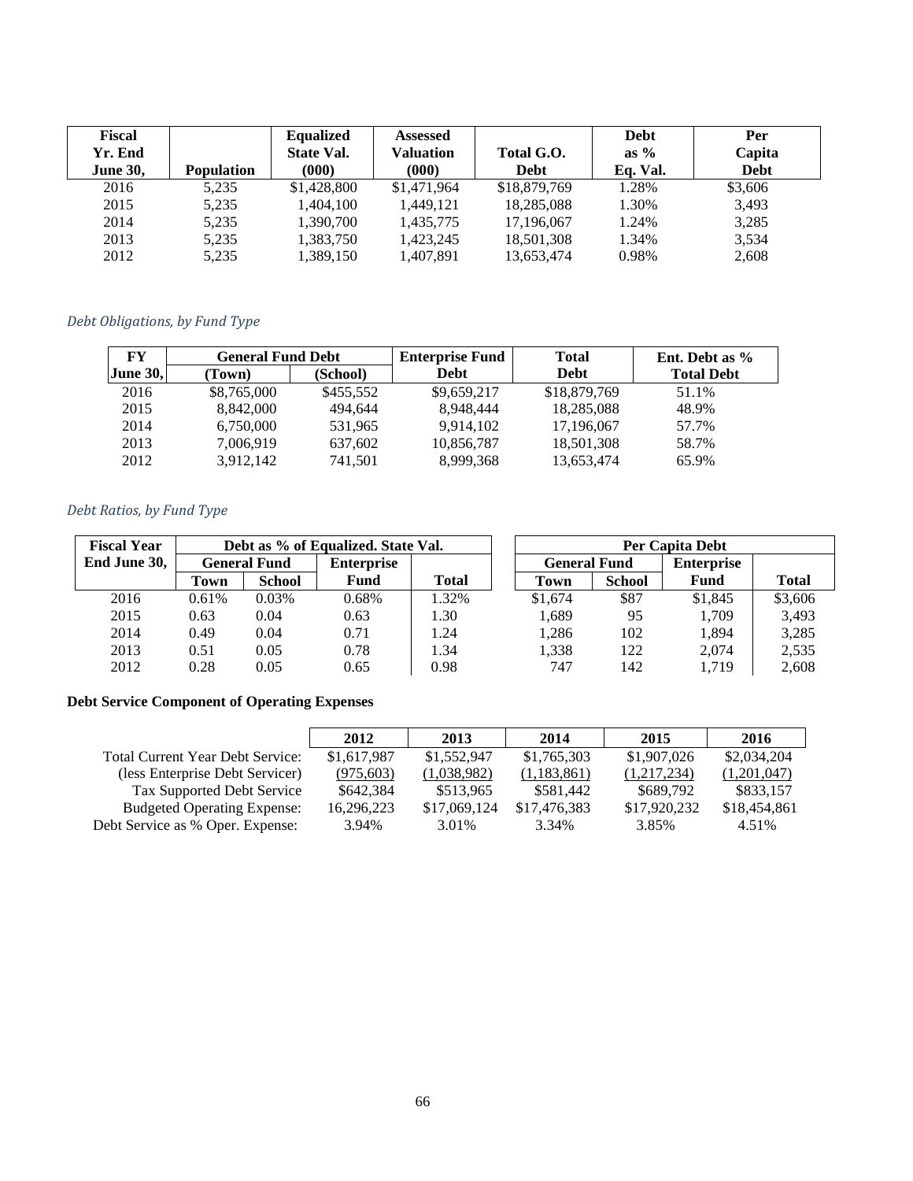| Fiscal<br>Yr. End<br><b>June 30,</b> | <b>Population</b> | <b>Equalized</b><br><b>State Val.</b><br>(000) | <b>Assessed</b><br>Valuation<br>(000) | Total G.O.<br>Debt | <b>Debt</b><br>as $\%$<br>Eq. Val. | Per<br>Capita<br><b>Debt</b> |
|--------------------------------------|-------------------|------------------------------------------------|---------------------------------------|--------------------|------------------------------------|------------------------------|
| 2016                                 | 5,235             | \$1,428,800                                    | \$1,471,964                           | \$18,879,769       | 1.28%                              | \$3,606                      |
| 2015                                 | 5,235             | 1,404,100                                      | 1.449.121                             | 18,285,088         | 1.30%                              | 3.493                        |
| 2014                                 | 5,235             | 1,390,700                                      | 1,435,775                             | 17,196,067         | 1.24%                              | 3,285                        |
| 2013                                 | 5,235             | 1,383,750                                      | 1,423,245                             | 18,501,308         | 1.34%                              | 3,534                        |
| 2012                                 | 5,235             | 1,389,150                                      | 1,407,891                             | 13,653,474         | 0.98%                              | 2,608                        |

## *Debt Obligations, by Fund Type*

| FY              | <b>General Fund Debt</b> |           | <b>Enterprise Fund</b> | <b>Total</b> | Ent. Debt as %    |  |
|-----------------|--------------------------|-----------|------------------------|--------------|-------------------|--|
| <b>June 30.</b> | Town)                    | (School)  | <b>Debt</b>            | <b>Debt</b>  | <b>Total Debt</b> |  |
| 2016            | \$8,765,000              | \$455,552 | \$9,659,217            | \$18,879,769 | 51.1%             |  |
| 2015            | 8,842,000                | 494.644   | 8.948.444              | 18,285,088   | 48.9%             |  |
| 2014            | 6,750,000                | 531,965   | 9,914,102              | 17,196,067   | 57.7%             |  |
| 2013            | 7,006,919                | 637,602   | 10,856,787             | 18,501,308   | 58.7%             |  |
| 2012            | 3,912,142                | 741,501   | 8.999.368              | 13,653,474   | 65.9%             |  |

## *Debt Ratios, by Fund Type*

| <b>Fiscal Year</b> | Debt as % of Equalized. State Val. |        |                   |              |                     | Per Capita Debt |                   |              |
|--------------------|------------------------------------|--------|-------------------|--------------|---------------------|-----------------|-------------------|--------------|
| End June 30,       | <b>General Fund</b>                |        | <b>Enterprise</b> |              | <b>General Fund</b> |                 | <b>Enterprise</b> |              |
|                    | Town                               | School | <b>Fund</b>       | <b>Total</b> | Town                | <b>School</b>   | Fund              | <b>Total</b> |
| 2016               | 0.61%                              | 0.03%  | 0.68%             | 1.32%        | \$1,674             | \$87            | \$1,845           | \$3,606      |
| 2015               | 0.63                               | 0.04   | 0.63              | 1.30         | 1,689               | 95              | 1,709             | 3,493        |
| 2014               | 0.49                               | 0.04   | 0.71              | 1.24         | 1,286               | 102             | 1,894             | 3,285        |
| 2013               | 0.51                               | 0.05   | 0.78              | 1.34         | 1.338               | 122             | 2.074             | 2,535        |
| 2012               | 0.28                               | 0.05   | 0.65              | 0.98         | 747                 | 142             | 1,719             | 2,608        |

## **Debt Service Component of Operating Expenses**

|                                         | 2012        | 2013         | 2014         | 2015         | 2016         |
|-----------------------------------------|-------------|--------------|--------------|--------------|--------------|
| <b>Total Current Year Debt Service:</b> | \$1,617,987 | \$1,552,947  | \$1,765,303  | \$1,907,026  | \$2,034,204  |
| (less Enterprise Debt Servicer)         | (975, 603)  | (1,038,982)  | (1,183,861)  | (1,217,234)  | (1,201,047)  |
| Tax Supported Debt Service              | \$642,384   | \$513.965    | \$581.442    | \$689,792    | \$833.157    |
| <b>Budgeted Operating Expense:</b>      | 16,296,223  | \$17,069,124 | \$17,476,383 | \$17,920,232 | \$18,454,861 |
| Debt Service as % Oper. Expense:        | 3.94%       | 3.01%        | 3.34%        | 3.85%        | 4.51%        |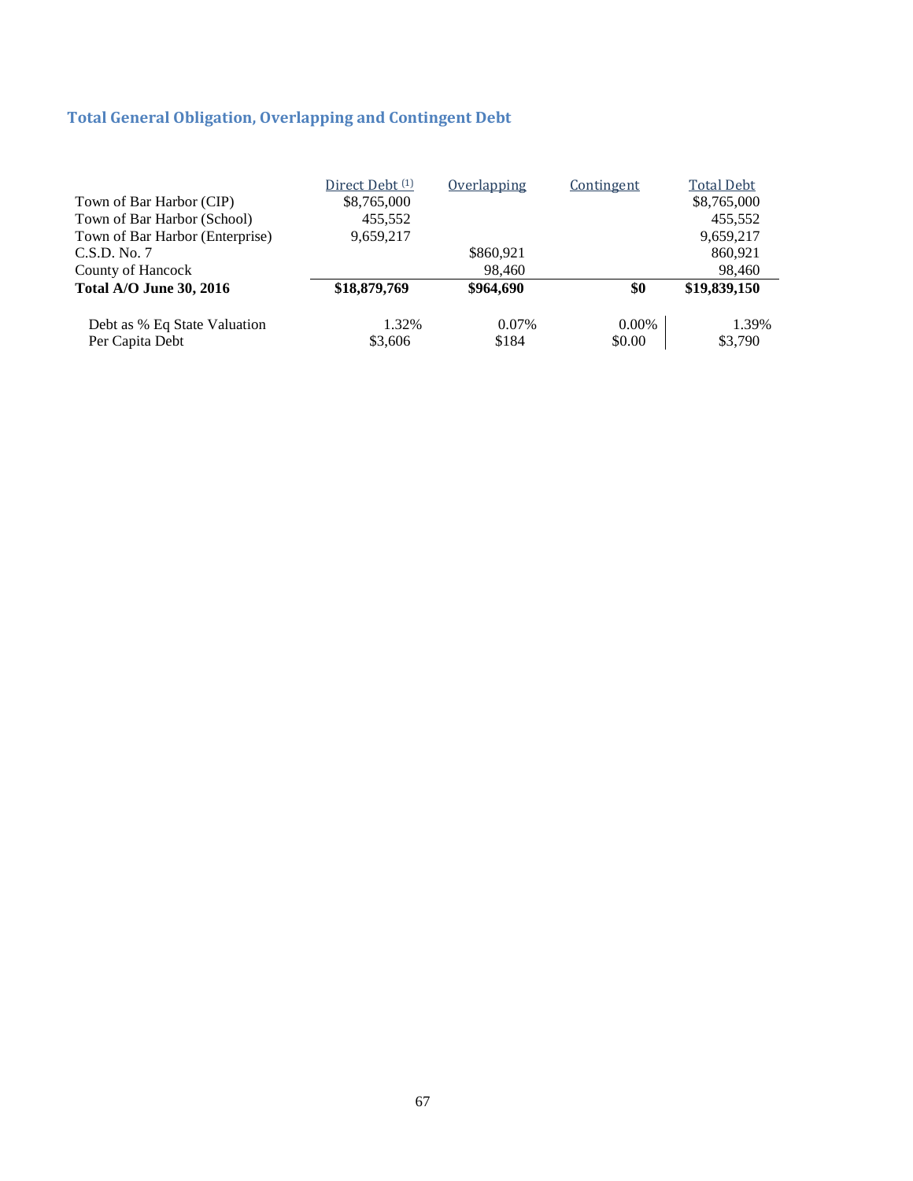## **Total General Obligation, Overlapping and Contingent Debt**

|                                 | Direct Debt <sup>(1)</sup> | Overlapping | Contingent | <b>Total Debt</b> |
|---------------------------------|----------------------------|-------------|------------|-------------------|
| Town of Bar Harbor (CIP)        | \$8,765,000                |             |            | \$8,765,000       |
| Town of Bar Harbor (School)     | 455,552                    |             |            | 455,552           |
| Town of Bar Harbor (Enterprise) | 9,659,217                  |             |            | 9,659,217         |
| C.S.D. No. 7                    |                            | \$860,921   |            | 860.921           |
| County of Hancock               |                            | 98.460      |            | 98,460            |
| <b>Total A/O June 30, 2016</b>  | \$18,879,769               | \$964,690   | \$0        | \$19,839,150      |
| Debt as % Eq State Valuation    | 1.32%                      | 0.07%       | $0.00\%$   | 1.39%             |
| Per Capita Debt                 | \$3,606                    | \$184       | \$0.00     | \$3,790           |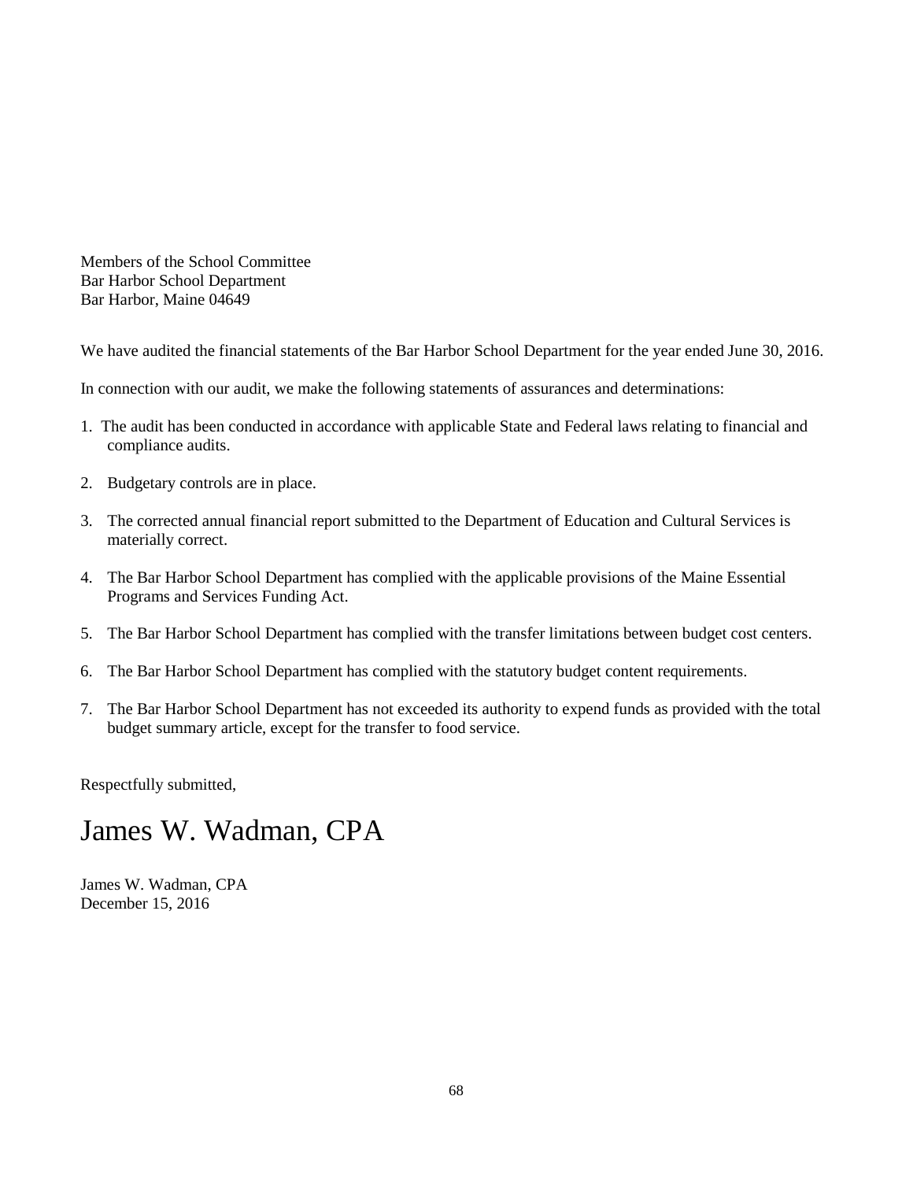Members of the School Committee Bar Harbor School Department Bar Harbor, Maine 04649

We have audited the financial statements of the Bar Harbor School Department for the year ended June 30, 2016.

In connection with our audit, we make the following statements of assurances and determinations:

- 1. The audit has been conducted in accordance with applicable State and Federal laws relating to financial and compliance audits.
- 2. Budgetary controls are in place.
- 3. The corrected annual financial report submitted to the Department of Education and Cultural Services is materially correct.
- 4. The Bar Harbor School Department has complied with the applicable provisions of the Maine Essential Programs and Services Funding Act.
- 5. The Bar Harbor School Department has complied with the transfer limitations between budget cost centers.
- 6. The Bar Harbor School Department has complied with the statutory budget content requirements.
- 7. The Bar Harbor School Department has not exceeded its authority to expend funds as provided with the total budget summary article, except for the transfer to food service.

Respectfully submitted,

# James W. Wadman, CPA

James W. Wadman, CPA December 15, 2016